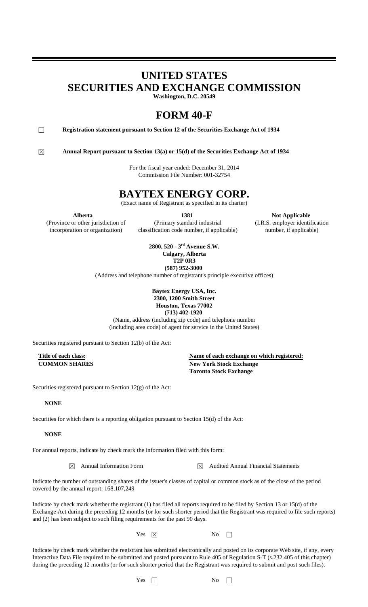# **UNITED STATES**

**SECURITIES AND EXCHANGE COMMISSION**

**Washington, D.C. 20549**

# **FORM 40-F**

**Registration statement pursuant to Section 12 of the Securities Exchange Act of 1934** 

 $\times$ **Annual Report pursuant to Section 13(a) or 15(d) of the Securities Exchange Act of 1934**

> For the fiscal year ended: December 31, 2014 Commission File Number: 001-32754

# **BAYTEX ENERGY CORP.**

(Exact name of Registrant as specified in its charter)

**Alberta**

(Province or other jurisdiction of incorporation or organization)

**1381** (Primary standard industrial classification code number, if applicable)

**Not Applicable** (I.R.S. employer identification number, if applicable)

**2800, 520 - 3rd Avenue S.W. Calgary, Alberta T2P 0R3 (587) 952-3000**

(Address and telephone number of registrant's principle executive offices)

**Baytex Energy USA, Inc. 2300, 1200 Smith Street Houston, Texas 77002 (713) 402-1920**

(Name, address (including zip code) and telephone number (including area code) of agent for service in the United States)

Securities registered pursuant to Section 12(b) of the Act:

**Title of each class: Name of each exchange on which registered: COMMON SHARES New York Stock Exchange Toronto Stock Exchange**

Securities registered pursuant to Section 12(g) of the Act:

**NONE**

Securities for which there is a reporting obligation pursuant to Section 15(d) of the Act:

**NONE**

For annual reports, indicate by check mark the information filed with this form:

 $\times$  Annual Information Form  $\times$ 

 $[\overline{\times}]$  Audited Annual Financial Statements

Indicate the number of outstanding shares of the issuer's classes of capital or common stock as of the close of the period covered by the annual report: 168,107,249

Indicate by check mark whether the registrant (1) has filed all reports required to be filed by Section 13 or 15(d) of the Exchange Act during the preceding 12 months (or for such shorter period that the Registrant was required to file such reports) and (2) has been subject to such filing requirements for the past 90 days.

> Yes  $\boxtimes$ No  $\Box$

Indicate by check mark whether the registrant has submitted electronically and posted on its corporate Web site, if any, every Interactive Data File required to be submitted and posted pursuant to Rule 405 of Regulation S-T (s.232.405 of this chapter) during the preceding 12 months (or for such shorter period that the Registrant was required to submit and post such files).

Yes  $\Box$  No  $\Box$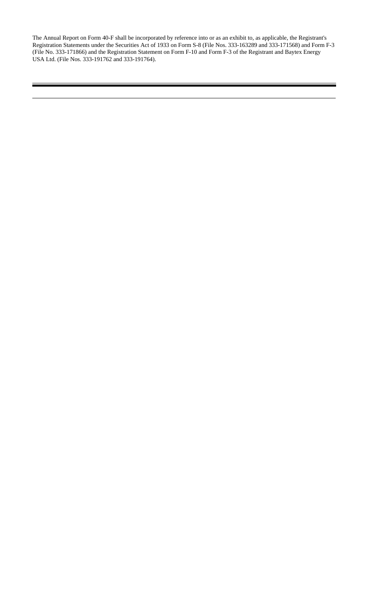The Annual Report on Form 40-F shall be incorporated by reference into or as an exhibit to, as applicable, the Registrant's Registration Statements under the Securities Act of 1933 on Form S-8 (File Nos. 333-163289 and 333-171568) and Form F-3 (File No. 333-171866) and the Registration Statement on Form F-10 and Form F-3 of the Registrant and Baytex Energy USA Ltd. (File Nos. 333-191762 and 333-191764).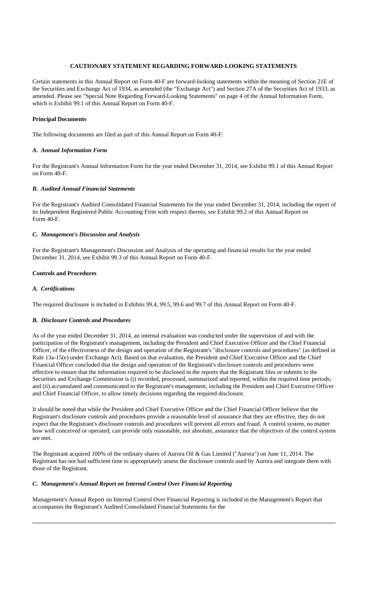# **CAUTIONARY STATEMENT REGARDING FORWARD-LOOKING STATEMENTS**

Certain statements in this Annual Report on Form 40-F are forward-looking statements within the meaning of Section 21E of the Securities and Exchange Act of 1934, as amended (the "Exchange Act") and Section 27A of the Securities Act of 1933, as amended. Please see "Special Note Regarding Forward-Looking Statements" on page 4 of the Annual Information Form, which is Exhibit 99.1 of this Annual Report on Form 40-F.

# **Principal Documents**

The following documents are filed as part of this Annual Report on Form 40-F:

# *A. Annual Information Form*

For the Registrant's Annual Information Form for the year ended December 31, 2014, see Exhibit 99.1 of this Annual Report on Form 40-F.

# *B. Audited Annual Financial Statements*

For the Registrant's Audited Consolidated Financial Statements for the year ended December 31, 2014, including the report of its Independent Registered Public Accounting Firm with respect thereto, see Exhibit 99.2 of this Annual Report on Form 40-F.

# *C. Management's Discussion and Analysis*

For the Registrant's Management's Discussion and Analysis of the operating and financial results for the year ended December 31, 2014, see Exhibit 99.3 of this Annual Report on Form 40-F.

# **Controls and Procedures**

# *A. Certifications*

The required disclosure is included in Exhibits 99.4, 99.5, 99.6 and 99.7 of this Annual Report on Form 40-F.

# *B. Disclosure Controls and Procedures*

As of the year ended December 31, 2014, an internal evaluation was conducted under the supervision of and with the participation of the Registrant's management, including the President and Chief Executive Officer and the Chief Financial Officer, of the effectiveness of the design and operation of the Registrant's "disclosure controls and procedures" (as defined in Rule 13a-15(e) under Exchange Act). Based on that evaluation, the President and Chief Executive Officer and the Chief Financial Officer concluded that the design and operation of the Registrant's disclosure controls and procedures were effective to ensure that the information required to be disclosed in the reports that the Registrant files or submits to the Securities and Exchange Commission is (i) recorded, processed, summarized and reported, within the required time periods; and (ii) accumulated and communicated to the Registrant's management, including the President and Chief Executive Officer and Chief Financial Officer, to allow timely decisions regarding the required disclosure.

It should be noted that while the President and Chief Executive Officer and the Chief Financial Officer believe that the Registrant's disclosure controls and procedures provide a reasonable level of assurance that they are effective, they do not expect that the Registrant's disclosure controls and procedures will prevent all errors and fraud. A control system, no matter how well conceived or operated, can provide only reasonable, not absolute, assurance that the objectives of the control system are met.

The Registrant acquired 100% of the ordinary shares of Aurora Oil & Gas Limited ("Aurora") on June 11, 2014. The Registrant has not had sufficient time to appropriately assess the disclosure controls used by Aurora and integrate them with those of the Registrant.

# *C. Management's Annual Report on Internal Control Over Financial Reporting*

Management's Annual Report on Internal Control Over Financial Reporting is included in the Management's Report that accompanies the Registrant's Audited Consolidated Financial Statements for the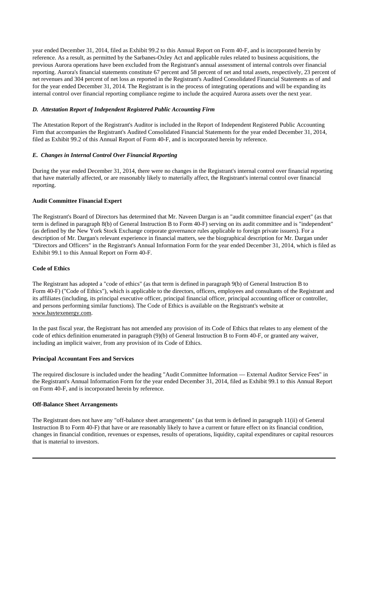year ended December 31, 2014, filed as Exhibit 99.2 to this Annual Report on Form 40-F, and is incorporated herein by reference. As a result, as permitted by the Sarbanes-Oxley Act and applicable rules related to business acquisitions, the previous Aurora operations have been excluded from the Registrant's annual assessment of internal controls over financial reporting. Aurora's financial statements constitute 67 percent and 58 percent of net and total assets, respectively, 23 percent of net revenues and 304 percent of net loss as reported in the Registrant's Audited Consolidated Financial Statements as of and for the year ended December 31, 2014. The Registrant is in the process of integrating operations and will be expanding its internal control over financial reporting compliance regime to include the acquired Aurora assets over the next year.

# *D. Attestation Report of Independent Registered Public Accounting Firm*

The Attestation Report of the Registrant's Auditor is included in the Report of Independent Registered Public Accounting Firm that accompanies the Registrant's Audited Consolidated Financial Statements for the year ended December 31, 2014, filed as Exhibit 99.2 of this Annual Report of Form 40-F, and is incorporated herein by reference.

# *E. Changes in Internal Control Over Financial Reporting*

During the year ended December 31, 2014, there were no changes in the Registrant's internal control over financial reporting that have materially affected, or are reasonably likely to materially affect, the Registrant's internal control over financial reporting.

# **Audit Committee Financial Expert**

The Registrant's Board of Directors has determined that Mr. Naveen Dargan is an "audit committee financial expert" (as that term is defined in paragraph 8(b) of General Instruction B to Form 40-F) serving on its audit committee and is "independent" (as defined by the New York Stock Exchange corporate governance rules applicable to foreign private issuers). For a description of Mr. Dargan's relevant experience in financial matters, see the biographical description for Mr. Dargan under "Directors and Officers" in the Registrant's Annual Information Form for the year ended December 31, 2014, which is filed as Exhibit 99.1 to this Annual Report on Form 40-F.

# **Code of Ethics**

The Registrant has adopted a "code of ethics" (as that term is defined in paragraph 9(b) of General Instruction B to Form 40-F) ("Code of Ethics"), which is applicable to the directors, officers, employees and consultants of the Registrant and its affiliates (including, its principal executive officer, principal financial officer, principal accounting officer or controller, and persons performing similar functions). The Code of Ethics is available on the Registrant's website at www.baytexenergy.com.

In the past fiscal year, the Registrant has not amended any provision of its Code of Ethics that relates to any element of the code of ethics definition enumerated in paragraph (9)(b) of General Instruction B to Form 40-F, or granted any waiver, including an implicit waiver, from any provision of its Code of Ethics.

# **Principal Accountant Fees and Services**

The required disclosure is included under the heading "Audit Committee Information — External Auditor Service Fees" in the Registrant's Annual Information Form for the year ended December 31, 2014, filed as Exhibit 99.1 to this Annual Report on Form 40-F, and is incorporated herein by reference.

# **Off-Balance Sheet Arrangements**

The Registrant does not have any "off-balance sheet arrangements" (as that term is defined in paragraph 11(ii) of General Instruction B to Form 40-F) that have or are reasonably likely to have a current or future effect on its financial condition, changes in financial condition, revenues or expenses, results of operations, liquidity, capital expenditures or capital resources that is material to investors.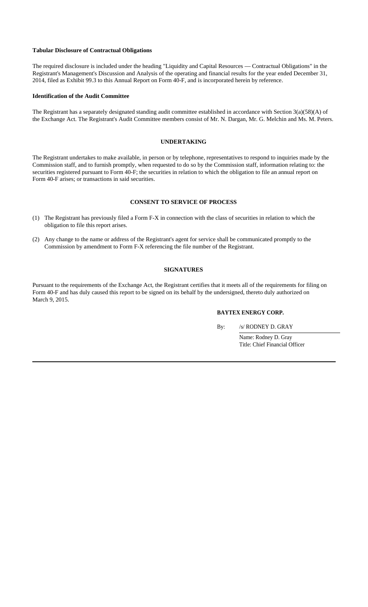#### **Tabular Disclosure of Contractual Obligations**

The required disclosure is included under the heading "Liquidity and Capital Resources — Contractual Obligations" in the Registrant's Management's Discussion and Analysis of the operating and financial results for the year ended December 31, 2014, filed as Exhibit 99.3 to this Annual Report on Form 40-F, and is incorporated herein by reference.

# **Identification of the Audit Committee**

The Registrant has a separately designated standing audit committee established in accordance with Section 3(a)(58)(A) of the Exchange Act. The Registrant's Audit Committee members consist of Mr. N. Dargan, Mr. G. Melchin and Ms. M. Peters.

#### **UNDERTAKING**

The Registrant undertakes to make available, in person or by telephone, representatives to respond to inquiries made by the Commission staff, and to furnish promptly, when requested to do so by the Commission staff, information relating to: the securities registered pursuant to Form 40-F; the securities in relation to which the obligation to file an annual report on Form 40-F arises; or transactions in said securities.

# **CONSENT TO SERVICE OF PROCESS**

- (1) The Registrant has previously filed a Form F-X in connection with the class of securities in relation to which the obligation to file this report arises.
- (2) Any change to the name or address of the Registrant's agent for service shall be communicated promptly to the Commission by amendment to Form F-X referencing the file number of the Registrant.

# **SIGNATURES**

Pursuant to the requirements of the Exchange Act, the Registrant certifies that it meets all of the requirements for filing on Form 40-F and has duly caused this report to be signed on its behalf by the undersigned, thereto duly authorized on March 9, 2015.

# **BAYTEX ENERGY CORP.**

By: /s/ RODNEY D. GRAY

Name: Rodney D. Gray Title: Chief Financial Officer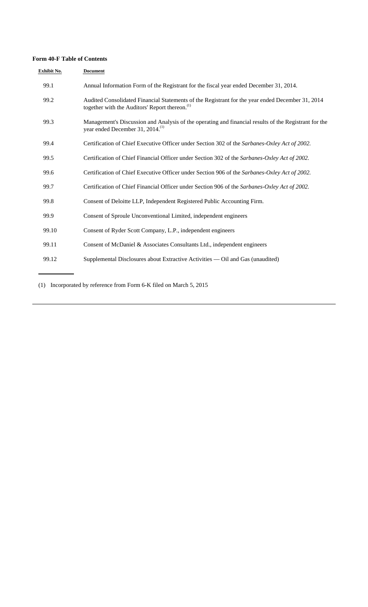# **Form 40-F Table of Contents**

| <b>Exhibit No.</b> | <b>Document</b>                                                                                                                                                |
|--------------------|----------------------------------------------------------------------------------------------------------------------------------------------------------------|
| 99.1               | Annual Information Form of the Registrant for the fiscal year ended December 31, 2014.                                                                         |
| 99.2               | Audited Consolidated Financial Statements of the Registrant for the year ended December 31, 2014<br>together with the Auditors' Report thereon. <sup>(1)</sup> |
| 99.3               | Management's Discussion and Analysis of the operating and financial results of the Registrant for the<br>year ended December 31, 2014. <sup>(1)</sup>          |
| 99.4               | Certification of Chief Executive Officer under Section 302 of the Sarbanes-Oxley Act of 2002.                                                                  |
| 99.5               | Certification of Chief Financial Officer under Section 302 of the Sarbanes-Oxley Act of 2002.                                                                  |
| 99.6               | Certification of Chief Executive Officer under Section 906 of the Sarbanes-Oxley Act of 2002.                                                                  |
| 99.7               | Certification of Chief Financial Officer under Section 906 of the Sarbanes-Oxley Act of 2002.                                                                  |
| 99.8               | Consent of Deloitte LLP, Independent Registered Public Accounting Firm.                                                                                        |
| 99.9               | Consent of Sproule Unconventional Limited, independent engineers                                                                                               |
| 99.10              | Consent of Ryder Scott Company, L.P., independent engineers                                                                                                    |
| 99.11              | Consent of McDaniel & Associates Consultants Ltd., independent engineers                                                                                       |
| 99.12              | Supplemental Disclosures about Extractive Activities — Oil and Gas (unaudited)                                                                                 |

(1) Incorporated by reference from Form 6-K filed on March 5, 2015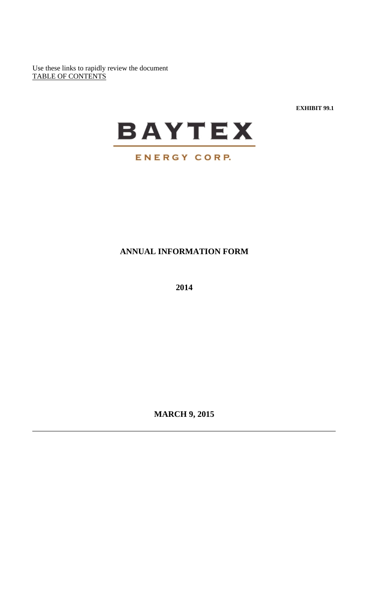Use these links to rapidly review the document TABLE OF CONTENTS

**EXHIBIT 99.1** 



# **ANNUAL INFORMATION FORM**

**2014**

**MARCH 9, 2015**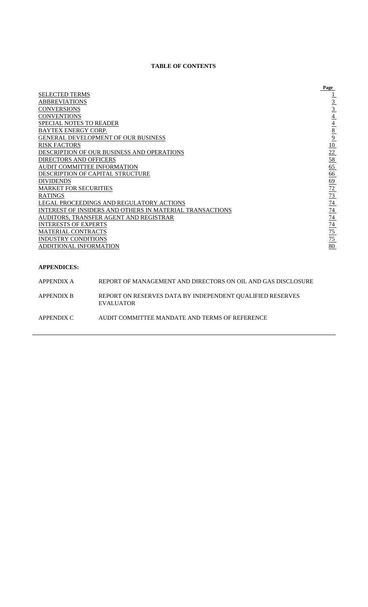# **TABLE OF CONTENTS**

|                                                          | <b>Page</b>                                                                                  |
|----------------------------------------------------------|----------------------------------------------------------------------------------------------|
| <b>SELECTED TERMS</b>                                    |                                                                                              |
| <b>ABBREVIATIONS</b>                                     |                                                                                              |
| <b>CONVERSIONS</b>                                       |                                                                                              |
| <b>CONVENTIONS</b>                                       |                                                                                              |
| SPECIAL NOTES TO READER                                  |                                                                                              |
| BAYTEX ENERGY CORP.                                      | $rac{3}{\cancel{3}}$<br>$rac{3}{\cancel{4}}$<br>$rac{4}{\cancel{6}}$<br>$rac{4}{\cancel{9}}$ |
| <b>GENERAL DEVELOPMENT OF OUR BUSINESS</b>               |                                                                                              |
| <b>RISK FACTORS</b>                                      | $\underline{10}$                                                                             |
| DESCRIPTION OF OUR BUSINESS AND OPERATIONS               | $\frac{22}{2}$                                                                               |
| <b>DIRECTORS AND OFFICERS</b>                            | $\frac{58}{56}$                                                                              |
| AUDIT COMMITTEE INFORMATION                              | $\underline{65}$                                                                             |
| DESCRIPTION OF CAPITAL STRUCTURE                         | 66                                                                                           |
| <b>DIVIDENDS</b>                                         | $\underline{69}$                                                                             |
| <b>MARKET FOR SECURITIES</b>                             | $\frac{72}{2}$                                                                               |
| <b>RATINGS</b>                                           | 73                                                                                           |
| LEGAL PROCEEDINGS AND REGULATORY ACTIONS                 | 74                                                                                           |
| INTEREST OF INSIDERS AND OTHERS IN MATERIAL TRANSACTIONS | 74                                                                                           |
| AUDITORS, TRANSFER AGENT AND REGISTRAR                   | $\frac{74}{1}$                                                                               |
| <b>INTERESTS OF EXPERTS</b>                              | $\frac{74}{1}$                                                                               |
| <b>MATERIAL CONTRACTS</b>                                | 75                                                                                           |
| <b>INDUSTRY CONDITIONS</b>                               | 75                                                                                           |
| ADDITIONAL INFORMATION                                   | 80                                                                                           |
|                                                          |                                                                                              |
|                                                          |                                                                                              |
| <b>APPENDICES:</b>                                       |                                                                                              |
|                                                          |                                                                                              |

| APPENDIX A        | REPORT OF MANAGEMENT AND DIRECTORS ON OIL AND GAS DISCLOSURE           |
|-------------------|------------------------------------------------------------------------|
| <b>APPENDIX B</b> | REPORT ON RESERVES DATA BY INDEPENDENT OUALIFIED RESERVES<br>EVALUATOR |
| APPENDIX C        | AUDIT COMMITTEE MANDATE AND TERMS OF REFERENCE                         |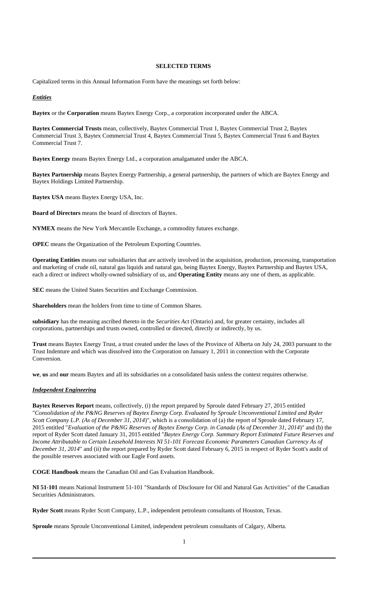#### **SELECTED TERMS**

Capitalized terms in this Annual Information Form have the meanings set forth below:

# *Entities*

**Baytex** or the **Corporation** means Baytex Energy Corp., a corporation incorporated under the ABCA.

**Baytex Commercial Trusts** mean, collectively, Baytex Commercial Trust 1, Baytex Commercial Trust 2, Baytex Commercial Trust 3, Baytex Commercial Trust 4, Baytex Commercial Trust 5, Baytex Commercial Trust 6 and Baytex Commercial Trust 7.

**Baytex Energy** means Baytex Energy Ltd., a corporation amalgamated under the ABCA.

**Baytex Partnership** means Baytex Energy Partnership, a general partnership, the partners of which are Baytex Energy and Baytex Holdings Limited Partnership.

**Baytex USA** means Baytex Energy USA, Inc.

**Board of Directors** means the board of directors of Baytex.

**NYMEX** means the New York Mercantile Exchange, a commodity futures exchange.

**OPEC** means the Organization of the Petroleum Exporting Countries.

**Operating Entities** means our subsidiaries that are actively involved in the acquisition, production, processing, transportation and marketing of crude oil, natural gas liquids and natural gas, being Baytex Energy, Baytex Partnership and Baytex USA, each a direct or indirect wholly-owned subsidiary of us, and **Operating Entity** means any one of them, as applicable.

**SEC** means the United States Securities and Exchange Commission.

**Shareholders** mean the holders from time to time of Common Shares.

**subsidiary** has the meaning ascribed thereto in the *Securities Act* (Ontario) and, for greater certainty, includes all corporations, partnerships and trusts owned, controlled or directed, directly or indirectly, by us.

**Trust** means Baytex Energy Trust, a trust created under the laws of the Province of Alberta on July 24, 2003 pursuant to the Trust Indenture and which was dissolved into the Corporation on January 1, 2011 in connection with the Corporate Conversion.

**we**, **us** and **our** means Baytex and all its subsidiaries on a consolidated basis unless the context requires otherwise.

# *Independent Engineering*

**Baytex Reserves Report** means, collectively, (i) the report prepared by Sproule dated February 27, 2015 entitled "*Consolidation of the P&NG Reserves of Baytex Energy Corp. Evaluated by Sproule Unconventional Limited and Ryder Scott Company L.P. (As of December 31, 2014*)", which is a consolidation of (a) the report of Sproule dated February 17, 2015 entitled "*Evaluation of the P&NG Reserves of Baytex Energy Corp. in Canada (As of December 31, 2014*)" and (b) the report of Ryder Scott dated January 31, 2015 entitled "*Baytex Energy Corp. Summary Report Estimated Future Reserves and Income Attributable to Certain Leasehold Interests NI 51-101 Forecast Economic Parameters Canadian Currency As of December 31, 2014*" and (ii) the report prepared by Ryder Scott dated February 6, 2015 in respect of Ryder Scott's audit of the possible reserves associated with our Eagle Ford assets.

**COGE Handbook** means the Canadian Oil and Gas Evaluation Handbook.

**NI 51-101** means National Instrument 51-101 "Standards of Disclosure for Oil and Natural Gas Activities" of the Canadian Securities Administrators.

**Ryder Scott** means Ryder Scott Company, L.P., independent petroleum consultants of Houston, Texas.

**Sproule** means Sproule Unconventional Limited, independent petroleum consultants of Calgary, Alberta.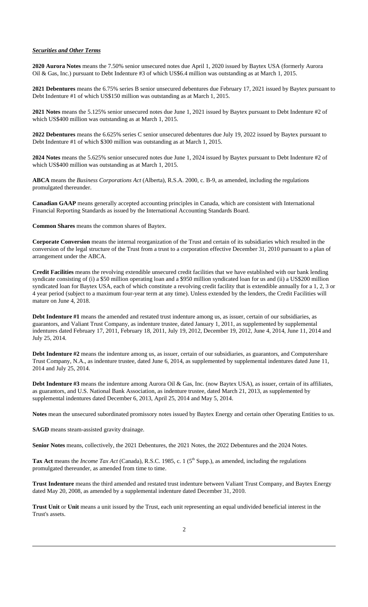#### *Securities and Other Terms*

**2020 Aurora Notes** means the 7.50% senior unsecured notes due April 1, 2020 issued by Baytex USA (formerly Aurora Oil & Gas, Inc.) pursuant to Debt Indenture #3 of which US\$6.4 million was outstanding as at March 1, 2015.

**2021 Debentures** means the 6.75% series B senior unsecured debentures due February 17, 2021 issued by Baytex pursuant to Debt Indenture #1 of which US\$150 million was outstanding as at March 1, 2015.

**2021 Notes** means the 5.125% senior unsecured notes due June 1, 2021 issued by Baytex pursuant to Debt Indenture #2 of which US\$400 million was outstanding as at March 1, 2015.

**2022 Debentures** means the 6.625% series C senior unsecured debentures due July 19, 2022 issued by Baytex pursuant to Debt Indenture #1 of which \$300 million was outstanding as at March 1, 2015.

**2024 Notes** means the 5.625% senior unsecured notes due June 1, 2024 issued by Baytex pursuant to Debt Indenture #2 of which US\$400 million was outstanding as at March 1, 2015.

**ABCA** means the *Business Corporations Act* (Alberta), R.S.A. 2000, c. B-9, as amended, including the regulations promulgated thereunder.

**Canadian GAAP** means generally accepted accounting principles in Canada, which are consistent with International Financial Reporting Standards as issued by the International Accounting Standards Board.

**Common Shares** means the common shares of Baytex.

**Corporate Conversion** means the internal reorganization of the Trust and certain of its subsidiaries which resulted in the conversion of the legal structure of the Trust from a trust to a corporation effective December 31, 2010 pursuant to a plan of arrangement under the ABCA.

**Credit Facilities** means the revolving extendible unsecured credit facilities that we have established with our bank lending syndicate consisting of (i) a \$50 million operating loan and a \$950 million syndicated loan for us and (ii) a US\$200 million syndicated loan for Baytex USA, each of which constitute a revolving credit facility that is extendible annually for a 1, 2, 3 or 4 year period (subject to a maximum four-year term at any time). Unless extended by the lenders, the Credit Facilities will mature on June 4, 2018.

**Debt Indenture #1** means the amended and restated trust indenture among us, as issuer, certain of our subsidiaries, as guarantors, and Valiant Trust Company, as indenture trustee, dated January 1, 2011, as supplemented by supplemental indentures dated February 17, 2011, February 18, 2011, July 19, 2012, December 19, 2012, June 4, 2014, June 11, 2014 and July 25, 2014.

**Debt Indenture #2** means the indenture among us, as issuer, certain of our subsidiaries, as guarantors, and Computershare Trust Company, N.A., as indenture trustee, dated June 6, 2014, as supplemented by supplemental indentures dated June 11, 2014 and July 25, 2014.

**Debt Indenture #3** means the indenture among Aurora Oil & Gas, Inc. (now Baytex USA), as issuer, certain of its affiliates, as guarantors, and U.S. National Bank Association, as indenture trustee, dated March 21, 2013, as supplemented by supplemental indentures dated December 6, 2013, April 25, 2014 and May 5, 2014.

**Notes** mean the unsecured subordinated promissory notes issued by Baytex Energy and certain other Operating Entities to us.

**SAGD** means steam-assisted gravity drainage.

**Senior Notes** means, collectively, the 2021 Debentures, the 2021 Notes, the 2022 Debentures and the 2024 Notes.

Tax Act means the *Income Tax Act* (Canada), R.S.C. 1985, c. 1 (5<sup>th</sup> Supp.), as amended, including the regulations promulgated thereunder, as amended from time to time.

**Trust Indenture** means the third amended and restated trust indenture between Valiant Trust Company, and Baytex Energy dated May 20, 2008, as amended by a supplemental indenture dated December 31, 2010.

**Trust Unit** or **Unit** means a unit issued by the Trust, each unit representing an equal undivided beneficial interest in the Trust's assets.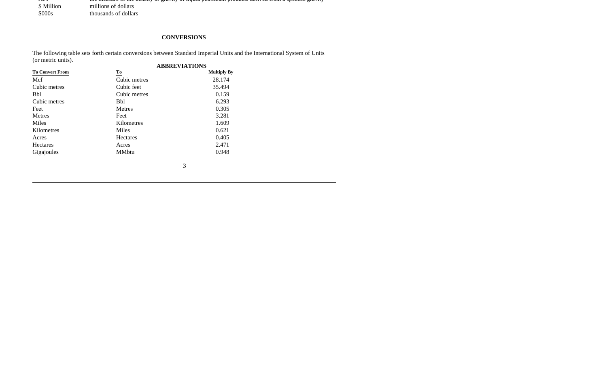API the measure of the density or gravity of liquid petroleum products derived from a specific gravity  $\frac{1}{2}$ millions of dollars \$000s thousands of dollars

#### **CONVERSIONS**

**ABBREVIATIONS** The following table sets forth certain conversions between Standard Imperial Units and the International System of Units (or metric units).

|                        | ABBKE VIATIONS |                    |  |  |  |  |
|------------------------|----------------|--------------------|--|--|--|--|
| <b>To Convert From</b> | To             | <b>Multiply By</b> |  |  |  |  |
| Mcf                    | Cubic metres   | 28.174             |  |  |  |  |
| Cubic metres           | Cubic feet     | 35.494             |  |  |  |  |
| <b>Bbl</b>             | Cubic metres   | 0.159              |  |  |  |  |
| Cubic metres           | <b>Bbl</b>     | 6.293              |  |  |  |  |
| Feet                   | Metres         | 0.305              |  |  |  |  |
| <b>Metres</b>          | Feet           | 3.281              |  |  |  |  |
| Miles                  | Kilometres     | 1.609              |  |  |  |  |
| Kilometres             | <b>Miles</b>   | 0.621              |  |  |  |  |
| Acres                  | Hectares       | 0.405              |  |  |  |  |
| <b>Hectares</b>        | Acres          | 2.471              |  |  |  |  |
| Gigajoules             | <b>MM</b> btu  | 0.948              |  |  |  |  |
|                        |                | 3                  |  |  |  |  |
|                        |                |                    |  |  |  |  |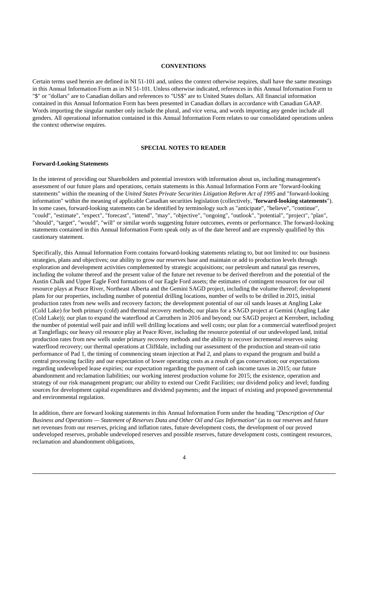#### **CONVENTIONS**

Certain terms used herein are defined in NI 51-101 and, unless the context otherwise requires, shall have the same meanings in this Annual Information Form as in NI 51-101. Unless otherwise indicated, references in this Annual Information Form to "\$" or "dollars" are to Canadian dollars and references to "US\$" are to United States dollars. All financial information contained in this Annual Information Form has been presented in Canadian dollars in accordance with Canadian GAAP. Words importing the singular number only include the plural, and vice versa, and words importing any gender include all genders. All operational information contained in this Annual Information Form relates to our consolidated operations unless the context otherwise requires.

# **SPECIAL NOTES TO READER**

#### **Forward-Looking Statements**

In the interest of providing our Shareholders and potential investors with information about us, including management's assessment of our future plans and operations, certain statements in this Annual Information Form are "forward-looking statements" within the meaning of the *United States Private Securities Litigation Reform Act of 1995* and "forward-looking information" within the meaning of applicable Canadian securities legislation (collectively, "**forward-looking statements**"). In some cases, forward-looking statements can be identified by terminology such as "anticipate", "believe", "continue", "could", "estimate", "expect", "forecast", "intend", "may", "objective", "ongoing", "outlook", "potential", "project", "plan", "should", "target", "would", "will" or similar words suggesting future outcomes, events or performance. The forward-looking statements contained in this Annual Information Form speak only as of the date hereof and are expressly qualified by this cautionary statement.

Specifically, this Annual Information Form contains forward-looking statements relating to, but not limited to: our business strategies, plans and objectives; our ability to grow our reserves base and maintain or add to production levels through exploration and development activities complemented by strategic acquisitions; our petroleum and natural gas reserves, including the volume thereof and the present value of the future net revenue to be derived therefrom and the potential of the Austin Chalk and Upper Eagle Ford formations of our Eagle Ford assets; the estimates of contingent resources for our oil resource plays at Peace River, Northeast Alberta and the Gemini SAGD project, including the volume thereof; development plans for our properties, including number of potential drilling locations, number of wells to be drilled in 2015, initial production rates from new wells and recovery factors; the development potential of our oil sands leases at Angling Lake (Cold Lake) for both primary (cold) and thermal recovery methods; our plans for a SAGD project at Gemini (Angling Lake (Cold Lake)); our plan to expand the waterflood at Carruthers in 2016 and beyond; our SAGD project at Kerrobert, including the number of potential well pair and infill well drilling locations and well costs; our plan for a commercial waterflood project at Tangleflags; our heavy oil resource play at Peace River, including the resource potential of our undeveloped land, initial production rates from new wells under primary recovery methods and the ability to recover incremental reserves using waterflood recovery; our thermal operations at Cliffdale, including our assessment of the production and steam-oil ratio performance of Pad 1, the timing of commencing steam injection at Pad 2, and plans to expand the program and build a central processing facility and our expectation of lower operating costs as a result of gas conservation; our expectations regarding undeveloped lease expiries; our expectation regarding the payment of cash income taxes in 2015; our future abandonment and reclamation liabilities; our working interest production volume for 2015; the existence, operation and strategy of our risk management program; our ability to extend our Credit Facilities; our dividend policy and level; funding sources for development capital expenditures and dividend payments; and the impact of existing and proposed governmental and environmental regulation.

In addition, there are forward looking statements in this Annual Information Form under the heading "*Description of Our Business and Operations — Statement of Reserves Data and Other Oil and Gas Information*" (as to our reserves and future net revenues from our reserves, pricing and inflation rates, future development costs, the development of our proved undeveloped reserves, probable undeveloped reserves and possible reserves, future development costs, contingent resources, reclamation and abandonment obligations,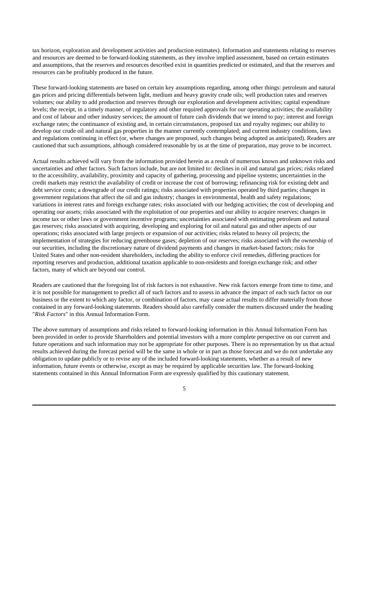tax horizon, exploration and development activities and production estimates). Information and statements relating to reserves and resources are deemed to be forward-looking statements, as they involve implied assessment, based on certain estimates and assumptions, that the reserves and resources described exist in quantities predicted or estimated, and that the reserves and resources can be profitably produced in the future.

These forward-looking statements are based on certain key assumptions regarding, among other things: petroleum and natural gas prices and pricing differentials between light, medium and heavy gravity crude oils; well production rates and reserves volumes; our ability to add production and reserves through our exploration and development activities; capital expenditure levels; the receipt, in a timely manner, of regulatory and other required approvals for our operating activities; the availability and cost of labour and other industry services; the amount of future cash dividends that we intend to pay; interest and foreign exchange rates; the continuance of existing and, in certain circumstances, proposed tax and royalty regimes; our ability to develop our crude oil and natural gas properties in the manner currently contemplated; and current industry conditions, laws and regulations continuing in effect (or, where changes are proposed, such changes being adopted as anticipated). Readers are cautioned that such assumptions, although considered reasonable by us at the time of preparation, may prove to be incorrect.

Actual results achieved will vary from the information provided herein as a result of numerous known and unknown risks and uncertainties and other factors. Such factors include, but are not limited to: declines in oil and natural gas prices; risks related to the accessibility, availability, proximity and capacity of gathering, processing and pipeline systems; uncertainties in the credit markets may restrict the availability of credit or increase the cost of borrowing; refinancing risk for existing debt and debt service costs; a downgrade of our credit ratings; risks associated with properties operated by third parties; changes in government regulations that affect the oil and gas industry; changes in environmental, health and safety regulations; variations in interest rates and foreign exchange rates; risks associated with our hedging activities; the cost of developing and operating our assets; risks associated with the exploitation of our properties and our ability to acquire reserves; changes in income tax or other laws or government incentive programs; uncertainties associated with estimating petroleum and natural gas reserves; risks associated with acquiring, developing and exploring for oil and natural gas and other aspects of our operations; risks associated with large projects or expansion of our activities; risks related to heavy oil projects; the implementation of strategies for reducing greenhouse gases; depletion of our reserves; risks associated with the ownership of our securities, including the discretionary nature of dividend payments and changes in market-based factors; risks for United States and other non-resident shareholders, including the ability to enforce civil remedies, differing practices for reporting reserves and production, additional taxation applicable to non-residents and foreign exchange risk; and other factors, many of which are beyond our control.

Readers are cautioned that the foregoing list of risk factors is not exhaustive. New risk factors emerge from time to time, and it is not possible for management to predict all of such factors and to assess in advance the impact of each such factor on our business or the extent to which any factor, or combination of factors, may cause actual results to differ materially from those contained in any forward-looking statements. Readers should also carefully consider the matters discussed under the heading "*Risk Factors*" in this Annual Information Form.

The above summary of assumptions and risks related to forward-looking information in this Annual Information Form has been provided in order to provide Shareholders and potential investors with a more complete perspective on our current and future operations and such information may not be appropriate for other purposes. There is no representation by us that actual results achieved during the forecast period will be the same in whole or in part as those forecast and we do not undertake any obligation to update publicly or to revise any of the included forward-looking statements, whether as a result of new information, future events or otherwise, except as may be required by applicable securities law. The forward-looking statements contained in this Annual Information Form are expressly qualified by this cautionary statement.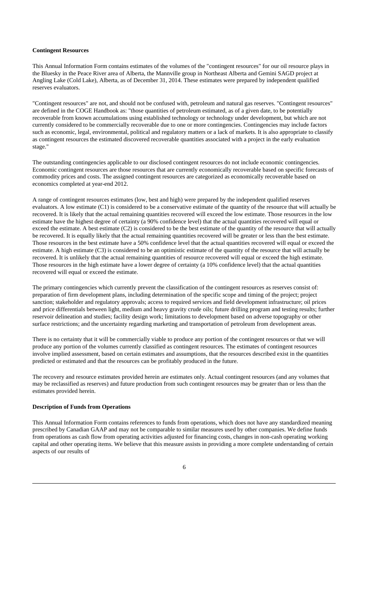#### **Contingent Resources**

This Annual Information Form contains estimates of the volumes of the "contingent resources" for our oil resource plays in the Bluesky in the Peace River area of Alberta, the Mannville group in Northeast Alberta and Gemini SAGD project at Angling Lake (Cold Lake), Alberta, as of December 31, 2014. These estimates were prepared by independent qualified reserves evaluators.

"Contingent resources" are not, and should not be confused with, petroleum and natural gas reserves. "Contingent resources" are defined in the COGE Handbook as: "those quantities of petroleum estimated, as of a given date, to be potentially recoverable from known accumulations using established technology or technology under development, but which are not currently considered to be commercially recoverable due to one or more contingencies. Contingencies may include factors such as economic, legal, environmental, political and regulatory matters or a lack of markets. It is also appropriate to classify as contingent resources the estimated discovered recoverable quantities associated with a project in the early evaluation stage."

The outstanding contingencies applicable to our disclosed contingent resources do not include economic contingencies. Economic contingent resources are those resources that are currently economically recoverable based on specific forecasts of commodity prices and costs. The assigned contingent resources are categorized as economically recoverable based on economics completed at year-end 2012.

A range of contingent resources estimates (low, best and high) were prepared by the independent qualified reserves evaluators. A low estimate (C1) is considered to be a conservative estimate of the quantity of the resource that will actually be recovered. It is likely that the actual remaining quantities recovered will exceed the low estimate. Those resources in the low estimate have the highest degree of certainty (a 90% confidence level) that the actual quantities recovered will equal or exceed the estimate. A best estimate (C2) is considered to be the best estimate of the quantity of the resource that will actually be recovered. It is equally likely that the actual remaining quantities recovered will be greater or less than the best estimate. Those resources in the best estimate have a 50% confidence level that the actual quantities recovered will equal or exceed the estimate. A high estimate (C3) is considered to be an optimistic estimate of the quantity of the resource that will actually be recovered. It is unlikely that the actual remaining quantities of resource recovered will equal or exceed the high estimate. Those resources in the high estimate have a lower degree of certainty (a 10% confidence level) that the actual quantities recovered will equal or exceed the estimate.

The primary contingencies which currently prevent the classification of the contingent resources as reserves consist of: preparation of firm development plans, including determination of the specific scope and timing of the project; project sanction; stakeholder and regulatory approvals; access to required services and field development infrastructure; oil prices and price differentials between light, medium and heavy gravity crude oils; future drilling program and testing results; further reservoir delineation and studies; facility design work; limitations to development based on adverse topography or other surface restrictions; and the uncertainty regarding marketing and transportation of petroleum from development areas.

There is no certainty that it will be commercially viable to produce any portion of the contingent resources or that we will produce any portion of the volumes currently classified as contingent resources. The estimates of contingent resources involve implied assessment, based on certain estimates and assumptions, that the resources described exist in the quantities predicted or estimated and that the resources can be profitably produced in the future.

The recovery and resource estimates provided herein are estimates only. Actual contingent resources (and any volumes that may be reclassified as reserves) and future production from such contingent resources may be greater than or less than the estimates provided herein.

# **Description of Funds from Operations**

This Annual Information Form contains references to funds from operations, which does not have any standardized meaning prescribed by Canadian GAAP and may not be comparable to similar measures used by other companies. We define funds from operations as cash flow from operating activities adjusted for financing costs, changes in non-cash operating working capital and other operating items. We believe that this measure assists in providing a more complete understanding of certain aspects of our results of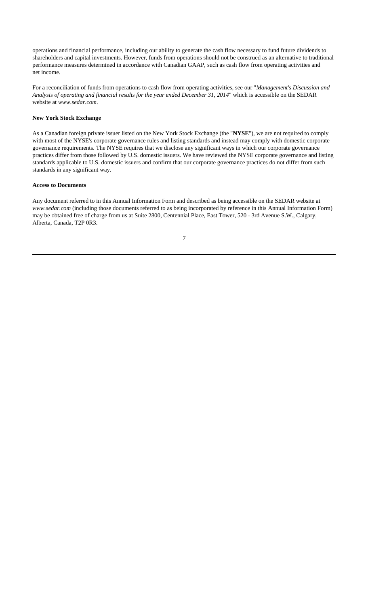operations and financial performance, including our ability to generate the cash flow necessary to fund future dividends to shareholders and capital investments. However, funds from operations should not be construed as an alternative to traditional performance measures determined in accordance with Canadian GAAP, such as cash flow from operating activities and net income.

For a reconciliation of funds from operations to cash flow from operating activities, see our "*Management's Discussion and Analysis of operating and financial results for the year ended December 31, 2014*" which is accessible on the SEDAR website at *www.sedar.com*.

# **New York Stock Exchange**

As a Canadian foreign private issuer listed on the New York Stock Exchange (the "**NYSE**"), we are not required to comply with most of the NYSE's corporate governance rules and listing standards and instead may comply with domestic corporate governance requirements. The NYSE requires that we disclose any significant ways in which our corporate governance practices differ from those followed by U.S. domestic issuers. We have reviewed the NYSE corporate governance and listing standards applicable to U.S. domestic issuers and confirm that our corporate governance practices do not differ from such standards in any significant way.

# **Access to Documents**

Any document referred to in this Annual Information Form and described as being accessible on the SEDAR website at *www.sedar.com* (including those documents referred to as being incorporated by reference in this Annual Information Form) may be obtained free of charge from us at Suite 2800, Centennial Place, East Tower, 520 - 3rd Avenue S.W., Calgary, Alberta, Canada, T2P 0R3.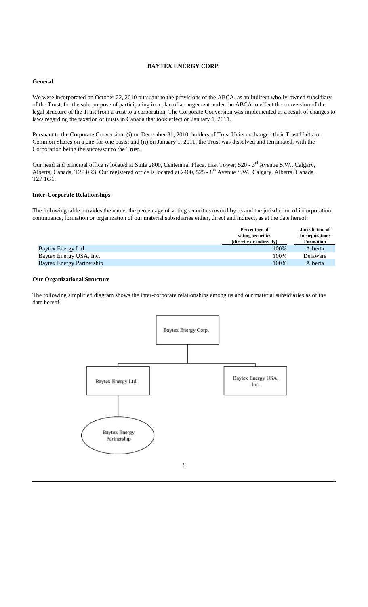#### **BAYTEX ENERGY CORP.**

# **General**

We were incorporated on October 22, 2010 pursuant to the provisions of the ABCA, as an indirect wholly-owned subsidiary of the Trust, for the sole purpose of participating in a plan of arrangement under the ABCA to effect the conversion of the legal structure of the Trust from a trust to a corporation. The Corporate Conversion was implemented as a result of changes to laws regarding the taxation of trusts in Canada that took effect on January 1, 2011.

Pursuant to the Corporate Conversion: (i) on December 31, 2010, holders of Trust Units exchanged their Trust Units for Common Shares on a one-for-one basis; and (ii) on January 1, 2011, the Trust was dissolved and terminated, with the Corporation being the successor to the Trust.

Our head and principal office is located at Suite 2800, Centennial Place, East Tower, 520 - 3<sup>rd</sup> Avenue S.W., Calgary, Alberta, Canada, T2P 0R3. Our registered office is located at  $2400$ ,  $525 - 8<sup>th</sup>$  Avenue S.W., Calgary, Alberta, Canada, T2P 1G1.

#### **Inter-Corporate Relationships**

The following table provides the name, the percentage of voting securities owned by us and the jurisdiction of incorporation, continuance, formation or organization of our material subsidiaries either, direct and indirect, as at the date hereof.

|                           | Percentage of            | Jurisdiction of  |
|---------------------------|--------------------------|------------------|
|                           | voting securities        | Incorporation/   |
|                           | (directly or indirectly) | <b>Formation</b> |
| Baytex Energy Ltd.        | 100%                     | Alberta          |
| Baytex Energy USA, Inc.   | 100%                     | Delaware         |
| Baytex Energy Partnership | 100%                     | Alberta          |

# **Our Organizational Structure**

The following simplified diagram shows the inter-corporate relationships among us and our material subsidiaries as of the date hereof.

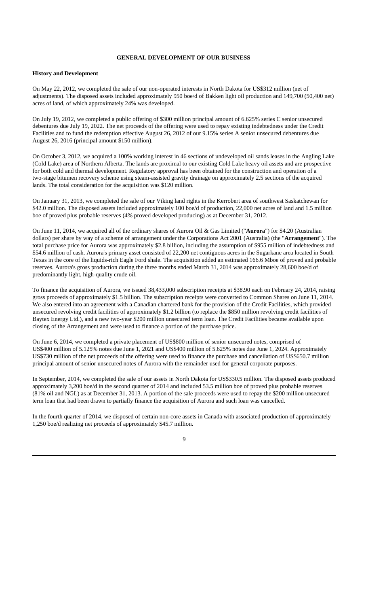# **GENERAL DEVELOPMENT OF OUR BUSINESS**

## **History and Development**

On May 22, 2012, we completed the sale of our non-operated interests in North Dakota for US\$312 million (net of adjustments). The disposed assets included approximately 950 boe/d of Bakken light oil production and 149,700 (50,400 net) acres of land, of which approximately 24% was developed.

On July 19, 2012, we completed a public offering of \$300 million principal amount of 6.625% series C senior unsecured debentures due July 19, 2022. The net proceeds of the offering were used to repay existing indebtedness under the Credit Facilities and to fund the redemption effective August 26, 2012 of our 9.15% series A senior unsecured debentures due August 26, 2016 (principal amount \$150 million).

On October 3, 2012, we acquired a 100% working interest in 46 sections of undeveloped oil sands leases in the Angling Lake (Cold Lake) area of Northern Alberta. The lands are proximal to our existing Cold Lake heavy oil assets and are prospective for both cold and thermal development. Regulatory approval has been obtained for the construction and operation of a two-stage bitumen recovery scheme using steam-assisted gravity drainage on approximately 2.5 sections of the acquired lands. The total consideration for the acquisition was \$120 million.

On January 31, 2013, we completed the sale of our Viking land rights in the Kerrobert area of southwest Saskatchewan for \$42.0 million. The disposed assets included approximately 100 boe/d of production, 22,000 net acres of land and 1.5 million boe of proved plus probable reserves (4% proved developed producing) as at December 31, 2012.

On June 11, 2014, we acquired all of the ordinary shares of Aurora Oil & Gas Limited ("**Aurora**") for \$4.20 (Australian dollars) per share by way of a scheme of arrangement under the Corporations Act 2001 (Australia) (the "**Arrangement**"). The total purchase price for Aurora was approximately \$2.8 billion, including the assumption of \$955 million of indebtedness and \$54.6 million of cash. Aurora's primary asset consisted of 22,200 net contiguous acres in the Sugarkane area located in South Texas in the core of the liquids-rich Eagle Ford shale. The acquisition added an estimated 166.6 Mboe of proved and probable reserves. Aurora's gross production during the three months ended March 31, 2014 was approximately 28,600 boe/d of predominantly light, high-quality crude oil.

To finance the acquisition of Aurora, we issued 38,433,000 subscription receipts at \$38.90 each on February 24, 2014, raising gross proceeds of approximately \$1.5 billion. The subscription receipts were converted to Common Shares on June 11, 2014. We also entered into an agreement with a Canadian chartered bank for the provision of the Credit Facilities, which provided unsecured revolving credit facilities of approximately \$1.2 billion (to replace the \$850 million revolving credit facilities of Baytex Energy Ltd.), and a new two-year \$200 million unsecured term loan. The Credit Facilities became available upon closing of the Arrangement and were used to finance a portion of the purchase price.

On June 6, 2014, we completed a private placement of US\$800 million of senior unsecured notes, comprised of US\$400 million of 5.125% notes due June 1, 2021 and US\$400 million of 5.625% notes due June 1, 2024. Approximately US\$730 million of the net proceeds of the offering were used to finance the purchase and cancellation of US\$650.7 million principal amount of senior unsecured notes of Aurora with the remainder used for general corporate purposes.

In September, 2014, we completed the sale of our assets in North Dakota for US\$330.5 million. The disposed assets produced approximately 3,200 boe/d in the second quarter of 2014 and included 53.5 million boe of proved plus probable reserves (81% oil and NGL) as at December 31, 2013. A portion of the sale proceeds were used to repay the \$200 million unsecured term loan that had been drawn to partially finance the acquisition of Aurora and such loan was cancelled.

In the fourth quarter of 2014, we disposed of certain non-core assets in Canada with associated production of approximately 1,250 boe/d realizing net proceeds of approximately \$45.7 million.

#### $\overline{Q}$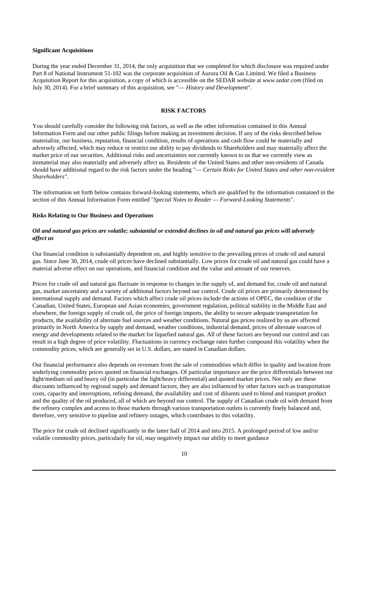#### **Significant Acquisitions**

During the year ended December 31, 2014, the only acquisition that we completed for which disclosure was required under Part 8 of National Instrument 51-102 was the corporate acquisition of Aurora Oil & Gas Limited. We filed a Business Acquisition Report for this acquisition, a copy of which is accessible on the SEDAR website at *www.sedar.com* (filed on July 30, 2014). For a brief summary of this acquisition, see "— *History and Development*".

#### **RISK FACTORS**

You should carefully consider the following risk factors, as well as the other information contained in this Annual Information Form and our other public filings before making an investment decision. If any of the risks described below materialize, our business, reputation, financial condition, results of operations and cash flow could be materially and adversely affected, which may reduce or restrict our ability to pay dividends to Shareholders and may materially affect the market price of our securities. Additional risks and uncertainties not currently known to us that we currently view as immaterial may also materially and adversely affect us. Residents of the United States and other non-residents of Canada should have additional regard to the risk factors under the heading "— *Certain Risks for United States and other non-resident Shareholders".*

The information set forth below contains forward-looking statements, which are qualified by the information contained in the section of this Annual Information Form entitled "*Special Notes to Reader — Forward-Looking Statements*".

#### **Risks Relating to Our Business and Operations**

# *Oil and natural gas prices are volatile; substantial or extended declines in oil and natural gas prices will adversely affect us*

Our financial condition is substantially dependent on, and highly sensitive to the prevailing prices of crude oil and natural gas. Since June 30, 2014, crude oil prices have declined substantially. Low prices for crude oil and natural gas could have a material adverse effect on our operations, and financial condition and the value and amount of our reserves.

Prices for crude oil and natural gas fluctuate in response to changes in the supply of, and demand for, crude oil and natural gas, market uncertainty and a variety of additional factors beyond our control. Crude oil prices are primarily determined by international supply and demand. Factors which affect crude oil prices include the actions of OPEC, the condition of the Canadian, United States, European and Asian economies, government regulation, political stability in the Middle East and elsewhere, the foreign supply of crude oil, the price of foreign imports, the ability to secure adequate transportation for products, the availability of alternate fuel sources and weather conditions. Natural gas prices realized by us are affected primarily in North America by supply and demand, weather conditions, industrial demand, prices of alternate sources of energy and developments related to the market for liquefied natural gas. All of these factors are beyond our control and can result in a high degree of price volatility. Fluctuations in currency exchange rates further compound this volatility when the commodity prices, which are generally set in U.S. dollars, are stated in Canadian dollars.

Our financial performance also depends on revenues from the sale of commodities which differ in quality and location from underlying commodity prices quoted on financial exchanges. Of particular importance are the price differentials between our light/medium oil and heavy oil (in particular the light/heavy differential) and quoted market prices. Not only are these discounts influenced by regional supply and demand factors, they are also influenced by other factors such as transportation costs, capacity and interruptions, refining demand, the availability and cost of diluents used to blend and transport product and the quality of the oil produced, all of which are beyond our control. The supply of Canadian crude oil with demand from the refinery complex and access to those markets through various transportation outlets is currently finely balanced and, therefore, very sensitive to pipeline and refinery outages, which contributes to this volatility.

The price for crude oil declined significantly in the latter half of 2014 and into 2015. A prolonged period of low and/or volatile commodity prices, particularly for oil, may negatively impact our ability to meet guidance

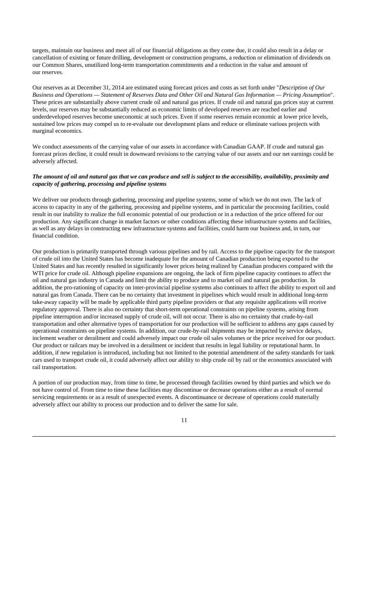targets, maintain our business and meet all of our financial obligations as they come due, it could also result in a delay or cancellation of existing or future drilling, development or construction programs, a reduction or elimination of dividends on our Common Shares, unutilized long-term transportation commitments and a reduction in the value and amount of our reserves.

Our reserves as at December 31, 2014 are estimated using forecast prices and costs as set forth under "*Description of Our Business and Operations — Statement of Reserves Data and Other Oil and Natural Gas Information — Pricing Assumption*". These prices are substantially above current crude oil and natural gas prices. If crude oil and natural gas prices stay at current levels, our reserves may be substantially reduced as economic limits of developed reserves are reached earlier and underdeveloped reserves become uneconomic at such prices. Even if some reserves remain economic at lower price levels, sustained low prices may compel us to re-evaluate our development plans and reduce or eliminate various projects with marginal economics.

We conduct assessments of the carrying value of our assets in accordance with Canadian GAAP. If crude and natural gas forecast prices decline, it could result in downward revisions to the carrying value of our assets and our net earnings could be adversely affected.

# *The amount of oil and natural gas that we can produce and sell is subject to the accessibility, availability, proximity and capacity of gathering, processing and pipeline systems*

We deliver our products through gathering, processing and pipeline systems, some of which we do not own. The lack of access to capacity in any of the gathering, processing and pipeline systems, and in particular the processing facilities, could result in our inability to realize the full economic potential of our production or in a reduction of the price offered for our production. Any significant change in market factors or other conditions affecting these infrastructure systems and facilities, as well as any delays in constructing new infrastructure systems and facilities, could harm our business and, in turn, our financial condition.

Our production is primarily transported through various pipelines and by rail. Access to the pipeline capacity for the transport of crude oil into the United States has become inadequate for the amount of Canadian production being exported to the United States and has recently resulted in significantly lower prices being realized by Canadian producers compared with the WTI price for crude oil. Although pipeline expansions are ongoing, the lack of firm pipeline capacity continues to affect the oil and natural gas industry in Canada and limit the ability to produce and to market oil and natural gas production. In addition, the pro-rationing of capacity on inter-provincial pipeline systems also continues to affect the ability to export oil and natural gas from Canada. There can be no certainty that investment in pipelines which would result in additional long-term take-away capacity will be made by applicable third party pipeline providers or that any requisite applications will receive regulatory approval. There is also no certainty that short-term operational constraints on pipeline systems, arising from pipeline interruption and/or increased supply of crude oil, will not occur. There is also no certainty that crude-by-rail transportation and other alternative types of transportation for our production will be sufficient to address any gaps caused by operational constraints on pipeline systems. In addition, our crude-by-rail shipments may be impacted by service delays, inclement weather or derailment and could adversely impact our crude oil sales volumes or the price received for our product. Our product or railcars may be involved in a derailment or incident that results in legal liability or reputational harm. In addition, if new regulation is introduced, including but not limited to the potential amendment of the safety standards for tank cars used to transport crude oil, it could adversely affect our ability to ship crude oil by rail or the economics associated with rail transportation.

A portion of our production may, from time to time, be processed through facilities owned by third parties and which we do not have control of. From time to time these facilities may discontinue or decrease operations either as a result of normal servicing requirements or as a result of unexpected events. A discontinuance or decrease of operations could materially adversely affect our ability to process our production and to deliver the same for sale.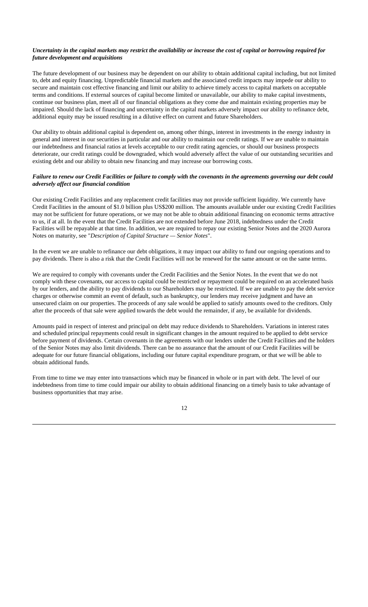# *Uncertainty in the capital markets may restrict the availability or increase the cost of capital or borrowing required for future development and acquisitions*

The future development of our business may be dependent on our ability to obtain additional capital including, but not limited to, debt and equity financing. Unpredictable financial markets and the associated credit impacts may impede our ability to secure and maintain cost effective financing and limit our ability to achieve timely access to capital markets on acceptable terms and conditions. If external sources of capital become limited or unavailable, our ability to make capital investments, continue our business plan, meet all of our financial obligations as they come due and maintain existing properties may be impaired. Should the lack of financing and uncertainty in the capital markets adversely impact our ability to refinance debt, additional equity may be issued resulting in a dilutive effect on current and future Shareholders.

Our ability to obtain additional capital is dependent on, among other things, interest in investments in the energy industry in general and interest in our securities in particular and our ability to maintain our credit ratings. If we are unable to maintain our indebtedness and financial ratios at levels acceptable to our credit rating agencies, or should our business prospects deteriorate, our credit ratings could be downgraded, which would adversely affect the value of our outstanding securities and existing debt and our ability to obtain new financing and may increase our borrowing costs.

# *Failure to renew our Credit Facilities or failure to comply with the covenants in the agreements governing our debt could adversely affect our financial condition*

Our existing Credit Facilities and any replacement credit facilities may not provide sufficient liquidity. We currently have Credit Facilities in the amount of \$1.0 billion plus US\$200 million. The amounts available under our existing Credit Facilities may not be sufficient for future operations, or we may not be able to obtain additional financing on economic terms attractive to us, if at all. In the event that the Credit Facilities are not extended before June 2018, indebtedness under the Credit Facilities will be repayable at that time. In addition, we are required to repay our existing Senior Notes and the 2020 Aurora Notes on maturity, see "*Description of Capital Structure — Senior Notes*".

In the event we are unable to refinance our debt obligations, it may impact our ability to fund our ongoing operations and to pay dividends. There is also a risk that the Credit Facilities will not be renewed for the same amount or on the same terms.

We are required to comply with covenants under the Credit Facilities and the Senior Notes. In the event that we do not comply with these covenants, our access to capital could be restricted or repayment could be required on an accelerated basis by our lenders, and the ability to pay dividends to our Shareholders may be restricted. If we are unable to pay the debt service charges or otherwise commit an event of default, such as bankruptcy, our lenders may receive judgment and have an unsecured claim on our properties. The proceeds of any sale would be applied to satisfy amounts owed to the creditors. Only after the proceeds of that sale were applied towards the debt would the remainder, if any, be available for dividends.

Amounts paid in respect of interest and principal on debt may reduce dividends to Shareholders. Variations in interest rates and scheduled principal repayments could result in significant changes in the amount required to be applied to debt service before payment of dividends. Certain covenants in the agreements with our lenders under the Credit Facilities and the holders of the Senior Notes may also limit dividends. There can be no assurance that the amount of our Credit Facilities will be adequate for our future financial obligations, including our future capital expenditure program, or that we will be able to obtain additional funds.

From time to time we may enter into transactions which may be financed in whole or in part with debt. The level of our indebtedness from time to time could impair our ability to obtain additional financing on a timely basis to take advantage of business opportunities that may arise.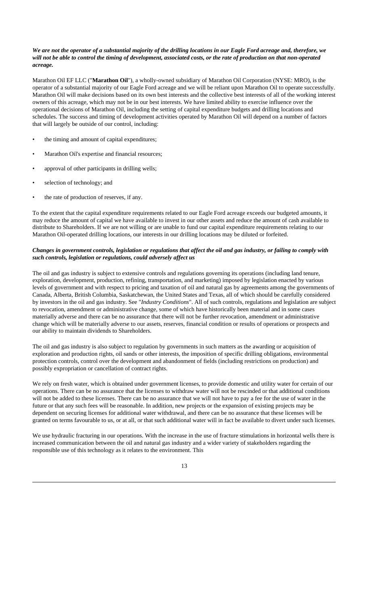# *We are not the operator of a substantial majority of the drilling locations in our Eagle Ford acreage and, therefore, we will not be able to control the timing of development, associated costs, or the rate of production on that non-operated acreage.*

Marathon Oil EF LLC ("**Marathon Oil**"), a wholly-owned subsidiary of Marathon Oil Corporation (NYSE: MRO), is the operator of a substantial majority of our Eagle Ford acreage and we will be reliant upon Marathon Oil to operate successfully. Marathon Oil will make decisions based on its own best interests and the collective best interests of all of the working interest owners of this acreage, which may not be in our best interests. We have limited ability to exercise influence over the operational decisions of Marathon Oil, including the setting of capital expenditure budgets and drilling locations and schedules. The success and timing of development activities operated by Marathon Oil will depend on a number of factors that will largely be outside of our control, including:

- the timing and amount of capital expenditures;
- Marathon Oil's expertise and financial resources;
- approval of other participants in drilling wells;
- selection of technology; and
- the rate of production of reserves, if any.

To the extent that the capital expenditure requirements related to our Eagle Ford acreage exceeds our budgeted amounts, it may reduce the amount of capital we have available to invest in our other assets and reduce the amount of cash available to distribute to Shareholders. If we are not willing or are unable to fund our capital expenditure requirements relating to our Marathon Oil-operated drilling locations, our interests in our drilling locations may be diluted or forfeited.

# *Changes in government controls, legislation or regulations that affect the oil and gas industry, or failing to comply with such controls, legislation or regulations, could adversely affect us*

The oil and gas industry is subject to extensive controls and regulations governing its operations (including land tenure, exploration, development, production, refining, transportation, and marketing) imposed by legislation enacted by various levels of government and with respect to pricing and taxation of oil and natural gas by agreements among the governments of Canada, Alberta, British Columbia, Saskatchewan, the United States and Texas, all of which should be carefully considered by investors in the oil and gas industry. See "*Industry Conditions*". All of such controls, regulations and legislation are subject to revocation, amendment or administrative change, some of which have historically been material and in some cases materially adverse and there can be no assurance that there will not be further revocation, amendment or administrative change which will be materially adverse to our assets, reserves, financial condition or results of operations or prospects and our ability to maintain dividends to Shareholders.

The oil and gas industry is also subject to regulation by governments in such matters as the awarding or acquisition of exploration and production rights, oil sands or other interests, the imposition of specific drilling obligations, environmental protection controls, control over the development and abandonment of fields (including restrictions on production) and possibly expropriation or cancellation of contract rights.

We rely on fresh water, which is obtained under government licenses, to provide domestic and utility water for certain of our operations. There can be no assurance that the licenses to withdraw water will not be rescinded or that additional conditions will not be added to these licenses. There can be no assurance that we will not have to pay a fee for the use of water in the future or that any such fees will be reasonable. In addition, new projects or the expansion of existing projects may be dependent on securing licenses for additional water withdrawal, and there can be no assurance that these licenses will be granted on terms favourable to us, or at all, or that such additional water will in fact be available to divert under such licenses.

We use hydraulic fracturing in our operations. With the increase in the use of fracture stimulations in horizontal wells there is increased communication between the oil and natural gas industry and a wider variety of stakeholders regarding the responsible use of this technology as it relates to the environment. This

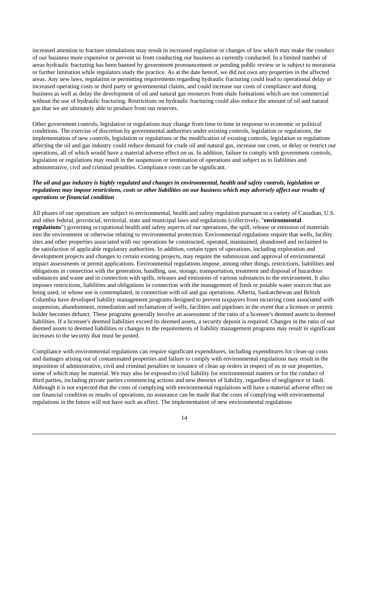increased attention to fracture stimulations may result in increased regulation or changes of law which may make the conduct of our business more expensive or prevent us from conducting our business as currently conducted. In a limited number of areas hydraulic fracturing has been banned by government pronouncement or pending public review or is subject to moratoria or further limitation while regulators study the practice. As at the date hereof, we did not own any properties in the affected areas. Any new laws, regulation or permitting requirements regarding hydraulic fracturing could lead to operational delay or increased operating costs or third party or governmental claims, and could increase our costs of compliance and doing business as well as delay the development of oil and natural gas resources from shale formations which are not commercial without the use of hydraulic fracturing. Restrictions on hydraulic fracturing could also reduce the amount of oil and natural gas that we are ultimately able to produce from our reserves.

Other government controls, legislation or regulations may change from time to time in response to economic or political conditions. The exercise of discretion by governmental authorities under existing controls, legislation or regulations, the implementation of new controls, legislation or regulations or the modification of existing controls, legislation or regulations affecting the oil and gas industry could reduce demand for crude oil and natural gas, increase our costs, or delay or restrict our operations, all of which would have a material adverse effect on us. In addition, failure to comply with government controls, legislation or regulations may result in the suspension or termination of operations and subject us to liabilities and administrative, civil and criminal penalties. Compliance costs can be significant.

# *The oil and gas industry is highly regulated and changes in environmental, health and safety controls, legislation or regulations may impose restrictions, costs or other liabilities on our business which may adversely affect our results of operations or financial condition*

All phases of our operations are subject to environmental, health and safety regulation pursuant to a variety of Canadian, U.S. and other federal, provincial, territorial, state and municipal laws and regulations (collectively, "**environmental regulations**") governing occupational health and safety aspects of our operations, the spill, release or emission of materials into the environment or otherwise relating to environmental protection. Environmental regulations require that wells, facility sites and other properties associated with our operations be constructed, operated, maintained, abandoned and reclaimed to the satisfaction of applicable regulatory authorities. In addition, certain types of operations, including exploration and development projects and changes to certain existing projects, may require the submission and approval of environmental impact assessments or permit applications. Environmental regulations impose, among other things, restrictions, liabilities and obligations in connection with the generation, handling, use, storage, transportation, treatment and disposal of hazardous substances and waste and in connection with spills, releases and emissions of various substances to the environment. It also imposes restrictions, liabilities and obligations in connection with the management of fresh or potable water sources that are being used, or whose use is contemplated, in connection with oil and gas operations. Alberta, Saskatchewan and British Columbia have developed liability management programs designed to prevent taxpayers from incurring costs associated with suspension, abandonment, remediation and reclamation of wells, facilities and pipelines in the event that a licensee or permit holder becomes defunct. These programs generally involve an assessment of the ratio of a licensee's deemed assets to deemed liabilities. If a licensee's deemed liabilities exceed its deemed assets, a security deposit is required. Changes in the ratio of our deemed assets to deemed liabilities or changes to the requirements of liability management programs may result in significant increases to the security that must be posted.

Compliance with environmental regulations can require significant expenditures, including expenditures for clean-up costs and damages arising out of contaminated properties and failure to comply with environmental regulations may result in the imposition of administrative, civil and criminal penalties or issuance of clean up orders in respect of us or our properties, some of which may be material. We may also be exposed to civil liability for environmental matters or for the conduct of third parties, including private parties commencing actions and new theories of liability, regardless of negligence or fault. Although it is not expected that the costs of complying with environmental regulations will have a material adverse effect on our financial condition or results of operations, no assurance can be made that the costs of complying with environmental regulations in the future will not have such an effect. The implementation of new environmental regulations

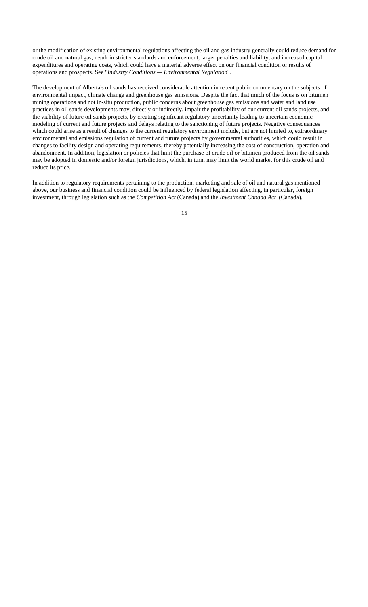or the modification of existing environmental regulations affecting the oil and gas industry generally could reduce demand for crude oil and natural gas, result in stricter standards and enforcement, larger penalties and liability, and increased capital expenditures and operating costs, which could have a material adverse effect on our financial condition or results of operations and prospects. See "*Industry Conditions — Environmental Regulation*".

The development of Alberta's oil sands has received considerable attention in recent public commentary on the subjects of environmental impact, climate change and greenhouse gas emissions. Despite the fact that much of the focus is on bitumen mining operations and not in-situ production, public concerns about greenhouse gas emissions and water and land use practices in oil sands developments may, directly or indirectly, impair the profitability of our current oil sands projects, and the viability of future oil sands projects, by creating significant regulatory uncertainty leading to uncertain economic modeling of current and future projects and delays relating to the sanctioning of future projects. Negative consequences which could arise as a result of changes to the current regulatory environment include, but are not limited to, extraordinary environmental and emissions regulation of current and future projects by governmental authorities, which could result in changes to facility design and operating requirements, thereby potentially increasing the cost of construction, operation and abandonment. In addition, legislation or policies that limit the purchase of crude oil or bitumen produced from the oil sands may be adopted in domestic and/or foreign jurisdictions, which, in turn, may limit the world market for this crude oil and reduce its price.

In addition to regulatory requirements pertaining to the production, marketing and sale of oil and natural gas mentioned above, our business and financial condition could be influenced by federal legislation affecting, in particular, foreign investment, through legislation such as the *Competition Act* (Canada) and the *Investment Canada Act* (Canada).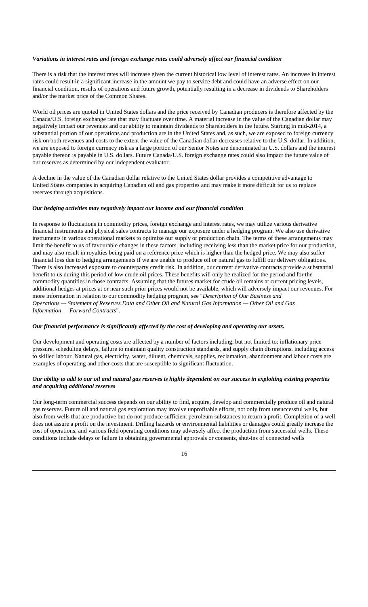#### *Variations in interest rates and foreign exchange rates could adversely affect our financial condition*

There is a risk that the interest rates will increase given the current historical low level of interest rates. An increase in interest rates could result in a significant increase in the amount we pay to service debt and could have an adverse effect on our financial condition, results of operations and future growth, potentially resulting in a decrease in dividends to Shareholders and/or the market price of the Common Shares.

World oil prices are quoted in United States dollars and the price received by Canadian producers is therefore affected by the Canada/U.S. foreign exchange rate that may fluctuate over time. A material increase in the value of the Canadian dollar may negatively impact our revenues and our ability to maintain dividends to Shareholders in the future. Starting in mid-2014, a substantial portion of our operations and production are in the United States and, as such, we are exposed to foreign currency risk on both revenues and costs to the extent the value of the Canadian dollar decreases relative to the U.S. dollar. In addition, we are exposed to foreign currency risk as a large portion of our Senior Notes are denominated in U.S. dollars and the interest payable thereon is payable in U.S. dollars. Future Canada/U.S. foreign exchange rates could also impact the future value of our reserves as determined by our independent evaluator.

A decline in the value of the Canadian dollar relative to the United States dollar provides a competitive advantage to United States companies in acquiring Canadian oil and gas properties and may make it more difficult for us to replace reserves through acquisitions.

#### *Our hedging activities may negatively impact our income and our financial condition*

In response to fluctuations in commodity prices, foreign exchange and interest rates, we may utilize various derivative financial instruments and physical sales contracts to manage our exposure under a hedging program. We also use derivative instruments in various operational markets to optimize our supply or production chain. The terms of these arrangements may limit the benefit to us of favourable changes in these factors, including receiving less than the market price for our production, and may also result in royalties being paid on a reference price which is higher than the hedged price. We may also suffer financial loss due to hedging arrangements if we are unable to produce oil or natural gas to fulfill our delivery obligations. There is also increased exposure to counterparty credit risk. In addition, our current derivative contracts provide a substantial benefit to us during this period of low crude oil prices. These benefits will only be realized for the period and for the commodity quantities in those contracts. Assuming that the futures market for crude oil remains at current pricing levels, additional hedges at prices at or near such prior prices would not be available, which will adversely impact our revenues. For more information in relation to our commodity hedging program, see "*Description of Our Business and Operations — Statement of Reserves Data and Other Oil and Natural Gas Information — Other Oil and Gas Information — Forward Contracts*".

# *Our financial performance is significantly affected by the cost of developing and operating our assets.*

Our development and operating costs are affected by a number of factors including, but not limited to: inflationary price pressure, scheduling delays, failure to maintain quality construction standards, and supply chain disruptions, including access to skilled labour. Natural gas, electricity, water, diluent, chemicals, supplies, reclamation, abandonment and labour costs are examples of operating and other costs that are susceptible to significant fluctuation.

# *Our ability to add to our oil and natural gas reserves is highly dependent on our success in exploiting existing properties and acquiring additional reserves*

Our long-term commercial success depends on our ability to find, acquire, develop and commercially produce oil and natural gas reserves. Future oil and natural gas exploration may involve unprofitable efforts, not only from unsuccessful wells, but also from wells that are productive but do not produce sufficient petroleum substances to return a profit. Completion of a well does not assure a profit on the investment. Drilling hazards or environmental liabilities or damages could greatly increase the cost of operations, and various field operating conditions may adversely affect the production from successful wells. These conditions include delays or failure in obtaining governmental approvals or consents, shut-ins of connected wells

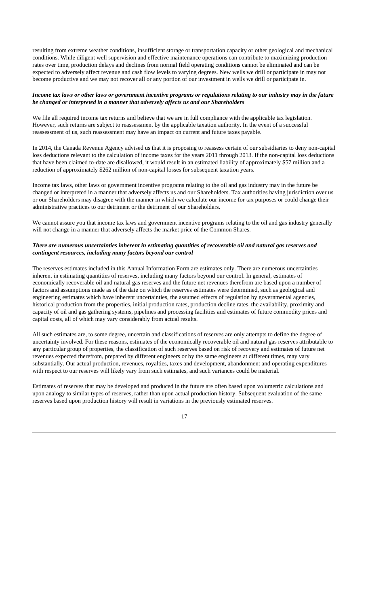resulting from extreme weather conditions, insufficient storage or transportation capacity or other geological and mechanical conditions. While diligent well supervision and effective maintenance operations can contribute to maximizing production rates over time, production delays and declines from normal field operating conditions cannot be eliminated and can be expected to adversely affect revenue and cash flow levels to varying degrees. New wells we drill or participate in may not become productive and we may not recover all or any portion of our investment in wells we drill or participate in.

#### *Income tax laws or other laws or government incentive programs or regulations relating to our industry may in the future be changed or interpreted in a manner that adversely affects us and our Shareholders*

We file all required income tax returns and believe that we are in full compliance with the applicable tax legislation. However, such returns are subject to reassessment by the applicable taxation authority. In the event of a successful reassessment of us, such reassessment may have an impact on current and future taxes payable.

In 2014, the Canada Revenue Agency advised us that it is proposing to reassess certain of our subsidiaries to deny non-capital loss deductions relevant to the calculation of income taxes for the years 2011 through 2013. If the non-capital loss deductions that have been claimed to-date are disallowed, it would result in an estimated liability of approximately \$57 million and a reduction of approximately \$262 million of non-capital losses for subsequent taxation years.

Income tax laws, other laws or government incentive programs relating to the oil and gas industry may in the future be changed or interpreted in a manner that adversely affects us and our Shareholders. Tax authorities having jurisdiction over us or our Shareholders may disagree with the manner in which we calculate our income for tax purposes or could change their administrative practices to our detriment or the detriment of our Shareholders.

We cannot assure you that income tax laws and government incentive programs relating to the oil and gas industry generally will not change in a manner that adversely affects the market price of the Common Shares.

# *There are numerous uncertainties inherent in estimating quantities of recoverable oil and natural gas reserves and contingent resources, including many factors beyond our control*

The reserves estimates included in this Annual Information Form are estimates only. There are numerous uncertainties inherent in estimating quantities of reserves, including many factors beyond our control. In general, estimates of economically recoverable oil and natural gas reserves and the future net revenues therefrom are based upon a number of factors and assumptions made as of the date on which the reserves estimates were determined, such as geological and engineering estimates which have inherent uncertainties, the assumed effects of regulation by governmental agencies, historical production from the properties, initial production rates, production decline rates, the availability, proximity and capacity of oil and gas gathering systems, pipelines and processing facilities and estimates of future commodity prices and capital costs, all of which may vary considerably from actual results.

All such estimates are, to some degree, uncertain and classifications of reserves are only attempts to define the degree of uncertainty involved. For these reasons, estimates of the economically recoverable oil and natural gas reserves attributable to any particular group of properties, the classification of such reserves based on risk of recovery and estimates of future net revenues expected therefrom, prepared by different engineers or by the same engineers at different times, may vary substantially. Our actual production, revenues, royalties, taxes and development, abandonment and operating expenditures with respect to our reserves will likely vary from such estimates, and such variances could be material.

Estimates of reserves that may be developed and produced in the future are often based upon volumetric calculations and upon analogy to similar types of reserves, rather than upon actual production history. Subsequent evaluation of the same reserves based upon production history will result in variations in the previously estimated reserves.

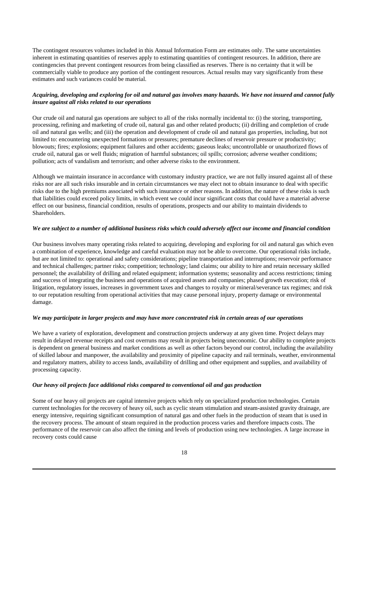The contingent resources volumes included in this Annual Information Form are estimates only. The same uncertainties inherent in estimating quantities of reserves apply to estimating quantities of contingent resources. In addition, there are contingencies that prevent contingent resources from being classified as reserves. There is no certainty that it will be commercially viable to produce any portion of the contingent resources. Actual results may vary significantly from these estimates and such variances could be material.

# *Acquiring, developing and exploring for oil and natural gas involves many hazards. We have not insured and cannot fully insure against all risks related to our operations*

Our crude oil and natural gas operations are subject to all of the risks normally incidental to: (i) the storing, transporting, processing, refining and marketing of crude oil, natural gas and other related products; (ii) drilling and completion of crude oil and natural gas wells; and (iii) the operation and development of crude oil and natural gas properties, including, but not limited to: encountering unexpected formations or pressures; premature declines of reservoir pressure or productivity; blowouts; fires; explosions; equipment failures and other accidents; gaseous leaks; uncontrollable or unauthorized flows of crude oil, natural gas or well fluids; migration of harmful substances; oil spills; corrosion; adverse weather conditions; pollution; acts of vandalism and terrorism; and other adverse risks to the environment.

Although we maintain insurance in accordance with customary industry practice, we are not fully insured against all of these risks nor are all such risks insurable and in certain circumstances we may elect not to obtain insurance to deal with specific risks due to the high premiums associated with such insurance or other reasons. In addition, the nature of these risks is such that liabilities could exceed policy limits, in which event we could incur significant costs that could have a material adverse effect on our business, financial condition, results of operations, prospects and our ability to maintain dividends to Shareholders.

# *We are subject to a number of additional business risks which could adversely affect our income and financial condition*

Our business involves many operating risks related to acquiring, developing and exploring for oil and natural gas which even a combination of experience, knowledge and careful evaluation may not be able to overcome. Our operational risks include, but are not limited to: operational and safety considerations; pipeline transportation and interruptions; reservoir performance and technical challenges; partner risks; competition; technology; land claims; our ability to hire and retain necessary skilled personnel; the availability of drilling and related equipment; information systems; seasonality and access restrictions; timing and success of integrating the business and operations of acquired assets and companies; phased growth execution; risk of litigation, regulatory issues, increases in government taxes and changes to royalty or mineral/severance tax regimes; and risk to our reputation resulting from operational activities that may cause personal injury, property damage or environmental damage.

#### *We may participate in larger projects and may have more concentrated risk in certain areas of our operations*

We have a variety of exploration, development and construction projects underway at any given time. Project delays may result in delayed revenue receipts and cost overruns may result in projects being uneconomic. Our ability to complete projects is dependent on general business and market conditions as well as other factors beyond our control, including the availability of skilled labour and manpower, the availability and proximity of pipeline capacity and rail terminals, weather, environmental and regulatory matters, ability to access lands, availability of drilling and other equipment and supplies, and availability of processing capacity.

# *Our heavy oil projects face additional risks compared to conventional oil and gas production*

Some of our heavy oil projects are capital intensive projects which rely on specialized production technologies. Certain current technologies for the recovery of heavy oil, such as cyclic steam stimulation and steam-assisted gravity drainage, are energy intensive, requiring significant consumption of natural gas and other fuels in the production of steam that is used in the recovery process. The amount of steam required in the production process varies and therefore impacts costs. The performance of the reservoir can also affect the timing and levels of production using new technologies. A large increase in recovery costs could cause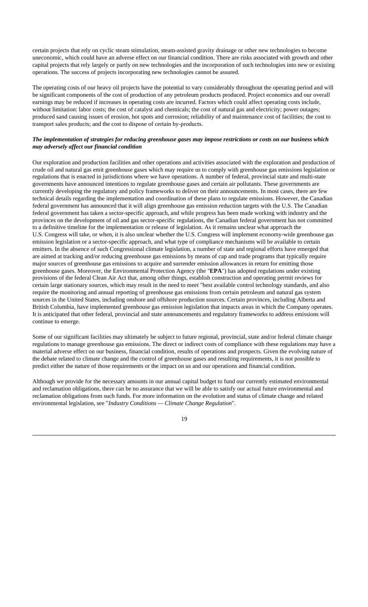certain projects that rely on cyclic steam stimulation, steam-assisted gravity drainage or other new technologies to become uneconomic, which could have an adverse effect on our financial condition. There are risks associated with growth and other capital projects that rely largely or partly on new technologies and the incorporation of such technologies into new or existing operations. The success of projects incorporating new technologies cannot be assured.

The operating costs of our heavy oil projects have the potential to vary considerably throughout the operating period and will be significant components of the cost of production of any petroleum products produced. Project economics and our overall earnings may be reduced if increases in operating costs are incurred. Factors which could affect operating costs include, without limitation: labor costs; the cost of catalyst and chemicals; the cost of natural gas and electricity; power outages; produced sand causing issues of erosion, hot spots and corrosion; reliability of and maintenance cost of facilities; the cost to transport sales products; and the cost to dispose of certain by-products.

# *The implementation of strategies for reducing greenhouse gases may impose restrictions or costs on our business which may adversely affect our financial condition*

Our exploration and production facilities and other operations and activities associated with the exploration and production of crude oil and natural gas emit greenhouse gases which may require us to comply with greenhouse gas emissions legislation or regulations that is enacted in jurisdictions where we have operations. A number of federal, provincial state and multi-state governments have announced intentions to regulate greenhouse gases and certain air pollutants. These governments are currently developing the regulatory and policy frameworks to deliver on their announcements. In most cases, there are few technical details regarding the implementation and coordination of these plans to regulate emissions. However, the Canadian federal government has announced that it will align greenhouse gas emission reduction targets with the U.S. The Canadian federal government has taken a sector-specific approach, and while progress has been made working with industry and the provinces on the development of oil and gas sector-specific regulations, the Canadian federal government has not committed to a definitive timeline for the implementation or release of legislation. As it remains unclear what approach the U.S. Congress will take, or when, it is also unclear whether the U.S. Congress will implement economy-wide greenhouse gas emission legislation or a sector-specific approach, and what type of compliance mechanisms will be available to certain emitters. In the absence of such Congressional climate legislation, a number of state and regional efforts have emerged that are aimed at tracking and/or reducing greenhouse gas emissions by means of cap and trade programs that typically require major sources of greenhouse gas emissions to acquire and surrender emission allowances in return for emitting those greenhouse gases. Moreover, the Environmental Protection Agency (the "**EPA**") has adopted regulations under existing provisions of the federal Clean Air Act that, among other things, establish construction and operating permit reviews for certain large stationary sources, which may result in the need to meet "best available control technology standards, and also require the monitoring and annual reporting of greenhouse gas emissions from certain petroleum and natural gas system sources in the United States, including onshore and offshore production sources. Certain provinces, including Alberta and British Columbia, have implemented greenhouse gas emission legislation that impacts areas in which the Company operates. It is anticipated that other federal, provincial and state announcements and regulatory frameworks to address emissions will continue to emerge.

Some of our significant facilities may ultimately be subject to future regional, provincial, state and/or federal climate change regulations to manage greenhouse gas emissions. The direct or indirect costs of compliance with these regulations may have a material adverse effect on our business, financial condition, results of operations and prospects. Given the evolving nature of the debate related to climate change and the control of greenhouse gases and resulting requirements, it is not possible to predict either the nature of those requirements or the impact on us and our operations and financial condition.

Although we provide for the necessary amounts in our annual capital budget to fund our currently estimated environmental and reclamation obligations, there can be no assurance that we will be able to satisfy our actual future environmental and reclamation obligations from such funds. For more information on the evolution and status of climate change and related environmental legislation, see "*Industry Conditions — Climate Change Regulation*".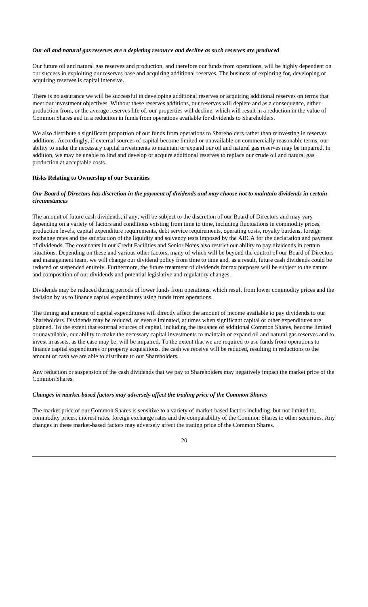#### *Our oil and natural gas reserves are a depleting resource and decline as such reserves are produced*

Our future oil and natural gas reserves and production, and therefore our funds from operations, will be highly dependent on our success in exploiting our reserves base and acquiring additional reserves. The business of exploring for, developing or acquiring reserves is capital intensive.

There is no assurance we will be successful in developing additional reserves or acquiring additional reserves on terms that meet our investment objectives. Without these reserves additions, our reserves will deplete and as a consequence, either production from, or the average reserves life of, our properties will decline, which will result in a reduction in the value of Common Shares and in a reduction in funds from operations available for dividends to Shareholders.

We also distribute a significant proportion of our funds from operations to Shareholders rather than reinvesting in reserves additions. Accordingly, if external sources of capital become limited or unavailable on commercially reasonable terms, our ability to make the necessary capital investments to maintain or expand our oil and natural gas reserves may be impaired. In addition, we may be unable to find and develop or acquire additional reserves to replace our crude oil and natural gas production at acceptable costs.

#### **Risks Relating to Ownership of our Securities**

#### *Our Board of Directors has discretion in the payment of dividends and may choose not to maintain dividends in certain circumstances*

The amount of future cash dividends, if any, will be subject to the discretion of our Board of Directors and may vary depending on a variety of factors and conditions existing from time to time, including fluctuations in commodity prices, production levels, capital expenditure requirements, debt service requirements, operating costs, royalty burdens, foreign exchange rates and the satisfaction of the liquidity and solvency tests imposed by the ABCA for the declaration and payment of dividends. The covenants in our Credit Facilities and Senior Notes also restrict our ability to pay dividends in certain situations. Depending on these and various other factors, many of which will be beyond the control of our Board of Directors and management team, we will change our dividend policy from time to time and, as a result, future cash dividends could be reduced or suspended entirely. Furthermore, the future treatment of dividends for tax purposes will be subject to the nature and composition of our dividends and potential legislative and regulatory changes.

Dividends may be reduced during periods of lower funds from operations, which result from lower commodity prices and the decision by us to finance capital expenditures using funds from operations.

The timing and amount of capital expenditures will directly affect the amount of income available to pay dividends to our Shareholders. Dividends may be reduced, or even eliminated, at times when significant capital or other expenditures are planned. To the extent that external sources of capital, including the issuance of additional Common Shares, become limited or unavailable, our ability to make the necessary capital investments to maintain or expand oil and natural gas reserves and to invest in assets, as the case may be, will be impaired. To the extent that we are required to use funds from operations to finance capital expenditures or property acquisitions, the cash we receive will be reduced, resulting in reductions to the amount of cash we are able to distribute to our Shareholders.

Any reduction or suspension of the cash dividends that we pay to Shareholders may negatively impact the market price of the Common Shares.

#### *Changes in market-based factors may adversely affect the trading price of the Common Shares*

The market price of our Common Shares is sensitive to a variety of market-based factors including, but not limited to, commodity prices, interest rates, foreign exchange rates and the comparability of the Common Shares to other securities. Any changes in these market-based factors may adversely affect the trading price of the Common Shares.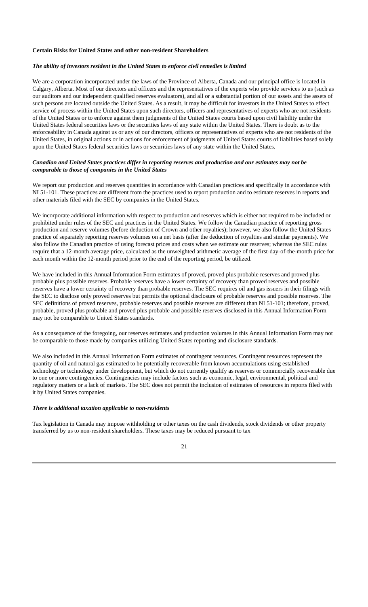#### **Certain Risks for United States and other non-resident Shareholders**

#### *The ability of investors resident in the United States to enforce civil remedies is limited*

We are a corporation incorporated under the laws of the Province of Alberta, Canada and our principal office is located in Calgary, Alberta. Most of our directors and officers and the representatives of the experts who provide services to us (such as our auditors and our independent qualified reserves evaluators), and all or a substantial portion of our assets and the assets of such persons are located outside the United States. As a result, it may be difficult for investors in the United States to effect service of process within the United States upon such directors, officers and representatives of experts who are not residents of the United States or to enforce against them judgments of the United States courts based upon civil liability under the United States federal securities laws or the securities laws of any state within the United States. There is doubt as to the enforceability in Canada against us or any of our directors, officers or representatives of experts who are not residents of the United States, in original actions or in actions for enforcement of judgments of United States courts of liabilities based solely upon the United States federal securities laws or securities laws of any state within the United States.

# *Canadian and United States practices differ in reporting reserves and production and our estimates may not be comparable to those of companies in the United States*

We report our production and reserves quantities in accordance with Canadian practices and specifically in accordance with NI 51-101. These practices are different from the practices used to report production and to estimate reserves in reports and other materials filed with the SEC by companies in the United States.

We incorporate additional information with respect to production and reserves which is either not required to be included or prohibited under rules of the SEC and practices in the United States. We follow the Canadian practice of reporting gross production and reserve volumes (before deduction of Crown and other royalties); however, we also follow the United States practice of separately reporting reserves volumes on a net basis (after the deduction of royalties and similar payments). We also follow the Canadian practice of using forecast prices and costs when we estimate our reserves; whereas the SEC rules require that a 12-month average price, calculated as the unweighted arithmetic average of the first-day-of-the-month price for each month within the 12-month period prior to the end of the reporting period, be utilized.

We have included in this Annual Information Form estimates of proved, proved plus probable reserves and proved plus probable plus possible reserves. Probable reserves have a lower certainty of recovery than proved reserves and possible reserves have a lower certainty of recovery than probable reserves. The SEC requires oil and gas issuers in their filings with the SEC to disclose only proved reserves but permits the optional disclosure of probable reserves and possible reserves. The SEC definitions of proved reserves, probable reserves and possible reserves are different than NI 51-101; therefore, proved, probable, proved plus probable and proved plus probable and possible reserves disclosed in this Annual Information Form may not be comparable to United States standards.

As a consequence of the foregoing, our reserves estimates and production volumes in this Annual Information Form may not be comparable to those made by companies utilizing United States reporting and disclosure standards.

We also included in this Annual Information Form estimates of contingent resources. Contingent resources represent the quantity of oil and natural gas estimated to be potentially recoverable from known accumulations using established technology or technology under development, but which do not currently qualify as reserves or commercially recoverable due to one or more contingencies. Contingencies may include factors such as economic, legal, environmental, political and regulatory matters or a lack of markets. The SEC does not permit the inclusion of estimates of resources in reports filed with it by United States companies.

# *There is additional taxation applicable to non-residents*

Tax legislation in Canada may impose withholding or other taxes on the cash dividends, stock dividends or other property transferred by us to non-resident shareholders. These taxes may be reduced pursuant to tax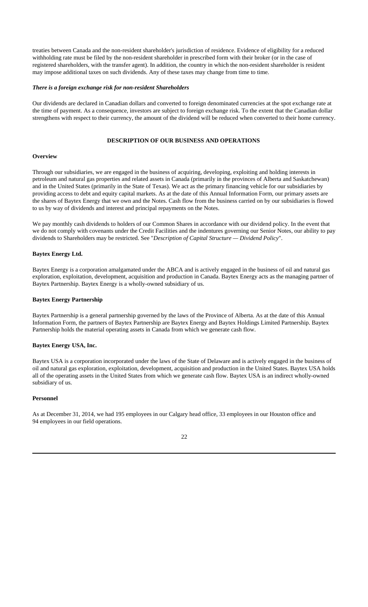treaties between Canada and the non-resident shareholder's jurisdiction of residence. Evidence of eligibility for a reduced withholding rate must be filed by the non-resident shareholder in prescribed form with their broker (or in the case of registered shareholders, with the transfer agent). In addition, the country in which the non-resident shareholder is resident may impose additional taxes on such dividends. Any of these taxes may change from time to time.

#### *There is a foreign exchange risk for non-resident Shareholders*

Our dividends are declared in Canadian dollars and converted to foreign denominated currencies at the spot exchange rate at the time of payment. As a consequence, investors are subject to foreign exchange risk. To the extent that the Canadian dollar strengthens with respect to their currency, the amount of the dividend will be reduced when converted to their home currency.

# **DESCRIPTION OF OUR BUSINESS AND OPERATIONS**

#### **Overview**

Through our subsidiaries, we are engaged in the business of acquiring, developing, exploiting and holding interests in petroleum and natural gas properties and related assets in Canada (primarily in the provinces of Alberta and Saskatchewan) and in the United States (primarily in the State of Texas). We act as the primary financing vehicle for our subsidiaries by providing access to debt and equity capital markets. As at the date of this Annual Information Form, our primary assets are the shares of Baytex Energy that we own and the Notes. Cash flow from the business carried on by our subsidiaries is flowed to us by way of dividends and interest and principal repayments on the Notes.

We pay monthly cash dividends to holders of our Common Shares in accordance with our dividend policy. In the event that we do not comply with covenants under the Credit Facilities and the indentures governing our Senior Notes, our ability to pay dividends to Shareholders may be restricted. See "*Description of Capital Structure — Dividend Policy*".

#### **Baytex Energy Ltd.**

Baytex Energy is a corporation amalgamated under the ABCA and is actively engaged in the business of oil and natural gas exploration, exploitation, development, acquisition and production in Canada. Baytex Energy acts as the managing partner of Baytex Partnership. Baytex Energy is a wholly-owned subsidiary of us.

#### **Baytex Energy Partnership**

Baytex Partnership is a general partnership governed by the laws of the Province of Alberta. As at the date of this Annual Information Form, the partners of Baytex Partnership are Baytex Energy and Baytex Holdings Limited Partnership. Baytex Partnership holds the material operating assets in Canada from which we generate cash flow.

# **Baytex Energy USA, Inc.**

Baytex USA is a corporation incorporated under the laws of the State of Delaware and is actively engaged in the business of oil and natural gas exploration, exploitation, development, acquisition and production in the United States. Baytex USA holds all of the operating assets in the United States from which we generate cash flow. Baytex USA is an indirect wholly-owned subsidiary of us.

#### **Personnel**

As at December 31, 2014, we had 195 employees in our Calgary head office, 33 employees in our Houston office and 94 employees in our field operations.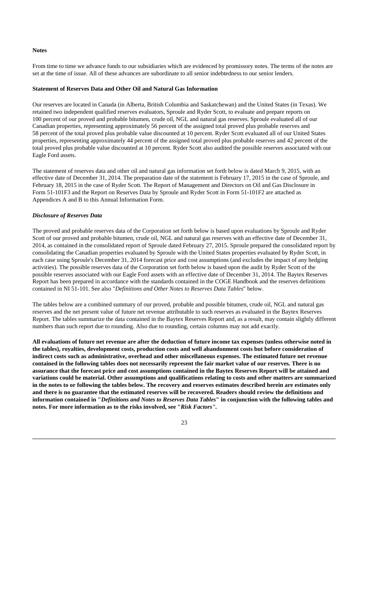#### **Notes**

From time to time we advance funds to our subsidiaries which are evidenced by promissory notes. The terms of the notes are set at the time of issue. All of these advances are subordinate to all senior indebtedness to our senior lenders.

#### **Statement of Reserves Data and Other Oil and Natural Gas Information**

Our reserves are located in Canada (in Alberta, British Columbia and Saskatchewan) and the United States (in Texas). We retained two independent qualified reserves evaluators, Sproule and Ryder Scott, to evaluate and prepare reports on 100 percent of our proved and probable bitumen, crude oil, NGL and natural gas reserves. Sproule evaluated all of our Canadian properties, representing approximately 56 percent of the assigned total proved plus probable reserves and 58 percent of the total proved plus probable value discounted at 10 percent. Ryder Scott evaluated all of our United States properties, representing approximately 44 percent of the assigned total proved plus probable reserves and 42 percent of the total proved plus probable value discounted at 10 percent. Ryder Scott also audited the possible reserves associated with our Eagle Ford assets.

The statement of reserves data and other oil and natural gas information set forth below is dated March 9, 2015, with an effective date of December 31, 2014. The preparation date of the statement is February 17, 2015 in the case of Sproule, and February 18, 2015 in the case of Ryder Scott. The Report of Management and Directors on Oil and Gas Disclosure in Form 51-101F3 and the Report on Reserves Data by Sproule and Ryder Scott in Form 51-101F2 are attached as Appendices A and B to this Annual Information Form.

#### *Disclosure of Reserves Data*

The proved and probable reserves data of the Corporation set forth below is based upon evaluations by Sproule and Ryder Scott of our proved and probable bitumen, crude oil, NGL and natural gas reserves with an effective date of December 31, 2014, as contained in the consolidated report of Sproule dated February 27, 2015. Sproule prepared the consolidated report by consolidating the Canadian properties evaluated by Sproule with the United States properties evaluated by Ryder Scott, in each case using Sproule's December 31, 2014 forecast price and cost assumptions (and excludes the impact of any hedging activities). The possible reserves data of the Corporation set forth below is based upon the audit by Ryder Scott of the possible reserves associated with our Eagle Ford assets with an effective date of December 31, 2014. The Baytex Reserves Report has been prepared in accordance with the standards contained in the COGE Handbook and the reserves definitions contained in NI 51-101. See also "*Definitions and Other Notes to Reserves Data Tables*" below.

The tables below are a combined summary of our proved, probable and possible bitumen, crude oil, NGL and natural gas reserves and the net present value of future net revenue attributable to such reserves as evaluated in the Baytex Reserves Report. The tables summarize the data contained in the Baytex Reserves Report and, as a result, may contain slightly different numbers than such report due to rounding. Also due to rounding, certain columns may not add exactly.

**All evaluations of future net revenue are after the deduction of future income tax expenses (unless otherwise noted in the tables), royalties, development costs, production costs and well abandonment costs but before consideration of indirect costs such as administrative, overhead and other miscellaneous expenses. The estimated future net revenue contained in the following tables does not necessarily represent the fair market value of our reserves. There is no assurance that the forecast price and cost assumptions contained in the Baytex Reserves Report will be attained and variations could be material. Other assumptions and qualifications relating to costs and other matters are summarized in the notes to or following the tables below. The recovery and reserves estimates described herein are estimates only and there is no guarantee that the estimated reserves will be recovered. Readers should review the definitions and information contained in "***Definitions and Notes to Reserves Data Tables***" in conjunction with the following tables and notes. For more information as to the risks involved, see "***Risk Factors".*

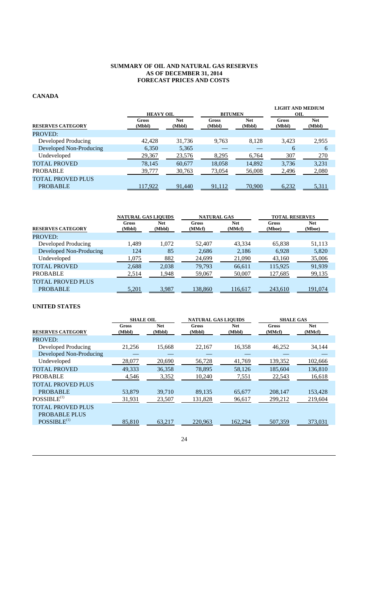# **SUMMARY OF OIL AND NATURAL GAS RESERVES AS OF DECEMBER 31, 2014 FORECAST PRICES AND COSTS**

# **CANADA**

|                          |                                            |                      |                                          |                      | <b>LIGHT AND MEDIUM</b>        |                      |
|--------------------------|--------------------------------------------|----------------------|------------------------------------------|----------------------|--------------------------------|----------------------|
| <b>RESERVES CATEGORY</b> | <b>HEAVY OIL</b><br><b>Gross</b><br>(Mbbl) | <b>Net</b><br>(Mbbl) | <b>BITUMEN</b><br><b>Gross</b><br>(Mbbl) | <b>Net</b><br>(Mbbl) | OIL.<br><b>Gross</b><br>(Mbbl) | <b>Net</b><br>(Mbbl) |
| <b>PROVED:</b>           |                                            |                      |                                          |                      |                                |                      |
| Developed Producing      | 42,428                                     | 31,736               | 9.763                                    | 8,128                | 3.423                          | 2,955                |
| Developed Non-Producing  | 6,350                                      | 5,365                |                                          |                      | 6                              | 6                    |
| Undeveloped              | 29,367                                     | 23,576               | 8,295                                    | 6,764                | 307                            | 270                  |
| <b>TOTAL PROVED</b>      | 78.145                                     | 60.677               | 18,058                                   | 14.892               | 3,736                          | 3,231                |
| <b>PROBABLE</b>          | 39,777                                     | 30,763               | 73,054                                   | 56,008               | 2,496                          | 2,080                |
| <b>TOTAL PROVED PLUS</b> |                                            |                      |                                          |                      |                                |                      |
| <b>PROBABLE</b>          | 117,922                                    | 91,440               | 91,112                                   | 70,900               | 6,232                          | 5,311                |

|                          | <b>NATURAL GAS LIQUIDS</b> |                      |                 | <b>NATURAL GAS</b>   |                        | <b>TOTAL RESERVES</b> |  |
|--------------------------|----------------------------|----------------------|-----------------|----------------------|------------------------|-----------------------|--|
| <b>RESERVES CATEGORY</b> | Gross<br>(Mbbl)            | <b>Net</b><br>(Mbbl) | Gross<br>(MMcf) | <b>Net</b><br>(MMcf) | <b>Gross</b><br>(Mboe) | <b>Net</b><br>(Mboe)  |  |
| <b>PROVED:</b>           |                            |                      |                 |                      |                        |                       |  |
| Developed Producing      | 1,489                      | 1,072                | 52,407          | 43,334               | 65,838                 | 51,113                |  |
| Developed Non-Producing  | 124                        | 85                   | 2,686           | 2,186                | 6,928                  | 5,820                 |  |
| Undeveloped              | 1,075                      | 882                  | 24,699          | 21,090               | 43,160                 | 35,006                |  |
| <b>TOTAL PROVED</b>      | 2,688                      | 2,038                | 79.793          | 66.611               | 115,925                | 91,939                |  |
| <b>PROBABLE</b>          | 2,514                      | 1,948                | 59,067          | 50,007               | 127,685                | 99,135                |  |
| <b>TOTAL PROVED PLUS</b> |                            |                      |                 |                      |                        |                       |  |
| <b>PROBABLE</b>          | 5,201                      | 3,987                | 138,860         | 116,617              | 243,610                | 191,074               |  |

# **UNITED STATES**

|                                           | <b>SHALE OIL</b> |                      |                 | <b>NATURAL GAS LIQUIDS</b> |                 | <b>SHALE GAS</b>     |
|-------------------------------------------|------------------|----------------------|-----------------|----------------------------|-----------------|----------------------|
| <b>RESERVES CATEGORY</b>                  | Gross<br>(Mbbl)  | <b>Net</b><br>(Mbbl) | Gross<br>(Mbbl) | <b>Net</b><br>(Mbbl)       | Gross<br>(MMcf) | <b>Net</b><br>(MMcf) |
| <b>PROVED:</b>                            |                  |                      |                 |                            |                 |                      |
| Developed Producing                       | 21,256           | 15,668               | 22,167          | 16,358                     | 46,252          | 34,144               |
| Developed Non-Producing                   |                  |                      |                 |                            |                 |                      |
| Undeveloped                               | 28,077           | 20,690               | 56,728          | 41,769                     | 139,352         | 102,666              |
| <b>TOTAL PROVED</b>                       | 49.333           | 36,358               | 78.895          | 58.126                     | 185,604         | 136,810              |
| <b>PROBABLE</b>                           | 4,546            | 3,352                | 10,240          | 7,551                      | 22,543          | 16,618               |
| <b>TOTAL PROVED PLUS</b>                  |                  |                      |                 |                            |                 |                      |
| <b>PROBABLE</b>                           | 53,879           | 39,710               | 89,135          | 65,677                     | 208,147         | 153,428              |
| $POSIBLE^{(1)}$                           | 31,931           | 23,507               | 131,828         | 96,617                     | 299,212         | 219.604              |
| <b>TOTAL PROVED PLUS</b><br>PROBABLE PLUS |                  |                      |                 |                            |                 |                      |
| $POSSIBLE^{(1)}$                          | 85,810           | 63,217               | 220,963         | 162,294                    | 507,359         | 373,031              |
|                                           |                  |                      |                 |                            |                 |                      |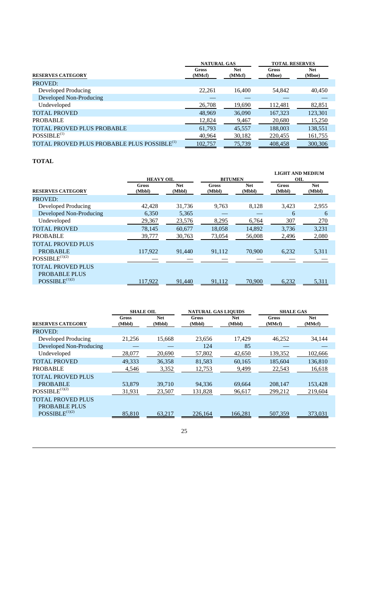|                                                         | <b>NATURAL GAS</b>     |                      | <b>TOTAL RESERVES</b> |                      |
|---------------------------------------------------------|------------------------|----------------------|-----------------------|----------------------|
| <b>RESERVES CATEGORY</b>                                | <b>Gross</b><br>(MMcf) | <b>Net</b><br>(MMcf) | Gross<br>(Mboe)       | <b>Net</b><br>(Mboe) |
| <b>PROVED:</b>                                          |                        |                      |                       |                      |
| Developed Producing                                     | 22,261                 | 16,400               | 54,842                | 40,450               |
| Developed Non-Producing                                 |                        |                      |                       |                      |
| Undeveloped                                             | 26,708                 | 19,690               | 112,481               | 82,851               |
| <b>TOTAL PROVED</b>                                     | 48,969                 | 36,090               | 167,323               | 123,301              |
| <b>PROBABLE</b>                                         | 12,824                 | 9,467                | 20,680                | 15,250               |
| TOTAL PROVED PLUS PROBABLE                              | 61,793                 | 45,557               | 188,003               | 138,551              |
| $POSSIBLE^{(1)}$                                        | 40,964                 | 30,182               | 220,455               | 161,755              |
| TOTAL PROVED PLUS PROBABLE PLUS POSSIBLE <sup>(1)</sup> | 102,757                | 75,739               | 408,458               | 300,306              |

# **TOTAL**

|                                                  | <b>HEAVY OIL</b><br><b>BITUMEN</b> |                      |                 | LIGHT AND MEDIUM<br>OIL |                 |                      |
|--------------------------------------------------|------------------------------------|----------------------|-----------------|-------------------------|-----------------|----------------------|
| <b>RESERVES CATEGORY</b>                         | Gross<br>(Mbbl)                    | <b>Net</b><br>(Mbbl) | Gross<br>(Mbbl) | <b>Net</b><br>(Mbbl)    | Gross<br>(Mbbl) | <b>Net</b><br>(Mbbl) |
| <b>PROVED:</b>                                   |                                    |                      |                 |                         |                 |                      |
| Developed Producing                              | 42.428                             | 31,736               | 9,763           | 8,128                   | 3,423           | 2,955                |
| Developed Non-Producing                          | 6,350                              | 5,365                |                 |                         | 6               | 6                    |
| Undeveloped                                      | 29,367                             | 23,576               | 8,295           | 6,764                   | 307             | 270                  |
| <b>TOTAL PROVED</b>                              | 78,145                             | 60.677               | 18,058          | 14.892                  | 3.736           | 3,231                |
| <b>PROBABLE</b>                                  | 39,777                             | 30,763               | 73,054          | 56,008                  | 2,496           | 2,080                |
| <b>TOTAL PROVED PLUS</b>                         |                                    |                      |                 |                         |                 |                      |
| <b>PROBABLE</b>                                  | 117,922                            | 91,440               | 91,112          | 70,900                  | 6,232           | 5,311                |
| $POSSIBLE^{(1)(2)}$                              |                                    |                      |                 |                         |                 |                      |
| <b>TOTAL PROVED PLUS</b><br><b>PROBABLE PLUS</b> |                                    |                      |                 |                         |                 |                      |
| $POSSIBLE^{(1)(2)}$                              | 117,922                            | 91,440               | 91,112          | 70,900                  | 6,232           | 5,311                |

|                                             | <b>SHALE OIL</b> |                      | <b>NATURAL GAS LIQUIDS</b> | <b>SHALE GAS</b>     |                 |                      |
|---------------------------------------------|------------------|----------------------|----------------------------|----------------------|-----------------|----------------------|
| <b>RESERVES CATEGORY</b>                    | Gross<br>(Mbbl)  | <b>Net</b><br>(Mbbl) | Gross<br>(Mbbl)            | <b>Net</b><br>(Mbbl) | Gross<br>(MMcf) | <b>Net</b><br>(MMcf) |
| <b>PROVED:</b>                              |                  |                      |                            |                      |                 |                      |
| Developed Producing                         | 21,256           | 15,668               | 23,656                     | 17.429               | 46,252          | 34,144               |
| Developed Non-Producing                     |                  |                      | 124                        | 85                   |                 |                      |
| Undeveloped                                 | 28,077           | 20,690               | 57,802                     | 42,650               | 139,352         | 102,666              |
| <b>TOTAL PROVED</b>                         | 49.333           | 36.358               | 81.583                     | 60.165               | 185,604         | 136,810              |
| <b>PROBABLE</b>                             | 4,546            | 3,352                | 12,753                     | 9,499                | 22,543          | 16,618               |
| <b>TOTAL PROVED PLUS</b><br><b>PROBABLE</b> | 53,879           | 39,710               | 94,336                     | 69,664               | 208,147         | 153,428              |
| $POSSIBLE^{(1)(2)}$                         | 31,931           | 23,507               | 131,828                    | 96,617               | 299,212         | 219,604              |
| <b>TOTAL PROVED PLUS</b><br>PROBABLE PLUS   |                  |                      |                            |                      |                 |                      |
| $POSSIBLE^{(1)(2)}$                         | 85,810           | 63,217               | 226,164                    | 166,281              | 507,359         | 373,031              |
|                                             |                  |                      |                            |                      |                 |                      |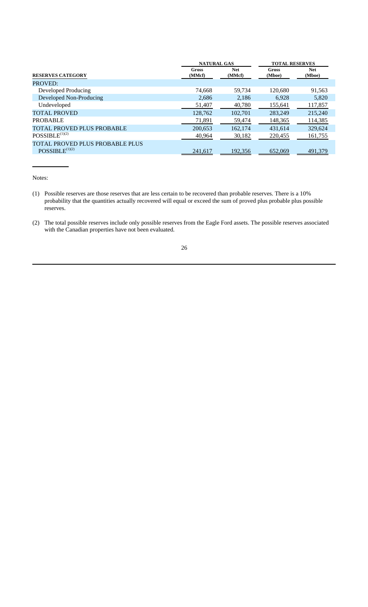|                                   |         | <b>NATURAL GAS</b> |         | <b>TOTAL RESERVES</b> |
|-----------------------------------|---------|--------------------|---------|-----------------------|
|                                   | Gross   | <b>Net</b>         | Gross   | <b>Net</b>            |
| <b>RESERVES CATEGORY</b>          | (MMcf)  | (MMcf)             | (Mboe)  | (Mboe)                |
| <b>PROVED:</b>                    |         |                    |         |                       |
| Developed Producing               | 74,668  | 59.734             | 120,680 | 91,563                |
| Developed Non-Producing           | 2,686   | 2,186              | 6.928   | 5,820                 |
| Undeveloped                       | 51,407  | 40,780             | 155,641 | 117,857               |
| <b>TOTAL PROVED</b>               | 128,762 | 102,701            | 283,249 | 215,240               |
| <b>PROBABLE</b>                   | 71,891  | 59,474             | 148,365 | 114,385               |
| <b>TOTAL PROVED PLUS PROBABLE</b> | 200,653 | 162,174            | 431,614 | 329,624               |
| $POSSIBLE^{(1)(2)}$               | 40,964  | 30,182             | 220,455 | 161,755               |
| TOTAL PROVED PLUS PROBABLE PLUS   |         |                    |         |                       |
| $POSSIBLE^{(1)(2)}$               | 241,617 | 192,356            | 652,069 | 491.379               |
|                                   |         |                    |         |                       |

Notes:

- (1) Possible reserves are those reserves that are less certain to be recovered than probable reserves. There is a 10% probability that the quantities actually recovered will equal or exceed the sum of proved plus probable plus possible reserves.
- (2) The total possible reserves include only possible reserves from the Eagle Ford assets. The possible reserves associated with the Canadian properties have not been evaluated.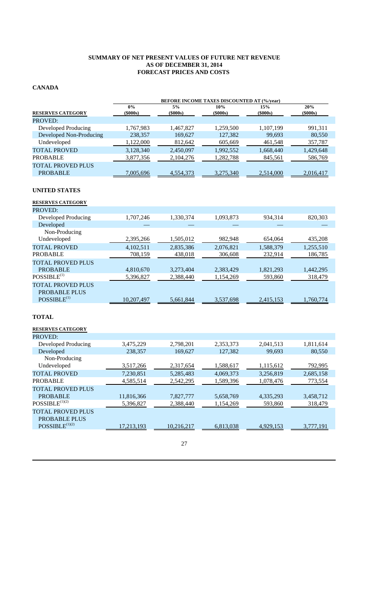# **SUMMARY OF NET PRESENT VALUES OF FUTURE NET REVENUE AS OF DECEMBER 31, 2014 FORECAST PRICES AND COSTS**

# **CANADA**

|                                           | <b>BEFORE INCOME TAXES DISCOUNTED AT (%/year)</b> |                  |                       |                   |                   |  |
|-------------------------------------------|---------------------------------------------------|------------------|-----------------------|-------------------|-------------------|--|
| <b>RESERVES CATEGORY</b>                  | $0\%$<br>$(\$000s)$                               | 5%<br>$(\$000s)$ | 10%<br>$($ \$000s $)$ | 15%<br>$(\$000s)$ | 20%<br>$(\$000s)$ |  |
| <b>PROVED:</b>                            |                                                   |                  |                       |                   |                   |  |
| Developed Producing                       | 1,767,983                                         | 1,467,827        | 1,259,500             | 1,107,199         | 991,311           |  |
| Developed Non-Producing                   | 238,357                                           | 169,627          | 127,382               | 99,693            | 80,550            |  |
| Undeveloped                               | 1,122,000                                         | 812,642          | 605,669               | 461,548           | 357,787           |  |
| <b>TOTAL PROVED</b>                       | 3,128,340                                         | 2,450,097        | 1,992,552             | 1,668,440         | 1,429,648         |  |
| <b>PROBABLE</b>                           | 3,877,356                                         | 2,104,276        | 1,282,788             | 845,561           | 586,769           |  |
| <b>TOTAL PROVED PLUS</b>                  |                                                   |                  |                       |                   |                   |  |
| <b>PROBABLE</b>                           | 7,005,696                                         | 4,554,373        | 3,275,340             | 2,514,000         | 2,016,417         |  |
| <b>UNITED STATES</b>                      |                                                   |                  |                       |                   |                   |  |
| <b>RESERVES CATEGORY</b>                  |                                                   |                  |                       |                   |                   |  |
| PROVED:                                   |                                                   |                  |                       |                   |                   |  |
| Developed Producing                       | 1,707,246                                         | 1,330,374        | 1,093,873             | 934,314           | 820,303           |  |
| Developed<br>Non-Producing                |                                                   |                  |                       |                   |                   |  |
| Undeveloped                               | 2,395,266                                         | 1,505,012        | 982,948               | 654,064           | 435,208           |  |
| <b>TOTAL PROVED</b>                       | 4,102,511                                         | 2,835,386        | 2,076,821             | 1,588,379         | 1,255,510         |  |
| <b>PROBABLE</b>                           | 708,159                                           | 438,018          | 306,608               | 232,914           | 186,785           |  |
| <b>TOTAL PROVED PLUS</b>                  |                                                   |                  |                       |                   |                   |  |
| <b>PROBABLE</b>                           | 4,810,670                                         | 3,273,404        | 2,383,429             | 1,821,293         | 1,442,295         |  |
| $POSSIBLE^{(1)}$                          | 5,396,827                                         | 2,388,440        | 1,154,269             | 593,860           | 318,479           |  |
| <b>TOTAL PROVED PLUS</b>                  |                                                   |                  |                       |                   |                   |  |
| PROBABLE PLUS                             |                                                   |                  |                       |                   |                   |  |
| $POSSIBLE^{(1)}$                          | 10,207,497                                        | 5,661,844        | 3,537,698             | 2,415,153         | 1,760,774         |  |
| <b>TOTAL</b>                              |                                                   |                  |                       |                   |                   |  |
| <b>RESERVES CATEGORY</b>                  |                                                   |                  |                       |                   |                   |  |
| <b>PROVED:</b>                            |                                                   |                  |                       |                   |                   |  |
| Developed Producing                       | 3,475,229                                         | 2,798,201        | 2,353,373             | 2,041,513         | 1,811,614         |  |
| Developed                                 | 238,357                                           | 169,627          | 127,382               | 99,693            | 80,550            |  |
| Non-Producing                             |                                                   |                  |                       |                   |                   |  |
| Undeveloped                               | 3,517,266                                         | 2,317,654        | 1,588,617             | 1,115,612         | 792,995           |  |
| <b>TOTAL PROVED</b>                       | 7,230,851                                         | 5,285,483        | 4,069,373             | 3,256,819         | 2,685,158         |  |
| <b>PROBABLE</b>                           | 4,585,514                                         | 2,542,295        | 1,589,396             | 1,078,476         | 773,554           |  |
| <b>TOTAL PROVED PLUS</b>                  |                                                   |                  |                       |                   |                   |  |
| <b>PROBABLE</b>                           | 11,816,366                                        | 7,827,777        | 5,658,769             | 4,335,293         | 3,458,712         |  |
| $POSSIBLE^{(1)(2)}$                       | 5,396,827                                         | 2,388,440        | 1,154,269             | 593,860           | 318,479           |  |
| TOTAL PROVED PLUS<br><b>PROBABLE PLUS</b> |                                                   |                  |                       |                   |                   |  |
| $POSSIBLE^{(1)(2)}$                       | 17,213,193                                        | 10,216,217       | 6,813,038             | 4,929,153         | 3,777,191         |  |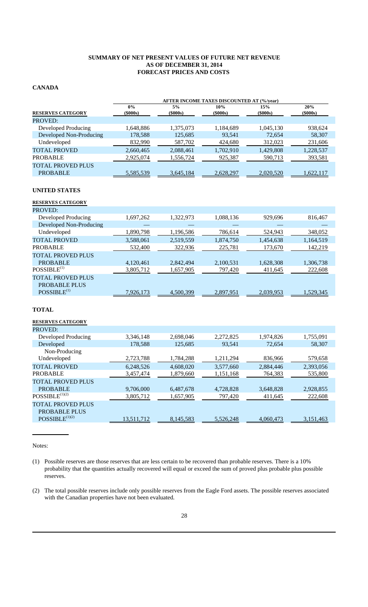# **SUMMARY OF NET PRESENT VALUES OF FUTURE NET REVENUE AS OF DECEMBER 31, 2014 FORECAST PRICES AND COSTS**

# **CANADA**

|                                                  | <b>AFTER INCOME TAXES DISCOUNTED AT (%/year)</b> |                      |                       |                   |                   |  |
|--------------------------------------------------|--------------------------------------------------|----------------------|-----------------------|-------------------|-------------------|--|
| <b>RESERVES CATEGORY</b>                         | $0\%$<br>$(\$000s)$                              | 5%<br>$($ \$000s $)$ | 10%<br>$($ \$000s $)$ | 15%<br>$(\$000s)$ | 20%<br>$(\$000s)$ |  |
| <b>PROVED:</b>                                   |                                                  |                      |                       |                   |                   |  |
| Developed Producing                              | 1,648,886                                        | 1,375,073            | 1,184,689             | 1,045,130         | 938,624           |  |
| Developed Non-Producing                          | 178,588                                          | 125,685              | 93.541                | 72,654            | 58,307            |  |
| Undeveloped                                      | 832,990                                          | 587,702              | 424,680               | 312,023           | 231,606           |  |
| <b>TOTAL PROVED</b>                              | 2,660,465                                        | 2.088.461            | 1,702,910             | 1,429,808         | 1,228,537         |  |
| <b>PROBABLE</b>                                  | 2,925,074                                        | 1,556,724            | 925,387               | 590,713           | 393,581           |  |
| <b>TOTAL PROVED PLUS</b>                         |                                                  |                      |                       |                   |                   |  |
| <b>PROBABLE</b>                                  | 5,585,539                                        | 3,645,184            | 2,628,297             | 2,020,520         | 1,622,117         |  |
| <b>RESERVES CATEGORY</b>                         |                                                  |                      |                       |                   |                   |  |
| <b>PROVED:</b>                                   |                                                  |                      |                       |                   |                   |  |
| Developed Producing                              | 1,697,262                                        | 1,322,973            | 1,088,136             | 929,696           | 816,467           |  |
| Developed Non-Producing                          |                                                  |                      |                       |                   |                   |  |
| Undeveloped                                      | 1,890,798                                        | 1,196,586            | 786,614               | 524,943           | 348,052           |  |
| <b>TOTAL PROVED</b>                              | 3,588,061                                        | 2,519,559            | 1,874,750             | 1,454,638         | 1,164,519         |  |
| <b>PROBABLE</b>                                  | 532,400                                          | 322,936              | 225,781               | 173,670           | 142,219           |  |
| <b>TOTAL PROVED PLUS</b>                         |                                                  |                      |                       |                   |                   |  |
| <b>PROBABLE</b>                                  | 4,120,461                                        | 2,842,494            | 2,100,531             | 1,628,308         | 1,306,738         |  |
| $POSSIBLE^{(1)}$                                 | 3,805,712                                        | 1,657,905            | 797,420               | 411,645           | 222,608           |  |
| <b>TOTAL PROVED PLUS</b><br><b>PROBABLE PLUS</b> |                                                  |                      |                       |                   |                   |  |
| $POSSIBLE^{(1)}$                                 | 7,926,173                                        | 4,500,399            | 2,897,951             | 2,039,953         | 1,529,345         |  |
|                                                  |                                                  |                      |                       |                   |                   |  |

# **TOTAL**

# **RESERVES CATEGORY**

| <b>PROVED:</b>           |            |           |           |           |           |
|--------------------------|------------|-----------|-----------|-----------|-----------|
| Developed Producing      | 3,346,148  | 2,698,046 | 2.272,825 | 1.974.826 | 1,755,091 |
| Developed                | 178,588    | 125,685   | 93,541    | 72,654    | 58,307    |
| Non-Producing            |            |           |           |           |           |
| Undeveloped              | 2,723,788  | 1,784,288 | 1,211,294 | 836,966   | 579,658   |
| <b>TOTAL PROVED</b>      | 6,248,526  | 4,608,020 | 3,577,660 | 2,884,446 | 2,393,056 |
| <b>PROBABLE</b>          | 3,457,474  | 1,879,660 | 1,151,168 | 764,383   | 535,800   |
| <b>TOTAL PROVED PLUS</b> |            |           |           |           |           |
| <b>PROBABLE</b>          | 9,706,000  | 6,487,678 | 4,728,828 | 3,648,828 | 2,928,855 |
| POSBLE <sup>(1)(2)</sup> | 3,805,712  | 1,657,905 | 797,420   | 411,645   | 222,608   |
| <b>TOTAL PROVED PLUS</b> |            |           |           |           |           |
| <b>PROBABLE PLUS</b>     |            |           |           |           |           |
| $POSSIBLE^{(1)(2)}$      | 13,511,712 | 8,145,583 | 5,526,248 | 4,060,473 | 3,151,463 |
|                          |            |           |           |           |           |

Notes:

<sup>(1)</sup> Possible reserves are those reserves that are less certain to be recovered than probable reserves. There is a 10% probability that the quantities actually recovered will equal or exceed the sum of proved plus probable plus possible reserves.

<sup>(2)</sup> The total possible reserves include only possible reserves from the Eagle Ford assets. The possible reserves associated with the Canadian properties have not been evaluated.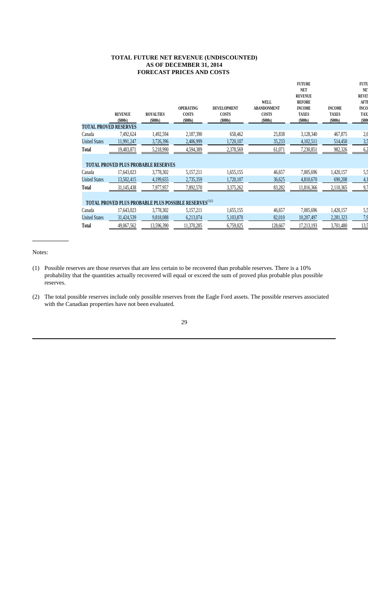## **TOTAL FUTURE NET REVENUE (UNDISCOUNTED) AS OF DECEMBER 31, 2014 FORECAST PRICES AND COSTS**

|                      | <b>REVENUE</b><br>(\$000s)   | <b>ROYALTIES</b><br>\$000s)                             | <b>OPERATING</b><br><b>COSTS</b><br>\$000s)                                | <b>DEVELOPMENT</b><br><b>COSTS</b><br>\$000s) | <b>WELL</b><br><b>ABANDONMENT</b><br><b>COSTS</b><br>\$000s) | <b>FUTURE</b><br><b>NET</b><br><b>REVENUE</b><br><b>BEFORE</b><br><b>INCOME</b><br><b>TAXES</b><br>\$000s) | <b>INCOME</b><br><b>TAXES</b><br>(\$000s) | <b>FUTU</b><br>NE'<br><b>REVEI</b><br><b>AFT</b><br><b>INCO</b><br>TAX<br>(\$000 |
|----------------------|------------------------------|---------------------------------------------------------|----------------------------------------------------------------------------|-----------------------------------------------|--------------------------------------------------------------|------------------------------------------------------------------------------------------------------------|-------------------------------------------|----------------------------------------------------------------------------------|
|                      | <b>TOTAL PROVED RESERVES</b> |                                                         |                                                                            |                                               |                                                              |                                                                                                            |                                           |                                                                                  |
| Canada               | 7,492,624                    | 1,492,594                                               | 2,187,390                                                                  | 658,462                                       | 25,838                                                       | 3,128,340                                                                                                  | 467,875                                   | 2,6                                                                              |
| <b>United States</b> | 11,991,247                   | 3,726,396                                               | 2,406,999                                                                  | 1,720,107                                     | 35,233                                                       | 4,102,511                                                                                                  | 514,450                                   | 3,5                                                                              |
| Total                | 19,483,871                   | 5,218,990                                               | 4,594,389                                                                  | 2,378,569                                     | 61,071                                                       | 7,230,851                                                                                                  | 982,326                                   | 6,2                                                                              |
| Canada               | 17,643,023                   | <b>TOTAL PROVED PLUS PROBABLE RESERVES</b><br>3,778,302 | 5,157,211                                                                  |                                               | 46,657                                                       | 7,005,696                                                                                                  | 1,420,157                                 |                                                                                  |
| <b>United States</b> | 13,502,415                   | 4,199,655                                               |                                                                            | 1,655,155<br>1,720,107                        | 36,625                                                       | 4,810,670                                                                                                  | 690,208                                   | 5,5                                                                              |
| Total                | <u>31,145,438</u>            | 7,977,957                                               | 2,735,359<br>7,892,570                                                     | 3,375,262                                     | 83,282                                                       | 11,816,366                                                                                                 | 2,110,365                                 | 4,1<br>9,7                                                                       |
|                      |                              |                                                         | <b>TOTAL PROVED PLUS PROBABLE PLUS POSSIBLE RESERVES</b> <sup>(1)(2)</sup> |                                               |                                                              |                                                                                                            |                                           |                                                                                  |
| Canada               | 17,643,023                   | 3,778,302                                               | 5,157,211                                                                  | 1,655,155                                     | 46,657                                                       | 7,005,696                                                                                                  | 1,420,157                                 | 5,5                                                                              |
| <b>United States</b> | 31,424,539                   | 9,818,088                                               | 6,213,074                                                                  | 5,103,870                                     | 82,010                                                       | 10,207,497                                                                                                 | 2,281,323                                 | 7,9                                                                              |
| Total                | 49,067,562                   | 13,596,390                                              | 11,370,285                                                                 | 6,759,025                                     | 128,667                                                      | 17,213,193                                                                                                 | 3,701,480                                 | 13,5                                                                             |

#### Notes:

(1) Possible reserves are those reserves that are less certain to be recovered than probable reserves. There is a 10% probability that the quantities actually recovered will equal or exceed the sum of proved plus probable plus possible reserves.

(2) The total possible reserves include only possible reserves from the Eagle Ford assets. The possible reserves associated with the Canadian properties have not been evaluated.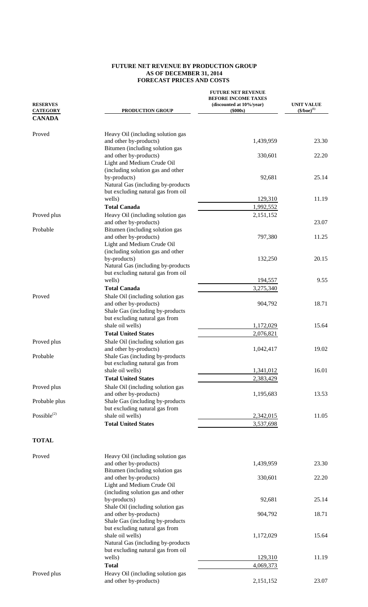### **FUTURE NET REVENUE BY PRODUCTION GROUP AS OF DECEMBER 31, 2014 FORECAST PRICES AND COSTS**

| <b>RESERVES</b><br><b>CATEGORY</b> | PRODUCTION GROUP                                                                                                              | <b>FUTURE NET REVENUE</b><br><b>BEFORE INCOME TAXES</b><br>(discounted at 10%/year)<br>$($ \$000s $)$ | <b>UNIT VALUE</b><br>( <b>6</b> /boe) <sup>(1)</sup> |
|------------------------------------|-------------------------------------------------------------------------------------------------------------------------------|-------------------------------------------------------------------------------------------------------|------------------------------------------------------|
| <b>CANADA</b>                      |                                                                                                                               |                                                                                                       |                                                      |
| Proved                             | Heavy Oil (including solution gas<br>and other by-products)<br>Bitumen (including solution gas                                | 1,439,959                                                                                             | 23.30                                                |
|                                    | and other by-products)<br>Light and Medium Crude Oil<br>(including solution gas and other                                     | 330,601                                                                                               | 22.20                                                |
|                                    | by-products)<br>Natural Gas (including by-products<br>but excluding natural gas from oil                                      | 92,681                                                                                                | 25.14                                                |
|                                    | wells)<br><b>Total Canada</b>                                                                                                 | 129,310<br>1,992,552                                                                                  | 11.19                                                |
| Proved plus                        | Heavy Oil (including solution gas<br>and other by-products)                                                                   | 2,151,152                                                                                             | 23.07                                                |
| Probable                           | Bitumen (including solution gas                                                                                               |                                                                                                       |                                                      |
|                                    | and other by-products)<br>Light and Medium Crude Oil                                                                          | 797,380                                                                                               | 11.25                                                |
|                                    | (including solution gas and other<br>by-products)<br>Natural Gas (including by-products<br>but excluding natural gas from oil | 132,250                                                                                               | 20.15                                                |
|                                    | wells)                                                                                                                        | 194,557                                                                                               | 9.55                                                 |
|                                    | <b>Total Canada</b>                                                                                                           | 3,275,340                                                                                             |                                                      |
| Proved                             | Shale Oil (including solution gas<br>and other by-products)<br>Shale Gas (including by-products                               | 904,792                                                                                               | 18.71                                                |
|                                    | but excluding natural gas from<br>shale oil wells)                                                                            | 1,172,029                                                                                             | 15.64                                                |
|                                    | <b>Total United States</b>                                                                                                    | 2,076,821                                                                                             |                                                      |
| Proved plus                        | Shale Oil (including solution gas<br>and other by-products)                                                                   | 1,042,417                                                                                             | 19.02                                                |
| Probable                           | Shale Gas (including by-products<br>but excluding natural gas from                                                            |                                                                                                       |                                                      |
|                                    | shale oil wells)<br><b>Total United States</b>                                                                                | 1,341,012<br>2,383,429                                                                                | 16.01                                                |
| Proved plus                        | Shale Oil (including solution gas<br>and other by-products)                                                                   | 1,195,683                                                                                             | 13.53                                                |
| Probable plus                      | Shale Gas (including by-products<br>but excluding natural gas from                                                            |                                                                                                       |                                                      |
| Possible $^{(2)}$                  | shale oil wells)<br><b>Total United States</b>                                                                                | 2,342,015<br>3,537,698                                                                                | 11.05                                                |
| <b>TOTAL</b>                       |                                                                                                                               |                                                                                                       |                                                      |
| Proved                             | Heavy Oil (including solution gas<br>and other by-products)                                                                   | 1,439,959                                                                                             | 23.30                                                |
|                                    | Bitumen (including solution gas<br>and other by-products)                                                                     | 330,601                                                                                               | 22.20                                                |
|                                    | Light and Medium Crude Oil<br>(including solution gas and other                                                               |                                                                                                       |                                                      |
|                                    | by-products)<br>Shale Oil (including solution gas                                                                             | 92,681                                                                                                | 25.14                                                |
|                                    | and other by-products)<br>Shale Gas (including by-products                                                                    | 904,792                                                                                               | 18.71                                                |
|                                    | but excluding natural gas from<br>shale oil wells)<br>Natural Gas (including by-products                                      | 1,172,029                                                                                             | 15.64                                                |
|                                    | but excluding natural gas from oil                                                                                            |                                                                                                       |                                                      |
|                                    | wells)<br><b>Total</b>                                                                                                        | 129,310<br>4,069,373                                                                                  | 11.19                                                |
| Proved plus                        | Heavy Oil (including solution gas                                                                                             |                                                                                                       |                                                      |
|                                    | and other by-products)                                                                                                        | 2,151,152                                                                                             | 23.07                                                |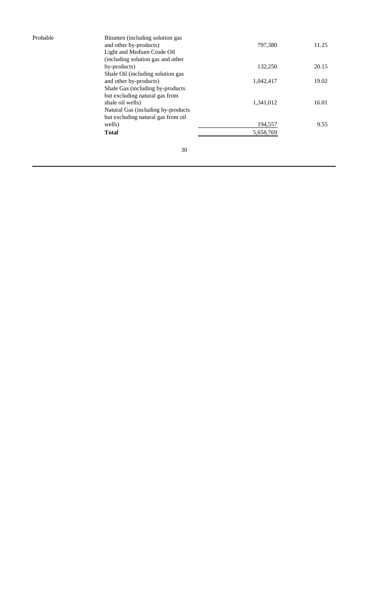| Probable | Bitumen (including solution gas     |           |       |
|----------|-------------------------------------|-----------|-------|
|          | and other by-products)              | 797,380   | 11.25 |
|          | Light and Medium Crude Oil          |           |       |
|          | (including solution gas and other   |           |       |
|          | by-products)                        | 132,250   | 20.15 |
|          | Shale Oil (including solution gas   |           |       |
|          | and other by-products)              | 1,042,417 | 19.02 |
|          | Shale Gas (including by-products    |           |       |
|          | but excluding natural gas from      |           |       |
|          | shale oil wells)                    | 1,341,012 | 16.01 |
|          | Natural Gas (including by-products) |           |       |
|          | but excluding natural gas from oil  |           |       |
|          | wells)                              | 194,557   | 9.55  |
|          | <b>Total</b>                        | 5,658,769 |       |
|          |                                     |           |       |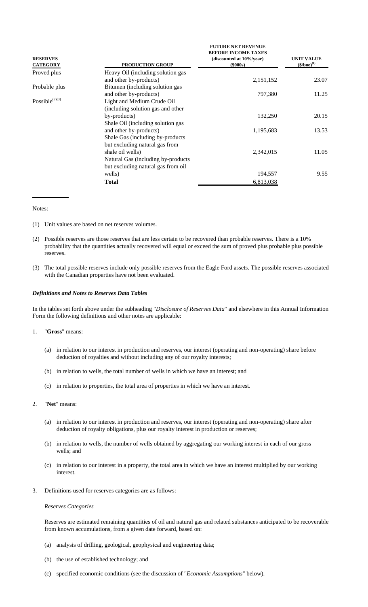| <b>RESERVES</b><br><b>CATEGORY</b> | <b>PRODUCTION GROUP</b>             | <b>FUTURE NET REVENUE</b><br><b>BEFORE INCOME TAXES</b><br>(discounted at $10\%$ /year)<br>$($ \$000s $)$ | <b>UNIT VALUE</b><br>$$/boe)^{(1)}$$ |
|------------------------------------|-------------------------------------|-----------------------------------------------------------------------------------------------------------|--------------------------------------|
| Proved plus                        | Heavy Oil (including solution gas   |                                                                                                           |                                      |
|                                    | and other by-products)              | 2,151,152                                                                                                 | 23.07                                |
| Probable plus                      | Bitumen (including solution gas     |                                                                                                           |                                      |
|                                    | and other by-products)              | 797,380                                                                                                   | 11.25                                |
| Possible $^{(2)(3)}$               | Light and Medium Crude Oil          |                                                                                                           |                                      |
|                                    | (including solution gas and other   |                                                                                                           |                                      |
|                                    | by-products)                        | 132,250                                                                                                   | 20.15                                |
|                                    | Shale Oil (including solution gas   |                                                                                                           |                                      |
|                                    | and other by-products)              | 1,195,683                                                                                                 | 13.53                                |
|                                    | Shale Gas (including by-products)   |                                                                                                           |                                      |
|                                    | but excluding natural gas from      |                                                                                                           |                                      |
|                                    | shale oil wells)                    | 2,342,015                                                                                                 | 11.05                                |
|                                    | Natural Gas (including by-products) |                                                                                                           |                                      |
|                                    | but excluding natural gas from oil  |                                                                                                           |                                      |
|                                    | wells)                              | 194,557                                                                                                   | 9.55                                 |
|                                    | <b>Total</b>                        | 6,813,038                                                                                                 |                                      |

Notes:

- (1) Unit values are based on net reserves volumes.
- (2) Possible reserves are those reserves that are less certain to be recovered than probable reserves. There is a 10% probability that the quantities actually recovered will equal or exceed the sum of proved plus probable plus possible reserves.
- (3) The total possible reserves include only possible reserves from the Eagle Ford assets. The possible reserves associated with the Canadian properties have not been evaluated.

#### *Definitions and Notes to Reserves Data Tables*

In the tables set forth above under the subheading "*Disclosure of Reserves Data*" and elsewhere in this Annual Information Form the following definitions and other notes are applicable:

- 1. "**Gross**" means:
	- (a) in relation to our interest in production and reserves, our interest (operating and non-operating) share before deduction of royalties and without including any of our royalty interests;
	- (b) in relation to wells, the total number of wells in which we have an interest; and
	- (c) in relation to properties, the total area of properties in which we have an interest.
- 2. "**Net**" means:
	- (a) in relation to our interest in production and reserves, our interest (operating and non-operating) share after deduction of royalty obligations, plus our royalty interest in production or reserves;
	- (b) in relation to wells, the number of wells obtained by aggregating our working interest in each of our gross wells; and
	- (c) in relation to our interest in a property, the total area in which we have an interest multiplied by our working interest.
- 3. Definitions used for reserves categories are as follows:

### *Reserves Categories*

Reserves are estimated remaining quantities of oil and natural gas and related substances anticipated to be recoverable from known accumulations, from a given date forward, based on:

- (a) analysis of drilling, geological, geophysical and engineering data;
- (b) the use of established technology; and
- (c) specified economic conditions (see the discussion of "*Economic Assumptions*" below).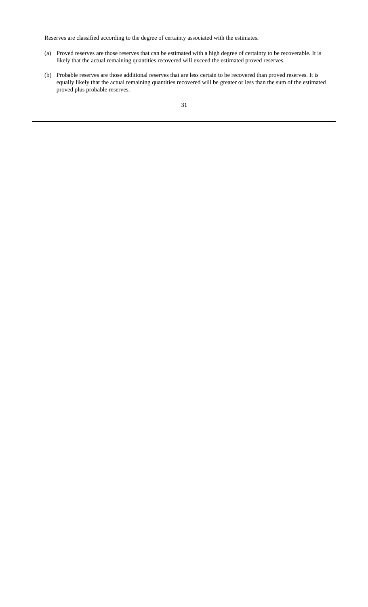Reserves are classified according to the degree of certainty associated with the estimates.

- (a) Proved reserves are those reserves that can be estimated with a high degree of certainty to be recoverable. It is likely that the actual remaining quantities recovered will exceed the estimated proved reserves.
- (b) Probable reserves are those additional reserves that are less certain to be recovered than proved reserves. It is equally likely that the actual remaining quantities recovered will be greater or less than the sum of the estimated proved plus probable reserves.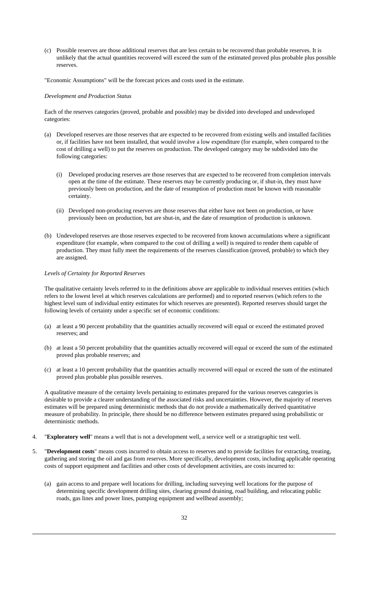(c) Possible reserves are those additional reserves that are less certain to be recovered than probable reserves. It is unlikely that the actual quantities recovered will exceed the sum of the estimated proved plus probable plus possible reserves.

"Economic Assumptions" will be the forecast prices and costs used in the estimate.

#### *Development and Production Status*

Each of the reserves categories (proved, probable and possible) may be divided into developed and undeveloped categories:

- (a) Developed reserves are those reserves that are expected to be recovered from existing wells and installed facilities or, if facilities have not been installed, that would involve a low expenditure (for example, when compared to the cost of drilling a well) to put the reserves on production. The developed category may be subdivided into the following categories:
	- (i) Developed producing reserves are those reserves that are expected to be recovered from completion intervals open at the time of the estimate. These reserves may be currently producing or, if shut-in, they must have previously been on production, and the date of resumption of production must be known with reasonable certainty.
	- (ii) Developed non-producing reserves are those reserves that either have not been on production, or have previously been on production, but are shut-in, and the date of resumption of production is unknown.
- (b) Undeveloped reserves are those reserves expected to be recovered from known accumulations where a significant expenditure (for example, when compared to the cost of drilling a well) is required to render them capable of production. They must fully meet the requirements of the reserves classification (proved, probable) to which they are assigned.

#### *Levels of Certainty for Reported Reserves*

The qualitative certainty levels referred to in the definitions above are applicable to individual reserves entities (which refers to the lowest level at which reserves calculations are performed) and to reported reserves (which refers to the highest level sum of individual entity estimates for which reserves are presented). Reported reserves should target the following levels of certainty under a specific set of economic conditions:

- (a) at least a 90 percent probability that the quantities actually recovered will equal or exceed the estimated proved reserves; and
- (b) at least a 50 percent probability that the quantities actually recovered will equal or exceed the sum of the estimated proved plus probable reserves; and
- (c) at least a 10 percent probability that the quantities actually recovered will equal or exceed the sum of the estimated proved plus probable plus possible reserves.

A qualitative measure of the certainty levels pertaining to estimates prepared for the various reserves categories is desirable to provide a clearer understanding of the associated risks and uncertainties. However, the majority of reserves estimates will be prepared using deterministic methods that do not provide a mathematically derived quantitative measure of probability. In principle, there should be no difference between estimates prepared using probabilistic or deterministic methods.

- 4. "**Exploratory well**" means a well that is not a development well, a service well or a stratigraphic test well.
- 5. "**Development costs**" means costs incurred to obtain access to reserves and to provide facilities for extracting, treating, gathering and storing the oil and gas from reserves. More specifically, development costs, including applicable operating costs of support equipment and facilities and other costs of development activities, are costs incurred to:
	- (a) gain access to and prepare well locations for drilling, including surveying well locations for the purpose of determining specific development drilling sites, clearing ground draining, road building, and relocating public roads, gas lines and power lines, pumping equipment and wellhead assembly;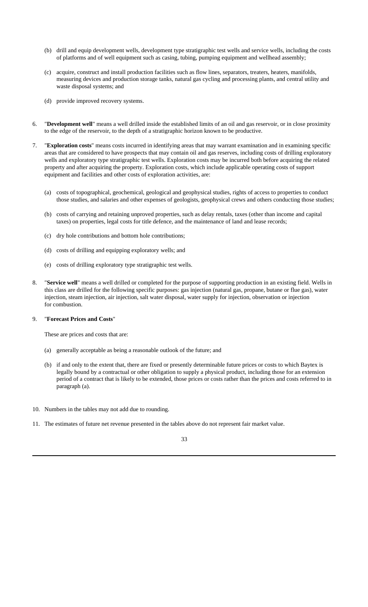- (b) drill and equip development wells, development type stratigraphic test wells and service wells, including the costs of platforms and of well equipment such as casing, tubing, pumping equipment and wellhead assembly;
- (c) acquire, construct and install production facilities such as flow lines, separators, treaters, heaters, manifolds, measuring devices and production storage tanks, natural gas cycling and processing plants, and central utility and waste disposal systems; and
- (d) provide improved recovery systems.
- 6. "**Development well**" means a well drilled inside the established limits of an oil and gas reservoir, or in close proximity to the edge of the reservoir, to the depth of a stratigraphic horizon known to be productive.
- 7. "**Exploration costs**" means costs incurred in identifying areas that may warrant examination and in examining specific areas that are considered to have prospects that may contain oil and gas reserves, including costs of drilling exploratory wells and exploratory type stratigraphic test wells. Exploration costs may be incurred both before acquiring the related property and after acquiring the property. Exploration costs, which include applicable operating costs of support equipment and facilities and other costs of exploration activities, are:
	- (a) costs of topographical, geochemical, geological and geophysical studies, rights of access to properties to conduct those studies, and salaries and other expenses of geologists, geophysical crews and others conducting those studies;
	- (b) costs of carrying and retaining unproved properties, such as delay rentals, taxes (other than income and capital taxes) on properties, legal costs for title defence, and the maintenance of land and lease records;
	- (c) dry hole contributions and bottom hole contributions;
	- (d) costs of drilling and equipping exploratory wells; and
	- (e) costs of drilling exploratory type stratigraphic test wells.
- "Service well" means a well drilled or completed for the purpose of supporting production in an existing field. Wells in this class are drilled for the following specific purposes: gas injection (natural gas, propane, butane or flue gas), water injection, steam injection, air injection, salt water disposal, water supply for injection, observation or injection for combustion.

#### 9. "**Forecast Prices and Costs**"

These are prices and costs that are:

- (a) generally acceptable as being a reasonable outlook of the future; and
- (b) if and only to the extent that, there are fixed or presently determinable future prices or costs to which Baytex is legally bound by a contractual or other obligation to supply a physical product, including those for an extension period of a contract that is likely to be extended, those prices or costs rather than the prices and costs referred to in paragraph (a).
- 10. Numbers in the tables may not add due to rounding.
- 11. The estimates of future net revenue presented in the tables above do not represent fair market value.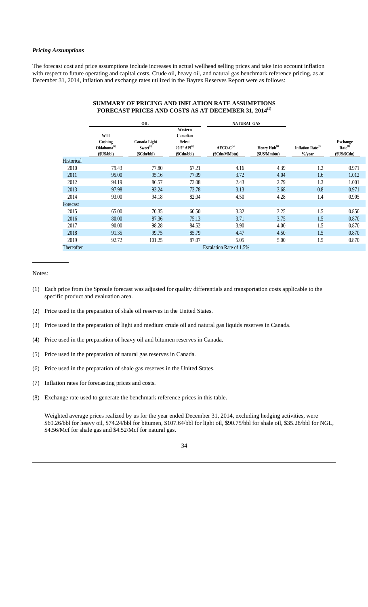#### *Pricing Assumptions*

The forecast cost and price assumptions include increases in actual wellhead selling prices and take into account inflation with respect to future operating and capital costs. Crude oil, heavy oil, and natural gas benchmark reference pricing, as at December 31, 2014, inflation and exchange rates utilized in the Baytex Reserves Report were as follows:

|                   |                                                               | OIL                                                |                                                                                          | <b>NATURAL GAS</b>           |                                          |                                             |                                                      |
|-------------------|---------------------------------------------------------------|----------------------------------------------------|------------------------------------------------------------------------------------------|------------------------------|------------------------------------------|---------------------------------------------|------------------------------------------------------|
|                   | <b>WTI</b><br>Cushing<br>Oklahoma <sup>(2)</sup><br>(SUS/bbl) | Canada Light<br>Sweet <sup>(3)</sup><br>(SCdn/bbl) | Western<br>Canadian<br><b>Select</b><br>$20.5^{\circ}$ API <sup>(4)</sup><br>(\$Cdn/bbl) | $AECO-C(5)$<br>(\$Cdn/MMbtu) | Henry Hub <sup>(6)</sup><br>(\$US/Mmbtu) | Inflation Rate <sup>(7)</sup><br>$\%$ /year | <b>Exchange</b><br>Rate <sup>(8)</sup><br>(SUS/SCdn) |
| <b>Historical</b> |                                                               |                                                    |                                                                                          |                              |                                          |                                             |                                                      |
| 2010              | 79.43                                                         | 77.80                                              | 67.21                                                                                    | 4.16                         | 4.39                                     | 1.2                                         | 0.971                                                |
| 2011              | 95.00                                                         | 95.16                                              | 77.09                                                                                    | 3.72                         | 4.04                                     | 1.6                                         | 1.012                                                |
| 2012              | 94.19                                                         | 86.57                                              | 73.08                                                                                    | 2.43                         | 2.79                                     | 1.3                                         | 1.001                                                |
| 2013              | 97.98                                                         | 93.24                                              | 73.78                                                                                    | 3.13                         | 3.68                                     | 0.8                                         | 0.971                                                |
| 2014              | 93.00                                                         | 94.18                                              | 82.04                                                                                    | 4.50                         | 4.28                                     | 1.4                                         | 0.905                                                |
| Forecast          |                                                               |                                                    |                                                                                          |                              |                                          |                                             |                                                      |
| 2015              | 65.00                                                         | 70.35                                              | 60.50                                                                                    | 3.32                         | 3.25                                     | 1.5                                         | 0.850                                                |
| 2016              | 80.00                                                         | 87.36                                              | 75.13                                                                                    | 3.71                         | 3.75                                     | 1.5                                         | 0.870                                                |
| 2017              | 90.00                                                         | 98.28                                              | 84.52                                                                                    | 3.90                         | 4.00                                     | 1.5                                         | 0.870                                                |
| 2018              | 91.35                                                         | 99.75                                              | 85.79                                                                                    | 4.47                         | 4.50                                     | 1.5                                         | 0.870                                                |
| 2019              | 92.72                                                         | 101.25                                             | 87.07                                                                                    | 5.05                         | 5.00                                     | 1.5                                         | 0.870                                                |
| Thereafter        |                                                               |                                                    |                                                                                          | Escalation Rate of 1.5%      |                                          |                                             |                                                      |

## **SUMMARY OF PRICING AND INFLATION RATE ASSUMPTIONS** FORECAST PRICES AND COSTS AS AT DECEMBER 31, 2014<sup>(1)</sup>

#### Notes:

- (1) Each price from the Sproule forecast was adjusted for quality differentials and transportation costs applicable to the specific product and evaluation area.
- (2) Price used in the preparation of shale oil reserves in the United States.
- (3) Price used in the preparation of light and medium crude oil and natural gas liquids reserves in Canada.
- (4) Price used in the preparation of heavy oil and bitumen reserves in Canada.
- (5) Price used in the preparation of natural gas reserves in Canada.
- (6) Price used in the preparation of shale gas reserves in the United States.
- (7) Inflation rates for forecasting prices and costs.
- (8) Exchange rate used to generate the benchmark reference prices in this table.

Weighted average prices realized by us for the year ended December 31, 2014, excluding hedging activities, were \$69.26/bbl for heavy oil, \$74.24/bbl for bitumen, \$107.64/bbl for light oil, \$90.75/bbl for shale oil, \$35.28/bbl for NGL, \$4.56/Mcf for shale gas and \$4.52/Mcf for natural gas.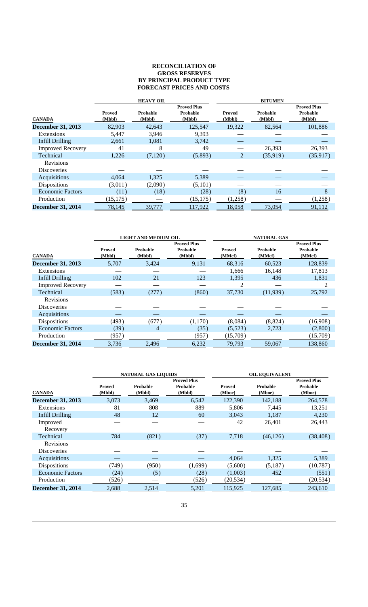## **RECONCILIATION OF GROSS RESERVES BY PRINCIPAL PRODUCT TYPE FORECAST PRICES AND COSTS**

|                          |                         | <b>HEAVY OIL</b>   |                                          |                         | <b>BITUMEN</b>     |                                          |
|--------------------------|-------------------------|--------------------|------------------------------------------|-------------------------|--------------------|------------------------------------------|
| <b>CANADA</b>            | <b>Proved</b><br>(Mbbl) | Probable<br>(Mbbl) | <b>Proved Plus</b><br>Probable<br>(Mbbl) | <b>Proved</b><br>(Mbbl) | Probable<br>(Mbbl) | <b>Proved Plus</b><br>Probable<br>(Mbbl) |
| <b>December 31, 2013</b> | 82,903                  | 42,643             | 125,547                                  | 19,322                  | 82,564             | 101,886                                  |
| Extensions               | 5,447                   | 3,946              | 9,393                                    |                         |                    |                                          |
| <b>Infill Drilling</b>   | 2,661                   | 1,081              | 3,742                                    |                         |                    |                                          |
| <b>Improved Recovery</b> | 41                      | 8                  | 49                                       |                         | 26,393             | 26,393                                   |
| Technical                | 1,226                   | (7,120)            | (5,893)                                  | $\overline{2}$          | (35,919)           | (35,917)                                 |
| <b>Revisions</b>         |                         |                    |                                          |                         |                    |                                          |
| <b>Discoveries</b>       |                         |                    |                                          |                         |                    |                                          |
| Acquisitions             | 4.064                   | 1,325              | 5,389                                    |                         |                    |                                          |
| <b>Dispositions</b>      | (3,011)                 | (2,090)            | (5,101)                                  |                         |                    |                                          |
| <b>Economic Factors</b>  | (11)                    | (18)               | (28)                                     | (8)                     | 16                 | 8                                        |
| Production               | (15, 175)               |                    | (15, 175)                                | (1,258)                 |                    | (1,258)                                  |
| <b>December 31, 2014</b> | 78,145                  | 39,777             | 117,922                                  | 18,058                  | 73,054             | 91,112                                   |

|                          | <b>LIGHT AND MEDIUM OIL</b> |                    |                                          | <b>NATURAL GAS</b> |                    |                                          |  |
|--------------------------|-----------------------------|--------------------|------------------------------------------|--------------------|--------------------|------------------------------------------|--|
| <b>CANADA</b>            | <b>Proved</b><br>(Mbbl)     | Probable<br>(Mbbl) | <b>Proved Plus</b><br>Probable<br>(Mbbl) | Proved<br>(MMcf)   | Probable<br>(MMcf) | <b>Proved Plus</b><br>Probable<br>(MMcf) |  |
| <b>December 31, 2013</b> | 5,707                       | 3,424              | 9,131                                    | 68,316             | 60,523             | 128,839                                  |  |
| Extensions               |                             |                    |                                          | 1,666              | 16,148             | 17,813                                   |  |
| <b>Infill Drilling</b>   | 102                         | 21                 | 123                                      | 1,395              | 436                | 1,831                                    |  |
| <b>Improved Recovery</b> |                             |                    |                                          |                    |                    |                                          |  |
| Technical                | (583)                       | (277)              | (860)                                    | 37,730             | (11,939)           | 25,792                                   |  |
| <b>Revisions</b>         |                             |                    |                                          |                    |                    |                                          |  |
| <b>Discoveries</b>       |                             |                    |                                          |                    |                    |                                          |  |
| Acquisitions             |                             |                    |                                          |                    |                    |                                          |  |
| Dispositions             | (493)                       | (677)              | (1,170)                                  | (8,084)            | (8,824)            | (16,908)                                 |  |
| <b>Economic Factors</b>  | (39)                        | 4                  | (35)                                     | (5,523)            | 2,723              | (2,800)                                  |  |
| Production               | (957)                       |                    | (957)                                    | (15,709)           |                    | (15,709)                                 |  |
| <b>December 31, 2014</b> | 3,736                       | 2,496              | 6,232                                    | 79,793             | 59,067             | 138,860                                  |  |

|                                        | <b>NATURAL GAS LIQUIDS</b> |                    |                                          | <b>OIL EQUIVALENT</b>   |                    |                                          |  |
|----------------------------------------|----------------------------|--------------------|------------------------------------------|-------------------------|--------------------|------------------------------------------|--|
| <b>CANADA</b>                          | Proved<br>(Mbbl)           | Probable<br>(Mbbl) | <b>Proved Plus</b><br>Probable<br>(Mbbl) | <b>Proved</b><br>(Mboe) | Probable<br>(Mboe) | <b>Proved Plus</b><br>Probable<br>(Mboe) |  |
| <b>December 31, 2013</b>               | 3,073                      | 3,469              | 6,542                                    | 122,390                 | 142,188            | 264,578                                  |  |
| Extensions                             | 81                         | 808                | 889                                      | 5,806                   | 7,445              | 13,251                                   |  |
| <b>Infill Drilling</b>                 | 48                         | 12                 | 60                                       | 3,043                   | 1,187              | 4,230                                    |  |
| Improved<br>Recovery                   |                            |                    |                                          | 42                      | 26,401             | 26,443                                   |  |
| Technical                              | 784                        | (821)              | (37)                                     | 7,718                   | (46, 126)          | (38, 408)                                |  |
| <b>Revisions</b><br><b>Discoveries</b> |                            |                    |                                          |                         |                    |                                          |  |
| Acquisitions                           |                            |                    |                                          | 4,064                   | 1,325              | 5,389                                    |  |
| <b>Dispositions</b>                    | (749)                      | (950)              | (1,699)                                  | (5,600)                 | (5,187)            | (10, 787)                                |  |
| <b>Economic Factors</b>                | (24)                       | (5)                | (28)                                     | (1,003)                 | 452                | (551)                                    |  |
| Production                             | (526)                      |                    | (526)                                    | (20, 534)               |                    | (20, 534)                                |  |
| <b>December 31, 2014</b>               | 2,688                      | 2,514              | 5,201                                    | 115,925                 | 127,685            | 243,610                                  |  |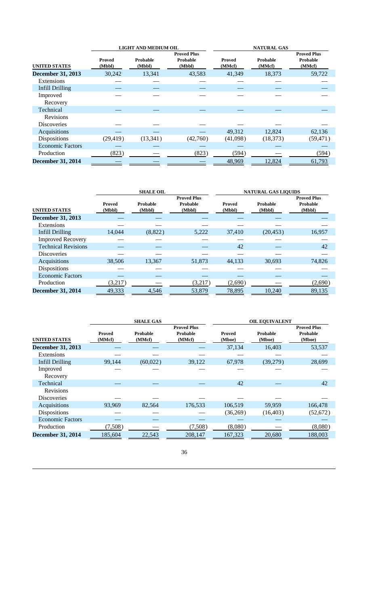|                                 | LIGHT AND MEDIUM OIL    |                    | <b>NATURAL GAS</b>                       |                  |                           |                                          |
|---------------------------------|-------------------------|--------------------|------------------------------------------|------------------|---------------------------|------------------------------------------|
| <b>UNITED STATES</b>            | <b>Proved</b><br>(Mbbl) | Probable<br>(Mbbl) | <b>Proved Plus</b><br>Probable<br>(Mbbl) | Proved<br>(MMcf) | <b>Probable</b><br>(MMcf) | <b>Proved Plus</b><br>Probable<br>(MMcf) |
| <b>December 31, 2013</b>        | 30,242                  | 13,341             | 43,583                                   | 41,349           | 18,373                    | 59,722                                   |
| Extensions                      |                         |                    |                                          |                  |                           |                                          |
| <b>Infill Drilling</b>          |                         |                    |                                          |                  |                           |                                          |
| Improved<br>Recovery            |                         |                    |                                          |                  |                           |                                          |
| Technical                       |                         |                    |                                          |                  |                           |                                          |
| Revisions<br><b>Discoveries</b> |                         |                    |                                          |                  |                           |                                          |
| Acquisitions                    |                         |                    |                                          | 49,312           | 12,824                    | 62,136                                   |
| <b>Dispositions</b>             | (29, 419)               | (13, 341)          | (42,760)                                 | (41,098)         | (18, 373)                 | (59, 471)                                |
| <b>Economic Factors</b>         |                         |                    |                                          |                  |                           |                                          |
| Production                      | (823)                   |                    | (823)                                    | (594)            |                           | (594)                                    |
| <b>December 31, 2014</b>        |                         |                    |                                          | 48,969           | 12,824                    | 61,793                                   |

|                            | <b>SHALE OIL</b>        |                    |                                          | <b>NATURAL GAS LIQUIDS</b> |                    |                                          |
|----------------------------|-------------------------|--------------------|------------------------------------------|----------------------------|--------------------|------------------------------------------|
| <b>UNITED STATES</b>       | <b>Proved</b><br>(Mbbl) | Probable<br>(Mbbl) | <b>Proved Plus</b><br>Probable<br>(Mbbl) | <b>Proved</b><br>(Mbbl)    | Probable<br>(Mbbl) | <b>Proved Plus</b><br>Probable<br>(Mbbl) |
| <b>December 31, 2013</b>   |                         |                    |                                          |                            |                    |                                          |
| Extensions                 |                         |                    |                                          |                            |                    |                                          |
| Infill Drilling            | 14.044                  | (8,822)            | 5,222                                    | 37,410                     | (20, 453)          | 16,957                                   |
| <b>Improved Recovery</b>   |                         |                    |                                          |                            |                    |                                          |
| <b>Technical Revisions</b> |                         |                    |                                          | 42                         |                    | 42                                       |
| <b>Discoveries</b>         |                         |                    |                                          |                            |                    |                                          |
| Acquisitions               | 38,506                  | 13,367             | 51,873                                   | 44,133                     | 30,693             | 74,826                                   |
| <b>Dispositions</b>        |                         |                    |                                          |                            |                    |                                          |
| <b>Economic Factors</b>    |                         |                    |                                          |                            |                    |                                          |
| Production                 | (3,217)                 |                    | (3,217)                                  | (2,690)                    |                    | (2,690)                                  |
| <b>December 31, 2014</b>   | 49,333                  | 4,546              | 53,879                                   | 78,895                     | 10.240             | 89,135                                   |

|                                        | <b>SHALE GAS</b>        |                    |                                          | <b>OIL EQUIVALENT</b>   |                    |                                          |  |
|----------------------------------------|-------------------------|--------------------|------------------------------------------|-------------------------|--------------------|------------------------------------------|--|
| <b>UNITED STATES</b>                   | <b>Proved</b><br>(MMcf) | Probable<br>(MMcf) | <b>Proved Plus</b><br>Probable<br>(MMcf) | <b>Proved</b><br>(Mboe) | Probable<br>(Mboe) | <b>Proved Plus</b><br>Probable<br>(Mboe) |  |
| <b>December 31, 2013</b>               |                         |                    |                                          | 37,134                  | 16,403             | 53,537                                   |  |
| Extensions                             |                         |                    |                                          |                         |                    |                                          |  |
| <b>Infill Drilling</b>                 | 99,144                  | (60,022)           | 39,122                                   | 67,978                  | (39,279)           | 28,699                                   |  |
| Improved<br>Recovery                   |                         |                    |                                          |                         |                    |                                          |  |
| Technical                              |                         |                    |                                          | 42                      |                    | 42                                       |  |
| <b>Revisions</b><br><b>Discoveries</b> |                         |                    |                                          |                         |                    |                                          |  |
| Acquisitions                           | 93,969                  | 82,564             | 176,533                                  | 106,519                 | 59,959             | 166,478                                  |  |
| <b>Dispositions</b>                    |                         |                    |                                          | (36,269)                | (16, 403)          | (52, 672)                                |  |
| <b>Economic Factors</b>                |                         |                    |                                          |                         |                    |                                          |  |
| Production                             | (7,508)                 |                    | (7,508)                                  | (8,080)                 |                    | (8,080)                                  |  |
| <b>December 31, 2014</b>               | 185,604                 | 22,543             | 208,147                                  | 167,323                 | 20,680             | 188,003                                  |  |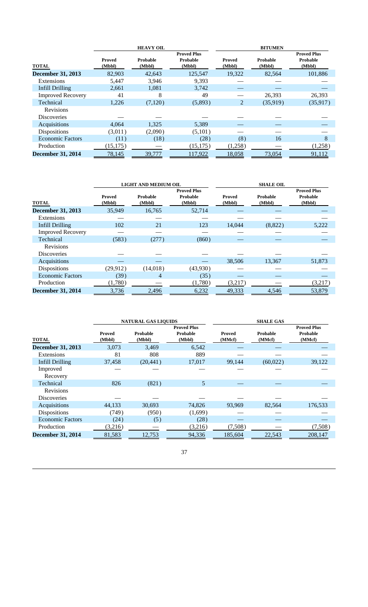|                          |                         | <b>HEAVY OIL</b>   |                                          |                  | <b>BITUMEN</b>     |                                          |
|--------------------------|-------------------------|--------------------|------------------------------------------|------------------|--------------------|------------------------------------------|
| <b>TOTAL</b>             | <b>Proved</b><br>(Mbbl) | Probable<br>(Mbbl) | <b>Proved Plus</b><br>Probable<br>(Mbbl) | Proved<br>(Mbbl) | Probable<br>(Mbbl) | <b>Proved Plus</b><br>Probable<br>(Mbbl) |
| <b>December 31, 2013</b> | 82,903                  | 42.643             | 125,547                                  | 19.322           | 82,564             | 101,886                                  |
| Extensions               | 5,447                   | 3,946              | 9,393                                    |                  |                    |                                          |
| Infill Drilling          | 2,661                   | 1,081              | 3,742                                    |                  |                    |                                          |
| <b>Improved Recovery</b> | 41                      | 8                  | 49                                       |                  | 26,393             | 26,393                                   |
| Technical                | 1,226                   | (7,120)            | (5,893)                                  | 2                | (35,919)           | (35, 917)                                |
| <b>Revisions</b>         |                         |                    |                                          |                  |                    |                                          |
| <b>Discoveries</b>       |                         |                    |                                          |                  |                    |                                          |
| Acquisitions             | 4.064                   | 1,325              | 5,389                                    |                  |                    |                                          |
| <b>Dispositions</b>      | (3,011)                 | (2,090)            | (5,101)                                  |                  |                    |                                          |
| <b>Economic Factors</b>  | (11)                    | (18)               | (28)                                     | (8)              | 16                 | 8                                        |
| Production               | (15, 175)               |                    | (15, 175)                                | (1,258)          |                    | (1,258)                                  |
| <b>December 31, 2014</b> | 78,145                  | 39,777             | 117,922                                  | 18,058           | 73,054             | 91,112                                   |

|                          |                         | <b>LIGHT AND MEDIUM OIL</b> |                                          |                         | <b>SHALE OIL</b>   |                                          |
|--------------------------|-------------------------|-----------------------------|------------------------------------------|-------------------------|--------------------|------------------------------------------|
| <b>TOTAL</b>             | <b>Proved</b><br>(Mbbl) | Probable<br>(Mbbl)          | <b>Proved Plus</b><br>Probable<br>(Mbbl) | <b>Proved</b><br>(Mbbl) | Probable<br>(Mbbl) | <b>Proved Plus</b><br>Probable<br>(Mbbl) |
| <b>December 31, 2013</b> | 35,949                  | 16,765                      | 52,714                                   |                         |                    |                                          |
| Extensions               |                         |                             |                                          |                         |                    |                                          |
| <b>Infill Drilling</b>   | 102                     | 21                          | 123                                      | 14,044                  | (8,822)            | 5,222                                    |
| <b>Improved Recovery</b> |                         |                             |                                          |                         |                    |                                          |
| Technical                | (583)                   | (277)                       | (860)                                    |                         |                    |                                          |
| <b>Revisions</b>         |                         |                             |                                          |                         |                    |                                          |
| <b>Discoveries</b>       |                         |                             |                                          |                         |                    |                                          |
| Acquisitions             |                         |                             |                                          | 38,506                  | 13,367             | 51,873                                   |
| <b>Dispositions</b>      | (29, 912)               | (14,018)                    | (43,930)                                 |                         |                    |                                          |
| <b>Economic Factors</b>  | (39)                    | 4                           | (35)                                     |                         |                    |                                          |
| Production               | (1,780)                 |                             | (1,780)                                  | (3,217)                 |                    | (3,217)                                  |
| <b>December 31, 2014</b> | 3,736                   | 2,496                       | 6,232                                    | 49,333                  | 4,546              | 53,879                                   |

|                                 |                         | <b>NATURAL GAS LIQUIDS</b> |                                          | <b>SHALE GAS</b>        |                    |                                          |  |
|---------------------------------|-------------------------|----------------------------|------------------------------------------|-------------------------|--------------------|------------------------------------------|--|
| <b>TOTAL</b>                    | <b>Proved</b><br>(Mbbl) | Probable<br>(Mbbl)         | <b>Proved Plus</b><br>Probable<br>(Mbbl) | <b>Proved</b><br>(MMcf) | Probable<br>(MMcf) | <b>Proved Plus</b><br>Probable<br>(MMcf) |  |
| <b>December 31, 2013</b>        | 3,073                   | 3,469                      | 6,542                                    |                         |                    |                                          |  |
| Extensions                      | 81                      | 808                        | 889                                      |                         |                    |                                          |  |
| <b>Infill Drilling</b>          | 37,458                  | (20, 441)                  | 17,017                                   | 99.144                  | (60,022)           | 39,122                                   |  |
| Improved<br>Recovery            |                         |                            |                                          |                         |                    |                                          |  |
| Technical                       | 826                     | (821)                      | 5                                        |                         |                    |                                          |  |
| Revisions<br><b>Discoveries</b> |                         |                            |                                          |                         |                    |                                          |  |
| Acquisitions                    | 44,133                  | 30,693                     | 74,826                                   | 93,969                  | 82,564             | 176,533                                  |  |
| <b>Dispositions</b>             | (749)                   | (950)                      | (1,699)                                  |                         |                    |                                          |  |
| <b>Economic Factors</b>         | (24)                    | (5)                        | (28)                                     |                         |                    |                                          |  |
| Production                      | (3,216)                 |                            | (3,216)                                  | (7,508)                 |                    | (7,508)                                  |  |
| <b>December 31, 2014</b>        | 81,583                  | 12,753                     | 94,336                                   | 185,604                 | 22,543             | 208,147                                  |  |

37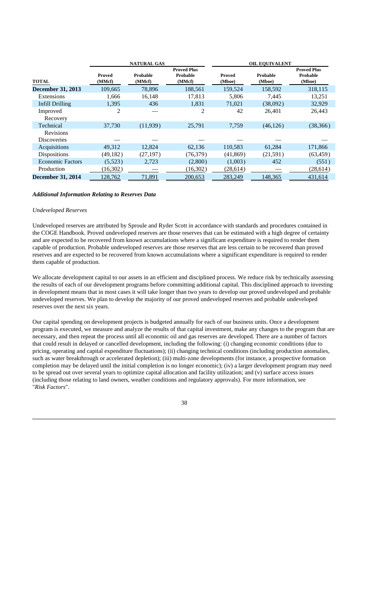|                                 |                         | <b>NATURAL GAS</b> |                                          |                         | <b>OIL EQUIVALENT</b> |                                          |
|---------------------------------|-------------------------|--------------------|------------------------------------------|-------------------------|-----------------------|------------------------------------------|
| <b>TOTAL</b>                    | <b>Proved</b><br>(MMcf) | Probable<br>(MMcf) | <b>Proved Plus</b><br>Probable<br>(MMcf) | <b>Proved</b><br>(Mboe) | Probable<br>(Mboe)    | <b>Proved Plus</b><br>Probable<br>(Mboe) |
| <b>December 31, 2013</b>        | 109,665                 | 78,896             | 188,561                                  | 159,524                 | 158,592               | 318,115                                  |
| Extensions                      | 1,666                   | 16,148             | 17,813                                   | 5,806                   | 7,445                 | 13,251                                   |
| Infill Drilling                 | 1,395                   | 436                | 1,831                                    | 71,021                  | (38,092)              | 32,929                                   |
| Improved<br>Recovery            | 2                       |                    | 2                                        | 42                      | 26,401                | 26,443                                   |
| Technical                       | 37,730                  | (11,939)           | 25,791                                   | 7,759                   | (46, 126)             | (38, 366)                                |
| Revisions<br><b>Discoveries</b> |                         |                    |                                          |                         |                       |                                          |
| Acquisitions                    | 49,312                  | 12,824             | 62,136                                   | 110,583                 | 61,284                | 171,866                                  |
| Dispositions                    | (49, 182)               | (27, 197)          | (76, 379)                                | (41, 869)               | (21,591)              | (63, 459)                                |
| <b>Economic Factors</b>         | (5,523)                 | 2,723              | (2,800)                                  | (1,003)                 | 452                   | (551)                                    |
| Production                      | (16,302)                |                    | (16,302)                                 | (28,614)                |                       | (28, 614)                                |
| <b>December 31, 2014</b>        | 128,762                 | 71,891             | 200,653                                  | 283,249                 | 148,365               | 431,614                                  |

#### *Additional Information Relating to Reserves Data*

#### *Undeveloped Reserves*

Undeveloped reserves are attributed by Sproule and Ryder Scott in accordance with standards and procedures contained in the COGE Handbook. Proved undeveloped reserves are those reserves that can be estimated with a high degree of certainty and are expected to be recovered from known accumulations where a significant expenditure is required to render them capable of production. Probable undeveloped reserves are those reserves that are less certain to be recovered than proved reserves and are expected to be recovered from known accumulations where a significant expenditure is required to render them capable of production.

We allocate development capital to our assets in an efficient and disciplined process. We reduce risk by technically assessing the results of each of our development programs before committing additional capital. This disciplined approach to investing in development means that in most cases it will take longer than two years to develop our proved undeveloped and probable undeveloped reserves. We plan to develop the majority of our proved undeveloped reserves and probable undeveloped reserves over the next six years.

Our capital spending on development projects is budgeted annually for each of our business units. Once a development program is executed, we measure and analyze the results of that capital investment, make any changes to the program that are necessary, and then repeat the process until all economic oil and gas reserves are developed. There are a number of factors that could result in delayed or cancelled development, including the following: (i) changing economic conditions (due to pricing, operating and capital expenditure fluctuations); (ii) changing technical conditions (including production anomalies, such as water breakthrough or accelerated depletion); (iii) multi-zone developments (for instance, a prospective formation completion may be delayed until the initial completion is no longer economic); (iv) a larger development program may need to be spread out over several years to optimize capital allocation and facility utilization; and (v) surface access issues (including those relating to land owners, weather conditions and regulatory approvals). For more information, see "*Risk Factors*".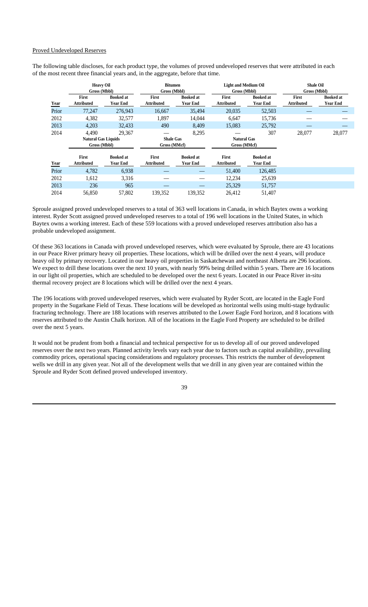## Proved Undeveloped Reserves

The following table discloses, for each product type, the volumes of proved undeveloped reserves that were attributed in each of the most recent three financial years and, in the aggregate, before that time.

|       | <b>Heavy Oil</b><br>Gross (Mbbl)    |                              |                            | <b>Bitumen</b><br>Gross (Mbbl)      |                            | <b>Light and Medium Oil</b><br>Gross (Mbbl) |                     | <b>Shale Oil</b><br>Gross (Mbbl) |
|-------|-------------------------------------|------------------------------|----------------------------|-------------------------------------|----------------------------|---------------------------------------------|---------------------|----------------------------------|
| Year  | First<br><b>Attributed</b>          | <b>Booked at</b><br>Year End | First<br>Attributed        | <b>Booked at</b><br><b>Year End</b> | First<br><b>Attributed</b> | <b>Booked at</b><br>Year End                | First<br>Attributed | <b>Booked at</b><br>Year End     |
| Prior | 77,247                              | 276,943                      | 16,667                     | 35,494                              | 20,035                     | 52,503                                      |                     |                                  |
| 2012  | 4,382                               | 32,577                       | 1,897                      | 14.044                              | 6.647                      | 15,736                                      |                     |                                  |
| 2013  | 4,203                               | 32,433                       | 490                        | 8,409                               | 15,083                     | 25,792                                      |                     |                                  |
| 2014  | 4.490<br><b>Natural Gas Liquids</b> | 29.367                       | <b>Shale Gas</b>           | 8,295                               | <b>Natural Gas</b>         | 307                                         | 28,077              | 28,077                           |
|       | Gross (Mbbl)                        |                              | Gross (MMcf)               |                                     | Gross (MMcf)               |                                             |                     |                                  |
| Year  | First<br>Attributed                 | <b>Booked at</b><br>Year End | First<br><b>Attributed</b> | <b>Booked at</b><br>Year End        | First<br><b>Attributed</b> | <b>Booked at</b><br>Year End                |                     |                                  |
| Prior | 4,782                               | 6,938                        |                            |                                     | 51,400                     | 126,485                                     |                     |                                  |
| 2012  | 1,612                               | 3,316                        |                            |                                     | 12,234                     | 25,639                                      |                     |                                  |
| 2013  | 236                                 | 965                          |                            |                                     | 25,329                     | 51,757                                      |                     |                                  |
| 2014  | 56,850                              | 57,802                       | 139,352                    | 139,352                             | 26,412                     | 51,407                                      |                     |                                  |

Sproule assigned proved undeveloped reserves to a total of 363 well locations in Canada, in which Baytex owns a working interest. Ryder Scott assigned proved undeveloped reserves to a total of 196 well locations in the United States, in which Baytex owns a working interest. Each of these 559 locations with a proved undeveloped reserves attribution also has a probable undeveloped assignment.

Of these 363 locations in Canada with proved undeveloped reserves, which were evaluated by Sproule, there are 43 locations in our Peace River primary heavy oil properties. These locations, which will be drilled over the next 4 years, will produce heavy oil by primary recovery. Located in our heavy oil properties in Saskatchewan and northeast Alberta are 296 locations. We expect to drill these locations over the next 10 years, with nearly 99% being drilled within 5 years. There are 16 locations in our light oil properties, which are scheduled to be developed over the next 6 years. Located in our Peace River in-situ thermal recovery project are 8 locations which will be drilled over the next 4 years.

The 196 locations with proved undeveloped reserves, which were evaluated by Ryder Scott, are located in the Eagle Ford property in the Sugarkane Field of Texas. These locations will be developed as horizontal wells using multi-stage hydraulic fracturing technology. There are 188 locations with reserves attributed to the Lower Eagle Ford horizon, and 8 locations with reserves attributed to the Austin Chalk horizon. All of the locations in the Eagle Ford Property are scheduled to be drilled over the next 5 years.

It would not be prudent from both a financial and technical perspective for us to develop all of our proved undeveloped reserves over the next two years. Planned activity levels vary each year due to factors such as capital availability, prevailing commodity prices, operational spacing considerations and regulatory processes. This restricts the number of development wells we drill in any given year. Not all of the development wells that we drill in any given year are contained within the Sproule and Ryder Scott defined proved undeveloped inventory.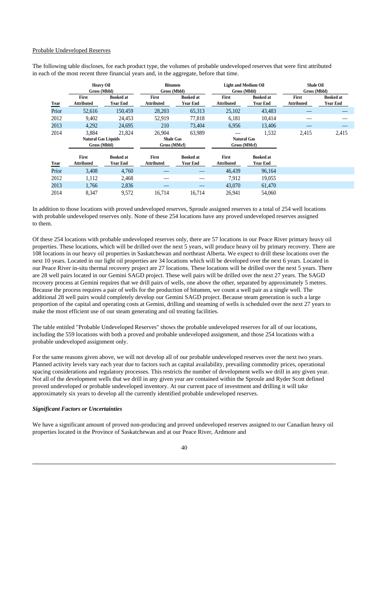## Probable Undeveloped Reserves

The following table discloses, for each product type, the volumes of probable undeveloped reserves that were first attributed in each of the most recent three financial years and, in the aggregate, before that time.

|       | <b>Heavy Oil</b><br>Gross (Mbbl)                    |                              | <b>Bitumen</b><br>Gross (Mbbl) |                                            | <b>Light and Medium Oil</b><br>Gross (Mbbl) |                                             | <b>Shale Oil</b><br>Gross (Mbbl) |                              |
|-------|-----------------------------------------------------|------------------------------|--------------------------------|--------------------------------------------|---------------------------------------------|---------------------------------------------|----------------------------------|------------------------------|
| Year  | First<br><b>Attributed</b>                          | <b>Booked at</b><br>Year End | First<br>Attributed            | <b>Booked at</b><br><b>Year End</b>        | First<br><b>Attributed</b>                  | <b>Booked at</b><br>Year End                | First<br>Attributed              | <b>Booked at</b><br>Year End |
| Prior | 52,616                                              | 150,459                      | 28,203                         | 65,313                                     | 25,102                                      | 43,483                                      |                                  |                              |
| 2012  | 9,402                                               | 24,453                       | 52.919                         | 77.818                                     | 6,181                                       | 10.414                                      |                                  |                              |
| 2013  | 4,292                                               | 24,695                       | 210                            | 73,404                                     | 6,956                                       | 13,406                                      |                                  |                              |
| 2014  | 3.884<br><b>Natural Gas Liquids</b><br>Gross (Mbbl) | 21.824                       | 26.904                         | 63,989<br><b>Shale Gas</b><br>Gross (MMcf) |                                             | 1,532<br><b>Natural Gas</b><br>Gross (MMcf) | 2,415                            | 2,415                        |
|       | First                                               | <b>Booked at</b>             | First                          | <b>Booked at</b>                           | First                                       | <b>Booked at</b>                            |                                  |                              |
| Year  | Attributed                                          | Year End                     | <b>Attributed</b>              | Year End                                   | Attributed                                  | Year End                                    |                                  |                              |
| Prior | 3,408                                               | 4,760                        |                                |                                            | 46,439                                      | 96,164                                      |                                  |                              |
| 2012  | 1,112                                               | 2,468                        |                                |                                            | 7,912                                       | 19,055                                      |                                  |                              |
| 2013  | 1.766                                               | 2,836                        |                                |                                            | 43,070                                      | 61,470                                      |                                  |                              |
| 2014  | 8,347                                               | 9,572                        | 16,714                         | 16,714                                     | 26,941                                      | 54,060                                      |                                  |                              |

In addition to those locations with proved undeveloped reserves, Sproule assigned reserves to a total of 254 well locations with probable undeveloped reserves only. None of these 254 locations have any proved undeveloped reserves assigned to them.

Of these 254 locations with probable undeveloped reserves only, there are 57 locations in our Peace River primary heavy oil properties. These locations, which will be drilled over the next 5 years, will produce heavy oil by primary recovery. There are 108 locations in our heavy oil properties in Saskatchewan and northeast Alberta. We expect to drill these locations over the next 10 years. Located in our light oil properties are 34 locations which will be developed over the next 6 years. Located in our Peace River in-situ thermal recovery project are 27 locations. These locations will be drilled over the next 5 years. There are 28 well pairs located in our Gemini SAGD project. These well pairs will be drilled over the next 27 years. The SAGD recovery process at Gemini requires that we drill pairs of wells, one above the other, separated by approximately 5 metres. Because the process requires a pair of wells for the production of bitumen, we count a well pair as a single well. The additional 28 well pairs would completely develop our Gemini SAGD project. Because steam generation is such a large proportion of the capital and operating costs at Gemini, drilling and steaming of wells is scheduled over the next 27 years to make the most efficient use of our steam generating and oil treating facilities.

The table entitled "Probable Undeveloped Reserves" shows the probable undeveloped reserves for all of our locations, including the 559 locations with both a proved and probable undeveloped assignment, and those 254 locations with a probable undeveloped assignment only.

For the same reasons given above, we will not develop all of our probable undeveloped reserves over the next two years. Planned activity levels vary each year due to factors such as capital availability, prevailing commodity prices, operational spacing considerations and regulatory processes. This restricts the number of development wells we drill in any given year. Not all of the development wells that we drill in any given year are contained within the Sproule and Ryder Scott defined proved undeveloped or probable undeveloped inventory. At our current pace of investment and drilling it will take approximately six years to develop all the currently identified probable undeveloped reserves.

### *Significant Factors or Uncertainties*

We have a significant amount of proved non-producing and proved undeveloped reserves assigned to our Canadian heavy oil properties located in the Province of Saskatchewan and at our Peace River, Ardmore and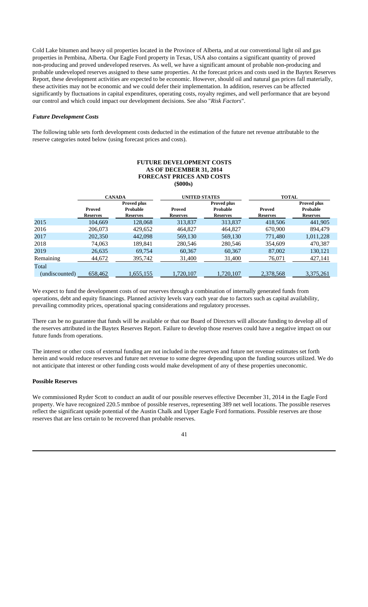Cold Lake bitumen and heavy oil properties located in the Province of Alberta, and at our conventional light oil and gas properties in Pembina, Alberta. Our Eagle Ford property in Texas, USA also contains a significant quantity of proved non-producing and proved undeveloped reserves. As well, we have a significant amount of probable non-producing and probable undeveloped reserves assigned to these same properties. At the forecast prices and costs used in the Baytex Reserves Report, these development activities are expected to be economic. However, should oil and natural gas prices fall materially, these activities may not be economic and we could defer their implementation. In addition, reserves can be affected significantly by fluctuations in capital expenditures, operating costs, royalty regimes, and well performance that are beyond our control and which could impact our development decisions. See also "*Risk Factors*".

#### *Future Development Costs*

The following table sets forth development costs deducted in the estimation of the future net revenue attributable to the reserve categories noted below (using forecast prices and costs).

## **FUTURE DEVELOPMENT COSTS AS OF DECEMBER 31, 2014 FORECAST PRICES AND COSTS (\$000s)**

|                | <b>CANADA</b>      |                 | <b>UNITED STATES</b> |                    | <b>TOTAL</b>    |                    |  |
|----------------|--------------------|-----------------|----------------------|--------------------|-----------------|--------------------|--|
|                | <b>Proved plus</b> |                 |                      | <b>Proved plus</b> |                 | <b>Proved plus</b> |  |
|                | <b>Proved</b>      | Probable        | <b>Proved</b>        | Probable           | <b>Proved</b>   | Probable           |  |
|                | <b>Reserves</b>    | <b>Reserves</b> | <b>Reserves</b>      | <b>Reserves</b>    | <b>Reserves</b> | <b>Reserves</b>    |  |
| 2015           | 104.669            | 128,068         | 313,837              | 313,837            | 418,506         | 441,905            |  |
| 2016           | 206,073            | 429,652         | 464,827              | 464,827            | 670.900         | 894,479            |  |
| 2017           | 202,350            | 442,098         | 569,130              | 569,130            | 771,480         | 1,011,228          |  |
| 2018           | 74,063             | 189,841         | 280,546              | 280,546            | 354,609         | 470,387            |  |
| 2019           | 26,635             | 69.754          | 60,367               | 60,367             | 87,002          | 130,121            |  |
| Remaining      | 44,672             | 395,742         | 31,400               | 31,400             | 76,071          | 427,141            |  |
| Total          |                    |                 |                      |                    |                 |                    |  |
| (undiscounted) | 658,462            | 1,655,155       | 1,720,107            | 1,720,107          | 2,378,568       | 3,375,261          |  |

We expect to fund the development costs of our reserves through a combination of internally generated funds from operations, debt and equity financings. Planned activity levels vary each year due to factors such as capital availability, prevailing commodity prices, operational spacing considerations and regulatory processes.

There can be no guarantee that funds will be available or that our Board of Directors will allocate funding to develop all of the reserves attributed in the Baytex Reserves Report. Failure to develop those reserves could have a negative impact on our future funds from operations.

The interest or other costs of external funding are not included in the reserves and future net revenue estimates set forth herein and would reduce reserves and future net revenue to some degree depending upon the funding sources utilized. We do not anticipate that interest or other funding costs would make development of any of these properties uneconomic.

#### **Possible Reserves**

We commissioned Ryder Scott to conduct an audit of our possible reserves effective December 31, 2014 in the Eagle Ford property. We have recognized 220.5 mmboe of possible reserves, representing 389 net well locations. The possible reserves reflect the significant upside potential of the Austin Chalk and Upper Eagle Ford formations. Possible reserves are those reserves that are less certain to be recovered than probable reserves.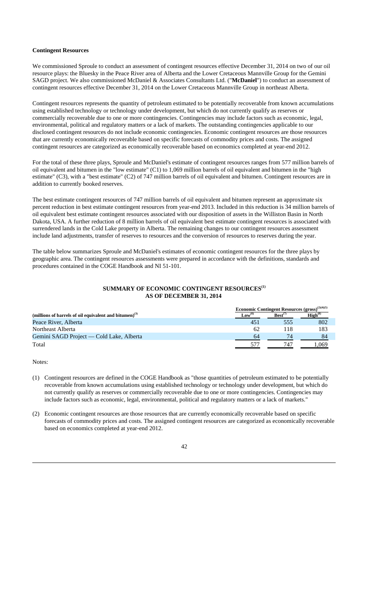#### **Contingent Resources**

We commissioned Sproule to conduct an assessment of contingent resources effective December 31, 2014 on two of our oil resource plays: the Bluesky in the Peace River area of Alberta and the Lower Cretaceous Mannville Group for the Gemini SAGD project. We also commissioned McDaniel & Associates Consultants Ltd. ("**McDaniel**") to conduct an assessment of contingent resources effective December 31, 2014 on the Lower Cretaceous Mannville Group in northeast Alberta.

Contingent resources represents the quantity of petroleum estimated to be potentially recoverable from known accumulations using established technology or technology under development, but which do not currently qualify as reserves or commercially recoverable due to one or more contingencies. Contingencies may include factors such as economic, legal, environmental, political and regulatory matters or a lack of markets. The outstanding contingencies applicable to our disclosed contingent resources do not include economic contingencies. Economic contingent resources are those resources that are currently economically recoverable based on specific forecasts of commodity prices and costs. The assigned contingent resources are categorized as economically recoverable based on economics completed at year-end 2012.

For the total of these three plays, Sproule and McDaniel's estimate of contingent resources ranges from 577 million barrels of oil equivalent and bitumen in the "low estimate" (C1) to 1,069 million barrels of oil equivalent and bitumen in the "high estimate" (C3), with a "best estimate" (C2) of 747 million barrels of oil equivalent and bitumen. Contingent resources are in addition to currently booked reserves.

The best estimate contingent resources of 747 million barrels of oil equivalent and bitumen represent an approximate six percent reduction in best estimate contingent resources from year-end 2013. Included in this reduction is 34 million barrels of oil equivalent best estimate contingent resources associated with our disposition of assets in the Williston Basin in North Dakota, USA. A further reduction of 8 million barrels of oil equivalent best estimate contingent resources is associated with surrendered lands in the Cold Lake property in Alberta. The remaining changes to our contingent resources assessment include land adjustments, transfer of reserves to resources and the conversion of resources to reserves during the year.

The table below summarizes Sproule and McDaniel's estimates of economic contingent resources for the three plays by geographic area. The contingent resources assessments were prepared in accordance with the definitions, standards and procedures contained in the COGE Handbook and NI 51-101.

## **SUMMARY OF ECONOMIC CONTINGENT RESOURCES<sup>(1)</sup> AS OF DECEMBER 31, 2014**

|                                                              |                    | <b>Economic Contingent Resources (gross)</b> <sup>(2)(4)(5)</sup> |                       |  |
|--------------------------------------------------------------|--------------------|-------------------------------------------------------------------|-----------------------|--|
| (millions of barrels of oil equivalent and bitumen) $^{(3)}$ | Low <sup>(6)</sup> | $\textbf{Best}^{\scriptscriptstyle{()}\scriptscriptstyle\prime}$  | $\mathbf{High}^{(8)}$ |  |
| Peace River, Alberta                                         | 45                 | 555                                                               | 802                   |  |
| Northeast Alberta                                            | 62                 | 118                                                               | 183                   |  |
| Gemini SAGD Project — Cold Lake, Alberta                     | 64                 | 74                                                                | 84                    |  |
| Total                                                        |                    | (4)                                                               | .069                  |  |

#### Notes:

- (1) Contingent resources are defined in the COGE Handbook as "those quantities of petroleum estimated to be potentially recoverable from known accumulations using established technology or technology under development, but which do not currently qualify as reserves or commercially recoverable due to one or more contingencies. Contingencies may include factors such as economic, legal, environmental, political and regulatory matters or a lack of markets."
- (2) Economic contingent resources are those resources that are currently economically recoverable based on specific forecasts of commodity prices and costs. The assigned contingent resources are categorized as economically recoverable based on economics completed at year-end 2012.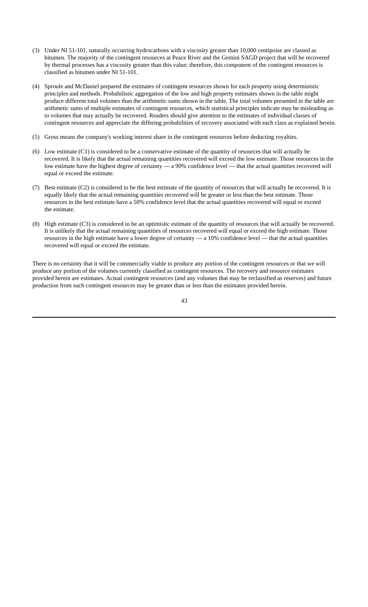- (3) Under NI 51-101, naturally occurring hydrocarbons with a viscosity greater than 10,000 centipoise are classed as bitumen. The majority of the contingent resources at Peace River and the Gemini SAGD project that will be recovered by thermal processes has a viscosity greater than this value; therefore, this component of the contingent resources is classified as bitumen under NI 51-101.
- (4) Sproule and McDaniel prepared the estimates of contingent resources shown for each property using deterministic principles and methods. Probabilistic aggregation of the low and high property estimates shown in the table might produce different total volumes than the arithmetic sums shown in the table. The total volumes presented in the table are arithmetic sums of multiple estimates of contingent resources, which statistical principles indicate may be misleading as to volumes that may actually be recovered. Readers should give attention to the estimates of individual classes of contingent resources and appreciate the differing probabilities of recovery associated with each class as explained herein.
- (5) Gross means the company's working interest share in the contingent resources before deducting royalties.
- (6) Low estimate (C1) is considered to be a conservative estimate of the quantity of resources that will actually be recovered. It is likely that the actual remaining quantities recovered will exceed the low estimate. Those resources in the low estimate have the highest degree of certainty — a 90% confidence level — that the actual quantities recovered will equal or exceed the estimate.
- (7) Best estimate (C2) is considered to be the best estimate of the quantity of resources that will actually be recovered. It is equally likely that the actual remaining quantities recovered will be greater or less than the best estimate. Those resources in the best estimate have a 50% confidence level that the actual quantities recovered will equal or exceed the estimate.
- (8) High estimate (C3) is considered to be an optimistic estimate of the quantity of resources that will actually be recovered. It is unlikely that the actual remaining quantities of resources recovered will equal or exceed the high estimate. Those resources in the high estimate have a lower degree of certainty — a 10% confidence level — that the actual quantities recovered will equal or exceed the estimate.

There is no certainty that it will be commercially viable to produce any portion of the contingent resources or that we will produce any portion of the volumes currently classified as contingent resources. The recovery and resource estimates provided herein are estimates. Actual contingent resources (and any volumes that may be reclassified as reserves) and future production from such contingent resources may be greater than or less than the estimates provided herein.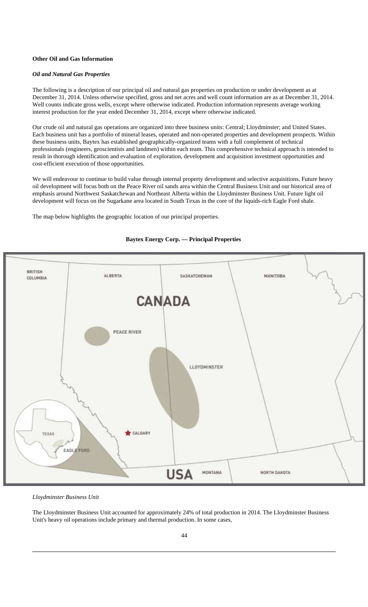## **Other Oil and Gas Information**

#### *Oil and Natural Gas Properties*

The following is a description of our principal oil and natural gas properties on production or under development as at December 31, 2014. Unless otherwise specified, gross and net acres and well count information are as at December 31, 2014. Well counts indicate gross wells, except where otherwise indicated. Production information represents average working interest production for the year ended December 31, 2014, except where otherwise indicated.

Our crude oil and natural gas operations are organized into three business units: Central; Lloydminster; and United States. Each business unit has a portfolio of mineral leases, operated and non-operated properties and development prospects. Within these business units, Baytex has established geographically-organized teams with a full complement of technical professionals (engineers, geoscientists and landmen) within each team. This comprehensive technical approach is intended to result in thorough identification and evaluation of exploration, development and acquisition investment opportunities and cost-efficient execution of those opportunities.

We will endeavour to continue to build value through internal property development and selective acquisitions. Future heavy oil development will focus both on the Peace River oil sands area within the Central Business Unit and our historical area of emphasis around Northwest Saskatchewan and Northeast Alberta within the Lloydminster Business Unit. Future light oil development will focus on the Sugarkane area located in South Texas in the core of the liquids-rich Eagle Ford shale.

The map below highlights the geographic location of our principal properties.



## **Baytex Energy Corp. — Principal Properties**

*Lloydminster Business Unit*

The Lloydminster Business Unit accounted for approximately 24% of total production in 2014. The Lloydminster Business Unit's heavy oil operations include primary and thermal production. In some cases,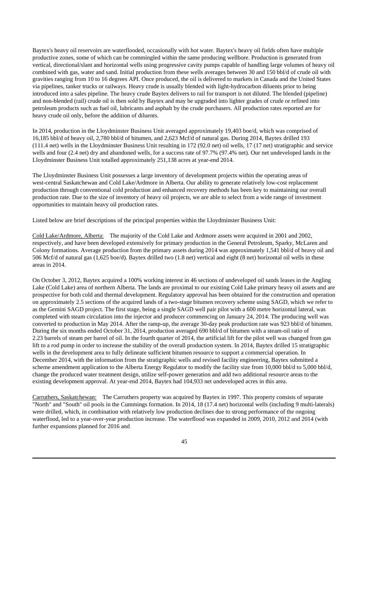Baytex's heavy oil reservoirs are waterflooded, occasionally with hot water. Baytex's heavy oil fields often have multiple productive zones, some of which can be commingled within the same producing wellbore. Production is generated from vertical, directional/slant and horizontal wells using progressive cavity pumps capable of handling large volumes of heavy oil combined with gas, water and sand. Initial production from these wells averages between 30 and 150 bbl/d of crude oil with gravities ranging from 10 to 16 degrees API. Once produced, the oil is delivered to markets in Canada and the United States via pipelines, tanker trucks or railways. Heavy crude is usually blended with light-hydrocarbon diluents prior to being introduced into a sales pipeline. The heavy crude Baytex delivers to rail for transport is not diluted. The blended (pipeline) and non-blended (rail) crude oil is then sold by Baytex and may be upgraded into lighter grades of crude or refined into petroleum products such as fuel oil, lubricants and asphalt by the crude purchasers. All production rates reported are for heavy crude oil only, before the addition of diluents.

In 2014, production in the Lloydminster Business Unit averaged approximately 19,403 boe/d, which was comprised of 16,185 bbl/d of heavy oil, 2,780 bbl/d of bitumen, and 2,623 Mcf/d of natural gas. During 2014, Baytex drilled 193 (111.4 net) wells in the Lloydminster Business Unit resulting in 172 (92.0 net) oil wells, 17 (17 net) stratigraphic and service wells and four (2.4 net) dry and abandoned wells, for a success rate of 97.7% (97.4% net). Our net undeveloped lands in the Lloydminster Business Unit totalled approximately 251,138 acres at year-end 2014.

The Lloydminster Business Unit possesses a large inventory of development projects within the operating areas of west-central Saskatchewan and Cold Lake/Ardmore in Alberta. Our ability to generate relatively low-cost replacement production through conventional cold production and enhanced recovery methods has been key to maintaining our overall production rate. Due to the size of inventory of heavy oil projects, we are able to select from a wide range of investment opportunities to maintain heavy oil production rates.

Listed below are brief descriptions of the principal properties within the Lloydminster Business Unit:

Cold Lake/Ardmore, Alberta: The majority of the Cold Lake and Ardmore assets were acquired in 2001 and 2002, respectively, and have been developed extensively for primary production in the General Petroleum, Sparky, McLaren and Colony formations. Average production from the primary assets during 2014 was approximately 1,541 bbl/d of heavy oil and 506 Mcf/d of natural gas (1,625 boe/d). Baytex drilled two (1.8 net) vertical and eight (8 net) horizontal oil wells in these areas in 2014.

On October 3, 2012, Baytex acquired a 100% working interest in 46 sections of undeveloped oil sands leases in the Angling Lake (Cold Lake) area of northern Alberta. The lands are proximal to our existing Cold Lake primary heavy oil assets and are prospective for both cold and thermal development. Regulatory approval has been obtained for the construction and operation on approximately 2.5 sections of the acquired lands of a two-stage bitumen recovery scheme using SAGD, which we refer to as the Gemini SAGD project. The first stage, being a single SAGD well pair pilot with a 600 metre horizontal lateral, was completed with steam circulation into the injector and producer commencing on January 24, 2014. The producing well was converted to production in May 2014. After the ramp-up, the average 30-day peak production rate was 923 bbl/d of bitumen. During the six months ended October 31, 2014, production averaged 690 bbl/d of bitumen with a steam-oil ratio of 2.23 barrels of steam per barrel of oil. In the fourth quarter of 2014, the artificial lift for the pilot well was changed from gas lift to a rod pump in order to increase the stability of the overall production system. In 2014, Baytex drilled 15 stratigraphic wells in the development area to fully delineate sufficient bitumen resource to support a commercial operation. In December 2014, with the information from the stratigraphic wells and revised facility engineering, Baytex submitted a scheme amendment application to the Alberta Energy Regulator to modify the facility size from 10,000 bbl/d to 5,000 bbl/d, change the produced water treatment design, utilize self-power generation and add two additional resource areas to the existing development approval. At year-end 2014, Baytex had 104,933 net undeveloped acres in this area.

Carruthers, Saskatchewan: The Carruthers property was acquired by Baytex in 1997. This property consists of separate "North" and "South" oil pools in the Cummings formation. In 2014, 18 (17.4 net) horizontal wells (including 9 multi-laterals) were drilled, which, in combination with relatively low production declines due to strong performance of the ongoing waterflood, led to a year-over-year production increase. The waterflood was expanded in 2009, 2010, 2012 and 2014 (with further expansions planned for 2016 and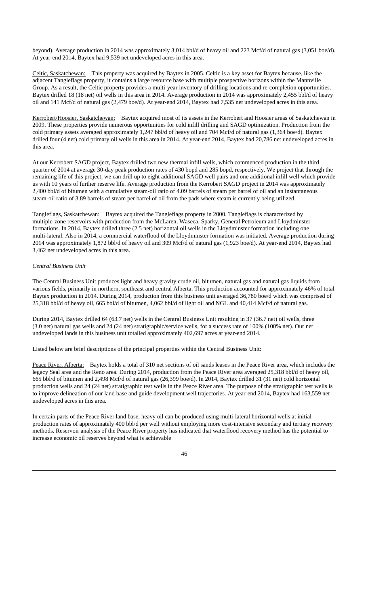beyond). Average production in 2014 was approximately 3,014 bbl/d of heavy oil and 223 Mcf/d of natural gas (3,051 boe/d). At year-end 2014, Baytex had 9,539 net undeveloped acres in this area.

Celtic, Saskatchewan: This property was acquired by Baytex in 2005. Celtic is a key asset for Baytex because, like the adjacent Tangleflags property, it contains a large resource base with multiple prospective horizons within the Mannville Group. As a result, the Celtic property provides a multi-year inventory of drilling locations and re-completion opportunities. Baytex drilled 18 (18 net) oil wells in this area in 2014. Average production in 2014 was approximately 2,455 bbl/d of heavy oil and 141 Mcf/d of natural gas (2,479 boe/d). At year-end 2014, Baytex had 7,535 net undeveloped acres in this area.

Kerrobert/Hoosier, Saskatchewan: Baytex acquired most of its assets in the Kerrobert and Hoosier areas of Saskatchewan in 2009. These properties provide numerous opportunities for cold infill drilling and SAGD optimization. Production from the cold primary assets averaged approximately 1,247 bbl/d of heavy oil and 704 Mcf/d of natural gas (1,364 boe/d). Baytex drilled four (4 net) cold primary oil wells in this area in 2014. At year-end 2014, Baytex had 20,786 net undeveloped acres in this area.

At our Kerrobert SAGD project, Baytex drilled two new thermal infill wells, which commenced production in the third quarter of 2014 at average 30-day peak production rates of 430 bopd and 285 bopd, respectively. We project that through the remaining life of this project, we can drill up to eight additional SAGD well pairs and one additional infill well which provide us with 10 years of further reserve life. Average production from the Kerrobert SAGD project in 2014 was approximately 2,400 bbl/d of bitumen with a cumulative steam-oil ratio of 4.09 barrels of steam per barrel of oil and an instantaneous steam-oil ratio of 3.89 barrels of steam per barrel of oil from the pads where steam is currently being utilized.

Tangleflags, Saskatchewan: Baytex acquired the Tangleflags property in 2000. Tangleflags is characterized by multiple-zone reservoirs with production from the McLaren, Waseca, Sparky, General Petroleum and Lloydminster formations. In 2014, Baytex drilled three (2.5 net) horizontal oil wells in the Lloydminster formation including one multi-lateral. Also in 2014, a commercial waterflood of the Lloydminster formation was initiated. Average production during 2014 was approximately 1,872 bbl/d of heavy oil and 309 Mcf/d of natural gas (1,923 boe/d). At year-end 2014, Baytex had 3,462 net undeveloped acres in this area.

### *Central Business Unit*

The Central Business Unit produces light and heavy gravity crude oil, bitumen, natural gas and natural gas liquids from various fields, primarily in northern, southeast and central Alberta. This production accounted for approximately 46% of total Baytex production in 2014. During 2014, production from this business unit averaged 36,780 boe/d which was comprised of 25,318 bbl/d of heavy oil, 665 bbl/d of bitumen, 4,062 bbl/d of light oil and NGL and 40,414 Mcf/d of natural gas.

During 2014, Baytex drilled 64 (63.7 net) wells in the Central Business Unit resulting in 37 (36.7 net) oil wells, three (3.0 net) natural gas wells and 24 (24 net) stratigraphic/service wells, for a success rate of 100% (100% net). Our net undeveloped lands in this business unit totalled approximately 402,697 acres at year-end 2014.

Listed below are brief descriptions of the principal properties within the Central Business Unit:

Peace River, Alberta: Baytex holds a total of 310 net sections of oil sands leases in the Peace River area, which includes the legacy Seal area and the Reno area. During 2014, production from the Peace River area averaged 25,318 bbl/d of heavy oil, 665 bbl/d of bitumen and 2,498 Mcf/d of natural gas (26,399 boe/d). In 2014, Baytex drilled 31 (31 net) cold horizontal production wells and 24 (24 net) stratigraphic test wells in the Peace River area. The purpose of the stratigraphic test wells is to improve delineation of our land base and guide development well trajectories. At year-end 2014, Baytex had 163,559 net undeveloped acres in this area.

In certain parts of the Peace River land base, heavy oil can be produced using multi-lateral horizontal wells at initial production rates of approximately 400 bbl/d per well without employing more cost-intensive secondary and tertiary recovery methods. Reservoir analysis of the Peace River property has indicated that waterflood recovery method has the potential to increase economic oil reserves beyond what is achievable

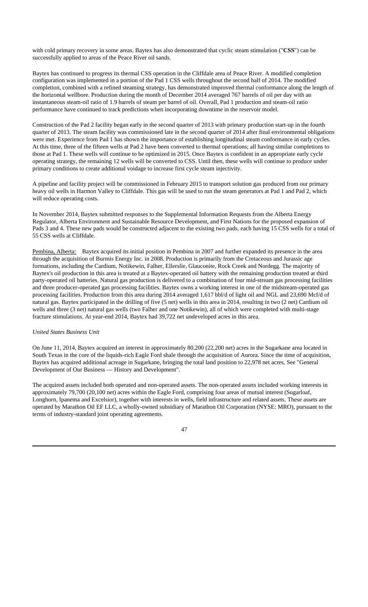with cold primary recovery in some areas. Baytex has also demonstrated that cyclic steam stimulation ("**CSS**") can be successfully applied to areas of the Peace River oil sands.

Baytex has continued to progress its thermal CSS operation in the Cliffdale area of Peace River. A modified completion configuration was implemented in a portion of the Pad 1 CSS wells throughout the second half of 2014. The modified completion, combined with a refined steaming strategy, has demonstrated improved thermal conformance along the length of the horizontal wellbore. Production during the month of December 2014 averaged 767 barrels of oil per day with an instantaneous steam-oil ratio of 1.9 barrels of steam per barrel of oil. Overall, Pad 1 production and steam-oil ratio performance have continued to track predictions when incorporating downtime in the reservoir model.

Construction of the Pad 2 facility began early in the second quarter of 2013 with primary production start-up in the fourth quarter of 2013. The steam facility was commissioned late in the second quarter of 2014 after final environmental obligations were met. Experience from Pad 1 has shown the importance of establishing longitudinal steam conformance in early cycles. At this time, three of the fifteen wells at Pad 2 have been converted to thermal operations; all having similar completions to those at Pad 1. These wells will continue to be optimized in 2015. Once Baytex is confident in an appropriate early cycle operating strategy, the remaining 12 wells will be converted to CSS. Until then, these wells will continue to produce under primary conditions to create additional voidage to increase first cycle steam injectivity.

A pipeline and facility project will be commissioned in February 2015 to transport solution gas produced from our primary heavy oil wells in Harmon Valley to Cliffdale. This gas will be used to run the steam generators at Pad 1 and Pad 2, which will reduce operating costs.

In November 2014, Baytex submitted responses to the Supplemental Information Requests from the Alberta Energy Regulator, Alberta Environment and Sustainable Resource Development, and First Nations for the proposed expansion of Pads 3 and 4. These new pads would be constructed adjacent to the existing two pads, each having 15 CSS wells for a total of 55 CSS wells at Cliffdale.

Pembina, Alberta: Baytex acquired its initial position in Pembina in 2007 and further expanded its presence in the area through the acquisition of Burmis Energy Inc. in 2008. Production is primarily from the Cretaceous and Jurassic age formations, including the Cardium, Notikewin, Falher, Ellerslie, Glauconite, Rock Creek and Nordegg. The majority of Baytex's oil production in this area is treated at a Baytex-operated oil battery with the remaining production treated at third party-operated oil batteries. Natural gas production is delivered to a combination of four mid-stream gas processing facilities and three producer-operated gas processing facilities. Baytex owns a working interest in one of the midstream-operated gas processing facilities. Production from this area during 2014 averaged 1,617 bbl/d of light oil and NGL and 23,690 Mcf/d of natural gas. Baytex participated in the drilling of five (5 net) wells in this area in 2014, resulting in two (2 net) Cardium oil wells and three (3 net) natural gas wells (two Falher and one Notikewin), all of which were completed with multi-stage fracture stimulations. At year-end 2014, Baytex had 39,722 net undeveloped acres in this area.

### *United States Business Unit*

On June 11, 2014, Baytex acquired an interest in approximately 80,200 (22,200 net) acres in the Sugarkane area located in South Texas in the core of the liquids-rich Eagle Ford shale through the acquisition of Aurora. Since the time of acquisition, Baytex has acquired additional acreage in Sugarkane, bringing the total land position to 22,978 net acres. See "General Development of Our Business — History and Development".

The acquired assets included both operated and non-operated assets. The non-operated assets included working interests in approximately 79,700 (20,100 net) acres within the Eagle Ford, comprising four areas of mutual interest (Sugarloaf, Longhorn, Ipanema and Excelsior), together with interests in wells, field infrastructure and related assets. These assets are operated by Marathon Oil EF LLC, a wholly-owned subsidiary of Marathon Oil Corporation (NYSE: MRO), pursuant to the terms of industry-standard joint operating agreements.

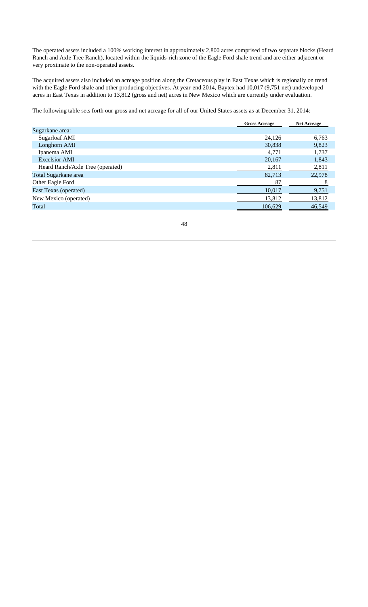The operated assets included a 100% working interest in approximately 2,800 acres comprised of two separate blocks (Heard Ranch and Axle Tree Ranch), located within the liquids-rich zone of the Eagle Ford shale trend and are either adjacent or very proximate to the non-operated assets.

The acquired assets also included an acreage position along the Cretaceous play in East Texas which is regionally on trend with the Eagle Ford shale and other producing objectives. At year-end 2014, Baytex had 10,017 (9,751 net) undeveloped acres in East Texas in addition to 13,812 (gross and net) acres in New Mexico which are currently under evaluation.

The following table sets forth our gross and net acreage for all of our United States assets as at December 31, 2014:

|                                  | <b>Gross Acreage</b> | <b>Net Acreage</b> |
|----------------------------------|----------------------|--------------------|
| Sugarkane area:                  |                      |                    |
| Sugarloaf AMI                    | 24,126               | 6,763              |
| Longhorn AMI                     | 30,838               | 9,823              |
| Ipanema AMI                      | 4,771                | 1,737              |
| <b>Excelsior AMI</b>             | 20,167               | 1,843              |
| Heard Ranch/Axle Tree (operated) | 2,811                | 2,811              |
| <b>Total Sugarkane area</b>      | 82,713               | 22,978             |
| Other Eagle Ford                 | 87                   |                    |
| East Texas (operated)            | 10,017               | 9,751              |
| New Mexico (operated)            | 13,812               | 13,812             |
| Total                            | 106,629              | 46,549             |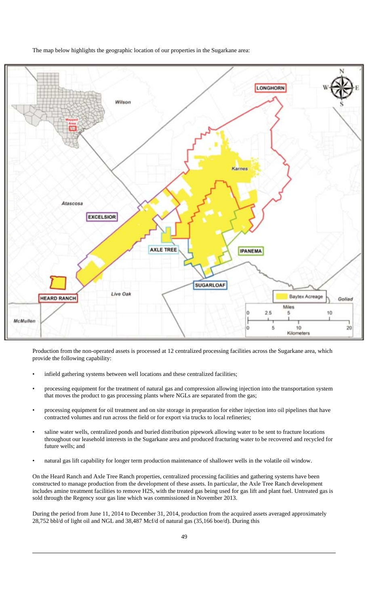The map below highlights the geographic location of our properties in the Sugarkane area:



Production from the non-operated assets is processed at 12 centralized processing facilities across the Sugarkane area, which provide the following capability:

- infield gathering systems between well locations and these centralized facilities;
- processing equipment for the treatment of natural gas and compression allowing injection into the transportation system that moves the product to gas processing plants where NGLs are separated from the gas;
- processing equipment for oil treatment and on site storage in preparation for either injection into oil pipelines that have contracted volumes and run across the field or for export via trucks to local refineries;
- saline water wells, centralized ponds and buried distribution pipework allowing water to be sent to fracture locations throughout our leasehold interests in the Sugarkane area and produced fracturing water to be recovered and recycled for future wells; and
- natural gas lift capability for longer term production maintenance of shallower wells in the volatile oil window.

On the Heard Ranch and Axle Tree Ranch properties, centralized processing facilities and gathering systems have been constructed to manage production from the development of these assets. In particular, the Axle Tree Ranch development includes amine treatment facilities to remove H2S, with the treated gas being used for gas lift and plant fuel. Untreated gas is sold through the Regency sour gas line which was commissioned in November 2013.

During the period from June 11, 2014 to December 31, 2014, production from the acquired assets averaged approximately 28,752 bbl/d of light oil and NGL and 38,487 Mcf/d of natural gas (35,166 boe/d). During this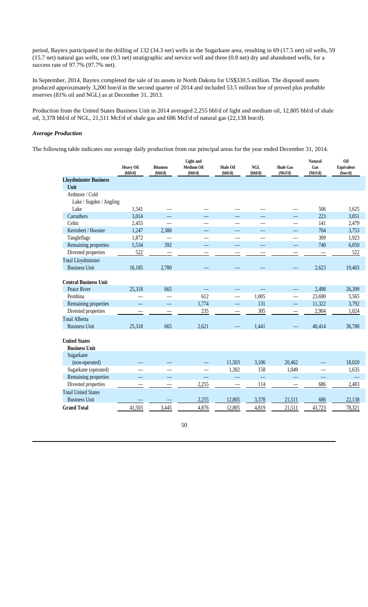period, Baytex participated in the drilling of 132 (34.3 net) wells in the Sugarkane area, resulting in 69 (17.5 net) oil wells, 59 (15.7 net) natural gas wells, one (0.3 net) stratigraphic and service well and three (0.8 net) dry and abandoned wells, for a success rate of 97.7% (97.7% net).

In September, 2014, Baytex completed the sale of its assets in North Dakota for US\$330.5 million. The disposed assets produced approximately 3,200 boe/d in the second quarter of 2014 and included 53.5 million boe of proved plus probable reserves (81% oil and NGL) as at December 31, 2013.

Production from the United States Business Unit in 2014 averaged 2,255 bbl/d of light and medium oil, 12,805 bbl/d of shale oil, 3,378 bbl/d of NGL, 21,511 Mcf/d of shale gas and 686 Mcf/d of natural gas (22,138 boe/d).

## *Average Production*

The following table indicates our average daily production from our principal areas for the year ended December 31, 2014.

|                              | <b>Heavy Oil</b> | <b>Bitumen</b>           | <b>Light</b> and<br><b>Medium Oil</b> | <b>Shale Oil</b>         | <b>NGL</b> | <b>Shale Gas</b>         | <b>Natural</b><br>Gas | Oil<br>Equivalent |
|------------------------------|------------------|--------------------------|---------------------------------------|--------------------------|------------|--------------------------|-----------------------|-------------------|
|                              | (bbl/d)          | (bbl/d)                  | (bbl/d)                               | (bbl/d)                  | (bbl/d)    | (Mcf/d)                  | (Mcf/d)               | (boe/d)           |
| <b>Lloydminster Business</b> |                  |                          |                                       |                          |            |                          |                       |                   |
| Unit                         |                  |                          |                                       |                          |            |                          |                       |                   |
| Ardmore / Cold               |                  |                          |                                       |                          |            |                          |                       |                   |
| Lake / Sugden / Angling      |                  |                          |                                       |                          |            |                          |                       |                   |
| Lake                         | 1,541            |                          |                                       |                          |            |                          | 506                   | 1,625             |
| Carruthers                   | 3,014            |                          |                                       |                          |            |                          | 223                   | 3,051             |
| Celtic                       | 2,455            |                          |                                       |                          |            |                          | 141                   | 2,479             |
| Kerrobert / Hoosier          | 1,247            | 2,388                    |                                       |                          |            |                          | 704                   | 3,753             |
| Tangleflags                  | 1,872            |                          |                                       |                          |            |                          | 309                   | 1,923             |
| Remaining properties         | 5,534            | 392                      |                                       |                          |            |                          | 740                   | 6,050             |
| Divested properties          | 522              | $\overline{\phantom{0}}$ |                                       |                          |            |                          |                       | 522               |
| <b>Total Lloydminster</b>    |                  |                          |                                       |                          |            |                          |                       |                   |
| <b>Business Unit</b>         | 16,185           | 2,780                    |                                       |                          |            |                          | 2,623                 | 19,403            |
|                              |                  |                          |                                       |                          |            |                          |                       |                   |
| <b>Central Business Unit</b> |                  |                          |                                       |                          |            |                          |                       |                   |
| Peace River                  | 25,318           | 665                      |                                       |                          |            |                          | 2,498                 | 26,399            |
| Pembina                      |                  |                          | 612                                   | $\overline{\phantom{0}}$ | 1,005      | $\overline{\phantom{0}}$ | 23,690                | 5,565             |
| Remaining properties         |                  | $\equiv$                 | 1,774                                 |                          | 131        | $\equiv$                 | 11,322                | 3,792             |
| Divested properties          |                  | $\overline{\phantom{0}}$ | 235                                   |                          | 305        |                          | 2,904                 | 1,024             |
| <b>Total Alberta</b>         |                  |                          |                                       |                          |            |                          |                       |                   |
| <b>Business Unit</b>         | 25,318           | 665                      | 2,621                                 |                          | 1,441      | $\equiv$                 | 40,414                | 36,780            |
|                              |                  |                          |                                       |                          |            |                          |                       |                   |
| <b>United States</b>         |                  |                          |                                       |                          |            |                          |                       |                   |
| <b>Business Unit</b>         |                  |                          |                                       |                          |            |                          |                       |                   |
| Sugarkane                    |                  |                          |                                       |                          |            |                          |                       |                   |
| (non-operated)               |                  |                          |                                       | 11,503                   | 3,106      | 20,462                   |                       | 18,020            |
| Sugarkane (operated)         |                  |                          | $\overline{\phantom{0}}$              | 1,302                    | 158        | 1,049                    |                       | 1,635             |
| Remaining properties         |                  |                          |                                       |                          | $\equiv$   |                          |                       |                   |
| Divested properties          |                  |                          | 2,255                                 |                          | 114        |                          | 686                   | 2,483             |
| <b>Total United States</b>   |                  |                          |                                       |                          |            |                          |                       |                   |
| <b>Business Unit</b>         |                  |                          | 2,255                                 | 12,805                   | 3,378      | 21,511                   | 686                   | 22,138            |
| <b>Grand Total</b>           | 41,503           | 3,445                    | 4,876                                 | 12,805                   | 4,819      | 21,511                   | 43,723                | 78,321            |
|                              |                  |                          |                                       |                          |            |                          |                       |                   |

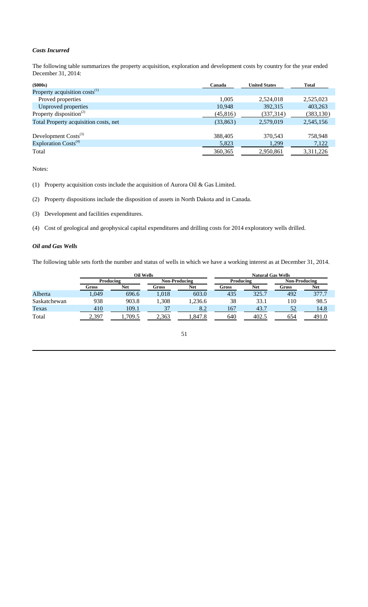## *Costs Incurred*

The following table summarizes the property acquisition, exploration and development costs by country for the year ended December 31, 2014:

| (\$000s)                                  | Canada    | <b>United States</b> | <b>Total</b> |
|-------------------------------------------|-----------|----------------------|--------------|
| Property acquisition costs <sup>(1)</sup> |           |                      |              |
| Proved properties                         | 1,005     | 2,524,018            | 2,525,023    |
| Unproved properties                       | 10,948    | 392,315              | 403,263      |
| Property disposition <sup>(2)</sup>       | (45, 816) | (337, 314)           | (383, 130)   |
| Total Property acquisition costs, net     | (33,863)  | 2,579,019            | 2,545,156    |
|                                           |           |                      |              |
| Development $\text{Costs}^{(3)}$          | 388,405   | 370.543              | 758,948      |
| Exploration Costs <sup>(4)</sup>          | 5,823     | 1,299                | 7,122        |
| Total                                     | 360,365   | 2,950,861            | 3,311,226    |

Notes:

- (1) Property acquisition costs include the acquisition of Aurora Oil & Gas Limited.
- (2) Property dispositions include the disposition of assets in North Dakota and in Canada.
- (3) Development and facilities expenditures.
- (4) Cost of geological and geophysical capital expenditures and drilling costs for 2014 exploratory wells drilled.

## *Oil and Gas Wells*

The following table sets forth the number and status of wells in which we have a working interest as at December 31, 2014.

|              |       | <b>Oil Wells</b> |                      |            |           | <b>Natural Gas Wells</b> |                      |            |  |
|--------------|-------|------------------|----------------------|------------|-----------|--------------------------|----------------------|------------|--|
|              |       | Producing        | <b>Non-Producing</b> |            | Producing |                          | <b>Non-Producing</b> |            |  |
|              | Gross | <b>Net</b>       | Gross                | <b>Net</b> | Gross     | <b>Net</b>               | Gross                | <b>Net</b> |  |
| Alberta      | .,049 | 696.6            | 1.018                | 603.0      | 435       | 325.7                    | 492                  | 377.7      |  |
| Saskatchewan | 938   | 903.8            | 1.308                | .236.6     | 38        | 33.1                     | .10                  | 98.5       |  |
| Texas        | 410   | 109.1            | 37                   | 8.2        | 167       | 43.7                     | 52                   | 14.8       |  |
| Total        | 2.397 | 709.5            | 2.363                | .847.8     | 640       | 402.5                    | 654                  | 491.0      |  |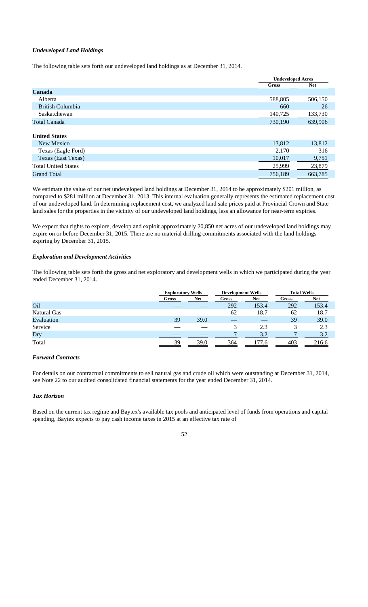## *Undeveloped Land Holdings*

The following table sets forth our undeveloped land holdings as at December 31, 2014.

|                            | <b>Undeveloped Acres</b> |            |
|----------------------------|--------------------------|------------|
|                            | Gross                    | <b>Net</b> |
| Canada                     |                          |            |
| Alberta                    | 588,805                  | 506,150    |
| British Columbia           | 660                      | 26         |
| Saskatchewan               | 140,725                  | 133,730    |
| Total Canada               | 730,190                  | 639,906    |
| <b>United States</b>       |                          |            |
| New Mexico                 | 13,812                   | 13,812     |
| Texas (Eagle Ford)         | 2,170                    | 316        |
| Texas (East Texas)         | 10,017                   | 9,751      |
| <b>Total United States</b> | 25,999                   | 23,879     |
| <b>Grand Total</b>         | 756,189                  | 663,785    |

We estimate the value of our net undeveloped land holdings at December 31, 2014 to be approximately \$201 million, as compared to \$281 million at December 31, 2013. This internal evaluation generally represents the estimated replacement cost of our undeveloped land. In determining replacement cost, we analyzed land sale prices paid at Provincial Crown and State land sales for the properties in the vicinity of our undeveloped land holdings, less an allowance for near-term expiries.

We expect that rights to explore, develop and exploit approximately 20,850 net acres of our undeveloped land holdings may expire on or before December 31, 2015. There are no material drilling commitments associated with the land holdings expiring by December 31, 2015.

### *Exploration and Development Activities*

The following table sets forth the gross and net exploratory and development wells in which we participated during the year ended December 31, 2014.

|             |       | <b>Exploratory Wells</b> |       | <b>Development Wells</b> |       | <b>Total Wells</b> |  |
|-------------|-------|--------------------------|-------|--------------------------|-------|--------------------|--|
|             | Gross | <b>Net</b>               | Gross | <b>Net</b>               | Gross | <b>Net</b>         |  |
| Oil         |       |                          | 292   | 153.4                    | 292   | 153.4              |  |
| Natural Gas |       |                          | 62    | 18.7                     | 62    | 18.7               |  |
| Evaluation  | 39    | 39.0                     |       |                          | 39    | 39.0               |  |
| Service     |       |                          |       | 2.3                      |       | 2.3                |  |
| Dry         |       |                          |       | 3.2                      |       | 3.2                |  |
| Total       | 39    | 39.0                     | 364   | 77.6                     | 403   | 216.6              |  |

### *Forward Contracts*

For details on our contractual commitments to sell natural gas and crude oil which were outstanding at December 31, 2014, see Note 22 to our audited consolidated financial statements for the year ended December 31, 2014.

### *Tax Horizon*

Based on the current tax regime and Baytex's available tax pools and anticipated level of funds from operations and capital spending, Baytex expects to pay cash income taxes in 2015 at an effective tax rate of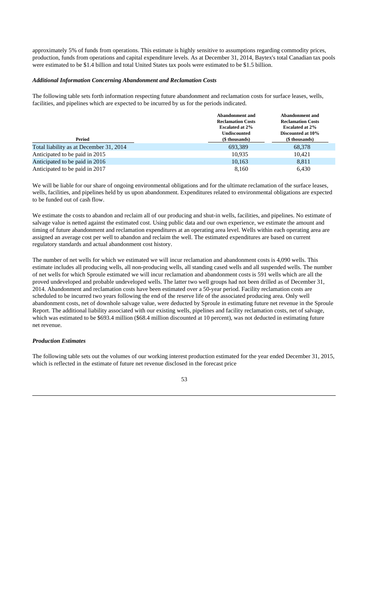approximately 5% of funds from operations. This estimate is highly sensitive to assumptions regarding commodity prices, production, funds from operations and capital expenditure levels. As at December 31, 2014, Baytex's total Canadian tax pools were estimated to be \$1.4 billion and total United States tax pools were estimated to be \$1.5 billion.

#### *Additional Information Concerning Abandonment and Reclamation Costs*

The following table sets forth information respecting future abandonment and reclamation costs for surface leases, wells, facilities, and pipelines which are expected to be incurred by us for the periods indicated.

|                                         | <b>Abandonment and</b>   | <b>Abandonment</b> and   |
|-----------------------------------------|--------------------------|--------------------------|
|                                         | <b>Reclamation Costs</b> | <b>Reclamation Costs</b> |
|                                         | <b>Escalated at 2%</b>   | <b>Escalated at 2%</b>   |
|                                         | <b>Undiscounted</b>      | Discounted at 10%        |
| Period                                  | (\$ thousands)           | (\$ thousands)           |
| Total liability as at December 31, 2014 | 693,389                  | 68,378                   |
| Anticipated to be paid in 2015          | 10,935                   | 10,421                   |
| Anticipated to be paid in 2016          | 10,163                   | 8,811                    |
| Anticipated to be paid in 2017          | 8.160                    | 6.430                    |

We will be liable for our share of ongoing environmental obligations and for the ultimate reclamation of the surface leases, wells, facilities, and pipelines held by us upon abandonment. Expenditures related to environmental obligations are expected to be funded out of cash flow.

We estimate the costs to abandon and reclaim all of our producing and shut-in wells, facilities, and pipelines. No estimate of salvage value is netted against the estimated cost. Using public data and our own experience, we estimate the amount and timing of future abandonment and reclamation expenditures at an operating area level. Wells within each operating area are assigned an average cost per well to abandon and reclaim the well. The estimated expenditures are based on current regulatory standards and actual abandonment cost history.

The number of net wells for which we estimated we will incur reclamation and abandonment costs is 4,090 wells. This estimate includes all producing wells, all non-producing wells, all standing cased wells and all suspended wells. The number of net wells for which Sproule estimated we will incur reclamation and abandonment costs is 591 wells which are all the proved undeveloped and probable undeveloped wells. The latter two well groups had not been drilled as of December 31, 2014. Abandonment and reclamation costs have been estimated over a 50-year period. Facility reclamation costs are scheduled to be incurred two years following the end of the reserve life of the associated producing area. Only well abandonment costs, net of downhole salvage value, were deducted by Sproule in estimating future net revenue in the Sproule Report. The additional liability associated with our existing wells, pipelines and facility reclamation costs, net of salvage, which was estimated to be \$693.4 million (\$68.4 million discounted at 10 percent), was not deducted in estimating future net revenue.

### *Production Estimates*

The following table sets out the volumes of our working interest production estimated for the year ended December 31, 2015, which is reflected in the estimate of future net revenue disclosed in the forecast price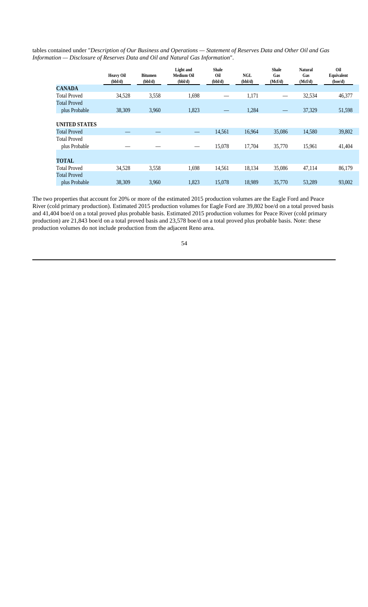tables contained under "*Description of Our Business and Operations — Statement of Reserves Data and Other Oil and Gas Information — Disclosure of Reserves Data and Oil and Natural Gas Information*".

|                                      | <b>Heavy Oil</b><br>(bbl/d) | <b>Bitumen</b><br>(bbl/d) | Light and<br>Medium Oil<br>(bbl/d) | <b>Shale</b><br>Oil<br>(bbl/d) | <b>NGL</b><br>(bbl/d) | <b>Shale</b><br>Gas<br>(Mcf/d)  | <b>Natural</b><br>Gas<br>(Mcf/d) | Oil<br>Equivalent<br>(boe/d) |
|--------------------------------------|-----------------------------|---------------------------|------------------------------------|--------------------------------|-----------------------|---------------------------------|----------------------------------|------------------------------|
| <b>CANADA</b>                        |                             |                           |                                    |                                |                       |                                 |                                  |                              |
| <b>Total Proved</b>                  | 34,528                      | 3,558                     | 1,698                              |                                | 1,171                 |                                 | 32,534                           | 46,377                       |
| <b>Total Proved</b>                  |                             |                           |                                    |                                |                       |                                 |                                  |                              |
| plus Probable                        | 38,309                      | 3,960                     | 1,823                              | $\qquad \qquad -$              | 1,284                 | $\hspace{0.1mm}-\hspace{0.1mm}$ | 37,329                           | 51,598                       |
| <b>UNITED STATES</b>                 |                             |                           |                                    |                                |                       |                                 |                                  |                              |
| <b>Total Proved</b>                  |                             |                           |                                    | 14,561                         | 16,964                | 35,086                          | 14,580                           | 39,802                       |
| <b>Total Proved</b><br>plus Probable |                             |                           |                                    | 15,078                         | 17,704                | 35,770                          | 15,961                           | 41,404                       |
| <b>TOTAL</b>                         |                             |                           |                                    |                                |                       |                                 |                                  |                              |
| <b>Total Proved</b>                  | 34,528                      | 3,558                     | 1,698                              | 14,561                         | 18,134                | 35,086                          | 47,114                           | 86,179                       |
| <b>Total Proved</b><br>plus Probable | 38,309                      | 3,960                     | 1,823                              | 15,078                         | 18,989                | 35,770                          | 53,289                           | 93,002                       |

The two properties that account for 20% or more of the estimated 2015 production volumes are the Eagle Ford and Peace River (cold primary production). Estimated 2015 production volumes for Eagle Ford are 39,802 boe/d on a total proved basis and 41,404 boe/d on a total proved plus probable basis. Estimated 2015 production volumes for Peace River (cold primary production) are 21,843 boe/d on a total proved basis and 23,578 boe/d on a total proved plus probable basis. Note: these production volumes do not include production from the adjacent Reno area.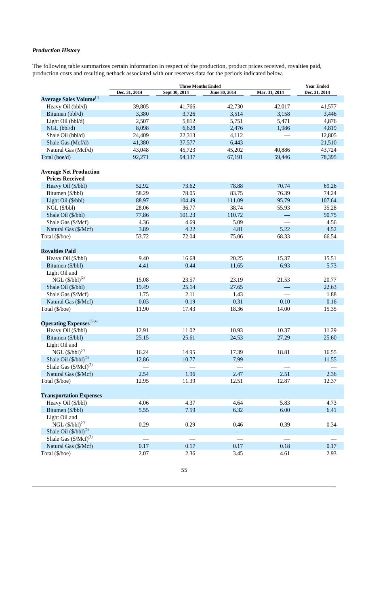## *Production History*

The following table summarizes certain information in respect of the production, product prices received, royalties paid, production costs and resulting netback associated with our reserves data for the periods indicated below.

|                                             | <b>Three Months Ended</b> |               |               | <b>Year Ended</b> |               |
|---------------------------------------------|---------------------------|---------------|---------------|-------------------|---------------|
|                                             | Dec. 31, 2014             | Sept 30, 2014 | June 30, 2014 | Mar. 31, 2014     | Dec. 31, 2014 |
| <b>Average Sales Volume</b> <sup>(1)</sup>  |                           |               |               |                   |               |
| Heavy Oil (bbl/d)                           | 39,805                    | 41,766        | 42,730        | 42,017            | 41,577        |
| Bitumen (bbl/d)                             | 3,380                     | 3,726         | 3,514         | 3,158             | 3,446         |
| Light Oil (bbl/d)                           | 2,507                     | 5,812         | 5,751         | 5,471             | 4,876         |
| $NGL$ (bbl/d)                               | 8,098                     | 6,628         | 2,476         | 1,986             | 4,819         |
| Shale Oil (bbl/d)                           | 24,409                    | 22,313        | 4,112         |                   | 12,805        |
| Shale Gas (Mcf/d)                           | 41,380                    | 37,577        | 6,443         |                   | 21,510        |
| Natural Gas (Mcf/d)                         | 43,048                    | 45,723        | 45,202        | 40,886            | 43,724        |
| Total (boe/d)                               | 92,271                    | 94,137        | 67,191        | 59,446            | 78,395        |
| <b>Average Net Production</b>               |                           |               |               |                   |               |
| <b>Prices Received</b>                      |                           |               |               |                   |               |
| Heavy Oil (\$/bbl)                          | 52.92                     | 73.62         | 78.88         | 70.74             | 69.26         |
| Bitumen (\$/bbl)                            | 58.29                     | 78.05         | 83.75         | 76.39             | 74.24         |
| Light Oil (\$/bbl)                          | 88.97                     | 104.49        | 111.09        | 95.79             | 107.64        |
| NGL (\$/bbl)                                | 28.06                     | 36.77         | 38.74         | 55.93             | 35.28         |
| Shale Oil (\$/bbl)                          | 77.86                     | 101.23        | 110.72        |                   | 90.75         |
| Shale Gas (\$/Mcf)                          | 4.36                      | 4.69          | 5.09          |                   | 4.56          |
| Natural Gas (\$/Mcf)                        | 3.89                      | 4.22          | 4.81          | 5.22              | 4.52          |
| Total (\$/boe)                              | 53.72                     | 72.04         | 75.06         | 68.33             | 66.54         |
| <b>Royalties Paid</b>                       |                           |               |               |                   |               |
| Heavy Oil (\$/bbl)                          | 9.40                      | 16.68         | 20.25         | 15.37             | 15.51         |
| Bitumen (\$/bbl)                            | 4.41                      | 0.44          | 11.65         | 6.93              | 5.73          |
| Light Oil and                               |                           |               |               |                   |               |
| NGL $(\frac{6}{bbl})^{(2)}$                 | 15.08                     | 23.57         | 23.19         | 21.53             | 20.77         |
| Shale Oil (\$/bbl)                          | 19.49                     | 25.14         | 27.65         |                   | 22.63         |
| Shale Gas (\$/Mcf)                          | 1.75                      | 2.11          | 1.43          |                   | 1.88          |
| Natural Gas (\$/Mcf)                        | 0.03                      | 0.19          | 0.31          | 0.10              | 0.16          |
| Total (\$/boe)                              | 11.90                     | 17.43         | 18.36         | 14.00             | 15.35         |
| <b>Operating Expenses</b> <sup>(3)(4)</sup> |                           |               |               |                   |               |
| Heavy Oil (\$/bbl)                          | 12.91                     | 11.02         | 10.93         | 10.37             | 11.29         |
| Bitumen (\$/bbl)                            | 25.15                     | 25.61         | 24.53         | 27.29             | 25.60         |
| Light Oil and                               |                           |               |               |                   |               |
| NGL $(\frac{\text{S}}{\text{bb}})^{(2)}$    | 16.24                     | 14.95         | 17.39         | 18.81             | 16.55         |
| Shale Oil (\$/bbl) <sup>(5)</sup>           | 12.86                     | 10.77         | 7.99          |                   | 11.55         |
| Shale Gas (\$/Mcf) <sup>(5)</sup>           |                           |               |               |                   |               |
| Natural Gas (\$/Mcf)                        | 2.54                      | 1.96          | 2.47          | 2.51              | 2.36          |
| Total (\$/boe)                              | 12.95                     | 11.39         | 12.51         | 12.87             | 12.37         |
| <b>Transportation Expenses</b>              |                           |               |               |                   |               |
| Heavy Oil (\$/bbl)                          | 4.06                      | 4.37          | 4.64          | 5.83              | 4.73          |
| Bitumen (\$/bbl)                            | 5.55                      | 7.59          | 6.32          | 6.00              | 6.41          |
| Light Oil and                               |                           |               |               |                   |               |
| NGL $(\frac{5}{bbl})^{(2)}$                 | 0.29                      | 0.29          | 0.46          | 0.39              | 0.34          |
| Shale Oil (\$/bbl) <sup>(5)</sup>           | $\frac{1}{2}$             |               |               |                   |               |
| Shale Gas (\$/Mcf) <sup>(5)</sup>           |                           |               |               |                   |               |
| Natural Gas (\$/Mcf)                        | 0.17                      | 0.17          | 0.17          | 0.18              | 0.17          |
| Total (\$/boe)                              | 2.07                      | 2.36          | 3.45          | 4.61              | 2.93          |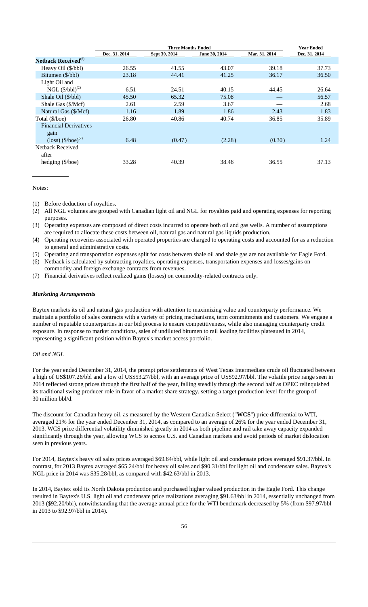|                                                                                                | <b>Three Months Ended</b> |               |               |               | <b>Year Ended</b> |
|------------------------------------------------------------------------------------------------|---------------------------|---------------|---------------|---------------|-------------------|
|                                                                                                | Dec. 31, 2014             | Sept 30, 2014 | June 30, 2014 | Mar. 31, 2014 | Dec. 31, 2014     |
| Netback Received <sup>(6)</sup>                                                                |                           |               |               |               |                   |
| Heavy Oil (\$/bbl)                                                                             | 26.55                     | 41.55         | 43.07         | 39.18         | 37.73             |
| Bitumen (\$/bbl)                                                                               | 23.18                     | 44.41         | 41.25         | 36.17         | 36.50             |
| Light Oil and                                                                                  |                           |               |               |               |                   |
| NGL $(\frac{\$}{bb})^{(2)}$                                                                    | 6.51                      | 24.51         | 40.15         | 44.45         | 26.64             |
| Shale Oil (\$/bbl)                                                                             | 45.50                     | 65.32         | 75.08         |               | 56.57             |
| Shale Gas (\$/Mcf)                                                                             | 2.61                      | 2.59          | 3.67          |               | 2.68              |
| Natural Gas (\$/Mcf)                                                                           | 1.16                      | 1.89          | 1.86          | 2.43          | 1.83              |
| Total (\$/boe)                                                                                 | 26.80                     | 40.86         | 40.74         | 36.85         | 35.89             |
| <b>Financial Derivatives</b><br>gain                                                           |                           |               |               |               |                   |
| $\left(\frac{\text{loss}}{\text{loss}}\right) \left(\frac{\text{S}}{\text{base}}\right)^{(7)}$ | 6.48                      | (0.47)        | (2.28)        | (0.30)        | 1.24              |
| Netback Received<br>after                                                                      |                           |               |               |               |                   |
| hedging $(\frac{5}{b})$                                                                        | 33.28                     | 40.39         | 38.46         | 36.55         | 37.13             |

#### Notes:

(1) Before deduction of royalties.

(2) All NGL volumes are grouped with Canadian light oil and NGL for royalties paid and operating expenses for reporting purposes.

(3) Operating expenses are composed of direct costs incurred to operate both oil and gas wells. A number of assumptions are required to allocate these costs between oil, natural gas and natural gas liquids production.

(4) Operating recoveries associated with operated properties are charged to operating costs and accounted for as a reduction to general and administrative costs.

(5) Operating and transportation expenses split for costs between shale oil and shale gas are not available for Eagle Ford.

(6) Netback is calculated by subtracting royalties, operating expenses, transportation expenses and losses/gains on commodity and foreign exchange contracts from revenues.

(7) Financial derivatives reflect realized gains (losses) on commodity-related contracts only.

### *Marketing Arrangements*

Baytex markets its oil and natural gas production with attention to maximizing value and counterparty performance. We maintain a portfolio of sales contracts with a variety of pricing mechanisms, term commitments and customers. We engage a number of reputable counterparties in our bid process to ensure competitiveness, while also managing counterparty credit exposure. In response to market conditions, sales of undiluted bitumen to rail loading facilities plateaued in 2014, representing a significant position within Baytex's market access portfolio.

## *Oil and NGL*

For the year ended December 31, 2014, the prompt price settlements of West Texas Intermediate crude oil fluctuated between a high of US\$107.26/bbl and a low of US\$53.27/bbl, with an average price of US\$92.97/bbl. The volatile price range seen in 2014 reflected strong prices through the first half of the year, falling steadily through the second half as OPEC relinquished its traditional swing producer role in favor of a market share strategy, setting a target production level for the group of 30 million bbl/d.

The discount for Canadian heavy oil, as measured by the Western Canadian Select ("**WCS**") price differential to WTI, averaged 21% for the year ended December 31, 2014, as compared to an average of 26% for the year ended December 31, 2013. WCS price differential volatility diminished greatly in 2014 as both pipeline and rail take away capacity expanded significantly through the year, allowing WCS to access U.S. and Canadian markets and avoid periods of market dislocation seen in previous years.

For 2014, Baytex's heavy oil sales prices averaged \$69.64/bbl, while light oil and condensate prices averaged \$91.37/bbl. In contrast, for 2013 Baytex averaged \$65.24/bbl for heavy oil sales and \$90.31/bbl for light oil and condensate sales. Baytex's NGL price in 2014 was \$35.28/bbl, as compared with \$42.63/bbl in 2013.

In 2014, Baytex sold its North Dakota production and purchased higher valued production in the Eagle Ford. This change resulted in Baytex's U.S. light oil and condensate price realizations averaging \$91.63/bbl in 2014, essentially unchanged from 2013 (\$92.20/bbl), notwithstanding that the average annual price for the WTI benchmark decreased by 5% (from \$97.97/bbl in 2013 to \$92.97/bbl in 2014).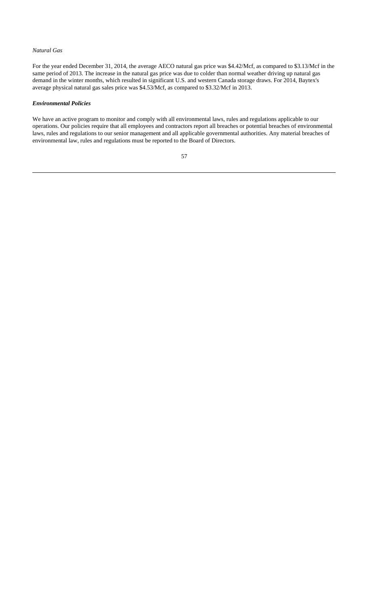#### *Natural Gas*

For the year ended December 31, 2014, the average AECO natural gas price was \$4.42/Mcf, as compared to \$3.13/Mcf in the same period of 2013. The increase in the natural gas price was due to colder than normal weather driving up natural gas demand in the winter months, which resulted in significant U.S. and western Canada storage draws. For 2014, Baytex's average physical natural gas sales price was \$4.53/Mcf, as compared to \$3.32/Mcf in 2013.

#### *Environmental Policies*

We have an active program to monitor and comply with all environmental laws, rules and regulations applicable to our operations. Our policies require that all employees and contractors report all breaches or potential breaches of environmental laws, rules and regulations to our senior management and all applicable governmental authorities. Any material breaches of environmental law, rules and regulations must be reported to the Board of Directors.

| n an               | . .<br>۰, |
|--------------------|-----------|
| ۰.<br>۰.<br>٠<br>× |           |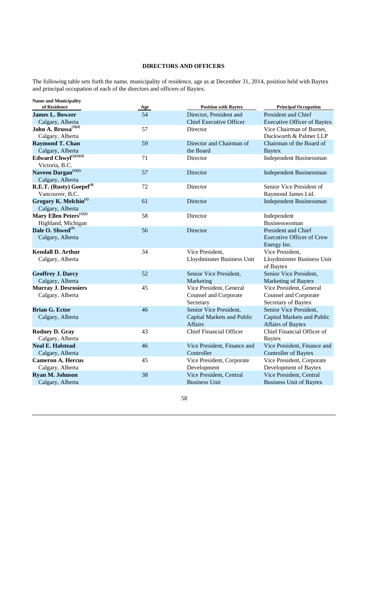# **DIRECTORS AND OFFICERS**

The following table sets forth the name, municipality of residence, age as at December 31, 2014, position held with Baytex and principal occupation of each of the directors and officers of Baytex.

| <b>Name and Municipality</b>                 |     |                                                  |                                                  |
|----------------------------------------------|-----|--------------------------------------------------|--------------------------------------------------|
| of Residence                                 | Age | <b>Position with Baytex</b>                      | <b>Principal Occupation</b>                      |
| <b>James L. Bowzer</b>                       | 54  | Director, President and                          | President and Chief                              |
| Calgary, Alberta                             |     | <b>Chief Executive Officer</b>                   | <b>Executive Officer of Baytex</b>               |
| John A. Brussa <sup>(3)(4)</sup>             | 57  | Director                                         | Vice Chairman of Burnet,                         |
| Calgary, Alberta                             |     |                                                  | Duckworth & Palmer LLP                           |
| <b>Raymond T. Chan</b>                       | 59  | Director and Chairman of                         | Chairman of the Board of                         |
| Calgary, Alberta                             |     | the Board                                        | <b>Baytex</b>                                    |
| Edward Chwyl $^{(2)(3)(4)}$                  | 71  | Director                                         | <b>Independent Businessman</b>                   |
| Victoria, B.C.                               |     |                                                  |                                                  |
| Naveen Dargan <sup>(1)(2)</sup>              | 57  | Director                                         | <b>Independent Businessman</b>                   |
| Calgary, Alberta                             |     |                                                  |                                                  |
| R.E.T. (Rusty) Goepel <sup>(4)</sup>         | 72  | Director                                         | Senior Vice President of                         |
| Vancouver, B.C.                              |     |                                                  | Raymond James Ltd.                               |
| Gregory K. Melchin <sup>(1)</sup>            | 61  | Director                                         | <b>Independent Businessman</b>                   |
| Calgary, Alberta                             |     |                                                  |                                                  |
| Mary Ellen Peters <sup>(1)(2)</sup>          | 58  | Director                                         | Independent                                      |
| Highland, Michigan                           |     |                                                  | Businesswoman                                    |
| Dale O. Shwed <sup>(3)</sup>                 | 56  | Director                                         | President and Chief                              |
| Calgary, Alberta                             |     |                                                  | <b>Executive Officer of Crew</b>                 |
|                                              |     |                                                  | Energy Inc.                                      |
| <b>Kendall D. Arthur</b>                     | 34  | Vice President,                                  | Vice President,                                  |
| Calgary, Alberta                             |     | Lloydminster Business Unit                       | Lloydminster Business Unit                       |
|                                              |     |                                                  | of Baytex                                        |
| <b>Geoffrey J. Darcy</b>                     | 52  | Senior Vice President,                           | Senior Vice President,                           |
| Calgary, Alberta                             |     | Marketing                                        | Marketing of Baytex                              |
| <b>Murray J. Desrosiers</b>                  | 45  | Vice President, General                          | Vice President, General                          |
| Calgary, Alberta                             |     | Counsel and Corporate                            | Counsel and Corporate                            |
|                                              |     | Secretary                                        | Secretary of Baytex                              |
| <b>Brian G. Ector</b>                        | 46  | Senior Vice President,                           | Senior Vice President,                           |
| Calgary, Alberta                             |     | Capital Markets and Public                       | Capital Markets and Public                       |
|                                              |     | <b>Affairs</b><br><b>Chief Financial Officer</b> | <b>Affairs of Baytex</b>                         |
| <b>Rodney D. Gray</b>                        | 43  |                                                  | Chief Financial Officer of                       |
| Calgary, Alberta<br><b>Neal E. Halstead</b>  |     |                                                  | <b>Baytex</b>                                    |
|                                              | 46  | Vice President, Finance and                      | Vice President, Finance and                      |
| Calgary, Alberta<br><b>Cameron A. Hercus</b> |     | Controller                                       | <b>Controller of Baytex</b>                      |
|                                              | 45  | Vice President, Corporate                        | Vice President, Corporate                        |
| Calgary, Alberta                             | 38  | Development<br>Vice President, Central           | Development of Baytex<br>Vice President, Central |
| <b>Ryan M. Johnson</b>                       |     |                                                  |                                                  |
| Calgary, Alberta                             |     | <b>Business Unit</b>                             | <b>Business Unit of Baytex</b>                   |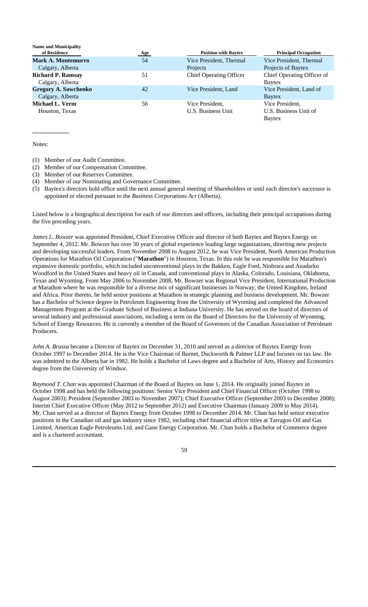| <b>Name and Municipality</b> |            |                                |                             |
|------------------------------|------------|--------------------------------|-----------------------------|
| of Residence                 | <b>Age</b> | <b>Position with Baytex</b>    | <b>Principal Occupation</b> |
| Mark A. Montemurro           | 54         | Vice President, Thermal        | Vice President, Thermal     |
| Calgary, Alberta             |            | Projects                       | Projects of Baytex          |
| <b>Richard P. Ramsay</b>     | 51         | <b>Chief Operating Officer</b> | Chief Operating Officer of  |
| Calgary, Alberta             |            |                                | Baytex                      |
| <b>Gregory A. Sawchenko</b>  | 42         | Vice President, Land           | Vice President, Land of     |
| Calgary, Alberta             |            |                                | Baytex                      |
| <b>Michael L. Verm</b>       | 56         | Vice President,                | Vice President,             |
| Houston, Texas               |            | <b>U.S. Business Unit</b>      | U.S. Business Unit of       |
|                              |            |                                | <b>Baytex</b>               |

Notes:

(1) Member of our Audit Committee.

(2) Member of our Compensation Committee.

(3) Member of our Reserves Committee.

(4) Member of our Nominating and Governance Committee.

(5) Baytex's directors hold office until the next annual general meeting of Shareholders or until each director's successor is appointed or elected pursuant to the *Business Corporations Act* (Alberta).

Listed below is a biographical description for each of our directors and officers, including their principal occupations during the five preceding years.

*James L. Bowzer* was appointed President, Chief Executive Officer and director of both Baytex and Baytex Energy on September 4, 2012. Mr. Bowzer has over 30 years of global experience leading large organizations, directing new projects and developing successful leaders. From November 2008 to August 2012, he was Vice President, North American Production Operations for Marathon Oil Corporation ("**Marathon**") in Houston, Texas. In this role he was responsible for Marathon's expansive domestic portfolio, which included unconventional plays in the Bakken, Eagle Ford, Niobrara and Anadarko Woodford in the United States and heavy oil in Canada, and conventional plays in Alaska, Colorado, Louisiana, Oklahoma, Texas and Wyoming. From May 2006 to November 2008, Mr. Bowzer was Regional Vice President, International Production at Marathon where he was responsible for a diverse mix of significant businesses in Norway, the United Kingdom, Ireland and Africa. Prior thereto, he held senior positions at Marathon in strategic planning and business development. Mr. Bowzer has a Bachelor of Science degree in Petroleum Engineering from the University of Wyoming and completed the Advanced Management Program at the Graduate School of Business at Indiana University. He has served on the board of directors of several industry and professional associations, including a term on the Board of Directors for the University of Wyoming, School of Energy Resources. He is currently a member of the Board of Governors of the Canadian Association of Petroleum Producers.

*John A. Brussa* became a Director of Baytex on December 31, 2010 and served as a director of Baytex Energy from October 1997 to December 2014. He is the Vice Chairman of Burnet, Duckworth & Palmer LLP and focuses on tax law. He was admitted to the Alberta bar in 1982. He holds a Bachelor of Laws degree and a Bachelor of Arts, History and Economics degree from the University of Windsor.

*Raymond T. Chan* was appointed Chairman of the Board of Baytex on June 1, 2014. He originally joined Baytex in October 1998 and has held the following positions: Senior Vice President and Chief Financial Officer (October 1998 to August 2003); President (September 2003 to November 2007); Chief Executive Officer (September 2003 to December 2008); Interim Chief Executive Officer (May 2012 to September 2012) and Executive Chairman (January 2009 to May 2014). Mr. Chan served as a director of Baytex Energy from October 1998 to December 2014. Mr. Chan has held senior executive positions in the Canadian oil and gas industry since 1982, including chief financial officer titles at Tarragon Oil and Gas Limited, American Eagle Petroleums Ltd. and Gane Energy Corporation. Mr. Chan holds a Bachelor of Commerce degree and is a chartered accountant.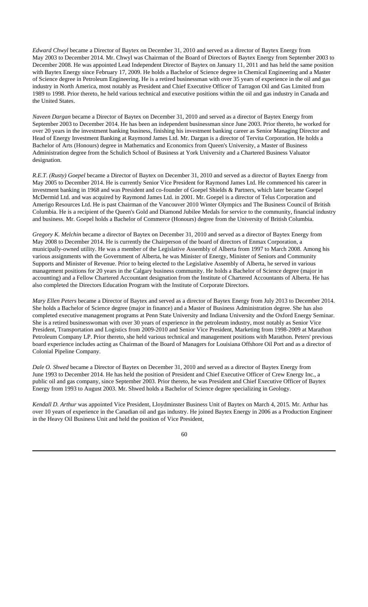*Edward Chwyl* became a Director of Baytex on December 31, 2010 and served as a director of Baytex Energy from May 2003 to December 2014. Mr. Chwyl was Chairman of the Board of Directors of Baytex Energy from September 2003 to December 2008. He was appointed Lead Independent Director of Baytex on January 11, 2011 and has held the same position with Baytex Energy since February 17, 2009. He holds a Bachelor of Science degree in Chemical Engineering and a Master of Science degree in Petroleum Engineering. He is a retired businessman with over 35 years of experience in the oil and gas industry in North America, most notably as President and Chief Executive Officer of Tarragon Oil and Gas Limited from 1989 to 1998. Prior thereto, he held various technical and executive positions within the oil and gas industry in Canada and the United States.

*Naveen Dargan* became a Director of Baytex on December 31, 2010 and served as a director of Baytex Energy from September 2003 to December 2014. He has been an independent businessman since June 2003. Prior thereto, he worked for over 20 years in the investment banking business, finishing his investment banking career as Senior Managing Director and Head of Energy Investment Banking at Raymond James Ltd. Mr. Dargan is a director of Tervita Corporation. He holds a Bachelor of Arts (Honours) degree in Mathematics and Economics from Queen's University, a Master of Business Administration degree from the Schulich School of Business at York University and a Chartered Business Valuator designation.

*R.E.T. (Rusty) Goepel* became a Director of Baytex on December 31, 2010 and served as a director of Baytex Energy from May 2005 to December 2014. He is currently Senior Vice President for Raymond James Ltd. He commenced his career in investment banking in 1968 and was President and co-founder of Goepel Shields & Partners, which later became Goepel McDermid Ltd. and was acquired by Raymond James Ltd. in 2001. Mr. Goepel is a director of Telus Corporation and Amerigo Resources Ltd. He is past Chairman of the Vancouver 2010 Winter Olympics and The Business Council of British Columbia. He is a recipient of the Queen's Gold and Diamond Jubilee Medals for service to the community, financial industry and business. Mr. Goepel holds a Bachelor of Commerce (Honours) degree from the University of British Columbia.

*Gregory K. Melchin* became a director of Baytex on December 31, 2010 and served as a director of Baytex Energy from May 2008 to December 2014. He is currently the Chairperson of the board of directors of Enmax Corporation, a municipally-owned utility. He was a member of the Legislative Assembly of Alberta from 1997 to March 2008. Among his various assignments with the Government of Alberta, he was Minister of Energy, Minister of Seniors and Community Supports and Minister of Revenue. Prior to being elected to the Legislative Assembly of Alberta, he served in various management positions for 20 years in the Calgary business community. He holds a Bachelor of Science degree (major in accounting) and a Fellow Chartered Accountant designation from the Institute of Chartered Accountants of Alberta. He has also completed the Directors Education Program with the Institute of Corporate Directors.

*Mary Ellen Peters* became a Director of Baytex and served as a director of Baytex Energy from July 2013 to December 2014. She holds a Bachelor of Science degree (major in finance) and a Master of Business Administration degree. She has also completed executive management programs at Penn State University and Indiana University and the Oxford Energy Seminar. She is a retired businesswoman with over 30 years of experience in the petroleum industry, most notably as Senior Vice President, Transportation and Logistics from 2009-2010 and Senior Vice President, Marketing from 1998-2009 at Marathon Petroleum Company LP. Prior thereto, she held various technical and management positions with Marathon. Peters' previous board experience includes acting as Chairman of the Board of Managers for Louisiana Offshore Oil Port and as a director of Colonial Pipeline Company.

*Dale O. Shwed* became a Director of Baytex on December 31, 2010 and served as a director of Baytex Energy from June 1993 to December 2014. He has held the position of President and Chief Executive Officer of Crew Energy Inc., a public oil and gas company, since September 2003. Prior thereto, he was President and Chief Executive Officer of Baytex Energy from 1993 to August 2003. Mr. Shwed holds a Bachelor of Science degree specializing in Geology.

*Kendall D. Arthur* was appointed Vice President, Lloydminster Business Unit of Baytex on March 4, 2015. Mr. Arthur has over 10 years of experience in the Canadian oil and gas industry. He joined Baytex Energy in 2006 as a Production Engineer in the Heavy Oil Business Unit and held the position of Vice President,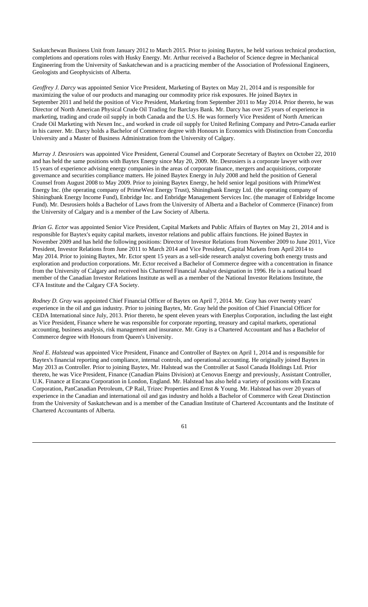Saskatchewan Business Unit from January 2012 to March 2015. Prior to joining Baytex, he held various technical production, completions and operations roles with Husky Energy. Mr. Arthur received a Bachelor of Science degree in Mechanical Engineering from the University of Saskatchewan and is a practicing member of the Association of Professional Engineers, Geologists and Geophysicists of Alberta.

*Geoffrey J. Darcy* was appointed Senior Vice President, Marketing of Baytex on May 21, 2014 and is responsible for maximizing the value of our products and managing our commodity price risk exposures. He joined Baytex in September 2011 and held the position of Vice President, Marketing from September 2011 to May 2014. Prior thereto, he was Director of North American Physical Crude Oil Trading for Barclays Bank. Mr. Darcy has over 25 years of experience in marketing, trading and crude oil supply in both Canada and the U.S. He was formerly Vice President of North American Crude Oil Marketing with Nexen Inc., and worked in crude oil supply for United Refining Company and Petro-Canada earlier in his career. Mr. Darcy holds a Bachelor of Commerce degree with Honours in Economics with Distinction from Concordia University and a Master of Business Administration from the University of Calgary.

*Murray J. Desrosiers* was appointed Vice President, General Counsel and Corporate Secretary of Baytex on October 22, 2010 and has held the same positions with Baytex Energy since May 20, 2009. Mr. Desrosiers is a corporate lawyer with over 15 years of experience advising energy companies in the areas of corporate finance, mergers and acquisitions, corporate governance and securities compliance matters. He joined Baytex Energy in July 2008 and held the position of General Counsel from August 2008 to May 2009. Prior to joining Baytex Energy, he held senior legal positions with PrimeWest Energy Inc. (the operating company of PrimeWest Energy Trust), Shiningbank Energy Ltd. (the operating company of Shiningbank Energy Income Fund), Enbridge Inc. and Enbridge Management Services Inc. (the manager of Enbridge Income Fund). Mr. Desrosiers holds a Bachelor of Laws from the University of Alberta and a Bachelor of Commerce (Finance) from the University of Calgary and is a member of the Law Society of Alberta.

*Brian G. Ector* was appointed Senior Vice President, Capital Markets and Public Affairs of Baytex on May 21, 2014 and is responsible for Baytex's equity capital markets, investor relations and public affairs functions. He joined Baytex in November 2009 and has held the following positions: Director of Investor Relations from November 2009 to June 2011, Vice President, Investor Relations from June 2011 to March 2014 and Vice President, Capital Markets from April 2014 to May 2014. Prior to joining Baytex, Mr. Ector spent 15 years as a sell-side research analyst covering both energy trusts and exploration and production corporations. Mr. Ector received a Bachelor of Commerce degree with a concentration in finance from the University of Calgary and received his Chartered Financial Analyst designation in 1996. He is a national board member of the Canadian Investor Relations Institute as well as a member of the National Investor Relations Institute, the CFA Institute and the Calgary CFA Society.

*Rodney D. Gray* was appointed Chief Financial Officer of Baytex on April 7, 2014. Mr. Gray has over twenty years' experience in the oil and gas industry. Prior to joining Baytex, Mr. Gray held the position of Chief Financial Officer for CEDA International since July, 2013. Prior thereto, he spent eleven years with Enerplus Corporation, including the last eight as Vice President, Finance where he was responsible for corporate reporting, treasury and capital markets, operational accounting, business analysis, risk management and insurance. Mr. Gray is a Chartered Accountant and has a Bachelor of Commerce degree with Honours from Queen's University.

*Neal E. Halstead* was appointed Vice President, Finance and Controller of Baytex on April 1, 2014 and is responsible for Baytex's financial reporting and compliance, internal controls, and operational accounting. He originally joined Baytex in May 2013 as Controller. Prior to joining Baytex, Mr. Halstead was the Controller at Sasol Canada Holdings Ltd. Prior thereto, he was Vice President, Finance (Canadian Plains Division) at Cenovus Energy and previously, Assistant Controller, U.K. Finance at Encana Corporation in London, England. Mr. Halstead has also held a variety of positions with Encana Corporation, PanCanadian Petroleum, CP Rail, Trizec Properties and Ernst & Young. Mr. Halstead has over 20 years of experience in the Canadian and international oil and gas industry and holds a Bachelor of Commerce with Great Distinction from the University of Saskatchewan and is a member of the Canadian Institute of Chartered Accountants and the Institute of Chartered Accountants of Alberta.

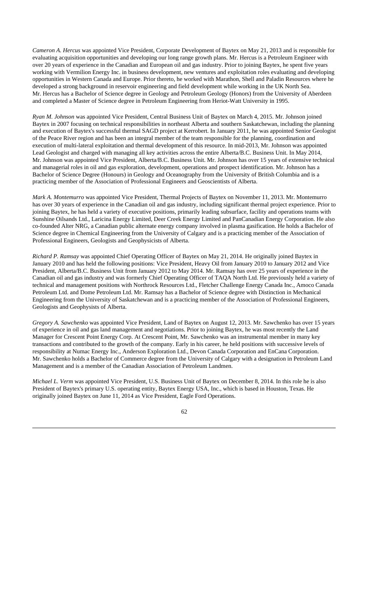*Cameron A. Hercus* was appointed Vice President, Corporate Development of Baytex on May 21, 2013 and is responsible for evaluating acquisition opportunities and developing our long range growth plans. Mr. Hercus is a Petroleum Engineer with over 20 years of experience in the Canadian and European oil and gas industry. Prior to joining Baytex, he spent five years working with Vermilion Energy Inc. in business development, new ventures and exploitation roles evaluating and developing opportunities in Western Canada and Europe. Prior thereto, he worked with Marathon, Shell and Paladin Resources where he developed a strong background in reservoir engineering and field development while working in the UK North Sea. Mr. Hercus has a Bachelor of Science degree in Geology and Petroleum Geology (Honors) from the University of Aberdeen and completed a Master of Science degree in Petroleum Engineering from Heriot-Watt University in 1995.

*Ryan M. Johnson* was appointed Vice President, Central Business Unit of Baytex on March 4, 2015. Mr. Johnson joined Baytex in 2007 focusing on technical responsibilities in northeast Alberta and southern Saskatchewan, including the planning and execution of Baytex's successful thermal SAGD project at Kerrobert. In January 2011, he was appointed Senior Geologist of the Peace River region and has been an integral member of the team responsible for the planning, coordination and execution of multi-lateral exploitation and thermal development of this resource. In mid-2013, Mr. Johnson was appointed Lead Geologist and charged with managing all key activities across the entire Alberta/B.C. Business Unit. In May 2014, Mr. Johnson was appointed Vice President, Alberta/B.C. Business Unit. Mr. Johnson has over 15 years of extensive technical and managerial roles in oil and gas exploration, development, operations and prospect identification. Mr. Johnson has a Bachelor of Science Degree (Honours) in Geology and Oceanography from the University of British Columbia and is a practicing member of the Association of Professional Engineers and Geoscientists of Alberta.

*Mark A. Montemurro* was appointed Vice President, Thermal Projects of Baytex on November 11, 2013. Mr. Montemurro has over 30 years of experience in the Canadian oil and gas industry, including significant thermal project experience. Prior to joining Baytex, he has held a variety of executive positions, primarily leading subsurface, facility and operations teams with Sunshine Oilsands Ltd., Laricina Energy Limited, Deer Creek Energy Limited and PanCanadian Energy Corporation. He also co-founded Alter NRG, a Canadian public alternate energy company involved in plasma gasification. He holds a Bachelor of Science degree in Chemical Engineering from the University of Calgary and is a practicing member of the Association of Professional Engineers, Geologists and Geophysicists of Alberta.

*Richard P. Ramsay* was appointed Chief Operating Officer of Baytex on May 21, 2014. He originally joined Baytex in January 2010 and has held the following positions: Vice President, Heavy Oil from January 2010 to January 2012 and Vice President, Alberta/B.C. Business Unit from January 2012 to May 2014. Mr. Ramsay has over 25 years of experience in the Canadian oil and gas industry and was formerly Chief Operating Officer of TAQA North Ltd. He previously held a variety of technical and management positions with Northrock Resources Ltd., Fletcher Challenge Energy Canada Inc., Amoco Canada Petroleum Ltd. and Dome Petroleum Ltd. Mr. Ramsay has a Bachelor of Science degree with Distinction in Mechanical Engineering from the University of Saskatchewan and is a practicing member of the Association of Professional Engineers, Geologists and Geophysists of Alberta.

*Gregory A. Sawchenko* was appointed Vice President, Land of Baytex on August 12, 2013. Mr. Sawchenko has over 15 years of experience in oil and gas land management and negotiations. Prior to joining Baytex, he was most recently the Land Manager for Crescent Point Energy Corp. At Crescent Point, Mr. Sawchenko was an instrumental member in many key transactions and contributed to the growth of the company. Early in his career, he held positions with successive levels of responsibility at Numac Energy Inc., Anderson Exploration Ltd., Devon Canada Corporation and EnCana Corporation. Mr. Sawchenko holds a Bachelor of Commerce degree from the University of Calgary with a designation in Petroleum Land Management and is a member of the Canadian Association of Petroleum Landmen.

*Michael L. Verm* was appointed Vice President, U.S. Business Unit of Baytex on December 8, 2014. In this role he is also President of Baytex's primary U.S. operating entity, Baytex Energy USA, Inc., which is based in Houston, Texas. He originally joined Baytex on June 11, 2014 as Vice President, Eagle Ford Operations.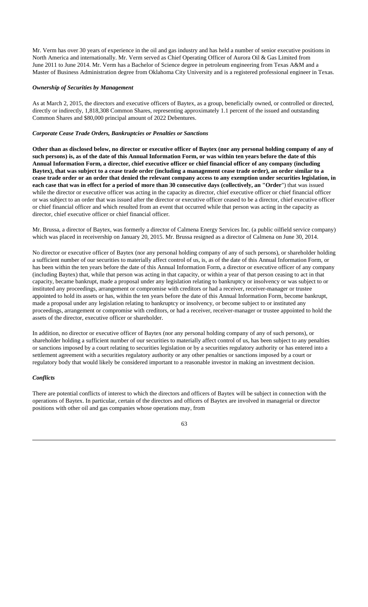Mr. Verm has over 30 years of experience in the oil and gas industry and has held a number of senior executive positions in North America and internationally. Mr. Verm served as Chief Operating Officer of Aurora Oil & Gas Limited from June 2011 to June 2014. Mr. Verm has a Bachelor of Science degree in petroleum engineering from Texas A&M and a Master of Business Administration degree from Oklahoma City University and is a registered professional engineer in Texas.

#### *Ownership of Securities by Management*

As at March 2, 2015, the directors and executive officers of Baytex, as a group, beneficially owned, or controlled or directed, directly or indirectly, 1,818,308 Common Shares, representing approximately 1.1 percent of the issued and outstanding Common Shares and \$80,000 principal amount of 2022 Debentures.

#### *Corporate Cease Trade Orders, Bankruptcies or Penalties or Sanctions*

**Other than as disclosed below, no director or executive officer of Baytex (nor any personal holding company of any of such persons) is, as of the date of this Annual Information Form, or was within ten years before the date of this Annual Information Form, a director, chief executive officer or chief financial officer of any company (including Baytex), that was subject to a cease trade order (including a management cease trade order), an order similar to a cease trade order or an order that denied the relevant company access to any exemption under securities legislation, in each case that was in effect for a period of more than 30 consecutive days (collectively, an "Order**") that was issued while the director or executive officer was acting in the capacity as director, chief executive officer or chief financial officer or was subject to an order that was issued after the director or executive officer ceased to be a director, chief executive officer or chief financial officer and which resulted from an event that occurred while that person was acting in the capacity as director, chief executive officer or chief financial officer.

Mr. Brussa, a director of Baytex, was formerly a director of Calmena Energy Services Inc. (a public oilfield service company) which was placed in receivership on January 20, 2015. Mr. Brussa resigned as a director of Calmena on June 30, 2014.

No director or executive officer of Baytex (nor any personal holding company of any of such persons), or shareholder holding a sufficient number of our securities to materially affect control of us, is, as of the date of this Annual Information Form, or has been within the ten years before the date of this Annual Information Form, a director or executive officer of any company (including Baytex) that, while that person was acting in that capacity, or within a year of that person ceasing to act in that capacity, became bankrupt, made a proposal under any legislation relating to bankruptcy or insolvency or was subject to or instituted any proceedings, arrangement or compromise with creditors or had a receiver, receiver-manager or trustee appointed to hold its assets or has, within the ten years before the date of this Annual Information Form, become bankrupt, made a proposal under any legislation relating to bankruptcy or insolvency, or become subject to or instituted any proceedings, arrangement or compromise with creditors, or had a receiver, receiver-manager or trustee appointed to hold the assets of the director, executive officer or shareholder.

In addition, no director or executive officer of Baytex (nor any personal holding company of any of such persons), or shareholder holding a sufficient number of our securities to materially affect control of us, has been subject to any penalties or sanctions imposed by a court relating to securities legislation or by a securities regulatory authority or has entered into a settlement agreement with a securities regulatory authority or any other penalties or sanctions imposed by a court or regulatory body that would likely be considered important to a reasonable investor in making an investment decision.

# *Conflicts*

There are potential conflicts of interest to which the directors and officers of Baytex will be subject in connection with the operations of Baytex. In particular, certain of the directors and officers of Baytex are involved in managerial or director positions with other oil and gas companies whose operations may, from

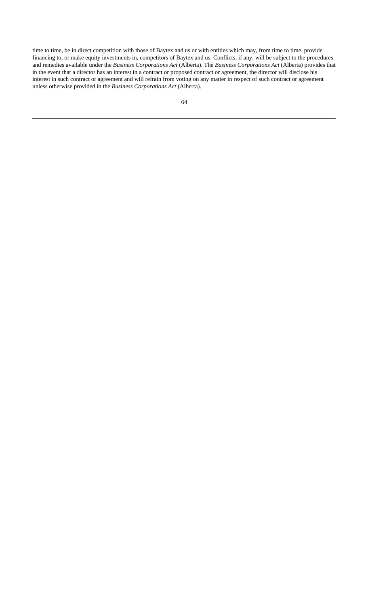time to time, be in direct competition with those of Baytex and us or with entities which may, from time to time, provide financing to, or make equity investments in, competitors of Baytex and us. Conflicts, if any, will be subject to the procedures and remedies available under the *Business Corporations Act* (Alberta). The *Business Corporations Act* (Alberta) provides that in the event that a director has an interest in a contract or proposed contract or agreement, the director will disclose his interest in such contract or agreement and will refrain from voting on any matter in respect of such contract or agreement unless otherwise provided in the *Business Corporations Act* (Alberta).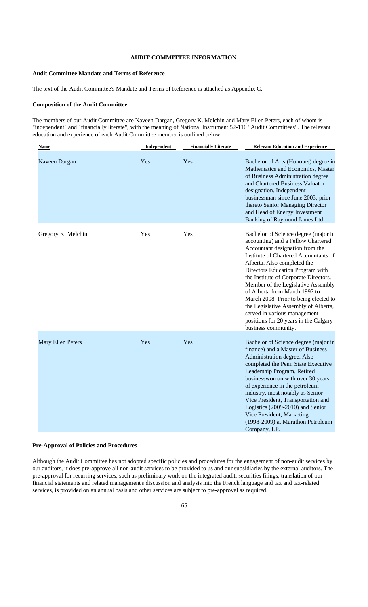# **AUDIT COMMITTEE INFORMATION**

## **Audit Committee Mandate and Terms of Reference**

The text of the Audit Committee's Mandate and Terms of Reference is attached as Appendix C.

#### **Composition of the Audit Committee**

The members of our Audit Committee are Naveen Dargan, Gregory K. Melchin and Mary Ellen Peters, each of whom is "independent" and "financially literate", with the meaning of National Instrument 52-110 "Audit Committees". The relevant education and experience of each Audit Committee member is outlined below:

| Name               | Independent | <b>Financially Literate</b> | <b>Relevant Education and Experience</b>                                                                                                                                                                                                                                                                                                                                                                                                                                                                                   |
|--------------------|-------------|-----------------------------|----------------------------------------------------------------------------------------------------------------------------------------------------------------------------------------------------------------------------------------------------------------------------------------------------------------------------------------------------------------------------------------------------------------------------------------------------------------------------------------------------------------------------|
| Naveen Dargan      | Yes         | Yes                         | Bachelor of Arts (Honours) degree in<br>Mathematics and Economics, Master<br>of Business Administration degree<br>and Chartered Business Valuator<br>designation. Independent<br>businessman since June 2003; prior<br>thereto Senior Managing Director<br>and Head of Energy Investment<br>Banking of Raymond James Ltd.                                                                                                                                                                                                  |
| Gregory K. Melchin | Yes         | Yes                         | Bachelor of Science degree (major in<br>accounting) and a Fellow Chartered<br>Accountant designation from the<br>Institute of Chartered Accountants of<br>Alberta. Also completed the<br>Directors Education Program with<br>the Institute of Corporate Directors.<br>Member of the Legislative Assembly<br>of Alberta from March 1997 to<br>March 2008. Prior to being elected to<br>the Legislative Assembly of Alberta,<br>served in various management<br>positions for 20 years in the Calgary<br>business community. |
| Mary Ellen Peters  | Yes         | Yes                         | Bachelor of Science degree (major in<br>finance) and a Master of Business<br>Administration degree. Also<br>completed the Penn State Executive<br>Leadership Program. Retired<br>businesswoman with over 30 years<br>of experience in the petroleum<br>industry, most notably as Senior<br>Vice President, Transportation and<br>Logistics (2009-2010) and Senior<br>Vice President, Marketing<br>(1998-2009) at Marathon Petroleum<br>Company, LP.                                                                        |

# **Pre-Approval of Policies and Procedures**

Although the Audit Committee has not adopted specific policies and procedures for the engagement of non-audit services by our auditors, it does pre-approve all non-audit services to be provided to us and our subsidiaries by the external auditors. The pre-approval for recurring services, such as preliminary work on the integrated audit, securities filings, translation of our financial statements and related management's discussion and analysis into the French language and tax and tax-related services, is provided on an annual basis and other services are subject to pre-approval as required.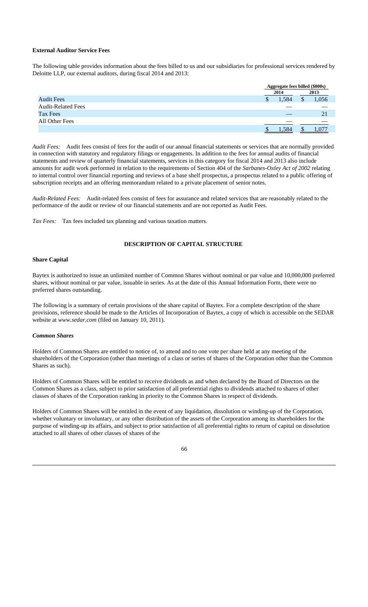#### **External Auditor Service Fees**

The following table provides information about the fees billed to us and our subsidiaries for professional services rendered by Deloitte LLP, our external auditors, during fiscal 2014 and 2013:

|                           | Aggregate fees billed (\$000s) |   |      |  |  |
|---------------------------|--------------------------------|---|------|--|--|
|                           | 2014                           |   | 2013 |  |  |
| <b>Audit Fees</b>         | 1.584                          | Φ | .056 |  |  |
| <b>Audit-Related Fees</b> |                                |   |      |  |  |
| Tax Fees                  |                                |   | 21   |  |  |
| All Other Fees            |                                |   |      |  |  |
|                           | .584                           |   |      |  |  |

*Audit Fees:* Audit fees consist of fees for the audit of our annual financial statements or services that are normally provided in connection with statutory and regulatory filings or engagements. In addition to the fees for annual audits of financial statements and review of quarterly financial statements, services in this category for fiscal 2014 and 2013 also include amounts for audit work performed in relation to the requirements of Section 404 of the *Sarbanes-Oxley Act of 2002* relating to internal control over financial reporting and reviews of a base shelf prospectus, a prospectus related to a public offering of subscription receipts and an offering memorandum related to a private placement of senior notes.

*Audit-Related Fees:* Audit-related fees consist of fees for assurance and related services that are reasonably related to the performance of the audit or review of our financial statements and are not reported as Audit Fees.

*Tax Fees:* Tax fees included tax planning and various taxation matters.

### **DESCRIPTION OF CAPITAL STRUCTURE**

#### **Share Capital**

Baytex is authorized to issue an unlimited number of Common Shares without nominal or par value and 10,000,000 preferred shares, without nominal or par value, issuable in series. As at the date of this Annual Information Form, there were no preferred shares outstanding.

The following is a summary of certain provisions of the share capital of Baytex. For a complete description of the share provisions, reference should be made to the Articles of Incorporation of Baytex, a copy of which is accessible on the SEDAR website at *www.sedar.com* (filed on January 10, 2011).

#### *Common Shares*

Holders of Common Shares are entitled to notice of, to attend and to one vote per share held at any meeting of the shareholders of the Corporation (other than meetings of a class or series of shares of the Corporation other than the Common Shares as such).

Holders of Common Shares will be entitled to receive dividends as and when declared by the Board of Directors on the Common Shares as a class, subject to prior satisfaction of all preferential rights to dividends attached to shares of other classes of shares of the Corporation ranking in priority to the Common Shares in respect of dividends.

Holders of Common Shares will be entitled in the event of any liquidation, dissolution or winding-up of the Corporation, whether voluntary or involuntary, or any other distribution of the assets of the Corporation among its shareholders for the purpose of winding-up its affairs, and subject to prior satisfaction of all preferential rights to return of capital on dissolution attached to all shares of other classes of shares of the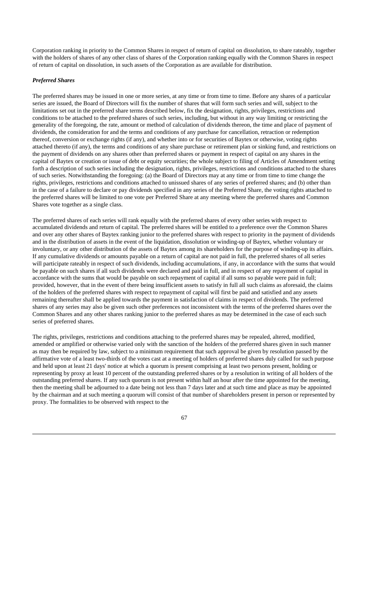Corporation ranking in priority to the Common Shares in respect of return of capital on dissolution, to share rateably, together with the holders of shares of any other class of shares of the Corporation ranking equally with the Common Shares in respect of return of capital on dissolution, in such assets of the Corporation as are available for distribution.

### *Preferred Shares*

The preferred shares may be issued in one or more series, at any time or from time to time. Before any shares of a particular series are issued, the Board of Directors will fix the number of shares that will form such series and will, subject to the limitations set out in the preferred share terms described below, fix the designation, rights, privileges, restrictions and conditions to be attached to the preferred shares of such series, including, but without in any way limiting or restricting the generality of the foregoing, the rate, amount or method of calculation of dividends thereon, the time and place of payment of dividends, the consideration for and the terms and conditions of any purchase for cancellation, retraction or redemption thereof, conversion or exchange rights (if any), and whether into or for securities of Baytex or otherwise, voting rights attached thereto (if any), the terms and conditions of any share purchase or retirement plan or sinking fund, and restrictions on the payment of dividends on any shares other than preferred shares or payment in respect of capital on any shares in the capital of Baytex or creation or issue of debt or equity securities; the whole subject to filing of Articles of Amendment setting forth a description of such series including the designation, rights, privileges, restrictions and conditions attached to the shares of such series. Notwithstanding the foregoing: (a) the Board of Directors may at any time or from time to time change the rights, privileges, restrictions and conditions attached to unissued shares of any series of preferred shares; and (b) other than in the case of a failure to declare or pay dividends specified in any series of the Preferred Share, the voting rights attached to the preferred shares will be limited to one vote per Preferred Share at any meeting where the preferred shares and Common Shares vote together as a single class.

The preferred shares of each series will rank equally with the preferred shares of every other series with respect to accumulated dividends and return of capital. The preferred shares will be entitled to a preference over the Common Shares and over any other shares of Baytex ranking junior to the preferred shares with respect to priority in the payment of dividends and in the distribution of assets in the event of the liquidation, dissolution or winding-up of Baytex, whether voluntary or involuntary, or any other distribution of the assets of Baytex among its shareholders for the purpose of winding-up its affairs. If any cumulative dividends or amounts payable on a return of capital are not paid in full, the preferred shares of all series will participate rateably in respect of such dividends, including accumulations, if any, in accordance with the sums that would be payable on such shares if all such dividends were declared and paid in full, and in respect of any repayment of capital in accordance with the sums that would be payable on such repayment of capital if all sums so payable were paid in full; provided, however, that in the event of there being insufficient assets to satisfy in full all such claims as aforesaid, the claims of the holders of the preferred shares with respect to repayment of capital will first be paid and satisfied and any assets remaining thereafter shall be applied towards the payment in satisfaction of claims in respect of dividends. The preferred shares of any series may also be given such other preferences not inconsistent with the terms of the preferred shares over the Common Shares and any other shares ranking junior to the preferred shares as may be determined in the case of each such series of preferred shares.

The rights, privileges, restrictions and conditions attaching to the preferred shares may be repealed, altered, modified, amended or amplified or otherwise varied only with the sanction of the holders of the preferred shares given in such manner as may then be required by law, subject to a minimum requirement that such approval be given by resolution passed by the affirmative vote of a least two-thirds of the votes cast at a meeting of holders of preferred shares duly called for such purpose and held upon at least 21 days' notice at which a quorum is present comprising at least two persons present, holding or representing by proxy at least 10 percent of the outstanding preferred shares or by a resolution in writing of all holders of the outstanding preferred shares. If any such quorum is not present within half an hour after the time appointed for the meeting, then the meeting shall be adjourned to a date being not less than 7 days later and at such time and place as may be appointed by the chairman and at such meeting a quorum will consist of that number of shareholders present in person or represented by proxy. The formalities to be observed with respect to the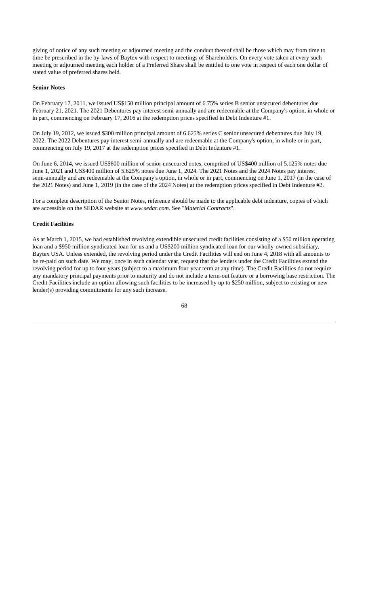giving of notice of any such meeting or adjourned meeting and the conduct thereof shall be those which may from time to time be prescribed in the by-laws of Baytex with respect to meetings of Shareholders. On every vote taken at every such meeting or adjourned meeting each holder of a Preferred Share shall be entitled to one vote in respect of each one dollar of stated value of preferred shares held.

#### **Senior Notes**

On February 17, 2011, we issued US\$150 million principal amount of 6.75% series B senior unsecured debentures due February 21, 2021. The 2021 Debentures pay interest semi-annually and are redeemable at the Company's option, in whole or in part, commencing on February 17, 2016 at the redemption prices specified in Debt Indenture #1.

On July 19, 2012, we issued \$300 million principal amount of 6.625% series C senior unsecured debentures due July 19, 2022. The 2022 Debentures pay interest semi-annually and are redeemable at the Company's option, in whole or in part, commencing on July 19, 2017 at the redemption prices specified in Debt Indenture #1.

On June 6, 2014, we issued US\$800 million of senior unsecured notes, comprised of US\$400 million of 5.125% notes due June 1, 2021 and US\$400 million of 5.625% notes due June 1, 2024. The 2021 Notes and the 2024 Notes pay interest semi-annually and are redeemable at the Company's option, in whole or in part, commencing on June 1, 2017 (in the case of the 2021 Notes) and June 1, 2019 (in the case of the 2024 Notes) at the redemption prices specified in Debt Indenture #2.

For a complete description of the Senior Notes, reference should be made to the applicable debt indenture, copies of which are accessible on the SEDAR website at *www.sedar.com*. See "*Material Contracts*".

### **Credit Facilities**

As at March 1, 2015, we had established revolving extendible unsecured credit facilities consisting of a \$50 million operating loan and a \$950 million syndicated loan for us and a US\$200 million syndicated loan for our wholly-owned subsidiary, Baytex USA. Unless extended, the revolving period under the Credit Facilities will end on June 4, 2018 with all amounts to be re-paid on such date. We may, once in each calendar year, request that the lenders under the Credit Facilities extend the revolving period for up to four years (subject to a maximum four-year term at any time). The Credit Facilities do not require any mandatory principal payments prior to maturity and do not include a term-out feature or a borrowing base restriction. The Credit Facilities include an option allowing such facilities to be increased by up to \$250 million, subject to existing or new lender(s) providing commitments for any such increase.

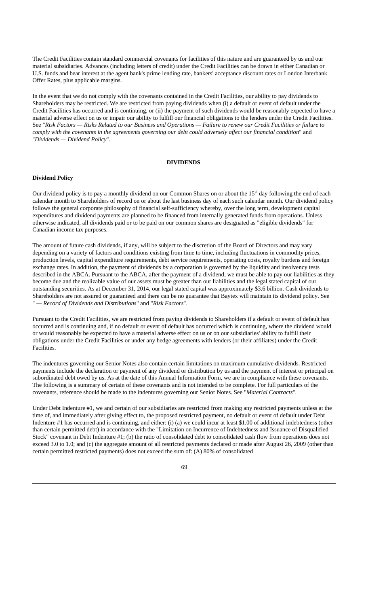The Credit Facilities contain standard commercial covenants for facilities of this nature and are guaranteed by us and our material subsidiaries. Advances (including letters of credit) under the Credit Facilities can be drawn in either Canadian or U.S. funds and bear interest at the agent bank's prime lending rate, bankers' acceptance discount rates or London Interbank Offer Rates, plus applicable margins.

In the event that we do not comply with the covenants contained in the Credit Facilities, our ability to pay dividends to Shareholders may be restricted. We are restricted from paying dividends when (i) a default or event of default under the Credit Facilities has occurred and is continuing, or (ii) the payment of such dividends would be reasonably expected to have a material adverse effect on us or impair our ability to fulfill our financial obligations to the lenders under the Credit Facilities. See "*Risk Factors — Risks Related to our Business and Operations — Failure to renew our Credit Facilities or failure to comply with the covenants in the agreements governing our debt could adversely affect our financial condition*" and "*Dividends — Dividend Policy*".

#### **DIVIDENDS**

### **Dividend Policy**

Our dividend policy is to pay a monthly dividend on our Common Shares on or about the  $15<sup>th</sup>$  day following the end of each calendar month to Shareholders of record on or about the last business day of each such calendar month. Our dividend policy follows the general corporate philosophy of financial self-sufficiency whereby, over the long term, development capital expenditures and dividend payments are planned to be financed from internally generated funds from operations. Unless otherwise indicated, all dividends paid or to be paid on our common shares are designated as "eligible dividends" for Canadian income tax purposes.

The amount of future cash dividends, if any, will be subject to the discretion of the Board of Directors and may vary depending on a variety of factors and conditions existing from time to time, including fluctuations in commodity prices, production levels, capital expenditure requirements, debt service requirements, operating costs, royalty burdens and foreign exchange rates. In addition, the payment of dividends by a corporation is governed by the liquidity and insolvency tests described in the ABCA. Pursuant to the ABCA, after the payment of a dividend, we must be able to pay our liabilities as they become due and the realizable value of our assets must be greater than our liabilities and the legal stated capital of our outstanding securities. As at December 31, 2014, our legal stated capital was approximately \$3.6 billion. Cash dividends to Shareholders are not assured or guaranteed and there can be no guarantee that Baytex will maintain its dividend policy. See " *— Record of Dividends and Distributions*" and "*Risk Factors*".

Pursuant to the Credit Facilities, we are restricted from paying dividends to Shareholders if a default or event of default has occurred and is continuing and, if no default or event of default has occurred which is continuing, where the dividend would or would reasonably be expected to have a material adverse effect on us or on our subsidiaries' ability to fulfill their obligations under the Credit Facilities or under any hedge agreements with lenders (or their affiliates) under the Credit Facilities.

The indentures governing our Senior Notes also contain certain limitations on maximum cumulative dividends. Restricted payments include the declaration or payment of any dividend or distribution by us and the payment of interest or principal on subordinated debt owed by us. As at the date of this Annual Information Form, we are in compliance with these covenants. The following is a summary of certain of these covenants and is not intended to be complete. For full particulars of the covenants, reference should be made to the indentures governing our Senior Notes. See "*Material Contracts*".

Under Debt Indenture #1, we and certain of our subsidiaries are restricted from making any restricted payments unless at the time of, and immediately after giving effect to, the proposed restricted payment, no default or event of default under Debt Indenture #1 has occurred and is continuing, and either: (i) (a) we could incur at least \$1.00 of additional indebtedness (other than certain permitted debt) in accordance with the "Limitation on Incurrence of Indebtedness and Issuance of Disqualified Stock" covenant in Debt Indenture #1; (b) the ratio of consolidated debt to consolidated cash flow from operations does not exceed 3.0 to 1.0; and (c) the aggregate amount of all restricted payments declared or made after August 26, 2009 (other than certain permitted restricted payments) does not exceed the sum of: (A) 80% of consolidated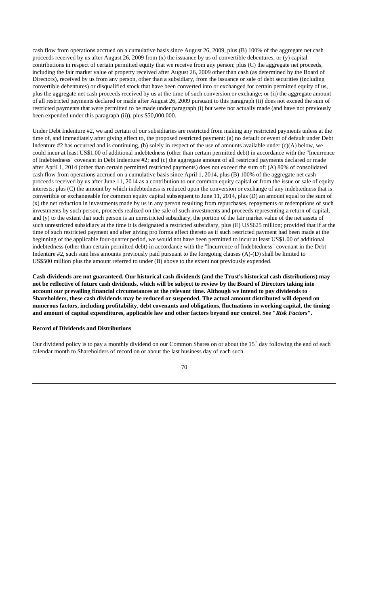cash flow from operations accrued on a cumulative basis since August 26, 2009, plus (B) 100% of the aggregate net cash proceeds received by us after August 26, 2009 from (x) the issuance by us of convertible debentures, or (y) capital contributions in respect of certain permitted equity that we receive from any person; plus (C) the aggregate net proceeds, including the fair market value of property received after August 26, 2009 other than cash (as determined by the Board of Directors), received by us from any person, other than a subsidiary, from the issuance or sale of debt securities (including convertible debentures) or disqualified stock that have been converted into or exchanged for certain permitted equity of us, plus the aggregate net cash proceeds received by us at the time of such conversion or exchange; or (ii) the aggregate amount of all restricted payments declared or made after August 26, 2009 pursuant to this paragraph (ii) does not exceed the sum of restricted payments that were permitted to be made under paragraph (i) but were not actually made (and have not previously been expended under this paragraph (ii)), plus \$50,000,000.

Under Debt Indenture #2, we and certain of our subsidiaries are restricted from making any restricted payments unless at the time of, and immediately after giving effect to, the proposed restricted payment: (a) no default or event of default under Debt Indenture #2 has occurred and is continuing, (b) solely in respect of the use of amounts available under (c)(A) below, we could incur at least US\$1.00 of additional indebtedness (other than certain permitted debt) in accordance with the "Incurrence of Indebtedness" covenant in Debt Indenture #2; and (c) the aggregate amount of all restricted payments declared or made after April 1, 2014 (other than certain permitted restricted payments) does not exceed the sum of: (A) 80% of consolidated cash flow from operations accrued on a cumulative basis since April 1, 2014, plus (B) 100% of the aggregate net cash proceeds received by us after June 11, 2014 as a contribution to our common equity capital or from the issue or sale of equity interests; plus (C) the amount by which indebtedness is reduced upon the conversion or exchange of any indebtedness that is convertible or exchangeable for common equity capital subsequent to June 11, 2014, plus (D) an amount equal to the sum of (x) the net reduction in investments made by us in any person resulting from repurchases, repayments or redemptions of such investments by such person, proceeds realized on the sale of such investments and proceeds representing a return of capital, and (y) to the extent that such person is an unrestricted subsidiary, the portion of the fair market value of the net assets of such unrestricted subsidiary at the time it is designated a restricted subsidiary, plus (E) US\$625 million; provided that if at the time of such restricted payment and after giving pro forma effect thereto as if such restricted payment had been made at the beginning of the applicable four-quarter period, we would not have been permitted to incur at least US\$1.00 of additional indebtedness (other than certain permitted debt) in accordance with the "Incurrence of Indebtedness" covenant in the Debt Indenture #2, such sum less amounts previously paid pursuant to the foregoing clauses (A)-(D) shall be limited to US\$500 million plus the amount referred to under (B) above to the extent not previously expended.

**Cash dividends are not guaranteed. Our historical cash dividends (and the Trust's historical cash distributions) may not be reflective of future cash dividends, which will be subject to review by the Board of Directors taking into account our prevailing financial circumstances at the relevant time. Although we intend to pay dividends to Shareholders, these cash dividends may be reduced or suspended. The actual amount distributed will depend on numerous factors, including profitability, debt covenants and obligations, fluctuations in working capital, the timing and amount of capital expenditures, applicable law and other factors beyond our control. See "***Risk Factors***".**

# **Record of Dividends and Distributions**

Our dividend policy is to pay a monthly dividend on our Common Shares on or about the  $15<sup>th</sup>$  day following the end of each calendar month to Shareholders of record on or about the last business day of each such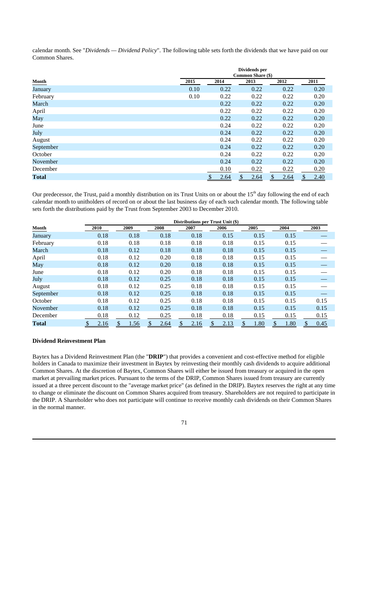calendar month. See "*Dividends — Dividend Policy*". The following table sets forth the dividends that we have paid on our Common Shares.

|              |      | Dividends per            |      |    |      |    |      |  |      |  |
|--------------|------|--------------------------|------|----|------|----|------|--|------|--|
|              |      | <b>Common Share (\$)</b> |      |    |      |    |      |  |      |  |
| Month        | 2015 | 2014                     |      |    | 2013 |    | 2012 |  | 2011 |  |
| January      | 0.10 |                          | 0.22 |    | 0.22 |    | 0.22 |  | 0.20 |  |
| February     | 0.10 |                          | 0.22 |    | 0.22 |    | 0.22 |  | 0.20 |  |
| March        |      |                          | 0.22 |    | 0.22 |    | 0.22 |  | 0.20 |  |
| April        |      |                          | 0.22 |    | 0.22 |    | 0.22 |  | 0.20 |  |
| May          |      |                          | 0.22 |    | 0.22 |    | 0.22 |  | 0.20 |  |
| June         |      |                          | 0.24 |    | 0.22 |    | 0.22 |  | 0.20 |  |
| July         |      |                          | 0.24 |    | 0.22 |    | 0.22 |  | 0.20 |  |
| August       |      |                          | 0.24 |    | 0.22 |    | 0.22 |  | 0.20 |  |
| September    |      |                          | 0.24 |    | 0.22 |    | 0.22 |  | 0.20 |  |
| October      |      |                          | 0.24 |    | 0.22 |    | 0.22 |  | 0.20 |  |
| November     |      |                          | 0.24 |    | 0.22 |    | 0.22 |  | 0.20 |  |
| December     |      |                          | 0.10 |    | 0.22 |    | 0.22 |  | 0.20 |  |
| <b>Total</b> |      | $\frac{1}{2}$            | 2.64 | \$ | 2.64 | \$ | 2.64 |  | 2.40 |  |

Our predecessor, the Trust, paid a monthly distribution on its Trust Units on or about the  $15<sup>th</sup>$  day following the end of each calendar month to unitholders of record on or about the last business day of each such calendar month. The following table sets forth the distributions paid by the Trust from September 2003 to December 2010.

|                |      |      |      | Distributions per Trust Unit (\$) |      |            |            |            |
|----------------|------|------|------|-----------------------------------|------|------------|------------|------------|
| Month          | 2010 | 2009 | 2008 | 2007                              | 2006 | 2005       | 2004       | 2003       |
| <b>January</b> | 0.18 | 0.18 | 0.18 | 0.18                              | 0.15 | 0.15       | 0.15       |            |
| February       | 0.18 | 0.18 | 0.18 | 0.18                              | 0.18 | 0.15       | 0.15       |            |
| March          | 0.18 | 0.12 | 0.18 | 0.18                              | 0.18 | 0.15       | 0.15       |            |
| April          | 0.18 | 0.12 | 0.20 | 0.18                              | 0.18 | 0.15       | 0.15       |            |
| May            | 0.18 | 0.12 | 0.20 | 0.18                              | 0.18 | 0.15       | 0.15       |            |
| June           | 0.18 | 0.12 | 0.20 | 0.18                              | 0.18 | 0.15       | 0.15       |            |
| July           | 0.18 | 0.12 | 0.25 | 0.18                              | 0.18 | 0.15       | 0.15       |            |
| August         | 0.18 | 0.12 | 0.25 | 0.18                              | 0.18 | 0.15       | 0.15       |            |
| September      | 0.18 | 0.12 | 0.25 | 0.18                              | 0.18 | 0.15       | 0.15       |            |
| October        | 0.18 | 0.12 | 0.25 | 0.18                              | 0.18 | 0.15       | 0.15       | 0.15       |
| November       | 0.18 | 0.12 | 0.25 | 0.18                              | 0.18 | 0.15       | 0.15       | 0.15       |
| December       | 0.18 | 0.12 | 0.25 | 0.18                              | 0.18 | 0.15       | 0.15       | 0.15       |
| <b>Total</b>   | 2.16 | 1.56 | 2.64 | 2.16                              | 2.13 | 1.80<br>\$ | 1.80<br>\$ | \$<br>0.45 |

# **Dividend Reinvestment Plan**

Baytex has a Dividend Reinvestment Plan (the "**DRIP**") that provides a convenient and cost-effective method for eligible holders in Canada to maximize their investment in Baytex by reinvesting their monthly cash dividends to acquire additional Common Shares. At the discretion of Baytex, Common Shares will either be issued from treasury or acquired in the open market at prevailing market prices. Pursuant to the terms of the DRIP, Common Shares issued from treasury are currently issued at a three percent discount to the "average market price" (as defined in the DRIP). Baytex reserves the right at any time to change or eliminate the discount on Common Shares acquired from treasury. Shareholders are not required to participate in the DRIP. A Shareholder who does not participate will continue to receive monthly cash dividends on their Common Shares in the normal manner.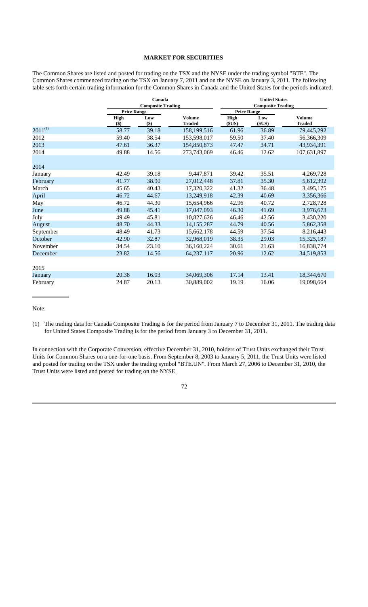# **MARKET FOR SECURITIES**

The Common Shares are listed and posted for trading on the TSX and the NYSE under the trading symbol "BTE". The Common Shares commenced trading on the TSX on January 7, 2011 and on the NYSE on January 3, 2011. The following table sets forth certain trading information for the Common Shares in Canada and the United States for the periods indicated.

|              |                    | Canada                   |               | <b>United States</b>     |       |               |  |  |  |
|--------------|--------------------|--------------------------|---------------|--------------------------|-------|---------------|--|--|--|
|              |                    | <b>Composite Trading</b> |               | <b>Composite Trading</b> |       |               |  |  |  |
|              | <b>Price Range</b> |                          |               | <b>Price Range</b>       |       |               |  |  |  |
|              | <b>High</b>        | Low                      | <b>Volume</b> | High                     | Low   | <b>Volume</b> |  |  |  |
|              | $($ \$)            | $($)$                    | <b>Traded</b> | (SUS)                    | \$US) | <b>Traded</b> |  |  |  |
| $2011^{(1)}$ | 58.77              | 39.18                    | 158,199,516   | 61.96                    | 36.89 | 79,445,292    |  |  |  |
| 2012         | 59.40              | 38.54                    | 153,598,017   | 59.50                    | 37.40 | 56,366,309    |  |  |  |
| 2013         | 47.61              | 36.37                    | 154,850,873   | 47.47                    | 34.71 | 43,934,391    |  |  |  |
| 2014         | 49.88              | 14.56                    | 273,743,069   | 46.46                    | 12.62 | 107,631,897   |  |  |  |
| 2014         |                    |                          |               |                          |       |               |  |  |  |
| January      | 42.49              | 39.18                    | 9,447,871     | 39.42                    | 35.51 | 4,269,728     |  |  |  |
| February     | 41.77              | 38.90                    | 27,012,448    | 37.81                    | 35.30 | 5,612,392     |  |  |  |
| March        | 45.65              | 40.43                    | 17,320,322    | 41.32                    | 36.48 | 3,495,175     |  |  |  |
| April        | 46.72              | 44.67                    | 13,249,918    | 42.39                    | 40.69 | 3,356,366     |  |  |  |
| May          | 46.72              | 44.30                    | 15,654,966    | 42.96                    | 40.72 | 2,728,728     |  |  |  |
| June         | 49.88              | 45.41                    | 17,047,093    | 46.30                    | 41.69 | 3,976,673     |  |  |  |
| July         | 49.49              | 45.81                    | 10,827,626    | 46.46                    | 42.56 | 3,430,220     |  |  |  |
| August       | 48.70              | 44.33                    | 14, 155, 287  | 44.79                    | 40.56 | 5,862,358     |  |  |  |
| September    | 48.49              | 41.73                    | 15,662,178    | 44.59                    | 37.54 | 8,216,443     |  |  |  |
| October      | 42.90              | 32.87                    | 32,968,019    | 38.35                    | 29.03 | 15,325,187    |  |  |  |
| November     | 34.54              | 23.10                    | 36,160,224    | 30.61                    | 21.63 | 16,838,774    |  |  |  |
| December     | 23.82              | 14.56                    | 64, 237, 117  | 20.96                    | 12.62 | 34,519,853    |  |  |  |
|              |                    |                          |               |                          |       |               |  |  |  |
| 2015         |                    |                          |               |                          |       |               |  |  |  |
| January      | 20.38              | 16.03                    | 34,069,306    | 17.14                    | 13.41 | 18,344,670    |  |  |  |
| February     | 24.87              | 20.13                    | 30,889,002    | 19.19                    | 16.06 | 19,098,664    |  |  |  |

Note:

In connection with the Corporate Conversion, effective December 31, 2010, holders of Trust Units exchanged their Trust Units for Common Shares on a one-for-one basis. From September 8, 2003 to January 5, 2011, the Trust Units were listed and posted for trading on the TSX under the trading symbol "BTE.UN". From March 27, 2006 to December 31, 2010, the Trust Units were listed and posted for trading on the NYSE

<sup>(1)</sup> The trading data for Canada Composite Trading is for the period from January 7 to December 31, 2011. The trading data for United States Composite Trading is for the period from January 3 to December 31, 2011.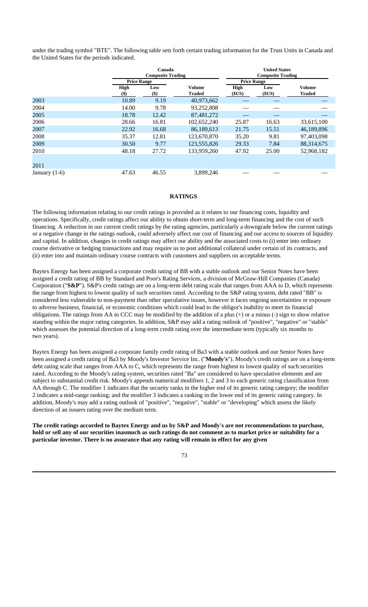under the trading symbol "BTE". The following table sets forth certain trading information for the Trust Units in Canada and the United States for the periods indicated.

|                 |                    | Canada                   |               | <b>United States</b>     |       |               |  |  |  |  |
|-----------------|--------------------|--------------------------|---------------|--------------------------|-------|---------------|--|--|--|--|
|                 |                    | <b>Composite Trading</b> |               | <b>Composite Trading</b> |       |               |  |  |  |  |
|                 | <b>Price Range</b> |                          |               | <b>Price Range</b>       |       |               |  |  |  |  |
|                 | <b>High</b>        | Low                      | <b>Volume</b> | <b>High</b>              | Low   | Volume        |  |  |  |  |
|                 | $($)$              | $($)$                    | <b>Traded</b> | (SUS)                    | (SUS) | <b>Traded</b> |  |  |  |  |
| 2003            | 10.89              | 9.19                     | 40,973,662    |                          |       |               |  |  |  |  |
| 2004            | 14.00              | 9.78                     | 93,252,808    |                          |       |               |  |  |  |  |
| 2005            | 18.78              | 12.42                    | 87,481,272    |                          |       |               |  |  |  |  |
| 2006            | 28.66              | 16.81                    | 102,652,240   | 25.87                    | 16.63 | 33,615,100    |  |  |  |  |
| 2007            | 22.92              | 16.68                    | 86,189,613    | 21.75                    | 15.51 | 46,189,896    |  |  |  |  |
| 2008            | 35.37              | 12.81                    | 123,670,870   | 35.20                    | 9.81  | 97,403,098    |  |  |  |  |
| 2009            | 30.50              | 9.77                     | 123,555,826   | 29.33                    | 7.84  | 88, 314, 675  |  |  |  |  |
| 2010            | 48.18              | 27.72                    | 133,959,260   | 47.92                    | 25.00 | 52,968,182    |  |  |  |  |
|                 |                    |                          |               |                          |       |               |  |  |  |  |
| 2011            |                    |                          |               |                          |       |               |  |  |  |  |
| January $(1-6)$ | 47.63              | 46.55                    | 3,899,246     |                          |       |               |  |  |  |  |

# **RATINGS**

The following information relating to our credit ratings is provided as it relates to our financing costs, liquidity and operations. Specifically, credit ratings affect our ability to obtain short-term and long-term financing and the cost of such financing. A reduction in our current credit ratings by the rating agencies, particularly a downgrade below the current ratings or a negative change in the ratings outlook, could adversely affect our cost of financing and our access to sources of liquidity and capital. In addition, changes in credit ratings may affect our ability and the associated costs to (i) enter into ordinary course derivative or hedging transactions and may require us to post additional collateral under certain of its contracts, and (ii) enter into and maintain ordinary course contracts with customers and suppliers on acceptable terms.

Baytex Energy has been assigned a corporate credit rating of BB with a stable outlook and our Senior Notes have been assigned a credit rating of BB by Standard and Poor's Rating Services, a division of McGraw-Hill Companies (Canada) Corporation ("**S&P**"). S&P's credit ratings are on a long-term debt rating scale that ranges from AAA to D, which represents the range from highest to lowest quality of such securities rated. According to the S&P rating system, debt rated "BB" is considered less vulnerable to non-payment than other speculative issues, however it faces ongoing uncertainties or exposure to adverse business, financial, or economic conditions which could lead to the obligor's inability to meet its financial obligations. The ratings from AA to CCC may be modified by the addition of a plus (+) or a minus (-) sign to show relative standing within the major rating categories. In addition, S&P may add a rating outlook of "positive", "negative" or "stable" which assesses the potential direction of a long-term credit rating over the intermediate term (typically six months to two years).

Baytex Energy has been assigned a corporate family credit rating of Ba3 with a stable outlook and our Senior Notes have been assigned a credit rating of Ba3 by Moody's Investor Service Inc. ("**Moody's**"). Moody's credit ratings are on a long-term debt rating scale that ranges from AAA to C, which represents the range from highest to lowest quality of such securities rated. According to the Moody's rating system, securities rated "Ba" are considered to have speculative elements and are subject to substantial credit risk. Moody's appends numerical modifiers 1, 2 and 3 to each generic rating classification from AA through C. The modifier 1 indicates that the security ranks in the higher end of its generic rating category; the modifier 2 indicates a mid-range ranking; and the modifier 3 indicates a ranking in the lower end of its generic rating category. In addition, Moody's may add a rating outlook of "positive", "negative", "stable" or "developing" which assess the likely direction of an issuers rating over the medium term.

**The credit ratings accorded to Baytex Energy and us by S&P and Moody's are not recommendations to purchase, hold or sell any of our securities inasmuch as such ratings do not comment as to market price or suitability for a particular investor. There is no assurance that any rating will remain in effect for any given**

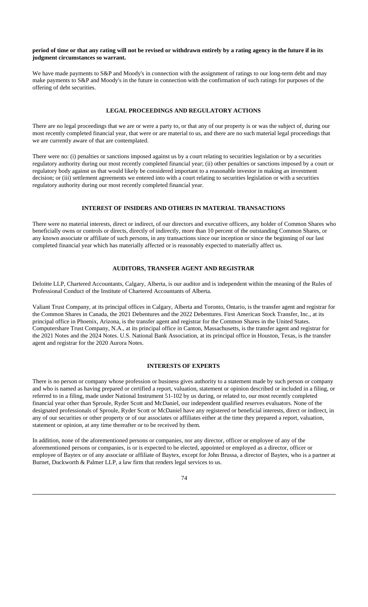#### **period of time or that any rating will not be revised or withdrawn entirely by a rating agency in the future if in its judgment circumstances so warrant.**

We have made payments to S&P and Moody's in connection with the assignment of ratings to our long-term debt and may make payments to S&P and Moody's in the future in connection with the confirmation of such ratings for purposes of the offering of debt securities.

### **LEGAL PROCEEDINGS AND REGULATORY ACTIONS**

There are no legal proceedings that we are or were a party to, or that any of our property is or was the subject of, during our most recently completed financial year, that were or are material to us, and there are no such material legal proceedings that we are currently aware of that are contemplated.

There were no: (i) penalties or sanctions imposed against us by a court relating to securities legislation or by a securities regulatory authority during our most recently completed financial year; (ii) other penalties or sanctions imposed by a court or regulatory body against us that would likely be considered important to a reasonable investor in making an investment decision; or (iii) settlement agreements we entered into with a court relating to securities legislation or with a securities regulatory authority during our most recently completed financial year.

# **INTEREST OF INSIDERS AND OTHERS IN MATERIAL TRANSACTIONS**

There were no material interests, direct or indirect, of our directors and executive officers, any holder of Common Shares who beneficially owns or controls or directs, directly of indirectly, more than 10 percent of the outstanding Common Shares, or any known associate or affiliate of such persons, in any transactions since our inception or since the beginning of our last completed financial year which has materially affected or is reasonably expected to materially affect us.

#### **AUDITORS, TRANSFER AGENT AND REGISTRAR**

Deloitte LLP, Chartered Accountants, Calgary, Alberta, is our auditor and is independent within the meaning of the Rules of Professional Conduct of the Institute of Chartered Accountants of Alberta.

Valiant Trust Company, at its principal offices in Calgary, Alberta and Toronto, Ontario, is the transfer agent and registrar for the Common Shares in Canada, the 2021 Debentures and the 2022 Debentures. First American Stock Transfer, Inc., at its principal office in Phoenix, Arizona, is the transfer agent and registrar for the Common Shares in the United States. Computershare Trust Company, N.A., at its principal office in Canton, Massachusetts, is the transfer agent and registrar for the 2021 Notes and the 2024 Notes. U.S. National Bank Association, at its principal office in Houston, Texas, is the transfer agent and registrar for the 2020 Aurora Notes.

#### **INTERESTS OF EXPERTS**

There is no person or company whose profession or business gives authority to a statement made by such person or company and who is named as having prepared or certified a report, valuation, statement or opinion described or included in a filing, or referred to in a filing, made under National Instrument 51-102 by us during, or related to, our most recently completed financial year other than Sproule, Ryder Scott and McDaniel, our independent qualified reserves evaluators. None of the designated professionals of Sproule, Ryder Scott or McDaniel have any registered or beneficial interests, direct or indirect, in any of our securities or other property or of our associates or affiliates either at the time they prepared a report, valuation, statement or opinion, at any time thereafter or to be received by them.

In addition, none of the aforementioned persons or companies, nor any director, officer or employee of any of the aforementioned persons or companies, is or is expected to be elected, appointed or employed as a director, officer or employee of Baytex or of any associate or affiliate of Baytex, except for John Brussa, a director of Baytex, who is a partner at Burnet, Duckworth & Palmer LLP, a law firm that renders legal services to us.

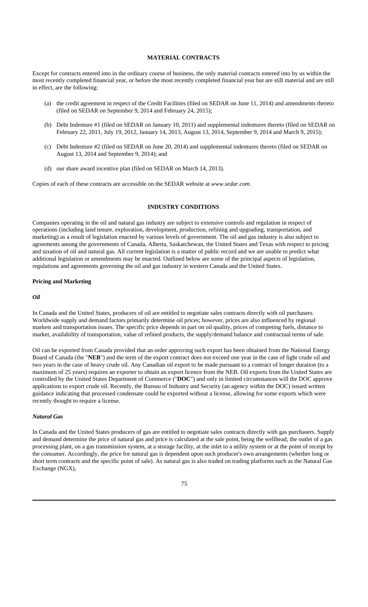### **MATERIAL CONTRACTS**

Except for contracts entered into in the ordinary course of business, the only material contracts entered into by us within the most recently completed financial year, or before the most recently completed financial year but are still material and are still in effect, are the following:

- (a) the credit agreement in respect of the Credit Facilities (filed on SEDAR on June 11, 2014) and amendments thereto (filed on SEDAR on September 9, 2014 and February 24, 2015);
- (b) Debt Indenture #1 (filed on SEDAR on January 10, 2011) and supplemental indentures thereto (filed on SEDAR on February 22, 2011, July 19, 2012, January 14, 2013, August 13, 2014, September 9, 2014 and March 9, 2015);
- (c) Debt Indenture #2 (filed on SEDAR on June 20, 2014) and supplemental indentures thereto (filed on SEDAR on August 13, 2014 and September 9, 2014); and
- (d) our share award incentive plan (filed on SEDAR on March 14, 2013).

Copies of each of these contracts are accessible on the SEDAR website at *www.sedar.com*.

## **INDUSTRY CONDITIONS**

Companies operating in the oil and natural gas industry are subject to extensive controls and regulation in respect of operations (including land tenure, exploration, development, production, refining and upgrading, transportation, and marketing) as a result of legislation enacted by various levels of government. The oil and gas industry is also subject to agreements among the governments of Canada, Alberta, Saskatchewan, the United States and Texas with respect to pricing and taxation of oil and natural gas. All current legislation is a matter of public record and we are unable to predict what additional legislation or amendments may be enacted. Outlined below are some of the principal aspects of legislation, regulations and agreements governing the oil and gas industry in western Canada and the United States.

#### **Pricing and Marketing**

### *Oil*

In Canada and the United States, producers of oil are entitled to negotiate sales contracts directly with oil purchasers. Worldwide supply and demand factors primarily determine oil prices; however, prices are also influenced by regional markets and transportation issues. The specific price depends in part on oil quality, prices of competing fuels, distance to market, availability of transportation, value of refined products, the supply/demand balance and contractual terms of sale.

Oil can be exported from Canada provided that an order approving such export has been obtained from the National Energy Board of Canada (the "**NEB**") and the term of the export contract does not exceed one year in the case of light crude oil and two years in the case of heavy crude oil. Any Canadian oil export to be made pursuant to a contract of longer duration (to a maximum of 25 years) requires an exporter to obtain an export licence from the NEB. Oil exports from the United States are controlled by the United States Department of Commerce ("**DOC**") and only in limited circumstances will the DOC approve applications to export crude oil. Recently, the Bureau of Industry and Security (an agency within the DOC) issued written guidance indicating that processed condensate could be exported without a license, allowing for some exports which were recently thought to require a license.

### *Natural Gas*

In Canada and the United States producers of gas are entitled to negotiate sales contracts directly with gas purchasers. Supply and demand determine the price of natural gas and price is calculated at the sale point, being the wellhead, the outlet of a gas processing plant, on a gas transmission system, at a storage facility, at the inlet to a utility system or at the point of receipt by the consumer. Accordingly, the price for natural gas is dependent upon such producer's own arrangements (whether long or short term contracts and the specific point of sale). As natural gas is also traded on trading platforms such as the Natural Gas Exchange (NGX),

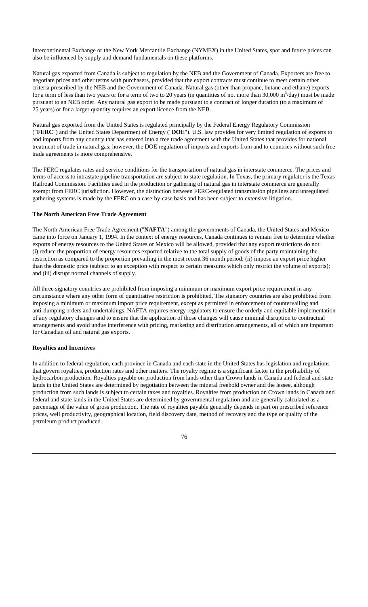Intercontinental Exchange or the New York Mercantile Exchange (NYMEX) in the United States, spot and future prices can also be influenced by supply and demand fundamentals on these platforms.

Natural gas exported from Canada is subject to regulation by the NEB and the Government of Canada. Exporters are free to negotiate prices and other terms with purchasers, provided that the export contracts must continue to meet certain other criteria prescribed by the NEB and the Government of Canada. Natural gas (other than propane, butane and ethane) exports for a term of less than two years or for a term of two to 20 years (in quantities of not more than  $30,000 \text{ m}^3/\text{day}$ ) must be made pursuant to an NEB order. Any natural gas export to be made pursuant to a contract of longer duration (to a maximum of 25 years) or for a larger quantity requires an export licence from the NEB.

Natural gas exported from the United States is regulated principally by the Federal Energy Regulatory Commission ("**FERC**") and the United States Department of Energy ("**DOE**"). U.S. law provides for very limited regulation of exports to and imports from any country that has entered into a free trade agreement with the United States that provides for national treatment of trade in natural gas; however, the DOE regulation of imports and exports from and to countries without such free trade agreements is more comprehensive.

The FERC regulates rates and service conditions for the transportation of natural gas in interstate commerce. The prices and terms of access to intrastate pipeline transportation are subject to state regulation. In Texas, the primary regulator is the Texas Railroad Commission. Facilities used in the production or gathering of natural gas in interstate commerce are generally exempt from FERC jurisdiction. However, the distinction between FERC-regulated transmission pipelines and unregulated gathering systems is made by the FERC on a case-by-case basis and has been subject to extensive litigation.

### **The North American Free Trade Agreement**

The North American Free Trade Agreement ("**NAFTA**") among the governments of Canada, the United States and Mexico came into force on January 1, 1994. In the context of energy resources, Canada continues to remain free to determine whether exports of energy resources to the United States or Mexico will be allowed, provided that any export restrictions do not: (i) reduce the proportion of energy resources exported relative to the total supply of goods of the party maintaining the restriction as compared to the proportion prevailing in the most recent 36 month period; (ii) impose an export price higher than the domestic price (subject to an exception with respect to certain measures which only restrict the volume of exports); and (iii) disrupt normal channels of supply.

All three signatory countries are prohibited from imposing a minimum or maximum export price requirement in any circumstance where any other form of quantitative restriction is prohibited. The signatory countries are also prohibited from imposing a minimum or maximum import price requirement, except as permitted in enforcement of countervailing and anti-dumping orders and undertakings. NAFTA requires energy regulators to ensure the orderly and equitable implementation of any regulatory changes and to ensure that the application of those changes will cause minimal disruption to contractual arrangements and avoid undue interference with pricing, marketing and distribution arrangements, all of which are important for Canadian oil and natural gas exports.

## **Royalties and Incentives**

In addition to federal regulation, each province in Canada and each state in the United States has legislation and regulations that govern royalties, production rates and other matters. The royalty regime is a significant factor in the profitability of hydrocarbon production. Royalties payable on production from lands other than Crown lands in Canada and federal and state lands in the United States are determined by negotiation between the mineral freehold owner and the lessee, although production from such lands is subject to certain taxes and royalties. Royalties from production on Crown lands in Canada and federal and state lands in the United States are determined by governmental regulation and are generally calculated as a percentage of the value of gross production. The rate of royalties payable generally depends in part on prescribed reference prices, well productivity, geographical location, field discovery date, method of recovery and the type or quality of the petroleum product produced.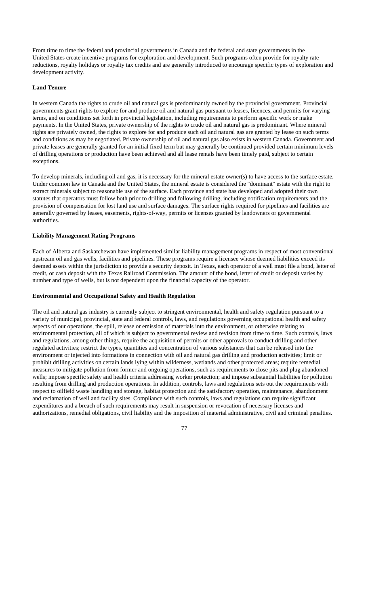From time to time the federal and provincial governments in Canada and the federal and state governments in the United States create incentive programs for exploration and development. Such programs often provide for royalty rate reductions, royalty holidays or royalty tax credits and are generally introduced to encourage specific types of exploration and development activity.

### **Land Tenure**

In western Canada the rights to crude oil and natural gas is predominantly owned by the provincial government. Provincial governments grant rights to explore for and produce oil and natural gas pursuant to leases, licences, and permits for varying terms, and on conditions set forth in provincial legislation, including requirements to perform specific work or make payments. In the United States, private ownership of the rights to crude oil and natural gas is predominant. Where mineral rights are privately owned, the rights to explore for and produce such oil and natural gas are granted by lease on such terms and conditions as may be negotiated. Private ownership of oil and natural gas also exists in western Canada. Government and private leases are generally granted for an initial fixed term but may generally be continued provided certain minimum levels of drilling operations or production have been achieved and all lease rentals have been timely paid, subject to certain exceptions.

To develop minerals, including oil and gas, it is necessary for the mineral estate owner(s) to have access to the surface estate. Under common law in Canada and the United States, the mineral estate is considered the "dominant" estate with the right to extract minerals subject to reasonable use of the surface. Each province and state has developed and adopted their own statutes that operators must follow both prior to drilling and following drilling, including notification requirements and the provision of compensation for lost land use and surface damages. The surface rights required for pipelines and facilities are generally governed by leases, easements, rights-of-way, permits or licenses granted by landowners or governmental authorities.

### **Liability Management Rating Programs**

Each of Alberta and Saskatchewan have implemented similar liability management programs in respect of most conventional upstream oil and gas wells, facilities and pipelines. These programs require a licensee whose deemed liabilities exceed its deemed assets within the jurisdiction to provide a security deposit. In Texas, each operator of a well must file a bond, letter of credit, or cash deposit with the Texas Railroad Commission. The amount of the bond, letter of credit or deposit varies by number and type of wells, but is not dependent upon the financial capacity of the operator.

#### **Environmental and Occupational Safety and Health Regulation**

The oil and natural gas industry is currently subject to stringent environmental, health and safety regulation pursuant to a variety of municipal, provincial, state and federal controls, laws, and regulations governing occupational health and safety aspects of our operations, the spill, release or emission of materials into the environment, or otherwise relating to environmental protection, all of which is subject to governmental review and revision from time to time. Such controls, laws and regulations, among other things, require the acquisition of permits or other approvals to conduct drilling and other regulated activities; restrict the types, quantities and concentration of various substances that can be released into the environment or injected into formations in connection with oil and natural gas drilling and production activities; limit or prohibit drilling activities on certain lands lying within wilderness, wetlands and other protected areas; require remedial measures to mitigate pollution from former and ongoing operations, such as requirements to close pits and plug abandoned wells; impose specific safety and health criteria addressing worker protection; and impose substantial liabilities for pollution resulting from drilling and production operations. In addition, controls, laws and regulations sets out the requirements with respect to oilfield waste handling and storage, habitat protection and the satisfactory operation, maintenance, abandonment and reclamation of well and facility sites. Compliance with such controls, laws and regulations can require significant expenditures and a breach of such requirements may result in suspension or revocation of necessary licenses and authorizations, remedial obligations, civil liability and the imposition of material administrative, civil and criminal penalties.

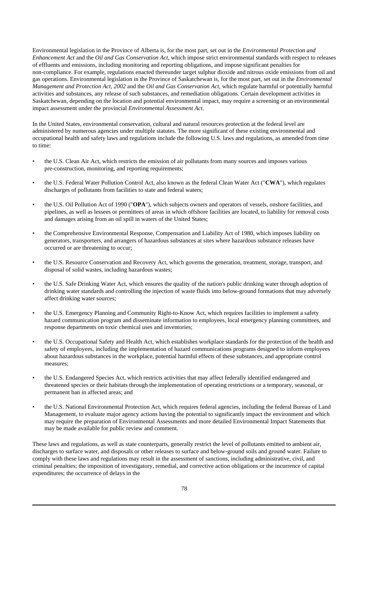Environmental legislation in the Province of Alberta is, for the most part, set out in the *Environmental Protection and Enhancement Act* and the *Oil and Gas Conservation Act*, which impose strict environmental standards with respect to releases of effluents and emissions, including monitoring and reporting obligations, and impose significant penalties for non-compliance. For example, regulations enacted thereunder target sulphur dioxide and nitrous oxide emissions from oil and gas operations. Environmental legislation in the Province of Saskatchewan is, for the most part, set out in the *Environmental Management and Protection Act, 2002* and the *Oil and Gas Conservation Act*, which regulate harmful or potentially harmful activities and substances, any release of such substances, and remediation obligations. Certain development activities in Saskatchewan, depending on the location and potential environmental impact, may require a screening or an environmental impact assessment under the provincial *Environmental Assessment Act*.

In the United States, environmental conservation, cultural and natural resources protection at the federal level are administered by numerous agencies under multiple statutes. The more significant of these existing environmental and occupational health and safety laws and regulations include the following U.S. laws and regulations, as amended from time to time:

- the U.S. Clean Air Act, which restricts the emission of air pollutants from many sources and imposes various pre-construction, monitoring, and reporting requirements;
- the U.S. Federal Water Pollution Control Act, also known as the federal Clean Water Act ("**CWA**"), which regulates discharges of pollutants from facilities to state and federal waters;
- the U.S. Oil Pollution Act of 1990 ("**OPA**"), which subjects owners and operators of vessels, onshore facilities, and pipelines, as well as lessees or permittees of areas in which offshore facilities are located, to liability for removal costs and damages arising from an oil spill in waters of the United States;
- the Comprehensive Environmental Response, Compensation and Liability Act of 1980, which imposes liability on generators, transporters, and arrangers of hazardous substances at sites where hazardous substance releases have occurred or are threatening to occur;
- the U.S. Resource Conservation and Recovery Act, which governs the generation, treatment, storage, transport, and disposal of solid wastes, including hazardous wastes;
- the U.S. Safe Drinking Water Act, which ensures the quality of the nation's public drinking water through adoption of drinking water standards and controlling the injection of waste fluids into below-ground formations that may adversely affect drinking water sources;
- the U.S. Emergency Planning and Community Right-to-Know Act, which requires facilities to implement a safety hazard communication program and disseminate information to employees, local emergency planning committees, and response departments on toxic chemical uses and inventories;
- the U.S. Occupational Safety and Health Act, which establishes workplace standards for the protection of the health and safety of employees, including the implementation of hazard communications programs designed to inform employees about hazardous substances in the workplace, potential harmful effects of these substances, and appropriate control measures;
- the U.S. Endangered Species Act, which restricts activities that may affect federally identified endangered and threatened species or their habitats through the implementation of operating restrictions or a temporary, seasonal, or permanent ban in affected areas; and
- the U.S. National Environmental Protection Act, which requires federal agencies, including the federal Bureau of Land Management, to evaluate major agency actions having the potential to significantly impact the environment and which may require the preparation of Environmental Assessments and more detailed Environmental Impact Statements that may be made available for public review and comment.

These laws and regulations, as well as state counterparts, generally restrict the level of pollutants emitted to ambient air, discharges to surface water, and disposals or other releases to surface and below-ground soils and ground water. Failure to comply with these laws and regulations may result in the assessment of sanctions, including administrative, civil, and criminal penalties; the imposition of investigatory, remedial, and corrective action obligations or the incurrence of capital expenditures; the occurrence of delays in the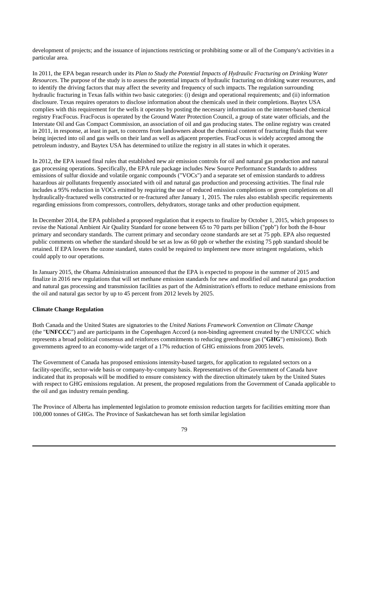development of projects; and the issuance of injunctions restricting or prohibiting some or all of the Company's activities in a particular area.

In 2011, the EPA began research under its *Plan to Study the Potential Impacts of Hydraulic Fracturing on Drinking Water Resources*. The purpose of the study is to assess the potential impacts of hydraulic fracturing on drinking water resources, and to identify the driving factors that may affect the severity and frequency of such impacts. The regulation surrounding hydraulic fracturing in Texas falls within two basic categories: (i) design and operational requirements; and (ii) information disclosure. Texas requires operators to disclose information about the chemicals used in their completions. Baytex USA complies with this requirement for the wells it operates by posting the necessary information on the internet-based chemical registry FracFocus. FracFocus is operated by the Ground Water Protection Council, a group of state water officials, and the Interstate Oil and Gas Compact Commission, an association of oil and gas producing states. The online registry was created in 2011, in response, at least in part, to concerns from landowners about the chemical content of fracturing fluids that were being injected into oil and gas wells on their land as well as adjacent properties. FracFocus is widely accepted among the petroleum industry, and Baytex USA has determined to utilize the registry in all states in which it operates.

In 2012, the EPA issued final rules that established new air emission controls for oil and natural gas production and natural gas processing operations. Specifically, the EPA rule package includes New Source Performance Standards to address emissions of sulfur dioxide and volatile organic compounds ("VOCs") and a separate set of emission standards to address hazardous air pollutants frequently associated with oil and natural gas production and processing activities. The final rule includes a 95% reduction in VOCs emitted by requiring the use of reduced emission completions or green completions on all hydraulically-fractured wells constructed or re-fractured after January 1, 2015. The rules also establish specific requirements regarding emissions from compressors, controllers, dehydrators, storage tanks and other production equipment.

In December 2014, the EPA published a proposed regulation that it expects to finalize by October 1, 2015, which proposes to revise the National Ambient Air Quality Standard for ozone between 65 to 70 parts per billion ("ppb") for both the 8-hour primary and secondary standards. The current primary and secondary ozone standards are set at 75 ppb. EPA also requested public comments on whether the standard should be set as low as 60 ppb or whether the existing 75 ppb standard should be retained. If EPA lowers the ozone standard, states could be required to implement new more stringent regulations, which could apply to our operations.

In January 2015, the Obama Administration announced that the EPA is expected to propose in the summer of 2015 and finalize in 2016 new regulations that will set methane emission standards for new and modified oil and natural gas production and natural gas processing and transmission facilities as part of the Administration's efforts to reduce methane emissions from the oil and natural gas sector by up to 45 percent from 2012 levels by 2025.

### **Climate Change Regulation**

Both Canada and the United States are signatories to the *United Nations Framework Convention on Climate Change* (the "**UNFCCC**") and are participants in the Copenhagen Accord (a non-binding agreement created by the UNFCCC which represents a broad political consensus and reinforces commitments to reducing greenhouse gas ("**GHG**") emissions). Both governments agreed to an economy-wide target of a 17% reduction of GHG emissions from 2005 levels.

The Government of Canada has proposed emissions intensity-based targets, for application to regulated sectors on a facility-specific, sector-wide basis or company-by-company basis. Representatives of the Government of Canada have indicated that its proposals will be modified to ensure consistency with the direction ultimately taken by the United States with respect to GHG emissions regulation. At present, the proposed regulations from the Government of Canada applicable to the oil and gas industry remain pending.

The Province of Alberta has implemented legislation to promote emission reduction targets for facilities emitting more than 100,000 tonnes of GHGs. The Province of Saskatchewan has set forth similar legislation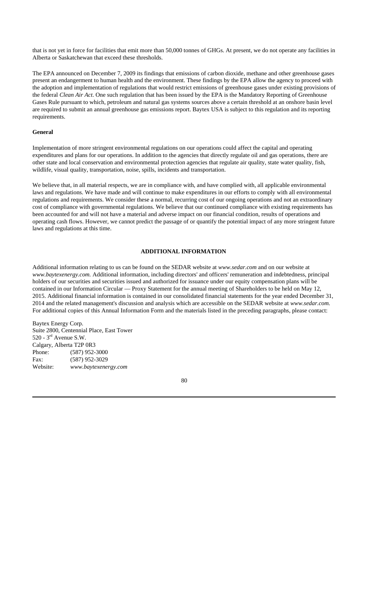that is not yet in force for facilities that emit more than 50,000 tonnes of GHGs. At present, we do not operate any facilities in Alberta or Saskatchewan that exceed these thresholds.

The EPA announced on December 7, 2009 its findings that emissions of carbon dioxide, methane and other greenhouse gases present an endangerment to human health and the environment. These findings by the EPA allow the agency to proceed with the adoption and implementation of regulations that would restrict emissions of greenhouse gases under existing provisions of the federal *Clean Air Act*. One such regulation that has been issued by the EPA is the Mandatory Reporting of Greenhouse Gases Rule pursuant to which, petroleum and natural gas systems sources above a certain threshold at an onshore basin level are required to submit an annual greenhouse gas emissions report. Baytex USA is subject to this regulation and its reporting requirements.

#### **General**

Implementation of more stringent environmental regulations on our operations could affect the capital and operating expenditures and plans for our operations. In addition to the agencies that directly regulate oil and gas operations, there are other state and local conservation and environmental protection agencies that regulate air quality, state water quality, fish, wildlife, visual quality, transportation, noise, spills, incidents and transportation.

We believe that, in all material respects, we are in compliance with, and have complied with, all applicable environmental laws and regulations. We have made and will continue to make expenditures in our efforts to comply with all environmental regulations and requirements. We consider these a normal, recurring cost of our ongoing operations and not an extraordinary cost of compliance with governmental regulations. We believe that our continued compliance with existing requirements has been accounted for and will not have a material and adverse impact on our financial condition, results of operations and operating cash flows. However, we cannot predict the passage of or quantify the potential impact of any more stringent future laws and regulations at this time.

## **ADDITIONAL INFORMATION**

Additional information relating to us can be found on the SEDAR website at *www.sedar.com* and on our website at *www.baytexenergy.com.* Additional information, including directors' and officers' remuneration and indebtedness, principal holders of our securities and securities issued and authorized for issuance under our equity compensation plans will be contained in our Information Circular — Proxy Statement for the annual meeting of Shareholders to be held on May 12, 2015. Additional financial information is contained in our consolidated financial statements for the year ended December 31, 2014 and the related management's discussion and analysis which are accessible on the SEDAR website at *www.sedar.com*. For additional copies of this Annual Information Form and the materials listed in the preceding paragraphs, please contact:

Baytex Energy Corp. Suite 2800, Centennial Place, East Tower 520 - 3rd Avenue S.W. Calgary, Alberta T2P 0R3 Phone: (587) 952-3000 Fax: (587) 952-3029 Website: *www.baytexenergy.com*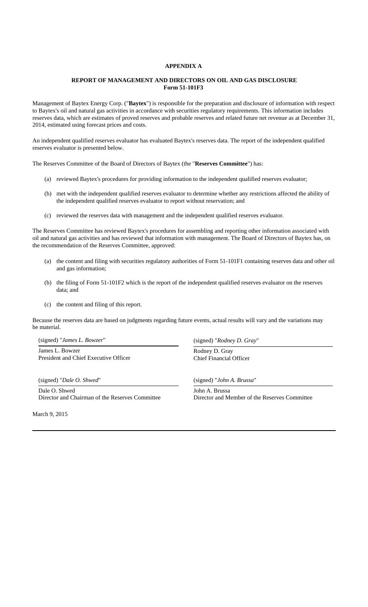### **APPENDIX A**

## **REPORT OF MANAGEMENT AND DIRECTORS ON OIL AND GAS DISCLOSURE Form 51-101F3**

Management of Baytex Energy Corp. ("**Baytex**") is responsible for the preparation and disclosure of information with respect to Baytex's oil and natural gas activities in accordance with securities regulatory requirements. This information includes reserves data, which are estimates of proved reserves and probable reserves and related future net revenue as at December 31, 2014, estimated using forecast prices and costs.

An independent qualified reserves evaluator has evaluated Baytex's reserves data. The report of the independent qualified reserves evaluator is presented below.

The Reserves Committee of the Board of Directors of Baytex (the "**Reserves Committee**") has:

- (a) reviewed Baytex's procedures for providing information to the independent qualified reserves evaluator;
- (b) met with the independent qualified reserves evaluator to determine whether any restrictions affected the ability of the independent qualified reserves evaluator to report without reservation; and
- (c) reviewed the reserves data with management and the independent qualified reserves evaluator.

The Reserves Committee has reviewed Baytex's procedures for assembling and reporting other information associated with oil and natural gas activities and has reviewed that information with management. The Board of Directors of Baytex has, on the recommendation of the Reserves Committee, approved:

- (a) the content and filing with securities regulatory authorities of Form 51-101F1 containing reserves data and other oil and gas information;
- (b) the filing of Form 51-101F2 which is the report of the independent qualified reserves evaluator on the reserves data; and
- (c) the content and filing of this report.

Because the reserves data are based on judgments regarding future events, actual results will vary and the variations may be material.

(signed) "*James L. Bowzer*" James L. Bowzer President and Chief Executive Officer

(signed) "*Dale O. Shwed*"

Dale O. Shwed Director and Chairman of the Reserves Committee

March 9, 2015

(signed) "*Rodney D. Gray*"

Rodney D. Gray Chief Financial Officer

(signed) "*John A. Brussa*"

John A. Brussa Director and Member of the Reserves Committee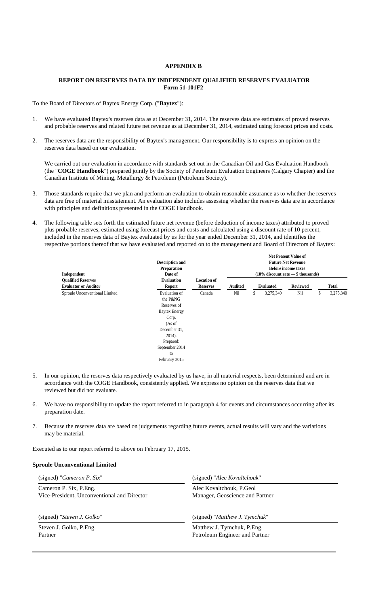### **APPENDIX B**

### **REPORT ON RESERVES DATA BY INDEPENDENT QUALIFIED RESERVES EVALUATOR Form 51-101F2**

To the Board of Directors of Baytex Energy Corp. ("**Baytex**"):

- 1. We have evaluated Baytex's reserves data as at December 31, 2014. The reserves data are estimates of proved reserves and probable reserves and related future net revenue as at December 31, 2014, estimated using forecast prices and costs.
- 2. The reserves data are the responsibility of Baytex's management. Our responsibility is to express an opinion on the reserves data based on our evaluation.

We carried out our evaluation in accordance with standards set out in the Canadian Oil and Gas Evaluation Handbook (the "**COGE Handbook**") prepared jointly by the Society of Petroleum Evaluation Engineers (Calgary Chapter) and the Canadian Institute of Mining, Metallurgy & Petroleum (Petroleum Society).

- 3. Those standards require that we plan and perform an evaluation to obtain reasonable assurance as to whether the reserves data are free of material misstatement. An evaluation also includes assessing whether the reserves data are in accordance with principles and definitions presented in the COGE Handbook.
- 4. The following table sets forth the estimated future net revenue (before deduction of income taxes) attributed to proved plus probable reserves, estimated using forecast prices and costs and calculated using a discount rate of 10 percent, included in the reserves data of Baytex evaluated by us for the year ended December 31, 2014, and identifies the respective portions thereof that we have evaluated and reported on to the management and Board of Directors of Baytex:



- 5. In our opinion, the reserves data respectively evaluated by us have, in all material respects, been determined and are in accordance with the COGE Handbook, consistently applied. We express no opinion on the reserves data that we reviewed but did not evaluate.
- 6. We have no responsibility to update the report referred to in paragraph 4 for events and circumstances occurring after its preparation date.
- 7. Because the reserves data are based on judgements regarding future events, actual results will vary and the variations may be material.

Executed as to our report referred to above on February 17, 2015.

#### **Sproule Unconventional Limited**

Steven J. Golko, P.Eng.

Partner

| (signed) "Cameron P. Six"                   | (signed) "Alec Kovaltchouk"     |
|---------------------------------------------|---------------------------------|
| Cameron P. Six, P. Eng.                     | Alec Kovaltchouk, P.Geol        |
| Vice-President, Unconventional and Director | Manager, Geoscience and Partner |
| (signed) "Steven J. Golko"                  | (signed) "Matthew J. Tymchuk"   |

Matthew J. Tymchuk, P.Eng. Petroleum Engineer and Partner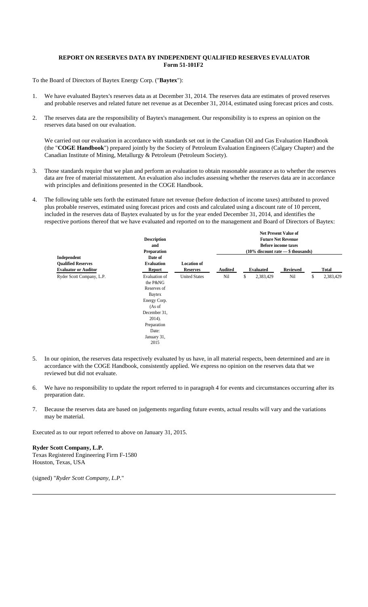# **REPORT ON RESERVES DATA BY INDEPENDENT QUALIFIED RESERVES EVALUATOR Form 51-101F2**

To the Board of Directors of Baytex Energy Corp. ("**Baytex**"):

- 1. We have evaluated Baytex's reserves data as at December 31, 2014. The reserves data are estimates of proved reserves and probable reserves and related future net revenue as at December 31, 2014, estimated using forecast prices and costs.
- 2. The reserves data are the responsibility of Baytex's management. Our responsibility is to express an opinion on the reserves data based on our evaluation.

We carried out our evaluation in accordance with standards set out in the Canadian Oil and Gas Evaluation Handbook (the "**COGE Handbook**") prepared jointly by the Society of Petroleum Evaluation Engineers (Calgary Chapter) and the Canadian Institute of Mining, Metallurgy & Petroleum (Petroleum Society).

- 3. Those standards require that we plan and perform an evaluation to obtain reasonable assurance as to whether the reserves data are free of material misstatement. An evaluation also includes assessing whether the reserves data are in accordance with principles and definitions presented in the COGE Handbook.
- 4. The following table sets forth the estimated future net revenue (before deduction of income taxes) attributed to proved plus probable reserves, estimated using forecast prices and costs and calculated using a discount rate of 10 percent, included in the reserves data of Baytex evaluated by us for the year ended December 31, 2014, and identifies the respective portions thereof that we have evaluated and reported on to the management and Board of Directors of Baytex:

|                                                                         | <b>Description</b><br>and<br><b>Preparation</b>                                                                                                                 |                                       | <b>Net Present Value of</b><br><b>Future Net Revenue</b><br><b>Before income taxes</b><br>$(10\%$ discount rate $-$ \$ thousands) |    |                  |                 |    |              |  |
|-------------------------------------------------------------------------|-----------------------------------------------------------------------------------------------------------------------------------------------------------------|---------------------------------------|-----------------------------------------------------------------------------------------------------------------------------------|----|------------------|-----------------|----|--------------|--|
| Independent<br><b>Qualified Reserves</b><br><b>Evaluator or Auditor</b> | Date of<br><b>Evaluation</b><br>Report                                                                                                                          | <b>Location of</b><br><b>Reserves</b> | Audited                                                                                                                           |    | <b>Evaluated</b> | <b>Reviewed</b> |    | <b>Total</b> |  |
| Ryder Scott Company, L.P.                                               | <b>Evaluation</b> of<br>the P&NG<br>Reserves of<br>Baytex<br>Energy Corp.<br>(As of<br>December 31,<br>$2014$ ).<br>Preparation<br>Date:<br>January 31,<br>2015 | <b>United States</b>                  | Nil                                                                                                                               | \$ | 2,383,429        | Nil             | \$ | 2,383,429    |  |

- 5. In our opinion, the reserves data respectively evaluated by us have, in all material respects, been determined and are in accordance with the COGE Handbook, consistently applied. We express no opinion on the reserves data that we reviewed but did not evaluate.
- 6. We have no responsibility to update the report referred to in paragraph 4 for events and circumstances occurring after its preparation date.
- 7. Because the reserves data are based on judgements regarding future events, actual results will vary and the variations may be material.

Executed as to our report referred to above on January 31, 2015.

**Ryder Scott Company, L.P.**

Texas Registered Engineering Firm F-1580 Houston, Texas, USA

(signed) "*Ryder Scott Company, L.P.*"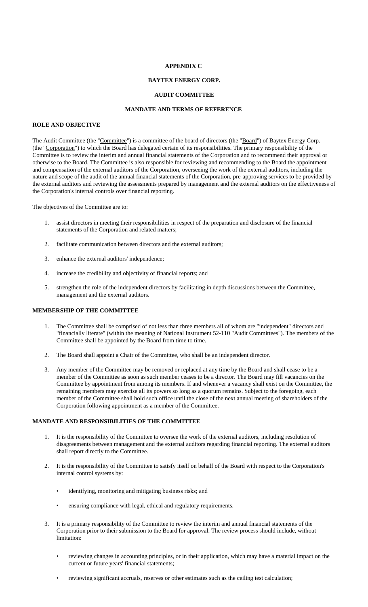### **APPENDIX C**

### **BAYTEX ENERGY CORP.**

# **AUDIT COMMITTEE**

### **MANDATE AND TERMS OF REFERENCE**

# **ROLE AND OBJECTIVE**

The Audit Committee (the "Committee") is a committee of the board of directors (the "Board") of Baytex Energy Corp. (the "Corporation") to which the Board has delegated certain of its responsibilities. The primary responsibility of the Committee is to review the interim and annual financial statements of the Corporation and to recommend their approval or otherwise to the Board. The Committee is also responsible for reviewing and recommending to the Board the appointment and compensation of the external auditors of the Corporation, overseeing the work of the external auditors, including the nature and scope of the audit of the annual financial statements of the Corporation, pre-approving services to be provided by the external auditors and reviewing the assessments prepared by management and the external auditors on the effectiveness of the Corporation's internal controls over financial reporting.

The objectives of the Committee are to:

- 1. assist directors in meeting their responsibilities in respect of the preparation and disclosure of the financial statements of the Corporation and related matters;
- 2. facilitate communication between directors and the external auditors;
- 3. enhance the external auditors' independence;
- 4. increase the credibility and objectivity of financial reports; and
- 5. strengthen the role of the independent directors by facilitating in depth discussions between the Committee, management and the external auditors.

# **MEMBERSHIP OF THE COMMITTEE**

- 1. The Committee shall be comprised of not less than three members all of whom are "independent" directors and "financially literate" (within the meaning of National Instrument 52-110 "Audit Committees"). The members of the Committee shall be appointed by the Board from time to time.
- 2. The Board shall appoint a Chair of the Committee, who shall be an independent director.
- 3. Any member of the Committee may be removed or replaced at any time by the Board and shall cease to be a member of the Committee as soon as such member ceases to be a director. The Board may fill vacancies on the Committee by appointment from among its members. If and whenever a vacancy shall exist on the Committee, the remaining members may exercise all its powers so long as a quorum remains. Subject to the foregoing, each member of the Committee shall hold such office until the close of the next annual meeting of shareholders of the Corporation following appointment as a member of the Committee.

## **MANDATE AND RESPONSIBILITIES OF THE COMMITTEE**

- 1. It is the responsibility of the Committee to oversee the work of the external auditors, including resolution of disagreements between management and the external auditors regarding financial reporting. The external auditors shall report directly to the Committee.
- 2. It is the responsibility of the Committee to satisfy itself on behalf of the Board with respect to the Corporation's internal control systems by:
	- identifying, monitoring and mitigating business risks; and
	- ensuring compliance with legal, ethical and regulatory requirements.
- 3. It is a primary responsibility of the Committee to review the interim and annual financial statements of the Corporation prior to their submission to the Board for approval. The review process should include, without limitation:
	- reviewing changes in accounting principles, or in their application, which may have a material impact on the current or future years' financial statements;
	- reviewing significant accruals, reserves or other estimates such as the ceiling test calculation;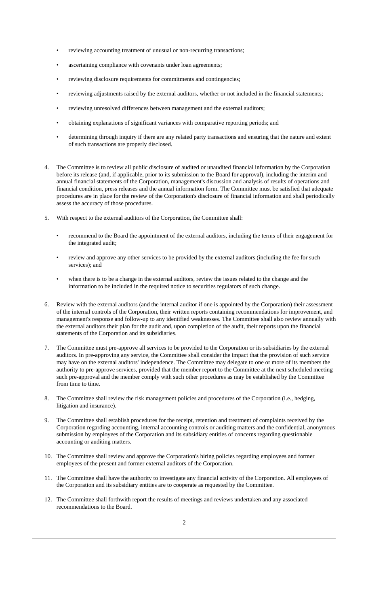- reviewing accounting treatment of unusual or non-recurring transactions;
- ascertaining compliance with covenants under loan agreements;
- reviewing disclosure requirements for commitments and contingencies;
- reviewing adjustments raised by the external auditors, whether or not included in the financial statements;
- reviewing unresolved differences between management and the external auditors;
- obtaining explanations of significant variances with comparative reporting periods; and
- determining through inquiry if there are any related party transactions and ensuring that the nature and extent of such transactions are properly disclosed.
- 4. The Committee is to review all public disclosure of audited or unaudited financial information by the Corporation before its release (and, if applicable, prior to its submission to the Board for approval), including the interim and annual financial statements of the Corporation, management's discussion and analysis of results of operations and financial condition, press releases and the annual information form. The Committee must be satisfied that adequate procedures are in place for the review of the Corporation's disclosure of financial information and shall periodically assess the accuracy of those procedures.
- 5. With respect to the external auditors of the Corporation, the Committee shall:
	- recommend to the Board the appointment of the external auditors, including the terms of their engagement for the integrated audit;
	- review and approve any other services to be provided by the external auditors (including the fee for such services); and
	- when there is to be a change in the external auditors, review the issues related to the change and the information to be included in the required notice to securities regulators of such change.
- 6. Review with the external auditors (and the internal auditor if one is appointed by the Corporation) their assessment of the internal controls of the Corporation, their written reports containing recommendations for improvement, and management's response and follow-up to any identified weaknesses. The Committee shall also review annually with the external auditors their plan for the audit and, upon completion of the audit, their reports upon the financial statements of the Corporation and its subsidiaries.
- 7. The Committee must pre-approve all services to be provided to the Corporation or its subsidiaries by the external auditors. In pre-approving any service, the Committee shall consider the impact that the provision of such service may have on the external auditors' independence. The Committee may delegate to one or more of its members the authority to pre-approve services, provided that the member report to the Committee at the next scheduled meeting such pre-approval and the member comply with such other procedures as may be established by the Committee from time to time.
- 8. The Committee shall review the risk management policies and procedures of the Corporation (i.e., hedging, litigation and insurance).
- 9. The Committee shall establish procedures for the receipt, retention and treatment of complaints received by the Corporation regarding accounting, internal accounting controls or auditing matters and the confidential, anonymous submission by employees of the Corporation and its subsidiary entities of concerns regarding questionable accounting or auditing matters.
- 10. The Committee shall review and approve the Corporation's hiring policies regarding employees and former employees of the present and former external auditors of the Corporation.
- 11. The Committee shall have the authority to investigate any financial activity of the Corporation. All employees of the Corporation and its subsidiary entities are to cooperate as requested by the Committee.
- 12. The Committee shall forthwith report the results of meetings and reviews undertaken and any associated recommendations to the Board.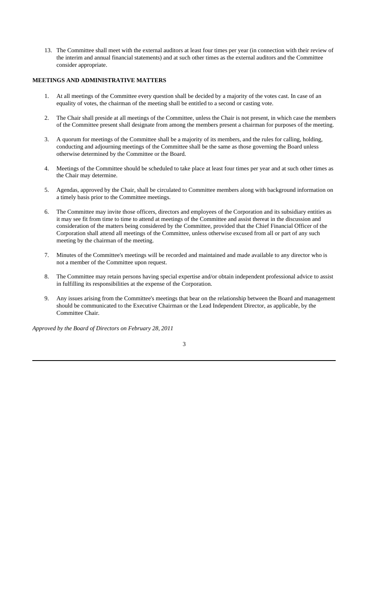13. The Committee shall meet with the external auditors at least four times per year (in connection with their review of the interim and annual financial statements) and at such other times as the external auditors and the Committee consider appropriate.

### **MEETINGS AND ADMINISTRATIVE MATTERS**

- 1. At all meetings of the Committee every question shall be decided by a majority of the votes cast. In case of an equality of votes, the chairman of the meeting shall be entitled to a second or casting vote.
- 2. The Chair shall preside at all meetings of the Committee, unless the Chair is not present, in which case the members of the Committee present shall designate from among the members present a chairman for purposes of the meeting.
- 3. A quorum for meetings of the Committee shall be a majority of its members, and the rules for calling, holding, conducting and adjourning meetings of the Committee shall be the same as those governing the Board unless otherwise determined by the Committee or the Board.
- 4. Meetings of the Committee should be scheduled to take place at least four times per year and at such other times as the Chair may determine.
- 5. Agendas, approved by the Chair, shall be circulated to Committee members along with background information on a timely basis prior to the Committee meetings.
- 6. The Committee may invite those officers, directors and employees of the Corporation and its subsidiary entities as it may see fit from time to time to attend at meetings of the Committee and assist thereat in the discussion and consideration of the matters being considered by the Committee, provided that the Chief Financial Officer of the Corporation shall attend all meetings of the Committee, unless otherwise excused from all or part of any such meeting by the chairman of the meeting.
- 7. Minutes of the Committee's meetings will be recorded and maintained and made available to any director who is not a member of the Committee upon request.
- 8. The Committee may retain persons having special expertise and/or obtain independent professional advice to assist in fulfilling its responsibilities at the expense of the Corporation.
- 9. Any issues arising from the Committee's meetings that bear on the relationship between the Board and management should be communicated to the Executive Chairman or the Lead Independent Director, as applicable, by the Committee Chair.

*Approved by the Board of Directors on February 28, 2011*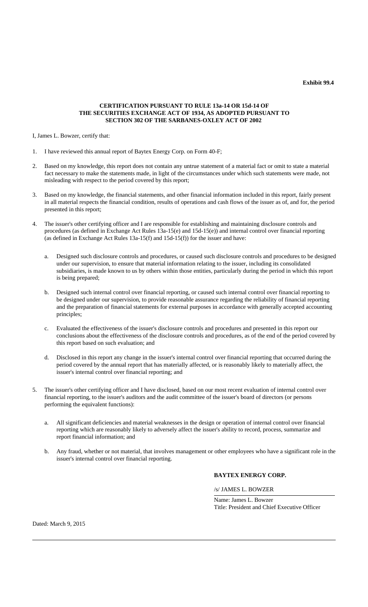#### **Exhibit 99.4**

# **CERTIFICATION PURSUANT TO RULE 13a-14 OR 15d-14 OF THE SECURITIES EXCHANGE ACT OF 1934, AS ADOPTED PURSUANT TO SECTION 302 OF THE SARBANES-OXLEY ACT OF 2002**

I, James L. Bowzer, certify that:

- 1. I have reviewed this annual report of Baytex Energy Corp. on Form 40-F;
- 2. Based on my knowledge, this report does not contain any untrue statement of a material fact or omit to state a material fact necessary to make the statements made, in light of the circumstances under which such statements were made, not misleading with respect to the period covered by this report;
- 3. Based on my knowledge, the financial statements, and other financial information included in this report, fairly present in all material respects the financial condition, results of operations and cash flows of the issuer as of, and for, the period presented in this report;
- 4. The issuer's other certifying officer and I are responsible for establishing and maintaining disclosure controls and procedures (as defined in Exchange Act Rules 13a-15(e) and 15d-15(e)) and internal control over financial reporting (as defined in Exchange Act Rules 13a-15(f) and 15d-15(f)) for the issuer and have:
	- a. Designed such disclosure controls and procedures, or caused such disclosure controls and procedures to be designed under our supervision, to ensure that material information relating to the issuer, including its consolidated subsidiaries, is made known to us by others within those entities, particularly during the period in which this report is being prepared;
	- b. Designed such internal control over financial reporting, or caused such internal control over financial reporting to be designed under our supervision, to provide reasonable assurance regarding the reliability of financial reporting and the preparation of financial statements for external purposes in accordance with generally accepted accounting principles;
	- c. Evaluated the effectiveness of the issuer's disclosure controls and procedures and presented in this report our conclusions about the effectiveness of the disclosure controls and procedures, as of the end of the period covered by this report based on such evaluation; and
	- d. Disclosed in this report any change in the issuer's internal control over financial reporting that occurred during the period covered by the annual report that has materially affected, or is reasonably likely to materially affect, the issuer's internal control over financial reporting; and
- 5. The issuer's other certifying officer and I have disclosed, based on our most recent evaluation of internal control over financial reporting, to the issuer's auditors and the audit committee of the issuer's board of directors (or persons performing the equivalent functions):
	- All significant deficiencies and material weaknesses in the design or operation of internal control over financial reporting which are reasonably likely to adversely affect the issuer's ability to record, process, summarize and report financial information; and
	- b. Any fraud, whether or not material, that involves management or other employees who have a significant role in the issuer's internal control over financial reporting.

# **BAYTEX ENERGY CORP.**

/s/ JAMES L. BOWZER

Name: James L. Bowzer Title: President and Chief Executive Officer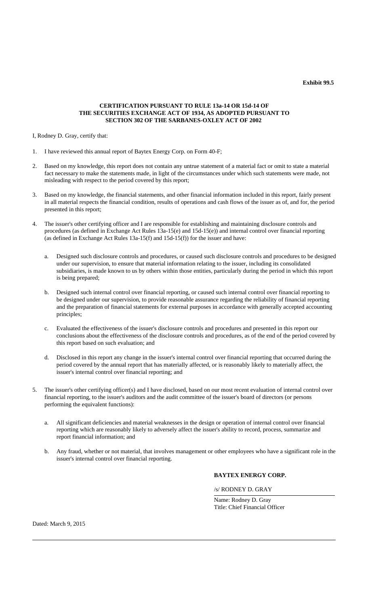#### **Exhibit 99.5**

# **CERTIFICATION PURSUANT TO RULE 13a-14 OR 15d-14 OF THE SECURITIES EXCHANGE ACT OF 1934, AS ADOPTED PURSUANT TO SECTION 302 OF THE SARBANES-OXLEY ACT OF 2002**

I, Rodney D. Gray, certify that:

- 1. I have reviewed this annual report of Baytex Energy Corp. on Form 40-F;
- 2. Based on my knowledge, this report does not contain any untrue statement of a material fact or omit to state a material fact necessary to make the statements made, in light of the circumstances under which such statements were made, not misleading with respect to the period covered by this report;
- 3. Based on my knowledge, the financial statements, and other financial information included in this report, fairly present in all material respects the financial condition, results of operations and cash flows of the issuer as of, and for, the period presented in this report;
- 4. The issuer's other certifying officer and I are responsible for establishing and maintaining disclosure controls and procedures (as defined in Exchange Act Rules 13a-15(e) and 15d-15(e)) and internal control over financial reporting (as defined in Exchange Act Rules 13a-15(f) and 15d-15(f)) for the issuer and have:
	- a. Designed such disclosure controls and procedures, or caused such disclosure controls and procedures to be designed under our supervision, to ensure that material information relating to the issuer, including its consolidated subsidiaries, is made known to us by others within those entities, particularly during the period in which this report is being prepared;
	- b. Designed such internal control over financial reporting, or caused such internal control over financial reporting to be designed under our supervision, to provide reasonable assurance regarding the reliability of financial reporting and the preparation of financial statements for external purposes in accordance with generally accepted accounting principles;
	- c. Evaluated the effectiveness of the issuer's disclosure controls and procedures and presented in this report our conclusions about the effectiveness of the disclosure controls and procedures, as of the end of the period covered by this report based on such evaluation; and
	- d. Disclosed in this report any change in the issuer's internal control over financial reporting that occurred during the period covered by the annual report that has materially affected, or is reasonably likely to materially affect, the issuer's internal control over financial reporting; and
- 5. The issuer's other certifying officer(s) and I have disclosed, based on our most recent evaluation of internal control over financial reporting, to the issuer's auditors and the audit committee of the issuer's board of directors (or persons performing the equivalent functions):
	- All significant deficiencies and material weaknesses in the design or operation of internal control over financial reporting which are reasonably likely to adversely affect the issuer's ability to record, process, summarize and report financial information; and
	- b. Any fraud, whether or not material, that involves management or other employees who have a significant role in the issuer's internal control over financial reporting.

# **BAYTEX ENERGY CORP.**

/s/ RODNEY D. GRAY

Name: Rodney D. Gray Title: Chief Financial Officer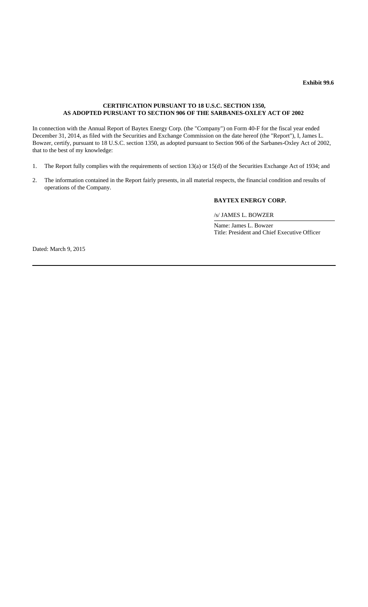# **CERTIFICATION PURSUANT TO 18 U.S.C. SECTION 1350, AS ADOPTED PURSUANT TO SECTION 906 OF THE SARBANES-OXLEY ACT OF 2002**

In connection with the Annual Report of Baytex Energy Corp. (the "Company") on Form 40-F for the fiscal year ended December 31, 2014, as filed with the Securities and Exchange Commission on the date hereof (the "Report"), I, James L. Bowzer, certify, pursuant to 18 U.S.C. section 1350, as adopted pursuant to Section 906 of the Sarbanes-Oxley Act of 2002, that to the best of my knowledge:

- 1. The Report fully complies with the requirements of section 13(a) or 15(d) of the Securities Exchange Act of 1934; and
- 2. The information contained in the Report fairly presents, in all material respects, the financial condition and results of operations of the Company.

# **BAYTEX ENERGY CORP.**

/s/ JAMES L. BOWZER

Name: James L. Bowzer Title: President and Chief Executive Officer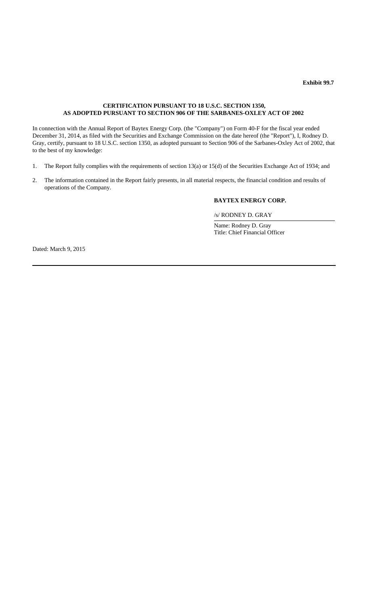# **CERTIFICATION PURSUANT TO 18 U.S.C. SECTION 1350, AS ADOPTED PURSUANT TO SECTION 906 OF THE SARBANES-OXLEY ACT OF 2002**

In connection with the Annual Report of Baytex Energy Corp. (the "Company") on Form 40-F for the fiscal year ended December 31, 2014, as filed with the Securities and Exchange Commission on the date hereof (the "Report"), I, Rodney D. Gray, certify, pursuant to 18 U.S.C. section 1350, as adopted pursuant to Section 906 of the Sarbanes-Oxley Act of 2002, that to the best of my knowledge:

- 1. The Report fully complies with the requirements of section 13(a) or 15(d) of the Securities Exchange Act of 1934; and
- 2. The information contained in the Report fairly presents, in all material respects, the financial condition and results of operations of the Company.

# **BAYTEX ENERGY CORP.**

/s/ RODNEY D. GRAY

Name: Rodney D. Gray Title: Chief Financial Officer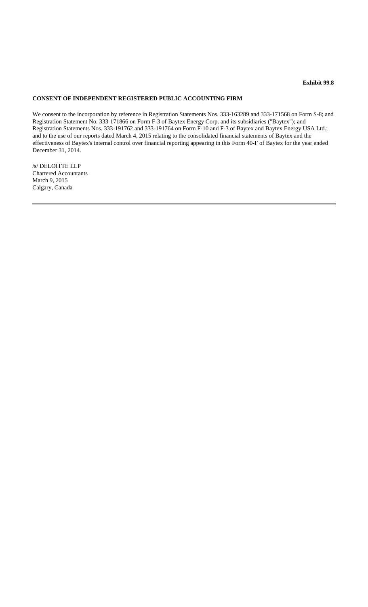# **CONSENT OF INDEPENDENT REGISTERED PUBLIC ACCOUNTING FIRM**

We consent to the incorporation by reference in Registration Statements Nos. 333-163289 and 333-171568 on Form S-8; and Registration Statement No. 333-171866 on Form F-3 of Baytex Energy Corp. and its subsidiaries ("Baytex"); and Registration Statements Nos. 333-191762 and 333-191764 on Form F-10 and F-3 of Baytex and Baytex Energy USA Ltd.; and to the use of our reports dated March 4, 2015 relating to the consolidated financial statements of Baytex and the effectiveness of Baytex's internal control over financial reporting appearing in this Form 40-F of Baytex for the year ended December 31, 2014.

/s/ DELOITTE LLP Chartered Accountants March 9, 2015 Calgary, Canada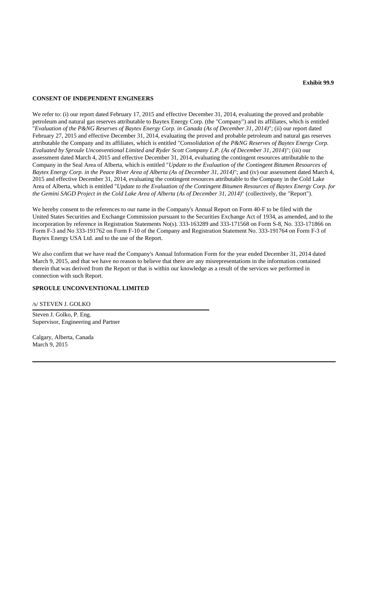# **CONSENT OF INDEPENDENT ENGINEERS**

We refer to: (i) our report dated February 17, 2015 and effective December 31, 2014, evaluating the proved and probable petroleum and natural gas reserves attributable to Baytex Energy Corp. (the "Company") and its affiliates, which is entitled "*Evaluation of the P&NG Reserves of Baytex Energy Corp. in Canada (As of December 31, 2014)*"; (ii) our report dated February 27, 2015 and effective December 31, 2014, evaluating the proved and probable petroleum and natural gas reserves attributable the Company and its affiliates, which is entitled "*Consolidation of the P&NG Reserves of Baytex Energy Corp. Evaluated by Sproule Unconventional Limited and Ryder Scott Company L.P. (As of December 31, 2014*)"; (iii) our assessment dated March 4, 2015 and effective December 31, 2014, evaluating the contingent resources attributable to the Company in the Seal Area of Alberta, which is entitled "*Update to the Evaluation of the Contingent Bitumen Resources of Baytex Energy Corp. in the Peace River Area of Alberta (As of December 31, 2014)*"; and (iv) our assessment dated March 4, 2015 and effective December 31, 2014, evaluating the contingent resources attributable to the Company in the Cold Lake Area of Alberta, which is entitled "*Update to the Evaluation of the Contingent Bitumen Resources of Baytex Energy Corp. for the Gemini SAGD Project in the Cold Lake Area of Alberta (As of December 31, 2014)*" (collectively, the "Report").

We hereby consent to the references to our name in the Company's Annual Report on Form 40-F to be filed with the United States Securities and Exchange Commission pursuant to the Securities Exchange Act of 1934, as amended, and to the incorporation by reference in Registration Statements No(s). 333-163289 and 333-171568 on Form S-8, No. 333-171866 on Form F-3 and No 333-191762 on Form F-10 of the Company and Registration Statement No. 333-191764 on Form F-3 of Baytex Energy USA Ltd. and to the use of the Report.

We also confirm that we have read the Company's Annual Information Form for the year ended December 31, 2014 dated March 9, 2015, and that we have no reason to believe that there are any misrepresentations in the information contained therein that was derived from the Report or that is within our knowledge as a result of the services we performed in connection with such Report.

# **SPROULE UNCONVENTIONAL LIMITED**

/s/ STEVEN J. GOLKO

Steven J. Golko, P. Eng. Supervisor, Engineering and Partner

Calgary, Alberta, Canada March 9, 2015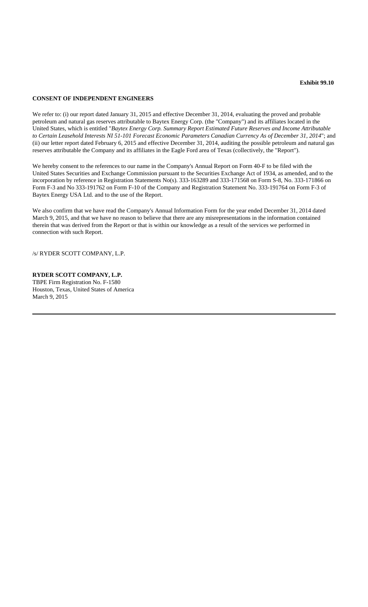## **CONSENT OF INDEPENDENT ENGINEERS**

We refer to: (i) our report dated January 31, 2015 and effective December 31, 2014, evaluating the proved and probable petroleum and natural gas reserves attributable to Baytex Energy Corp. (the "Company") and its affiliates located in the United States, which is entitled "*Baytex Energy Corp. Summary Report Estimated Future Reserves and Income Attributable to Certain Leasehold Interests NI 51-101 Forecast Economic Parameters Canadian Currency As of December 31, 2014*"; and (ii) our letter report dated February 6, 2015 and effective December 31, 2014, auditing the possible petroleum and natural gas reserves attributable the Company and its affiliates in the Eagle Ford area of Texas (collectively, the "Report").

We hereby consent to the references to our name in the Company's Annual Report on Form 40-F to be filed with the United States Securities and Exchange Commission pursuant to the Securities Exchange Act of 1934, as amended, and to the incorporation by reference in Registration Statements No(s). 333-163289 and 333-171568 on Form S-8, No. 333-171866 on Form F-3 and No 333-191762 on Form F-10 of the Company and Registration Statement No. 333-191764 on Form F-3 of Baytex Energy USA Ltd. and to the use of the Report.

We also confirm that we have read the Company's Annual Information Form for the year ended December 31, 2014 dated March 9, 2015, and that we have no reason to believe that there are any misrepresentations in the information contained therein that was derived from the Report or that is within our knowledge as a result of the services we performed in connection with such Report.

/s/ RYDER SCOTT COMPANY, L.P.

**RYDER SCOTT COMPANY, L.P.** TBPE Firm Registration No. F-1580 Houston, Texas, United States of America March 9, 2015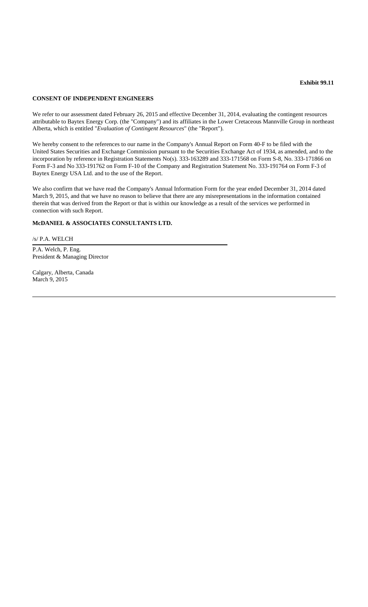### **CONSENT OF INDEPENDENT ENGINEERS**

We refer to our assessment dated February 26, 2015 and effective December 31, 2014, evaluating the contingent resources attributable to Baytex Energy Corp. (the "Company") and its affiliates in the Lower Cretaceous Mannville Group in northeast Alberta, which is entitled "*Evaluation of Contingent Resources*" (the "Report").

We hereby consent to the references to our name in the Company's Annual Report on Form 40-F to be filed with the United States Securities and Exchange Commission pursuant to the Securities Exchange Act of 1934, as amended, and to the incorporation by reference in Registration Statements No(s). 333-163289 and 333-171568 on Form S-8, No. 333-171866 on Form F-3 and No 333-191762 on Form F-10 of the Company and Registration Statement No. 333-191764 on Form F-3 of Baytex Energy USA Ltd. and to the use of the Report.

We also confirm that we have read the Company's Annual Information Form for the year ended December 31, 2014 dated March 9, 2015, and that we have no reason to believe that there are any misrepresentations in the information contained therein that was derived from the Report or that is within our knowledge as a result of the services we performed in connection with such Report.

# **McDANIEL & ASSOCIATES CONSULTANTS LTD.**

/s/ P.A. WELCH

P.A. Welch, P. Eng. President & Managing Director

Calgary, Alberta, Canada March 9, 2015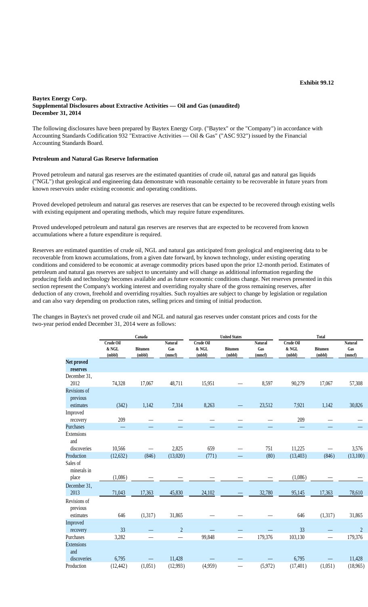### **Exhibit 99.12**

### **Baytex Energy Corp. Supplemental Disclosures about Extractive Activities — Oil and Gas (unaudited) December 31, 2014**

The following disclosures have been prepared by Baytex Energy Corp. ("Baytex" or the "Company") in accordance with Accounting Standards Codification 932 "Extractive Activities — Oil & Gas" ("ASC 932") issued by the Financial Accounting Standards Board.

### **Petroleum and Natural Gas Reserve Information**

Proved petroleum and natural gas reserves are the estimated quantities of crude oil, natural gas and natural gas liquids ("NGL") that geological and engineering data demonstrate with reasonable certainty to be recoverable in future years from known reservoirs under existing economic and operating conditions.

Proved developed petroleum and natural gas reserves are reserves that can be expected to be recovered through existing wells with existing equipment and operating methods, which may require future expenditures.

Proved undeveloped petroleum and natural gas reserves are reserves that are expected to be recovered from known accumulations where a future expenditure is required.

Reserves are estimated quantities of crude oil, NGL and natural gas anticipated from geological and engineering data to be recoverable from known accumulations, from a given date forward, by known technology, under existing operating conditions and considered to be economic at average commodity prices based upon the prior 12-month period. Estimates of petroleum and natural gas reserves are subject to uncertainty and will change as additional information regarding the producing fields and technology becomes available and as future economic conditions change. Net reserves presented in this section represent the Company's working interest and overriding royalty share of the gross remaining reserves, after deduction of any crown, freehold and overriding royalties. Such royalties are subject to change by legislation or regulation and can also vary depending on production rates, selling prices and timing of initial production.

The changes in Baytex's net proved crude oil and NGL and natural gas reserves under constant prices and costs for the two-year period ended December 31, 2014 were as follows:

|                                       | Canada                      |                         |                                 |                              | <b>United States</b>              |                                 | <b>Total</b>                 |                          |                                 |  |
|---------------------------------------|-----------------------------|-------------------------|---------------------------------|------------------------------|-----------------------------------|---------------------------------|------------------------------|--------------------------|---------------------------------|--|
|                                       | Crude Oil<br>& NGL<br>(mbb) | <b>Bitumen</b><br>(mbb) | <b>Natural</b><br>Gas<br>(mmcf) | Crude Oil<br>& NGL<br>(mbbl) | <b>Bitumen</b><br>(mbbl)          | <b>Natural</b><br>Gas<br>(mmcf) | Crude Oil<br>& NGL<br>(mbbl) | <b>Bitumen</b><br>(mbbl) | <b>Natural</b><br>Gas<br>(mmcf) |  |
| Net proved<br>reserves                |                             |                         |                                 |                              |                                   |                                 |                              |                          |                                 |  |
| December 31,<br>2012                  | 74,328                      | 17,067                  | 48,711                          | 15,951                       |                                   | 8,597                           | 90,279                       | 17,067                   | 57,308                          |  |
| Revisions of<br>previous<br>estimates | (342)                       | 1,142                   | 7,314                           | 8,263                        |                                   | 23,512                          | 7,921                        | 1,142                    | 30,826                          |  |
| Improved<br>recovery                  | 209                         |                         |                                 |                              |                                   |                                 | 209                          |                          |                                 |  |
| Purchases                             |                             |                         |                                 |                              |                                   |                                 |                              |                          |                                 |  |
| Extensions<br>and<br>discoveries      | 10,566                      |                         | 2,825                           | 659                          |                                   | 751                             | 11,225                       |                          | 3,576                           |  |
| Production                            | (12, 632)                   | (846)                   | (13,020)                        | (771)                        |                                   | (80)                            | (13, 403)                    | (846)                    | (13,100)                        |  |
| Sales of<br>minerals in<br>place      | (1,086)                     |                         |                                 |                              |                                   |                                 | (1,086)                      |                          |                                 |  |
| December 31,<br>2013                  | 71,043                      | 17,363                  | 45,830                          | 24,102                       |                                   | 32,780                          | 95,145                       | 17,363                   | 78,610                          |  |
| Revisions of<br>previous<br>estimates | 646                         | (1,317)                 | 31,865                          |                              |                                   |                                 | 646                          | (1, 317)                 | 31,865                          |  |
| Improved<br>recovery                  | 33                          |                         | $\sqrt{2}$                      |                              |                                   |                                 | 33                           |                          | $\overline{2}$                  |  |
| Purchases                             | 3,282                       |                         |                                 | 99,848                       | $\overbrace{\phantom{123221111}}$ | 179,376                         | 103,130                      |                          | 179,376                         |  |
| <b>Extensions</b><br>and              |                             |                         |                                 |                              |                                   |                                 |                              |                          |                                 |  |
| discoveries                           | 6,795                       |                         | 11,428                          |                              |                                   |                                 | 6,795                        |                          | 11,428                          |  |
| Production                            | (12, 442)                   | (1,051)                 | (12,993)                        | (4,959)                      |                                   | (5,972)                         | (17, 401)                    | (1,051)                  | (18,965)                        |  |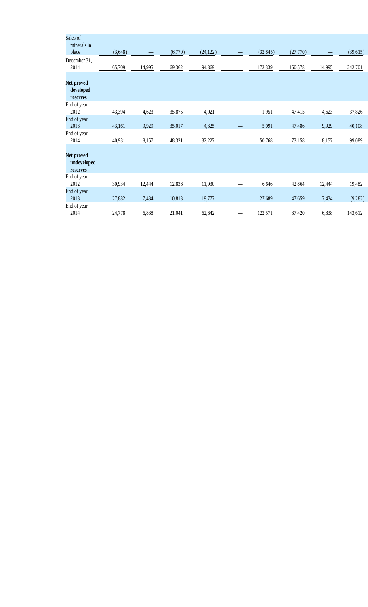| Sales of<br>minerals in<br>place      | (3,648) |        | (6,770) | (24, 122) |                          | (32, 845) | (27,770) |        | (39, 615) |
|---------------------------------------|---------|--------|---------|-----------|--------------------------|-----------|----------|--------|-----------|
| December 31,<br>2014                  | 65,709  | 14,995 | 69,362  | 94,869    |                          | 173,339   | 160,578  | 14,995 | 242,701   |
| Net proved                            |         |        |         |           |                          |           |          |        |           |
| developed<br>reserves                 |         |        |         |           |                          |           |          |        |           |
| End of year<br>2012                   | 43,394  | 4,623  | 35,875  | 4,021     | $\overline{\phantom{0}}$ | 1,951     | 47,415   | 4,623  | 37,826    |
| End of year<br>2013                   | 43,161  | 9,929  | 35,017  | 4,325     |                          | 5,091     | 47,486   | 9,929  | 40,108    |
| End of year<br>2014                   | 40,931  | 8,157  | 48,321  | 32,227    |                          | 50,768    | 73,158   | 8,157  | 99,089    |
| Net proved<br>undeveloped<br>reserves |         |        |         |           |                          |           |          |        |           |
| End of year<br>2012                   | 30,934  | 12,444 | 12,836  | 11,930    |                          | 6,646     | 42,864   | 12,444 | 19,482    |
| End of year<br>2013                   | 27,882  | 7,434  | 10,813  | 19,777    |                          | 27,689    | 47,659   | 7,434  | (9,282)   |
| End of year<br>2014                   | 24,778  | 6,838  | 21,041  | 62,642    | —                        | 122,571   | 87,420   | 6,838  | 143,612   |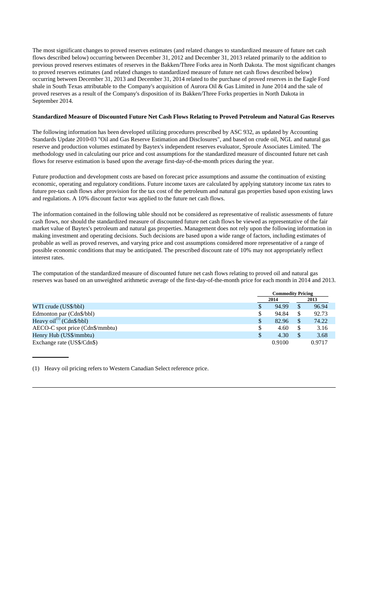The most significant changes to proved reserves estimates (and related changes to standardized measure of future net cash flows described below) occurring between December 31, 2012 and December 31, 2013 related primarily to the addition to previous proved reserves estimates of reserves in the Bakken/Three Forks area in North Dakota. The most significant changes to proved reserves estimates (and related changes to standardized measure of future net cash flows described below) occurring between December 31, 2013 and December 31, 2014 related to the purchase of proved reserves in the Eagle Ford shale in South Texas attributable to the Company's acquisition of Aurora Oil & Gas Limited in June 2014 and the sale of proved reserves as a result of the Company's disposition of its Bakken/Three Forks properties in North Dakota in September 2014.

#### **Standardized Measure of Discounted Future Net Cash Flows Relating to Proved Petroleum and Natural Gas Reserves**

The following information has been developed utilizing procedures prescribed by ASC 932, as updated by Accounting Standards Update 2010-03 "Oil and Gas Reserve Estimation and Disclosures", and based on crude oil, NGL and natural gas reserve and production volumes estimated by Baytex's independent reserves evaluator, Sproule Associates Limited. The methodology used in calculating our price and cost assumptions for the standardized measure of discounted future net cash flows for reserve estimation is based upon the average first-day-of-the-month prices during the year.

Future production and development costs are based on forecast price assumptions and assume the continuation of existing economic, operating and regulatory conditions. Future income taxes are calculated by applying statutory income tax rates to future pre-tax cash flows after provision for the tax cost of the petroleum and natural gas properties based upon existing laws and regulations. A 10% discount factor was applied to the future net cash flows.

The information contained in the following table should not be considered as representative of realistic assessments of future cash flows, nor should the standardized measure of discounted future net cash flows be viewed as representative of the fair market value of Baytex's petroleum and natural gas properties. Management does not rely upon the following information in making investment and operating decisions. Such decisions are based upon a wide range of factors, including estimates of probable as well as proved reserves, and varying price and cost assumptions considered more representative of a range of possible economic conditions that may be anticipated. The prescribed discount rate of 10% may not appropriately reflect interest rates.

The computation of the standardized measure of discounted future net cash flows relating to proved oil and natural gas reserves was based on an unweighted arithmetic average of the first-day-of-the-month price for each month in 2014 and 2013.

|                                      | <b>Commodity Pricing</b> |               |        |  |  |
|--------------------------------------|--------------------------|---------------|--------|--|--|
|                                      | 2014                     |               | 2013   |  |  |
| WTI crude (US\$/bbl)                 | \$<br>94.99              | $\mathbb{S}$  | 96.94  |  |  |
| Edmonton par (Cdn\$/bbl)             | \$<br>94.84              | <sup>\$</sup> | 92.73  |  |  |
| Heavy oil <sup>(1)</sup> (Cdn\$/bbl) | \$<br>82.96              | $\mathcal{S}$ | 74.22  |  |  |
| AECO-C spot price (Cdn\$/mmbtu)      | \$<br>4.60               | S             | 3.16   |  |  |
| Henry Hub (US\$/mmbtu)               | \$<br>4.30               | <sup>\$</sup> | 3.68   |  |  |
| Exchange rate (US\$/Cdn\$)           | 0.9100                   |               | 0.9717 |  |  |

(1) Heavy oil pricing refers to Western Canadian Select reference price.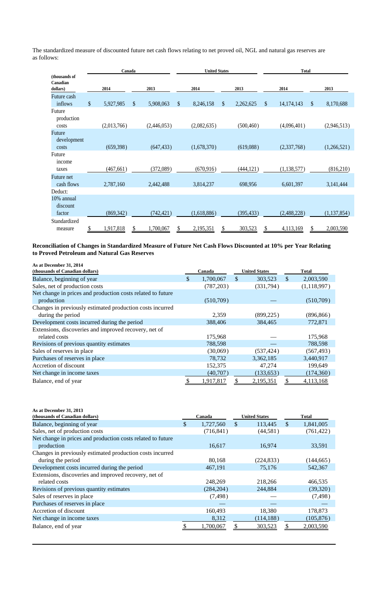The standardized measure of discounted future net cash flows relating to net proved oil, NGL and natural gas reserves are as follows:

|                                       | Canada |             |    | <b>United States</b> |               |             |    | <b>Total</b> |    |               |    |               |
|---------------------------------------|--------|-------------|----|----------------------|---------------|-------------|----|--------------|----|---------------|----|---------------|
| (thousands of<br>Canadian<br>dollars) |        | 2014        |    | 2013                 |               | 2014        |    | 2013         |    | 2014          |    | 2013          |
| Future cash<br>inflows                | \$     | 5,927,985   | \$ | 5,908,063            | $\mathcal{S}$ | 8,246,158   | \$ | 2,262,625    | \$ | 14, 174, 143  | \$ | 8,170,688     |
| Future<br>production<br>costs         |        | (2,013,766) |    | (2,446,053)          |               | (2,082,635) |    | (500, 460)   |    | (4,096,401)   |    | (2,946,513)   |
| <b>Future</b><br>development<br>costs |        | (659, 398)  |    | (647, 433)           |               | (1,678,370) |    | (619,088)    |    | (2,337,768)   |    | (1,266,521)   |
| Future<br>income<br>taxes             |        | (467, 661)  |    | (372,089)            |               | (670, 916)  |    | (444, 121)   |    | (1, 138, 577) |    | (816,210)     |
| Future net<br>cash flows              |        | 2,787,160   |    | 2,442,488            |               | 3,814,237   |    | 698,956      |    | 6,601,397     |    | 3,141,444     |
| Deduct:<br>10% annual<br>discount     |        |             |    |                      |               |             |    |              |    |               |    |               |
| factor                                |        | (869, 342)  |    | (742, 421)           |               | (1,618,886) |    | (395, 433)   |    | (2,488,228)   |    | (1, 137, 854) |
| Standardized<br>measure               | \$     | 1,917,818   |    | 1,700,067            |               | 2,195,351   |    | 303,523      |    | 4,113,169     |    | 2,003,590     |

## **Reconciliation of Changes in Standardized Measure of Future Net Cash Flows Discounted at 10% per Year Relating to Proved Petroleum and Natural Gas Reserves**

| As at December 31, 2014                                     |    |            |               |                      |               |               |  |
|-------------------------------------------------------------|----|------------|---------------|----------------------|---------------|---------------|--|
| (thousands of Canadian dollars)                             |    | Canada     |               | <b>United States</b> | Total         |               |  |
| Balance, beginning of year                                  | \$ | 1,700,067  | $\mathcal{S}$ | 303,523              | <sup>\$</sup> | 2,003,590     |  |
| Sales, net of production costs                              |    | (787, 203) |               | (331,794)            |               | (1, 118, 997) |  |
| Net change in prices and production costs related to future |    |            |               |                      |               |               |  |
| production                                                  |    | (510,709)  |               |                      |               | (510,709)     |  |
| Changes in previously estimated production costs incurred   |    |            |               |                      |               |               |  |
| during the period                                           |    | 2,359      |               | (899, 225)           |               | (896, 866)    |  |
| Development costs incurred during the period                |    | 388,406    |               | 384,465              |               | 772,871       |  |
| Extensions, discoveries and improved recovery, net of       |    |            |               |                      |               |               |  |
| related costs                                               |    | 175,968    |               |                      |               | 175,968       |  |
| Revisions of previous quantity estimates                    |    | 788,598    |               |                      |               | 788,598       |  |
| Sales of reserves in place                                  |    | (30,069)   |               | (537, 424)           |               | (567, 493)    |  |
| Purchases of reserves in place                              |    | 78,732     |               | 3,362,185            |               | 3,440,917     |  |
| Accretion of discount                                       |    | 152,375    |               | 47,274               |               | 199,649       |  |
| Net change in income taxes                                  |    | (40,707)   |               | (133, 653)           |               | (174, 360)    |  |
| Balance, end of year                                        |    | 1,917,817  |               | 2,195,351            |               | 4,113,168     |  |

| As at December 31, 2013<br>(thousands of Canadian dollars)                     |    | Canada     |               | <b>United States</b> | <b>Total</b>  |            |
|--------------------------------------------------------------------------------|----|------------|---------------|----------------------|---------------|------------|
| Balance, beginning of year                                                     | \$ | 1,727,560  | $\mathcal{S}$ | 113,445              | <sup>\$</sup> | 1,841,005  |
| Sales, net of production costs                                                 |    | (716, 841) |               | (44,581)             |               | (761, 422) |
| Net change in prices and production costs related to future<br>production      |    | 16,617     |               | 16,974               |               | 33,591     |
| Changes in previously estimated production costs incurred<br>during the period |    | 80,168     |               | (224, 833)           |               | (144, 665) |
| Development costs incurred during the period                                   |    | 467,191    |               | 75,176               |               | 542,367    |
| Extensions, discoveries and improved recovery, net of<br>related costs         |    | 248,269    |               | 218,266              |               | 466,535    |
| Revisions of previous quantity estimates                                       |    | (284, 204) |               | 244,884              |               | (39,320)   |
| Sales of reserves in place                                                     |    | (7, 498)   |               |                      |               | (7, 498)   |
| Purchases of reserves in place                                                 |    |            |               |                      |               |            |
| Accretion of discount                                                          |    | 160,493    |               | 18,380               |               | 178,873    |
| Net change in income taxes                                                     |    | 8,312      |               | (114, 188)           |               | (105, 876) |
| Balance, end of year                                                           |    | 1,700,067  |               | 303,523              |               | 2,003,590  |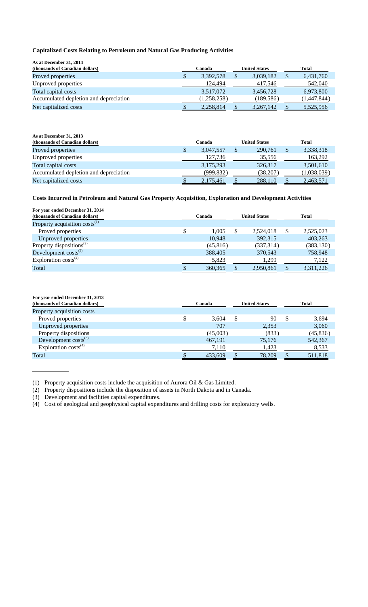### **Capitalized Costs Relating to Petroleum and Natural Gas Producing Activities**

| As at December 31, 2014                |    |             |               |                      |       |             |
|----------------------------------------|----|-------------|---------------|----------------------|-------|-------------|
| (thousands of Canadian dollars)        |    | Canada      |               | <b>United States</b> | Total |             |
| Proved properties                      | \$ | 3,392,578   | <sup>\$</sup> | 3,039,182            |       | 6,431,760   |
| Unproved properties                    |    | 124.494     |               | 417,546              |       | 542,040     |
| Total capital costs                    |    | 3,517,072   |               | 3,456,728            |       | 6,973,800   |
| Accumulated depletion and depreciation |    | (1,258,258) |               | (189,586)            |       | (1,447,844) |
| Net capitalized costs                  |    | 2,258,814   |               | 3,267,142            |       | 5,525,956   |

| As at December 31, 2013                |    |            |                      |       |             |  |
|----------------------------------------|----|------------|----------------------|-------|-------------|--|
| (thousands of Canadian dollars)        |    | Canada     | <b>United States</b> | Total |             |  |
| Proved properties                      | \$ | 3,047,557  | 290.761              |       | 3,338,318   |  |
| Unproved properties                    |    | 127,736    | 35,556               |       | 163,292     |  |
| Total capital costs                    |    | 3,175,293  | 326,317              |       | 3,501,610   |  |
| Accumulated depletion and depreciation |    | (999, 832) | (38,207)             |       | (1,038,039) |  |
| Net capitalized costs                  |    | 2,175,461  | 288,110              |       | 2,463,571   |  |

#### **Costs Incurred in Petroleum and Natural Gas Property Acquisition, Exploration and Development Activities**

| For year ended December 31, 2014                  |    |           |   |                      |       |            |
|---------------------------------------------------|----|-----------|---|----------------------|-------|------------|
| (thousands of Canadian dollars)                   |    | Canada    |   | <b>United States</b> | Total |            |
| Property acquisition $costs^{(1)}$                |    |           |   |                      |       |            |
| Proved properties                                 | \$ | 1.005     | S | 2,524,018            |       | 2,525,023  |
| Unproved properties                               |    | 10,948    |   | 392,315              |       | 403,263    |
| Property dispositions <sup><math>(2)</math></sup> |    | (45, 816) |   | (337,314)            |       | (383, 130) |
| Development $costs^{(3)}$                         |    | 388,405   |   | 370,543              |       | 758,948    |
| Exploration $costs^{(4)}$                         |    | 5,823     |   | 1,299                |       | 7,122      |
| Total                                             |    | 360, 365  |   | 2.950.861            |       | 3.311.226  |

## **For year ended December 31, 2013**

| (thousands of Canadian dollars) | Canada   | <b>United States</b> | Total     |  |
|---------------------------------|----------|----------------------|-----------|--|
| Property acquisition costs      |          |                      |           |  |
| Proved properties               | 3,604    | 90<br>\$             | 3,694     |  |
| Unproved properties             | 707      | 2,353                | 3,060     |  |
| Property dispositions           | (45,003) | (833)                | (45, 836) |  |
| Development $costs^{(3)}$       | 467,191  | 75,176               | 542,367   |  |
| Exploration $costs^{(4)}$       | 7,110    | 1,423                | 8,533     |  |
| Total                           | 433,609  | 78,209               | 511,818   |  |

(1) Property acquisition costs include the acquisition of Aurora Oil & Gas Limited.

(2) Property dispositions include the disposition of assets in North Dakota and in Canada.

(3) Development and facilities capital expenditures.

(4) Cost of geological and geophysical capital expenditures and drilling costs for exploratory wells.